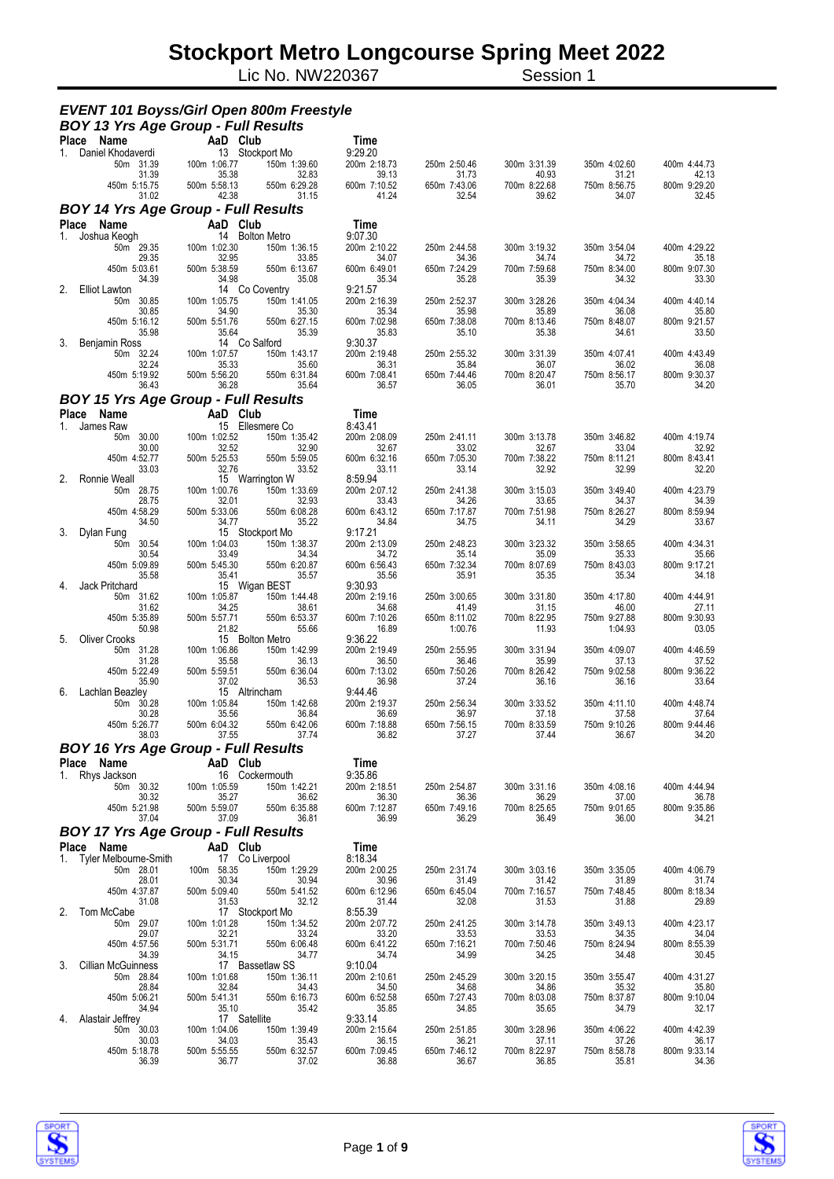Lic No. NW220367 Session 1

| Place Name<br>AaD Club<br>Time<br>9:29.20<br>13 Stockport Mo<br>Daniel Khodaverdi<br>1.<br>50m 31.39<br>100m 1:06.77<br>150m 1:39.60<br>200m 2:18.73<br>250m 2:50.46<br>300m 3:31.39<br>350m 4:02.60<br>400m 4:44.73<br>31.39<br>35.38<br>32.83<br>39.13<br>31.73<br>40.93<br>42.13<br>31.21<br>450m 5:15.75<br>500m 5:58.13<br>550m 6:29.28<br>600m 7:10.52<br>650m 7:43.06<br>700m 8:22.68<br>750m 8:56.75<br>800m 9:29.20<br>42.38<br>31.15<br>41.24<br>32.54<br>39.62<br>32.45<br>31.02<br>34.07<br><b>BOY 14 Yrs Age Group - Full Results</b><br>AaD Club<br><b>Place</b><br>Name<br>Time<br>14 Bolton Metro<br>9:07.30<br>Joshua Keogh<br>1.<br>50m 29.35<br>100m 1:02.30<br>200m 2:10.22<br>400m 4:29.22<br>150m 1:36.15<br>250m 2:44.58<br>300m 3:19.32<br>350m 3:54.04<br>29.35<br>32.95<br>33.85<br>34.07<br>34.36<br>34.74<br>34.72<br>35.18<br>450m 5:03.61<br>500m 5:38.59<br>550m 6:13.67<br>600m 6:49.01<br>650m 7:24.29<br>700m 7:59.68<br>800m 9:07.30<br>750m 8:34.00<br>34.39<br>34.98<br>35.08<br>35.34<br>35.28<br>35.39<br>34.32<br>33.30<br>14 Co Coventry<br>9:21.57<br><b>Elliot Lawton</b><br>50m 30.85<br>100m 1:05.75<br>150m 1:41.05<br>200m 2:16.39<br>250m 2:52.37<br>300m 3:28.26<br>350m 4:04.34<br>400m 4:40.14<br>30.85<br>34.90<br>35.30<br>35.34<br>35.98<br>35.89<br>36.08<br>35.80<br>450m 5:16.12<br>500m 5:51.76<br>550m 6:27.15<br>600m 7:02.98<br>650m 7:38.08<br>700m 8:13.46<br>750m 8:48.07<br>800m 9:21.57<br>35.98<br>35.64<br>35.39<br>35.10<br>35.38<br>33.50<br>35.83<br>34.61<br>14 Co Salford<br>9:30.37<br>3.<br>Benjamin Ross<br>100m 1:07.57<br>50m 32.24<br>150m 1:43.17<br>200m 2:19.48<br>250m 2:55.32<br>300m 3:31.39<br>350m 4:07.41<br>400m 4:43.49<br>32.24<br>35.33<br>35.60<br>36.31<br>35.84<br>36.07<br>36.02<br>36.08<br>450m 5:19.92<br>500m 5:56.20<br>550m 6:31.84<br>600m 7:08.41<br>650m 7:44.46<br>700m 8:20.47<br>800m 9:30.37<br>750m 8:56.17<br>36.28<br>35.64<br>36.57<br>36.05<br>36.01<br>35.70<br>34.20<br>36.43<br><b>BOY 15 Yrs Age Group - Full Results</b><br>AaD Club<br><b>Place</b><br>Name<br>Time<br>15 Ellesmere Co<br>8:43.41<br>James Raw<br>1.<br>50m 30.00<br>100m 1:02.52<br>150m 1:35.42<br>200m 2:08.09<br>250m 2:41.11<br>300m 3:13.78<br>350m 3:46.82<br>400m 4:19.74<br>30.00<br>32.52<br>32.90<br>32.67<br>33.02<br>32.67<br>33.04<br>32.92<br>450m 4:52.77<br>500m 5:25.53<br>550m 5:59.05<br>600m 6:32.16<br>650m 7:05.30<br>700m 7:38.22<br>750m 8:11.21<br>800m 8:43.41<br>33.03<br>32.76<br>33.52<br>33.11<br>33.14<br>32.92<br>32.99<br>32.20<br>15 Warrington W<br>8:59.94<br>2.<br>Ronnie Weall<br>100m 1:00.76<br>50m 28.75<br>150m 1:33.69<br>200m 2:07.12<br>250m 2:41.38<br>300m 3:15.03<br>350m 3:49.40<br>400m 4:23.79<br>28.75<br>32.01<br>32.93<br>33.43<br>33.65<br>34.39<br>34.26<br>34.37<br>500m 5:33.06<br>450m 4:58.29<br>550m 6:08.28<br>600m 6:43.12<br>650m 7:17.87<br>700m 7:51.98<br>750m 8:26.27<br>800m 8:59.94<br>34.50<br>34.77<br>35.22<br>34.84<br>34.75<br>34.11<br>34.29<br>33.67<br>15 Stockport Mo<br>Dylan Fung<br>9:17.21<br>3.<br>100m 1:04.03<br>150m 1:38.37<br>200m 2:13.09<br>250m 2:48.23<br>300m 3:23.32<br>400m 4:34.31<br>50m 30.54<br>350m 3:58.65<br>33.49<br>34.34<br>30.54<br>34.72<br>35.14<br>35.09<br>35.33<br>35.66<br>500m 5:45.30<br>650m 7:32.34<br>450m 5:09.89<br>550m 6:20.87<br>600m 6:56.43<br>700m 8:07.69<br>750m 8:43.03<br>800m 9:17.21<br>35.58<br>35.41<br>35.57<br>35.56<br>35.91<br>35.35<br>35.34<br>34.18<br><b>Jack Pritchard</b><br>15 Wigan BEST<br>4.<br>9:30.93<br>100m 1:05.87<br>150m 1:44.48<br>200m 2:19.16<br>250m 3:00.65<br>300m 3:31.80<br>350m 4:17.80<br>400m 4:44.91<br>50m 31.62<br>34.25<br>38.61<br>34.68<br>41.49<br>31.15<br>27.11<br>31.62<br>46.00<br>450m 5:35.89<br>500m 5:57.71<br>550m 6:53.37<br>600m 7:10.26<br>650m 8:11.02<br>700m 8:22.95<br>750m 9:27.88<br>800m 9:30.93<br>50.98<br>21.82<br>55.66<br>16.89<br>1:00.76<br>11.93<br>1:04.93<br>03.05<br>15 Bolton Metro<br>9:36.22<br><b>Oliver Crooks</b><br>5.<br>50m 31.28<br>100m 1:06.86<br>150m 1:42.99<br>200m 2:19.49<br>250m 2:55.95<br>300m 3:31.94<br>350m 4:09.07<br>400m 4:46.59<br>31.28<br>35.58<br>36.50<br>35.99<br>37.13<br>37.52<br>36.13<br>36.46<br>450m 5:22.49<br>500m 5:59.51<br>550m 6:36.04<br>600m 7:13.02<br>650m 7:50.26<br>700m 8:26.42<br>750m 9:02.58<br>800m 9:36.22<br>35.90<br>37.02<br>36.53<br>36.98<br>37.24<br>36.16<br>36.16<br>33.64<br>15 Altrincham<br>9:44.46<br>6.<br>Lachlan Beazley<br>50m 30.28<br>100m 1:05.84<br>150m 1:42.68<br>200m 2:19.37<br>250m 2:56.34<br>300m 3:33.52<br>350m 4:11.10<br>400m 4:48.74<br>35.56<br>30.28<br>36.84<br>36.69<br>36.97<br>37.18<br>37.58<br>37.64<br>500m 6:04.32<br>550m 6:42.06<br>600m 7:18.88<br>700m 8:33.59<br>750m 9:10.26<br>800m 9:44.46<br>650m 7:56.15<br>450m 5:26.77<br>37.74<br>37.27<br>36.67<br>34.20<br>38.03<br>37.55<br>36.82<br>37.44<br><b>BOY 16 Yrs Age Group - Full Results</b><br>AaD Club<br>Place Name<br>Time<br>16 Cockermouth<br>1. Rhys Jackson<br>9:35.86<br>50m 30.32<br>100m 1:05.59<br>150m 1:42.21<br>200m 2:18.51<br>250m 2:54.87<br>300m 3:31.16<br>350m 4:08.16<br>400m 4:44.94<br>30.32<br>36.62<br>36.30<br>36.36<br>36.29<br>36.78<br>35.27<br>37.00<br>450m 5:21.98<br>500m 5:59.07<br>550m 6:35.88<br>650m 7:49.16<br>750m 9:01.65<br>800m 9:35.86<br>600m 7:12.87<br>700m 8:25.65<br>36.81<br>36.99<br>36.29<br>36.49<br>36.00<br>34.21<br>37.04<br>37.09<br><b>BOY 17 Yrs Age Group - Full Results</b><br>AaD Club<br>Place Name<br>Time<br>17 Co Liverpool<br>1. Tyler Melbourne-Smith<br>8:18.34<br>50m 28.01<br>100m 58.35<br>150m 1:29.29<br>200m 2:00.25<br>250m 2:31.74<br>300m 3:03.16<br>350m 3:35.05<br>400m 4:06.79<br>28.01<br>30.34<br>30.94<br>30.96<br>31.49<br>31.42<br>31.89<br>31.74<br>450m 4:37.87<br>500m 5:09.40<br>550m 5:41.52<br>600m 6:12.96<br>650m 6:45.04<br>700m 7:16.57<br>750m 7:48.45<br>800m 8:18.34<br>32.12<br>31.44<br>32.08<br>31.53<br>31.88<br>29.89<br>31.08<br>31.53<br>2.<br>Tom McCabe<br>17 Stockport Mo<br>8:55.39<br>50m 29.07<br>100m 1:01.28<br>150m 1:34.52<br>200m 2:07.72<br>250m 2:41.25<br>400m 4:23.17<br>300m 3:14.78<br>350m 3:49.13<br>32.21<br>29.07<br>33.24<br>33.20<br>33.53<br>33.53<br>34.35<br>34.04<br>500m 5:31.71<br>550m 6:06.48<br>600m 6:41.22<br>700m 7:50.46<br>750m 8:24.94<br>800m 8:55.39<br>450m 4:57.56<br>650m 7:16.21<br>34.39<br>34.99<br>34.15<br>34.77<br>34.74<br>34.25<br>34.48<br>30.45<br>17 Bassetlaw SS<br>9:10.04<br><b>Cillian McGuinness</b><br>3.<br>50m 28.84<br>100m 1:01.68<br>150m 1:36.11<br>200m 2:10.61<br>300m 3:20.15<br>400m 4:31.27<br>250m 2:45.29<br>350m 3:55.47<br>34.43<br>28.84<br>32.84<br>34.50<br>34.68<br>34.86<br>35.32<br>35.80<br>450m 5:06.21<br>500m 5:41.31<br>550m 6:16.73<br>800m 9:10.04<br>600m 6:52.58<br>650m 7:27.43<br>700m 8:03.08<br>750m 8:37.87<br>34.94<br>35.10<br>35.42<br>35.85<br>34.85<br>35.65<br>34.79<br>32.17<br>17 Satellite<br>9:33.14<br>Alastair Jeffrey<br>4.<br>50m 30.03<br>100m 1:04.06<br>150m 1:39.49<br>200m 2:15.64<br>250m 2:51.85<br>300m 3:28.96<br>350m 4:06.22<br>400m 4:42.39<br>30.03<br>34.03<br>36.15<br>36.21<br>37.11<br>37.26<br>35.43<br>36.17<br>450m 5:18.78<br>500m 5:55.55<br>550m 6:32.57<br>600m 7:09.45<br>650m 7:46.12<br>700m 8:22.97<br>750m 8:58.78<br>800m 9:33.14 |    | <b>EVENT 101 Boyss/Girl Open 800m Freestyle</b><br><b>BOY 13 Yrs Age Group - Full Results</b> |       |       |       |       |       |       |       |
|-----------------------------------------------------------------------------------------------------------------------------------------------------------------------------------------------------------------------------------------------------------------------------------------------------------------------------------------------------------------------------------------------------------------------------------------------------------------------------------------------------------------------------------------------------------------------------------------------------------------------------------------------------------------------------------------------------------------------------------------------------------------------------------------------------------------------------------------------------------------------------------------------------------------------------------------------------------------------------------------------------------------------------------------------------------------------------------------------------------------------------------------------------------------------------------------------------------------------------------------------------------------------------------------------------------------------------------------------------------------------------------------------------------------------------------------------------------------------------------------------------------------------------------------------------------------------------------------------------------------------------------------------------------------------------------------------------------------------------------------------------------------------------------------------------------------------------------------------------------------------------------------------------------------------------------------------------------------------------------------------------------------------------------------------------------------------------------------------------------------------------------------------------------------------------------------------------------------------------------------------------------------------------------------------------------------------------------------------------------------------------------------------------------------------------------------------------------------------------------------------------------------------------------------------------------------------------------------------------------------------------------------------------------------------------------------------------------------------------------------------------------------------------------------------------------------------------------------------------------------------------------------------------------------------------------------------------------------------------------------------------------------------------------------------------------------------------------------------------------------------------------------------------------------------------------------------------------------------------------------------------------------------------------------------------------------------------------------------------------------------------------------------------------------------------------------------------------------------------------------------------------------------------------------------------------------------------------------------------------------------------------------------------------------------------------------------------------------------------------------------------------------------------------------------------------------------------------------------------------------------------------------------------------------------------------------------------------------------------------------------------------------------------------------------------------------------------------------------------------------------------------------------------------------------------------------------------------------------------------------------------------------------------------------------------------------------------------------------------------------------------------------------------------------------------------------------------------------------------------------------------------------------------------------------------------------------------------------------------------------------------------------------------------------------------------------------------------------------------------------------------------------------------------------------------------------------------------------------------------------------------------------------------------------------------------------------------------------------------------------------------------------------------------------------------------------------------------------------------------------------------------------------------------------------------------------------------------------------------------------------------------------------------------------------------------------------------------------------------------------------------------------------------------------------------------------------------------------------------------------------------------------------------------------------------------------------------------------------------------------------------------------------------------------------------------------------------------------------------------------------------------------------------------------------------------------------------------------------------------------------------------------------------------------------------------------------------------------------------------------------------------------------------------------------------------------------------------------------------------------------------------------------------------------------------------------------------------------------------------------------------------------------------------------------------------------------------------------------------------------------------------------------------------------------------------------------------------------------------------------------------------------------------------------------------------------------------------------------------------------------------------------------------------------------------------------------------------------------------------------------------------------------------------------------------------------------------------------------------------------------------------------------------------------------------------------------------------------------------------------------------------------------------------------------------------------------------------------------------------------------------------------------------------------------------------------------------------------------------------------------------------------------------------------------------------------------------------------------------------|----|-----------------------------------------------------------------------------------------------|-------|-------|-------|-------|-------|-------|-------|
|                                                                                                                                                                                                                                                                                                                                                                                                                                                                                                                                                                                                                                                                                                                                                                                                                                                                                                                                                                                                                                                                                                                                                                                                                                                                                                                                                                                                                                                                                                                                                                                                                                                                                                                                                                                                                                                                                                                                                                                                                                                                                                                                                                                                                                                                                                                                                                                                                                                                                                                                                                                                                                                                                                                                                                                                                                                                                                                                                                                                                                                                                                                                                                                                                                                                                                                                                                                                                                                                                                                                                                                                                                                                                                                                                                                                                                                                                                                                                                                                                                                                                                                                                                                                                                                                                                                                                                                                                                                                                                                                                                                                                                                                                                                                                                                                                                                                                                                                                                                                                                                                                                                                                                                                                                                                                                                                                                                                                                                                                                                                                                                                                                                                                                                                                                                                                                                                                                                                                                                                                                                                                                                                                                                                                                                                                                                                                                                                                                                                                                                                                                                                                                                                                                                                                                                                                                                                                                                                                                                                                                                                                                                                                                                                                                                                                                                                                           |    |                                                                                               |       |       |       |       |       |       |       |
|                                                                                                                                                                                                                                                                                                                                                                                                                                                                                                                                                                                                                                                                                                                                                                                                                                                                                                                                                                                                                                                                                                                                                                                                                                                                                                                                                                                                                                                                                                                                                                                                                                                                                                                                                                                                                                                                                                                                                                                                                                                                                                                                                                                                                                                                                                                                                                                                                                                                                                                                                                                                                                                                                                                                                                                                                                                                                                                                                                                                                                                                                                                                                                                                                                                                                                                                                                                                                                                                                                                                                                                                                                                                                                                                                                                                                                                                                                                                                                                                                                                                                                                                                                                                                                                                                                                                                                                                                                                                                                                                                                                                                                                                                                                                                                                                                                                                                                                                                                                                                                                                                                                                                                                                                                                                                                                                                                                                                                                                                                                                                                                                                                                                                                                                                                                                                                                                                                                                                                                                                                                                                                                                                                                                                                                                                                                                                                                                                                                                                                                                                                                                                                                                                                                                                                                                                                                                                                                                                                                                                                                                                                                                                                                                                                                                                                                                                           |    |                                                                                               |       |       |       |       |       |       |       |
|                                                                                                                                                                                                                                                                                                                                                                                                                                                                                                                                                                                                                                                                                                                                                                                                                                                                                                                                                                                                                                                                                                                                                                                                                                                                                                                                                                                                                                                                                                                                                                                                                                                                                                                                                                                                                                                                                                                                                                                                                                                                                                                                                                                                                                                                                                                                                                                                                                                                                                                                                                                                                                                                                                                                                                                                                                                                                                                                                                                                                                                                                                                                                                                                                                                                                                                                                                                                                                                                                                                                                                                                                                                                                                                                                                                                                                                                                                                                                                                                                                                                                                                                                                                                                                                                                                                                                                                                                                                                                                                                                                                                                                                                                                                                                                                                                                                                                                                                                                                                                                                                                                                                                                                                                                                                                                                                                                                                                                                                                                                                                                                                                                                                                                                                                                                                                                                                                                                                                                                                                                                                                                                                                                                                                                                                                                                                                                                                                                                                                                                                                                                                                                                                                                                                                                                                                                                                                                                                                                                                                                                                                                                                                                                                                                                                                                                                                           |    |                                                                                               |       |       |       |       |       |       |       |
|                                                                                                                                                                                                                                                                                                                                                                                                                                                                                                                                                                                                                                                                                                                                                                                                                                                                                                                                                                                                                                                                                                                                                                                                                                                                                                                                                                                                                                                                                                                                                                                                                                                                                                                                                                                                                                                                                                                                                                                                                                                                                                                                                                                                                                                                                                                                                                                                                                                                                                                                                                                                                                                                                                                                                                                                                                                                                                                                                                                                                                                                                                                                                                                                                                                                                                                                                                                                                                                                                                                                                                                                                                                                                                                                                                                                                                                                                                                                                                                                                                                                                                                                                                                                                                                                                                                                                                                                                                                                                                                                                                                                                                                                                                                                                                                                                                                                                                                                                                                                                                                                                                                                                                                                                                                                                                                                                                                                                                                                                                                                                                                                                                                                                                                                                                                                                                                                                                                                                                                                                                                                                                                                                                                                                                                                                                                                                                                                                                                                                                                                                                                                                                                                                                                                                                                                                                                                                                                                                                                                                                                                                                                                                                                                                                                                                                                                                           |    |                                                                                               |       |       |       |       |       |       |       |
|                                                                                                                                                                                                                                                                                                                                                                                                                                                                                                                                                                                                                                                                                                                                                                                                                                                                                                                                                                                                                                                                                                                                                                                                                                                                                                                                                                                                                                                                                                                                                                                                                                                                                                                                                                                                                                                                                                                                                                                                                                                                                                                                                                                                                                                                                                                                                                                                                                                                                                                                                                                                                                                                                                                                                                                                                                                                                                                                                                                                                                                                                                                                                                                                                                                                                                                                                                                                                                                                                                                                                                                                                                                                                                                                                                                                                                                                                                                                                                                                                                                                                                                                                                                                                                                                                                                                                                                                                                                                                                                                                                                                                                                                                                                                                                                                                                                                                                                                                                                                                                                                                                                                                                                                                                                                                                                                                                                                                                                                                                                                                                                                                                                                                                                                                                                                                                                                                                                                                                                                                                                                                                                                                                                                                                                                                                                                                                                                                                                                                                                                                                                                                                                                                                                                                                                                                                                                                                                                                                                                                                                                                                                                                                                                                                                                                                                                                           |    |                                                                                               |       |       |       |       |       |       |       |
|                                                                                                                                                                                                                                                                                                                                                                                                                                                                                                                                                                                                                                                                                                                                                                                                                                                                                                                                                                                                                                                                                                                                                                                                                                                                                                                                                                                                                                                                                                                                                                                                                                                                                                                                                                                                                                                                                                                                                                                                                                                                                                                                                                                                                                                                                                                                                                                                                                                                                                                                                                                                                                                                                                                                                                                                                                                                                                                                                                                                                                                                                                                                                                                                                                                                                                                                                                                                                                                                                                                                                                                                                                                                                                                                                                                                                                                                                                                                                                                                                                                                                                                                                                                                                                                                                                                                                                                                                                                                                                                                                                                                                                                                                                                                                                                                                                                                                                                                                                                                                                                                                                                                                                                                                                                                                                                                                                                                                                                                                                                                                                                                                                                                                                                                                                                                                                                                                                                                                                                                                                                                                                                                                                                                                                                                                                                                                                                                                                                                                                                                                                                                                                                                                                                                                                                                                                                                                                                                                                                                                                                                                                                                                                                                                                                                                                                                                           |    |                                                                                               |       |       |       |       |       |       |       |
|                                                                                                                                                                                                                                                                                                                                                                                                                                                                                                                                                                                                                                                                                                                                                                                                                                                                                                                                                                                                                                                                                                                                                                                                                                                                                                                                                                                                                                                                                                                                                                                                                                                                                                                                                                                                                                                                                                                                                                                                                                                                                                                                                                                                                                                                                                                                                                                                                                                                                                                                                                                                                                                                                                                                                                                                                                                                                                                                                                                                                                                                                                                                                                                                                                                                                                                                                                                                                                                                                                                                                                                                                                                                                                                                                                                                                                                                                                                                                                                                                                                                                                                                                                                                                                                                                                                                                                                                                                                                                                                                                                                                                                                                                                                                                                                                                                                                                                                                                                                                                                                                                                                                                                                                                                                                                                                                                                                                                                                                                                                                                                                                                                                                                                                                                                                                                                                                                                                                                                                                                                                                                                                                                                                                                                                                                                                                                                                                                                                                                                                                                                                                                                                                                                                                                                                                                                                                                                                                                                                                                                                                                                                                                                                                                                                                                                                                                           |    |                                                                                               |       |       |       |       |       |       |       |
|                                                                                                                                                                                                                                                                                                                                                                                                                                                                                                                                                                                                                                                                                                                                                                                                                                                                                                                                                                                                                                                                                                                                                                                                                                                                                                                                                                                                                                                                                                                                                                                                                                                                                                                                                                                                                                                                                                                                                                                                                                                                                                                                                                                                                                                                                                                                                                                                                                                                                                                                                                                                                                                                                                                                                                                                                                                                                                                                                                                                                                                                                                                                                                                                                                                                                                                                                                                                                                                                                                                                                                                                                                                                                                                                                                                                                                                                                                                                                                                                                                                                                                                                                                                                                                                                                                                                                                                                                                                                                                                                                                                                                                                                                                                                                                                                                                                                                                                                                                                                                                                                                                                                                                                                                                                                                                                                                                                                                                                                                                                                                                                                                                                                                                                                                                                                                                                                                                                                                                                                                                                                                                                                                                                                                                                                                                                                                                                                                                                                                                                                                                                                                                                                                                                                                                                                                                                                                                                                                                                                                                                                                                                                                                                                                                                                                                                                                           |    |                                                                                               |       |       |       |       |       |       |       |
|                                                                                                                                                                                                                                                                                                                                                                                                                                                                                                                                                                                                                                                                                                                                                                                                                                                                                                                                                                                                                                                                                                                                                                                                                                                                                                                                                                                                                                                                                                                                                                                                                                                                                                                                                                                                                                                                                                                                                                                                                                                                                                                                                                                                                                                                                                                                                                                                                                                                                                                                                                                                                                                                                                                                                                                                                                                                                                                                                                                                                                                                                                                                                                                                                                                                                                                                                                                                                                                                                                                                                                                                                                                                                                                                                                                                                                                                                                                                                                                                                                                                                                                                                                                                                                                                                                                                                                                                                                                                                                                                                                                                                                                                                                                                                                                                                                                                                                                                                                                                                                                                                                                                                                                                                                                                                                                                                                                                                                                                                                                                                                                                                                                                                                                                                                                                                                                                                                                                                                                                                                                                                                                                                                                                                                                                                                                                                                                                                                                                                                                                                                                                                                                                                                                                                                                                                                                                                                                                                                                                                                                                                                                                                                                                                                                                                                                                                           |    |                                                                                               |       |       |       |       |       |       |       |
|                                                                                                                                                                                                                                                                                                                                                                                                                                                                                                                                                                                                                                                                                                                                                                                                                                                                                                                                                                                                                                                                                                                                                                                                                                                                                                                                                                                                                                                                                                                                                                                                                                                                                                                                                                                                                                                                                                                                                                                                                                                                                                                                                                                                                                                                                                                                                                                                                                                                                                                                                                                                                                                                                                                                                                                                                                                                                                                                                                                                                                                                                                                                                                                                                                                                                                                                                                                                                                                                                                                                                                                                                                                                                                                                                                                                                                                                                                                                                                                                                                                                                                                                                                                                                                                                                                                                                                                                                                                                                                                                                                                                                                                                                                                                                                                                                                                                                                                                                                                                                                                                                                                                                                                                                                                                                                                                                                                                                                                                                                                                                                                                                                                                                                                                                                                                                                                                                                                                                                                                                                                                                                                                                                                                                                                                                                                                                                                                                                                                                                                                                                                                                                                                                                                                                                                                                                                                                                                                                                                                                                                                                                                                                                                                                                                                                                                                                           |    |                                                                                               |       |       |       |       |       |       |       |
|                                                                                                                                                                                                                                                                                                                                                                                                                                                                                                                                                                                                                                                                                                                                                                                                                                                                                                                                                                                                                                                                                                                                                                                                                                                                                                                                                                                                                                                                                                                                                                                                                                                                                                                                                                                                                                                                                                                                                                                                                                                                                                                                                                                                                                                                                                                                                                                                                                                                                                                                                                                                                                                                                                                                                                                                                                                                                                                                                                                                                                                                                                                                                                                                                                                                                                                                                                                                                                                                                                                                                                                                                                                                                                                                                                                                                                                                                                                                                                                                                                                                                                                                                                                                                                                                                                                                                                                                                                                                                                                                                                                                                                                                                                                                                                                                                                                                                                                                                                                                                                                                                                                                                                                                                                                                                                                                                                                                                                                                                                                                                                                                                                                                                                                                                                                                                                                                                                                                                                                                                                                                                                                                                                                                                                                                                                                                                                                                                                                                                                                                                                                                                                                                                                                                                                                                                                                                                                                                                                                                                                                                                                                                                                                                                                                                                                                                                           | 2. |                                                                                               |       |       |       |       |       |       |       |
|                                                                                                                                                                                                                                                                                                                                                                                                                                                                                                                                                                                                                                                                                                                                                                                                                                                                                                                                                                                                                                                                                                                                                                                                                                                                                                                                                                                                                                                                                                                                                                                                                                                                                                                                                                                                                                                                                                                                                                                                                                                                                                                                                                                                                                                                                                                                                                                                                                                                                                                                                                                                                                                                                                                                                                                                                                                                                                                                                                                                                                                                                                                                                                                                                                                                                                                                                                                                                                                                                                                                                                                                                                                                                                                                                                                                                                                                                                                                                                                                                                                                                                                                                                                                                                                                                                                                                                                                                                                                                                                                                                                                                                                                                                                                                                                                                                                                                                                                                                                                                                                                                                                                                                                                                                                                                                                                                                                                                                                                                                                                                                                                                                                                                                                                                                                                                                                                                                                                                                                                                                                                                                                                                                                                                                                                                                                                                                                                                                                                                                                                                                                                                                                                                                                                                                                                                                                                                                                                                                                                                                                                                                                                                                                                                                                                                                                                                           |    |                                                                                               |       |       |       |       |       |       |       |
|                                                                                                                                                                                                                                                                                                                                                                                                                                                                                                                                                                                                                                                                                                                                                                                                                                                                                                                                                                                                                                                                                                                                                                                                                                                                                                                                                                                                                                                                                                                                                                                                                                                                                                                                                                                                                                                                                                                                                                                                                                                                                                                                                                                                                                                                                                                                                                                                                                                                                                                                                                                                                                                                                                                                                                                                                                                                                                                                                                                                                                                                                                                                                                                                                                                                                                                                                                                                                                                                                                                                                                                                                                                                                                                                                                                                                                                                                                                                                                                                                                                                                                                                                                                                                                                                                                                                                                                                                                                                                                                                                                                                                                                                                                                                                                                                                                                                                                                                                                                                                                                                                                                                                                                                                                                                                                                                                                                                                                                                                                                                                                                                                                                                                                                                                                                                                                                                                                                                                                                                                                                                                                                                                                                                                                                                                                                                                                                                                                                                                                                                                                                                                                                                                                                                                                                                                                                                                                                                                                                                                                                                                                                                                                                                                                                                                                                                                           |    |                                                                                               |       |       |       |       |       |       |       |
|                                                                                                                                                                                                                                                                                                                                                                                                                                                                                                                                                                                                                                                                                                                                                                                                                                                                                                                                                                                                                                                                                                                                                                                                                                                                                                                                                                                                                                                                                                                                                                                                                                                                                                                                                                                                                                                                                                                                                                                                                                                                                                                                                                                                                                                                                                                                                                                                                                                                                                                                                                                                                                                                                                                                                                                                                                                                                                                                                                                                                                                                                                                                                                                                                                                                                                                                                                                                                                                                                                                                                                                                                                                                                                                                                                                                                                                                                                                                                                                                                                                                                                                                                                                                                                                                                                                                                                                                                                                                                                                                                                                                                                                                                                                                                                                                                                                                                                                                                                                                                                                                                                                                                                                                                                                                                                                                                                                                                                                                                                                                                                                                                                                                                                                                                                                                                                                                                                                                                                                                                                                                                                                                                                                                                                                                                                                                                                                                                                                                                                                                                                                                                                                                                                                                                                                                                                                                                                                                                                                                                                                                                                                                                                                                                                                                                                                                                           |    |                                                                                               |       |       |       |       |       |       |       |
|                                                                                                                                                                                                                                                                                                                                                                                                                                                                                                                                                                                                                                                                                                                                                                                                                                                                                                                                                                                                                                                                                                                                                                                                                                                                                                                                                                                                                                                                                                                                                                                                                                                                                                                                                                                                                                                                                                                                                                                                                                                                                                                                                                                                                                                                                                                                                                                                                                                                                                                                                                                                                                                                                                                                                                                                                                                                                                                                                                                                                                                                                                                                                                                                                                                                                                                                                                                                                                                                                                                                                                                                                                                                                                                                                                                                                                                                                                                                                                                                                                                                                                                                                                                                                                                                                                                                                                                                                                                                                                                                                                                                                                                                                                                                                                                                                                                                                                                                                                                                                                                                                                                                                                                                                                                                                                                                                                                                                                                                                                                                                                                                                                                                                                                                                                                                                                                                                                                                                                                                                                                                                                                                                                                                                                                                                                                                                                                                                                                                                                                                                                                                                                                                                                                                                                                                                                                                                                                                                                                                                                                                                                                                                                                                                                                                                                                                                           |    |                                                                                               |       |       |       |       |       |       |       |
|                                                                                                                                                                                                                                                                                                                                                                                                                                                                                                                                                                                                                                                                                                                                                                                                                                                                                                                                                                                                                                                                                                                                                                                                                                                                                                                                                                                                                                                                                                                                                                                                                                                                                                                                                                                                                                                                                                                                                                                                                                                                                                                                                                                                                                                                                                                                                                                                                                                                                                                                                                                                                                                                                                                                                                                                                                                                                                                                                                                                                                                                                                                                                                                                                                                                                                                                                                                                                                                                                                                                                                                                                                                                                                                                                                                                                                                                                                                                                                                                                                                                                                                                                                                                                                                                                                                                                                                                                                                                                                                                                                                                                                                                                                                                                                                                                                                                                                                                                                                                                                                                                                                                                                                                                                                                                                                                                                                                                                                                                                                                                                                                                                                                                                                                                                                                                                                                                                                                                                                                                                                                                                                                                                                                                                                                                                                                                                                                                                                                                                                                                                                                                                                                                                                                                                                                                                                                                                                                                                                                                                                                                                                                                                                                                                                                                                                                                           |    |                                                                                               |       |       |       |       |       |       |       |
|                                                                                                                                                                                                                                                                                                                                                                                                                                                                                                                                                                                                                                                                                                                                                                                                                                                                                                                                                                                                                                                                                                                                                                                                                                                                                                                                                                                                                                                                                                                                                                                                                                                                                                                                                                                                                                                                                                                                                                                                                                                                                                                                                                                                                                                                                                                                                                                                                                                                                                                                                                                                                                                                                                                                                                                                                                                                                                                                                                                                                                                                                                                                                                                                                                                                                                                                                                                                                                                                                                                                                                                                                                                                                                                                                                                                                                                                                                                                                                                                                                                                                                                                                                                                                                                                                                                                                                                                                                                                                                                                                                                                                                                                                                                                                                                                                                                                                                                                                                                                                                                                                                                                                                                                                                                                                                                                                                                                                                                                                                                                                                                                                                                                                                                                                                                                                                                                                                                                                                                                                                                                                                                                                                                                                                                                                                                                                                                                                                                                                                                                                                                                                                                                                                                                                                                                                                                                                                                                                                                                                                                                                                                                                                                                                                                                                                                                                           |    |                                                                                               |       |       |       |       |       |       |       |
|                                                                                                                                                                                                                                                                                                                                                                                                                                                                                                                                                                                                                                                                                                                                                                                                                                                                                                                                                                                                                                                                                                                                                                                                                                                                                                                                                                                                                                                                                                                                                                                                                                                                                                                                                                                                                                                                                                                                                                                                                                                                                                                                                                                                                                                                                                                                                                                                                                                                                                                                                                                                                                                                                                                                                                                                                                                                                                                                                                                                                                                                                                                                                                                                                                                                                                                                                                                                                                                                                                                                                                                                                                                                                                                                                                                                                                                                                                                                                                                                                                                                                                                                                                                                                                                                                                                                                                                                                                                                                                                                                                                                                                                                                                                                                                                                                                                                                                                                                                                                                                                                                                                                                                                                                                                                                                                                                                                                                                                                                                                                                                                                                                                                                                                                                                                                                                                                                                                                                                                                                                                                                                                                                                                                                                                                                                                                                                                                                                                                                                                                                                                                                                                                                                                                                                                                                                                                                                                                                                                                                                                                                                                                                                                                                                                                                                                                                           |    |                                                                                               |       |       |       |       |       |       |       |
|                                                                                                                                                                                                                                                                                                                                                                                                                                                                                                                                                                                                                                                                                                                                                                                                                                                                                                                                                                                                                                                                                                                                                                                                                                                                                                                                                                                                                                                                                                                                                                                                                                                                                                                                                                                                                                                                                                                                                                                                                                                                                                                                                                                                                                                                                                                                                                                                                                                                                                                                                                                                                                                                                                                                                                                                                                                                                                                                                                                                                                                                                                                                                                                                                                                                                                                                                                                                                                                                                                                                                                                                                                                                                                                                                                                                                                                                                                                                                                                                                                                                                                                                                                                                                                                                                                                                                                                                                                                                                                                                                                                                                                                                                                                                                                                                                                                                                                                                                                                                                                                                                                                                                                                                                                                                                                                                                                                                                                                                                                                                                                                                                                                                                                                                                                                                                                                                                                                                                                                                                                                                                                                                                                                                                                                                                                                                                                                                                                                                                                                                                                                                                                                                                                                                                                                                                                                                                                                                                                                                                                                                                                                                                                                                                                                                                                                                                           |    |                                                                                               |       |       |       |       |       |       |       |
|                                                                                                                                                                                                                                                                                                                                                                                                                                                                                                                                                                                                                                                                                                                                                                                                                                                                                                                                                                                                                                                                                                                                                                                                                                                                                                                                                                                                                                                                                                                                                                                                                                                                                                                                                                                                                                                                                                                                                                                                                                                                                                                                                                                                                                                                                                                                                                                                                                                                                                                                                                                                                                                                                                                                                                                                                                                                                                                                                                                                                                                                                                                                                                                                                                                                                                                                                                                                                                                                                                                                                                                                                                                                                                                                                                                                                                                                                                                                                                                                                                                                                                                                                                                                                                                                                                                                                                                                                                                                                                                                                                                                                                                                                                                                                                                                                                                                                                                                                                                                                                                                                                                                                                                                                                                                                                                                                                                                                                                                                                                                                                                                                                                                                                                                                                                                                                                                                                                                                                                                                                                                                                                                                                                                                                                                                                                                                                                                                                                                                                                                                                                                                                                                                                                                                                                                                                                                                                                                                                                                                                                                                                                                                                                                                                                                                                                                                           |    |                                                                                               |       |       |       |       |       |       |       |
|                                                                                                                                                                                                                                                                                                                                                                                                                                                                                                                                                                                                                                                                                                                                                                                                                                                                                                                                                                                                                                                                                                                                                                                                                                                                                                                                                                                                                                                                                                                                                                                                                                                                                                                                                                                                                                                                                                                                                                                                                                                                                                                                                                                                                                                                                                                                                                                                                                                                                                                                                                                                                                                                                                                                                                                                                                                                                                                                                                                                                                                                                                                                                                                                                                                                                                                                                                                                                                                                                                                                                                                                                                                                                                                                                                                                                                                                                                                                                                                                                                                                                                                                                                                                                                                                                                                                                                                                                                                                                                                                                                                                                                                                                                                                                                                                                                                                                                                                                                                                                                                                                                                                                                                                                                                                                                                                                                                                                                                                                                                                                                                                                                                                                                                                                                                                                                                                                                                                                                                                                                                                                                                                                                                                                                                                                                                                                                                                                                                                                                                                                                                                                                                                                                                                                                                                                                                                                                                                                                                                                                                                                                                                                                                                                                                                                                                                                           |    |                                                                                               |       |       |       |       |       |       |       |
|                                                                                                                                                                                                                                                                                                                                                                                                                                                                                                                                                                                                                                                                                                                                                                                                                                                                                                                                                                                                                                                                                                                                                                                                                                                                                                                                                                                                                                                                                                                                                                                                                                                                                                                                                                                                                                                                                                                                                                                                                                                                                                                                                                                                                                                                                                                                                                                                                                                                                                                                                                                                                                                                                                                                                                                                                                                                                                                                                                                                                                                                                                                                                                                                                                                                                                                                                                                                                                                                                                                                                                                                                                                                                                                                                                                                                                                                                                                                                                                                                                                                                                                                                                                                                                                                                                                                                                                                                                                                                                                                                                                                                                                                                                                                                                                                                                                                                                                                                                                                                                                                                                                                                                                                                                                                                                                                                                                                                                                                                                                                                                                                                                                                                                                                                                                                                                                                                                                                                                                                                                                                                                                                                                                                                                                                                                                                                                                                                                                                                                                                                                                                                                                                                                                                                                                                                                                                                                                                                                                                                                                                                                                                                                                                                                                                                                                                                           |    |                                                                                               |       |       |       |       |       |       |       |
|                                                                                                                                                                                                                                                                                                                                                                                                                                                                                                                                                                                                                                                                                                                                                                                                                                                                                                                                                                                                                                                                                                                                                                                                                                                                                                                                                                                                                                                                                                                                                                                                                                                                                                                                                                                                                                                                                                                                                                                                                                                                                                                                                                                                                                                                                                                                                                                                                                                                                                                                                                                                                                                                                                                                                                                                                                                                                                                                                                                                                                                                                                                                                                                                                                                                                                                                                                                                                                                                                                                                                                                                                                                                                                                                                                                                                                                                                                                                                                                                                                                                                                                                                                                                                                                                                                                                                                                                                                                                                                                                                                                                                                                                                                                                                                                                                                                                                                                                                                                                                                                                                                                                                                                                                                                                                                                                                                                                                                                                                                                                                                                                                                                                                                                                                                                                                                                                                                                                                                                                                                                                                                                                                                                                                                                                                                                                                                                                                                                                                                                                                                                                                                                                                                                                                                                                                                                                                                                                                                                                                                                                                                                                                                                                                                                                                                                                                           |    |                                                                                               |       |       |       |       |       |       |       |
|                                                                                                                                                                                                                                                                                                                                                                                                                                                                                                                                                                                                                                                                                                                                                                                                                                                                                                                                                                                                                                                                                                                                                                                                                                                                                                                                                                                                                                                                                                                                                                                                                                                                                                                                                                                                                                                                                                                                                                                                                                                                                                                                                                                                                                                                                                                                                                                                                                                                                                                                                                                                                                                                                                                                                                                                                                                                                                                                                                                                                                                                                                                                                                                                                                                                                                                                                                                                                                                                                                                                                                                                                                                                                                                                                                                                                                                                                                                                                                                                                                                                                                                                                                                                                                                                                                                                                                                                                                                                                                                                                                                                                                                                                                                                                                                                                                                                                                                                                                                                                                                                                                                                                                                                                                                                                                                                                                                                                                                                                                                                                                                                                                                                                                                                                                                                                                                                                                                                                                                                                                                                                                                                                                                                                                                                                                                                                                                                                                                                                                                                                                                                                                                                                                                                                                                                                                                                                                                                                                                                                                                                                                                                                                                                                                                                                                                                                           |    |                                                                                               |       |       |       |       |       |       |       |
|                                                                                                                                                                                                                                                                                                                                                                                                                                                                                                                                                                                                                                                                                                                                                                                                                                                                                                                                                                                                                                                                                                                                                                                                                                                                                                                                                                                                                                                                                                                                                                                                                                                                                                                                                                                                                                                                                                                                                                                                                                                                                                                                                                                                                                                                                                                                                                                                                                                                                                                                                                                                                                                                                                                                                                                                                                                                                                                                                                                                                                                                                                                                                                                                                                                                                                                                                                                                                                                                                                                                                                                                                                                                                                                                                                                                                                                                                                                                                                                                                                                                                                                                                                                                                                                                                                                                                                                                                                                                                                                                                                                                                                                                                                                                                                                                                                                                                                                                                                                                                                                                                                                                                                                                                                                                                                                                                                                                                                                                                                                                                                                                                                                                                                                                                                                                                                                                                                                                                                                                                                                                                                                                                                                                                                                                                                                                                                                                                                                                                                                                                                                                                                                                                                                                                                                                                                                                                                                                                                                                                                                                                                                                                                                                                                                                                                                                                           |    |                                                                                               |       |       |       |       |       |       |       |
|                                                                                                                                                                                                                                                                                                                                                                                                                                                                                                                                                                                                                                                                                                                                                                                                                                                                                                                                                                                                                                                                                                                                                                                                                                                                                                                                                                                                                                                                                                                                                                                                                                                                                                                                                                                                                                                                                                                                                                                                                                                                                                                                                                                                                                                                                                                                                                                                                                                                                                                                                                                                                                                                                                                                                                                                                                                                                                                                                                                                                                                                                                                                                                                                                                                                                                                                                                                                                                                                                                                                                                                                                                                                                                                                                                                                                                                                                                                                                                                                                                                                                                                                                                                                                                                                                                                                                                                                                                                                                                                                                                                                                                                                                                                                                                                                                                                                                                                                                                                                                                                                                                                                                                                                                                                                                                                                                                                                                                                                                                                                                                                                                                                                                                                                                                                                                                                                                                                                                                                                                                                                                                                                                                                                                                                                                                                                                                                                                                                                                                                                                                                                                                                                                                                                                                                                                                                                                                                                                                                                                                                                                                                                                                                                                                                                                                                                                           |    |                                                                                               |       |       |       |       |       |       |       |
|                                                                                                                                                                                                                                                                                                                                                                                                                                                                                                                                                                                                                                                                                                                                                                                                                                                                                                                                                                                                                                                                                                                                                                                                                                                                                                                                                                                                                                                                                                                                                                                                                                                                                                                                                                                                                                                                                                                                                                                                                                                                                                                                                                                                                                                                                                                                                                                                                                                                                                                                                                                                                                                                                                                                                                                                                                                                                                                                                                                                                                                                                                                                                                                                                                                                                                                                                                                                                                                                                                                                                                                                                                                                                                                                                                                                                                                                                                                                                                                                                                                                                                                                                                                                                                                                                                                                                                                                                                                                                                                                                                                                                                                                                                                                                                                                                                                                                                                                                                                                                                                                                                                                                                                                                                                                                                                                                                                                                                                                                                                                                                                                                                                                                                                                                                                                                                                                                                                                                                                                                                                                                                                                                                                                                                                                                                                                                                                                                                                                                                                                                                                                                                                                                                                                                                                                                                                                                                                                                                                                                                                                                                                                                                                                                                                                                                                                                           |    |                                                                                               |       |       |       |       |       |       |       |
|                                                                                                                                                                                                                                                                                                                                                                                                                                                                                                                                                                                                                                                                                                                                                                                                                                                                                                                                                                                                                                                                                                                                                                                                                                                                                                                                                                                                                                                                                                                                                                                                                                                                                                                                                                                                                                                                                                                                                                                                                                                                                                                                                                                                                                                                                                                                                                                                                                                                                                                                                                                                                                                                                                                                                                                                                                                                                                                                                                                                                                                                                                                                                                                                                                                                                                                                                                                                                                                                                                                                                                                                                                                                                                                                                                                                                                                                                                                                                                                                                                                                                                                                                                                                                                                                                                                                                                                                                                                                                                                                                                                                                                                                                                                                                                                                                                                                                                                                                                                                                                                                                                                                                                                                                                                                                                                                                                                                                                                                                                                                                                                                                                                                                                                                                                                                                                                                                                                                                                                                                                                                                                                                                                                                                                                                                                                                                                                                                                                                                                                                                                                                                                                                                                                                                                                                                                                                                                                                                                                                                                                                                                                                                                                                                                                                                                                                                           |    |                                                                                               |       |       |       |       |       |       |       |
|                                                                                                                                                                                                                                                                                                                                                                                                                                                                                                                                                                                                                                                                                                                                                                                                                                                                                                                                                                                                                                                                                                                                                                                                                                                                                                                                                                                                                                                                                                                                                                                                                                                                                                                                                                                                                                                                                                                                                                                                                                                                                                                                                                                                                                                                                                                                                                                                                                                                                                                                                                                                                                                                                                                                                                                                                                                                                                                                                                                                                                                                                                                                                                                                                                                                                                                                                                                                                                                                                                                                                                                                                                                                                                                                                                                                                                                                                                                                                                                                                                                                                                                                                                                                                                                                                                                                                                                                                                                                                                                                                                                                                                                                                                                                                                                                                                                                                                                                                                                                                                                                                                                                                                                                                                                                                                                                                                                                                                                                                                                                                                                                                                                                                                                                                                                                                                                                                                                                                                                                                                                                                                                                                                                                                                                                                                                                                                                                                                                                                                                                                                                                                                                                                                                                                                                                                                                                                                                                                                                                                                                                                                                                                                                                                                                                                                                                                           |    |                                                                                               |       |       |       |       |       |       |       |
|                                                                                                                                                                                                                                                                                                                                                                                                                                                                                                                                                                                                                                                                                                                                                                                                                                                                                                                                                                                                                                                                                                                                                                                                                                                                                                                                                                                                                                                                                                                                                                                                                                                                                                                                                                                                                                                                                                                                                                                                                                                                                                                                                                                                                                                                                                                                                                                                                                                                                                                                                                                                                                                                                                                                                                                                                                                                                                                                                                                                                                                                                                                                                                                                                                                                                                                                                                                                                                                                                                                                                                                                                                                                                                                                                                                                                                                                                                                                                                                                                                                                                                                                                                                                                                                                                                                                                                                                                                                                                                                                                                                                                                                                                                                                                                                                                                                                                                                                                                                                                                                                                                                                                                                                                                                                                                                                                                                                                                                                                                                                                                                                                                                                                                                                                                                                                                                                                                                                                                                                                                                                                                                                                                                                                                                                                                                                                                                                                                                                                                                                                                                                                                                                                                                                                                                                                                                                                                                                                                                                                                                                                                                                                                                                                                                                                                                                                           |    |                                                                                               |       |       |       |       |       |       |       |
|                                                                                                                                                                                                                                                                                                                                                                                                                                                                                                                                                                                                                                                                                                                                                                                                                                                                                                                                                                                                                                                                                                                                                                                                                                                                                                                                                                                                                                                                                                                                                                                                                                                                                                                                                                                                                                                                                                                                                                                                                                                                                                                                                                                                                                                                                                                                                                                                                                                                                                                                                                                                                                                                                                                                                                                                                                                                                                                                                                                                                                                                                                                                                                                                                                                                                                                                                                                                                                                                                                                                                                                                                                                                                                                                                                                                                                                                                                                                                                                                                                                                                                                                                                                                                                                                                                                                                                                                                                                                                                                                                                                                                                                                                                                                                                                                                                                                                                                                                                                                                                                                                                                                                                                                                                                                                                                                                                                                                                                                                                                                                                                                                                                                                                                                                                                                                                                                                                                                                                                                                                                                                                                                                                                                                                                                                                                                                                                                                                                                                                                                                                                                                                                                                                                                                                                                                                                                                                                                                                                                                                                                                                                                                                                                                                                                                                                                                           |    |                                                                                               |       |       |       |       |       |       |       |
|                                                                                                                                                                                                                                                                                                                                                                                                                                                                                                                                                                                                                                                                                                                                                                                                                                                                                                                                                                                                                                                                                                                                                                                                                                                                                                                                                                                                                                                                                                                                                                                                                                                                                                                                                                                                                                                                                                                                                                                                                                                                                                                                                                                                                                                                                                                                                                                                                                                                                                                                                                                                                                                                                                                                                                                                                                                                                                                                                                                                                                                                                                                                                                                                                                                                                                                                                                                                                                                                                                                                                                                                                                                                                                                                                                                                                                                                                                                                                                                                                                                                                                                                                                                                                                                                                                                                                                                                                                                                                                                                                                                                                                                                                                                                                                                                                                                                                                                                                                                                                                                                                                                                                                                                                                                                                                                                                                                                                                                                                                                                                                                                                                                                                                                                                                                                                                                                                                                                                                                                                                                                                                                                                                                                                                                                                                                                                                                                                                                                                                                                                                                                                                                                                                                                                                                                                                                                                                                                                                                                                                                                                                                                                                                                                                                                                                                                                           |    |                                                                                               |       |       |       |       |       |       |       |
|                                                                                                                                                                                                                                                                                                                                                                                                                                                                                                                                                                                                                                                                                                                                                                                                                                                                                                                                                                                                                                                                                                                                                                                                                                                                                                                                                                                                                                                                                                                                                                                                                                                                                                                                                                                                                                                                                                                                                                                                                                                                                                                                                                                                                                                                                                                                                                                                                                                                                                                                                                                                                                                                                                                                                                                                                                                                                                                                                                                                                                                                                                                                                                                                                                                                                                                                                                                                                                                                                                                                                                                                                                                                                                                                                                                                                                                                                                                                                                                                                                                                                                                                                                                                                                                                                                                                                                                                                                                                                                                                                                                                                                                                                                                                                                                                                                                                                                                                                                                                                                                                                                                                                                                                                                                                                                                                                                                                                                                                                                                                                                                                                                                                                                                                                                                                                                                                                                                                                                                                                                                                                                                                                                                                                                                                                                                                                                                                                                                                                                                                                                                                                                                                                                                                                                                                                                                                                                                                                                                                                                                                                                                                                                                                                                                                                                                                                           |    |                                                                                               |       |       |       |       |       |       |       |
|                                                                                                                                                                                                                                                                                                                                                                                                                                                                                                                                                                                                                                                                                                                                                                                                                                                                                                                                                                                                                                                                                                                                                                                                                                                                                                                                                                                                                                                                                                                                                                                                                                                                                                                                                                                                                                                                                                                                                                                                                                                                                                                                                                                                                                                                                                                                                                                                                                                                                                                                                                                                                                                                                                                                                                                                                                                                                                                                                                                                                                                                                                                                                                                                                                                                                                                                                                                                                                                                                                                                                                                                                                                                                                                                                                                                                                                                                                                                                                                                                                                                                                                                                                                                                                                                                                                                                                                                                                                                                                                                                                                                                                                                                                                                                                                                                                                                                                                                                                                                                                                                                                                                                                                                                                                                                                                                                                                                                                                                                                                                                                                                                                                                                                                                                                                                                                                                                                                                                                                                                                                                                                                                                                                                                                                                                                                                                                                                                                                                                                                                                                                                                                                                                                                                                                                                                                                                                                                                                                                                                                                                                                                                                                                                                                                                                                                                                           |    |                                                                                               |       |       |       |       |       |       |       |
|                                                                                                                                                                                                                                                                                                                                                                                                                                                                                                                                                                                                                                                                                                                                                                                                                                                                                                                                                                                                                                                                                                                                                                                                                                                                                                                                                                                                                                                                                                                                                                                                                                                                                                                                                                                                                                                                                                                                                                                                                                                                                                                                                                                                                                                                                                                                                                                                                                                                                                                                                                                                                                                                                                                                                                                                                                                                                                                                                                                                                                                                                                                                                                                                                                                                                                                                                                                                                                                                                                                                                                                                                                                                                                                                                                                                                                                                                                                                                                                                                                                                                                                                                                                                                                                                                                                                                                                                                                                                                                                                                                                                                                                                                                                                                                                                                                                                                                                                                                                                                                                                                                                                                                                                                                                                                                                                                                                                                                                                                                                                                                                                                                                                                                                                                                                                                                                                                                                                                                                                                                                                                                                                                                                                                                                                                                                                                                                                                                                                                                                                                                                                                                                                                                                                                                                                                                                                                                                                                                                                                                                                                                                                                                                                                                                                                                                                                           |    |                                                                                               |       |       |       |       |       |       |       |
|                                                                                                                                                                                                                                                                                                                                                                                                                                                                                                                                                                                                                                                                                                                                                                                                                                                                                                                                                                                                                                                                                                                                                                                                                                                                                                                                                                                                                                                                                                                                                                                                                                                                                                                                                                                                                                                                                                                                                                                                                                                                                                                                                                                                                                                                                                                                                                                                                                                                                                                                                                                                                                                                                                                                                                                                                                                                                                                                                                                                                                                                                                                                                                                                                                                                                                                                                                                                                                                                                                                                                                                                                                                                                                                                                                                                                                                                                                                                                                                                                                                                                                                                                                                                                                                                                                                                                                                                                                                                                                                                                                                                                                                                                                                                                                                                                                                                                                                                                                                                                                                                                                                                                                                                                                                                                                                                                                                                                                                                                                                                                                                                                                                                                                                                                                                                                                                                                                                                                                                                                                                                                                                                                                                                                                                                                                                                                                                                                                                                                                                                                                                                                                                                                                                                                                                                                                                                                                                                                                                                                                                                                                                                                                                                                                                                                                                                                           |    |                                                                                               |       |       |       |       |       |       |       |
|                                                                                                                                                                                                                                                                                                                                                                                                                                                                                                                                                                                                                                                                                                                                                                                                                                                                                                                                                                                                                                                                                                                                                                                                                                                                                                                                                                                                                                                                                                                                                                                                                                                                                                                                                                                                                                                                                                                                                                                                                                                                                                                                                                                                                                                                                                                                                                                                                                                                                                                                                                                                                                                                                                                                                                                                                                                                                                                                                                                                                                                                                                                                                                                                                                                                                                                                                                                                                                                                                                                                                                                                                                                                                                                                                                                                                                                                                                                                                                                                                                                                                                                                                                                                                                                                                                                                                                                                                                                                                                                                                                                                                                                                                                                                                                                                                                                                                                                                                                                                                                                                                                                                                                                                                                                                                                                                                                                                                                                                                                                                                                                                                                                                                                                                                                                                                                                                                                                                                                                                                                                                                                                                                                                                                                                                                                                                                                                                                                                                                                                                                                                                                                                                                                                                                                                                                                                                                                                                                                                                                                                                                                                                                                                                                                                                                                                                                           |    |                                                                                               |       |       |       |       |       |       |       |
|                                                                                                                                                                                                                                                                                                                                                                                                                                                                                                                                                                                                                                                                                                                                                                                                                                                                                                                                                                                                                                                                                                                                                                                                                                                                                                                                                                                                                                                                                                                                                                                                                                                                                                                                                                                                                                                                                                                                                                                                                                                                                                                                                                                                                                                                                                                                                                                                                                                                                                                                                                                                                                                                                                                                                                                                                                                                                                                                                                                                                                                                                                                                                                                                                                                                                                                                                                                                                                                                                                                                                                                                                                                                                                                                                                                                                                                                                                                                                                                                                                                                                                                                                                                                                                                                                                                                                                                                                                                                                                                                                                                                                                                                                                                                                                                                                                                                                                                                                                                                                                                                                                                                                                                                                                                                                                                                                                                                                                                                                                                                                                                                                                                                                                                                                                                                                                                                                                                                                                                                                                                                                                                                                                                                                                                                                                                                                                                                                                                                                                                                                                                                                                                                                                                                                                                                                                                                                                                                                                                                                                                                                                                                                                                                                                                                                                                                                           |    |                                                                                               |       |       |       |       |       |       |       |
|                                                                                                                                                                                                                                                                                                                                                                                                                                                                                                                                                                                                                                                                                                                                                                                                                                                                                                                                                                                                                                                                                                                                                                                                                                                                                                                                                                                                                                                                                                                                                                                                                                                                                                                                                                                                                                                                                                                                                                                                                                                                                                                                                                                                                                                                                                                                                                                                                                                                                                                                                                                                                                                                                                                                                                                                                                                                                                                                                                                                                                                                                                                                                                                                                                                                                                                                                                                                                                                                                                                                                                                                                                                                                                                                                                                                                                                                                                                                                                                                                                                                                                                                                                                                                                                                                                                                                                                                                                                                                                                                                                                                                                                                                                                                                                                                                                                                                                                                                                                                                                                                                                                                                                                                                                                                                                                                                                                                                                                                                                                                                                                                                                                                                                                                                                                                                                                                                                                                                                                                                                                                                                                                                                                                                                                                                                                                                                                                                                                                                                                                                                                                                                                                                                                                                                                                                                                                                                                                                                                                                                                                                                                                                                                                                                                                                                                                                           |    |                                                                                               |       |       |       |       |       |       |       |
|                                                                                                                                                                                                                                                                                                                                                                                                                                                                                                                                                                                                                                                                                                                                                                                                                                                                                                                                                                                                                                                                                                                                                                                                                                                                                                                                                                                                                                                                                                                                                                                                                                                                                                                                                                                                                                                                                                                                                                                                                                                                                                                                                                                                                                                                                                                                                                                                                                                                                                                                                                                                                                                                                                                                                                                                                                                                                                                                                                                                                                                                                                                                                                                                                                                                                                                                                                                                                                                                                                                                                                                                                                                                                                                                                                                                                                                                                                                                                                                                                                                                                                                                                                                                                                                                                                                                                                                                                                                                                                                                                                                                                                                                                                                                                                                                                                                                                                                                                                                                                                                                                                                                                                                                                                                                                                                                                                                                                                                                                                                                                                                                                                                                                                                                                                                                                                                                                                                                                                                                                                                                                                                                                                                                                                                                                                                                                                                                                                                                                                                                                                                                                                                                                                                                                                                                                                                                                                                                                                                                                                                                                                                                                                                                                                                                                                                                                           |    |                                                                                               |       |       |       |       |       |       |       |
|                                                                                                                                                                                                                                                                                                                                                                                                                                                                                                                                                                                                                                                                                                                                                                                                                                                                                                                                                                                                                                                                                                                                                                                                                                                                                                                                                                                                                                                                                                                                                                                                                                                                                                                                                                                                                                                                                                                                                                                                                                                                                                                                                                                                                                                                                                                                                                                                                                                                                                                                                                                                                                                                                                                                                                                                                                                                                                                                                                                                                                                                                                                                                                                                                                                                                                                                                                                                                                                                                                                                                                                                                                                                                                                                                                                                                                                                                                                                                                                                                                                                                                                                                                                                                                                                                                                                                                                                                                                                                                                                                                                                                                                                                                                                                                                                                                                                                                                                                                                                                                                                                                                                                                                                                                                                                                                                                                                                                                                                                                                                                                                                                                                                                                                                                                                                                                                                                                                                                                                                                                                                                                                                                                                                                                                                                                                                                                                                                                                                                                                                                                                                                                                                                                                                                                                                                                                                                                                                                                                                                                                                                                                                                                                                                                                                                                                                                           |    |                                                                                               |       |       |       |       |       |       |       |
|                                                                                                                                                                                                                                                                                                                                                                                                                                                                                                                                                                                                                                                                                                                                                                                                                                                                                                                                                                                                                                                                                                                                                                                                                                                                                                                                                                                                                                                                                                                                                                                                                                                                                                                                                                                                                                                                                                                                                                                                                                                                                                                                                                                                                                                                                                                                                                                                                                                                                                                                                                                                                                                                                                                                                                                                                                                                                                                                                                                                                                                                                                                                                                                                                                                                                                                                                                                                                                                                                                                                                                                                                                                                                                                                                                                                                                                                                                                                                                                                                                                                                                                                                                                                                                                                                                                                                                                                                                                                                                                                                                                                                                                                                                                                                                                                                                                                                                                                                                                                                                                                                                                                                                                                                                                                                                                                                                                                                                                                                                                                                                                                                                                                                                                                                                                                                                                                                                                                                                                                                                                                                                                                                                                                                                                                                                                                                                                                                                                                                                                                                                                                                                                                                                                                                                                                                                                                                                                                                                                                                                                                                                                                                                                                                                                                                                                                                           |    |                                                                                               |       |       |       |       |       |       |       |
|                                                                                                                                                                                                                                                                                                                                                                                                                                                                                                                                                                                                                                                                                                                                                                                                                                                                                                                                                                                                                                                                                                                                                                                                                                                                                                                                                                                                                                                                                                                                                                                                                                                                                                                                                                                                                                                                                                                                                                                                                                                                                                                                                                                                                                                                                                                                                                                                                                                                                                                                                                                                                                                                                                                                                                                                                                                                                                                                                                                                                                                                                                                                                                                                                                                                                                                                                                                                                                                                                                                                                                                                                                                                                                                                                                                                                                                                                                                                                                                                                                                                                                                                                                                                                                                                                                                                                                                                                                                                                                                                                                                                                                                                                                                                                                                                                                                                                                                                                                                                                                                                                                                                                                                                                                                                                                                                                                                                                                                                                                                                                                                                                                                                                                                                                                                                                                                                                                                                                                                                                                                                                                                                                                                                                                                                                                                                                                                                                                                                                                                                                                                                                                                                                                                                                                                                                                                                                                                                                                                                                                                                                                                                                                                                                                                                                                                                                           |    |                                                                                               |       |       |       |       |       |       |       |
|                                                                                                                                                                                                                                                                                                                                                                                                                                                                                                                                                                                                                                                                                                                                                                                                                                                                                                                                                                                                                                                                                                                                                                                                                                                                                                                                                                                                                                                                                                                                                                                                                                                                                                                                                                                                                                                                                                                                                                                                                                                                                                                                                                                                                                                                                                                                                                                                                                                                                                                                                                                                                                                                                                                                                                                                                                                                                                                                                                                                                                                                                                                                                                                                                                                                                                                                                                                                                                                                                                                                                                                                                                                                                                                                                                                                                                                                                                                                                                                                                                                                                                                                                                                                                                                                                                                                                                                                                                                                                                                                                                                                                                                                                                                                                                                                                                                                                                                                                                                                                                                                                                                                                                                                                                                                                                                                                                                                                                                                                                                                                                                                                                                                                                                                                                                                                                                                                                                                                                                                                                                                                                                                                                                                                                                                                                                                                                                                                                                                                                                                                                                                                                                                                                                                                                                                                                                                                                                                                                                                                                                                                                                                                                                                                                                                                                                                                           |    |                                                                                               |       |       |       |       |       |       |       |
|                                                                                                                                                                                                                                                                                                                                                                                                                                                                                                                                                                                                                                                                                                                                                                                                                                                                                                                                                                                                                                                                                                                                                                                                                                                                                                                                                                                                                                                                                                                                                                                                                                                                                                                                                                                                                                                                                                                                                                                                                                                                                                                                                                                                                                                                                                                                                                                                                                                                                                                                                                                                                                                                                                                                                                                                                                                                                                                                                                                                                                                                                                                                                                                                                                                                                                                                                                                                                                                                                                                                                                                                                                                                                                                                                                                                                                                                                                                                                                                                                                                                                                                                                                                                                                                                                                                                                                                                                                                                                                                                                                                                                                                                                                                                                                                                                                                                                                                                                                                                                                                                                                                                                                                                                                                                                                                                                                                                                                                                                                                                                                                                                                                                                                                                                                                                                                                                                                                                                                                                                                                                                                                                                                                                                                                                                                                                                                                                                                                                                                                                                                                                                                                                                                                                                                                                                                                                                                                                                                                                                                                                                                                                                                                                                                                                                                                                                           |    |                                                                                               |       |       |       |       |       |       |       |
|                                                                                                                                                                                                                                                                                                                                                                                                                                                                                                                                                                                                                                                                                                                                                                                                                                                                                                                                                                                                                                                                                                                                                                                                                                                                                                                                                                                                                                                                                                                                                                                                                                                                                                                                                                                                                                                                                                                                                                                                                                                                                                                                                                                                                                                                                                                                                                                                                                                                                                                                                                                                                                                                                                                                                                                                                                                                                                                                                                                                                                                                                                                                                                                                                                                                                                                                                                                                                                                                                                                                                                                                                                                                                                                                                                                                                                                                                                                                                                                                                                                                                                                                                                                                                                                                                                                                                                                                                                                                                                                                                                                                                                                                                                                                                                                                                                                                                                                                                                                                                                                                                                                                                                                                                                                                                                                                                                                                                                                                                                                                                                                                                                                                                                                                                                                                                                                                                                                                                                                                                                                                                                                                                                                                                                                                                                                                                                                                                                                                                                                                                                                                                                                                                                                                                                                                                                                                                                                                                                                                                                                                                                                                                                                                                                                                                                                                                           |    |                                                                                               |       |       |       |       |       |       |       |
|                                                                                                                                                                                                                                                                                                                                                                                                                                                                                                                                                                                                                                                                                                                                                                                                                                                                                                                                                                                                                                                                                                                                                                                                                                                                                                                                                                                                                                                                                                                                                                                                                                                                                                                                                                                                                                                                                                                                                                                                                                                                                                                                                                                                                                                                                                                                                                                                                                                                                                                                                                                                                                                                                                                                                                                                                                                                                                                                                                                                                                                                                                                                                                                                                                                                                                                                                                                                                                                                                                                                                                                                                                                                                                                                                                                                                                                                                                                                                                                                                                                                                                                                                                                                                                                                                                                                                                                                                                                                                                                                                                                                                                                                                                                                                                                                                                                                                                                                                                                                                                                                                                                                                                                                                                                                                                                                                                                                                                                                                                                                                                                                                                                                                                                                                                                                                                                                                                                                                                                                                                                                                                                                                                                                                                                                                                                                                                                                                                                                                                                                                                                                                                                                                                                                                                                                                                                                                                                                                                                                                                                                                                                                                                                                                                                                                                                                                           |    |                                                                                               |       |       |       |       |       |       |       |
|                                                                                                                                                                                                                                                                                                                                                                                                                                                                                                                                                                                                                                                                                                                                                                                                                                                                                                                                                                                                                                                                                                                                                                                                                                                                                                                                                                                                                                                                                                                                                                                                                                                                                                                                                                                                                                                                                                                                                                                                                                                                                                                                                                                                                                                                                                                                                                                                                                                                                                                                                                                                                                                                                                                                                                                                                                                                                                                                                                                                                                                                                                                                                                                                                                                                                                                                                                                                                                                                                                                                                                                                                                                                                                                                                                                                                                                                                                                                                                                                                                                                                                                                                                                                                                                                                                                                                                                                                                                                                                                                                                                                                                                                                                                                                                                                                                                                                                                                                                                                                                                                                                                                                                                                                                                                                                                                                                                                                                                                                                                                                                                                                                                                                                                                                                                                                                                                                                                                                                                                                                                                                                                                                                                                                                                                                                                                                                                                                                                                                                                                                                                                                                                                                                                                                                                                                                                                                                                                                                                                                                                                                                                                                                                                                                                                                                                                                           |    |                                                                                               |       |       |       |       |       |       |       |
|                                                                                                                                                                                                                                                                                                                                                                                                                                                                                                                                                                                                                                                                                                                                                                                                                                                                                                                                                                                                                                                                                                                                                                                                                                                                                                                                                                                                                                                                                                                                                                                                                                                                                                                                                                                                                                                                                                                                                                                                                                                                                                                                                                                                                                                                                                                                                                                                                                                                                                                                                                                                                                                                                                                                                                                                                                                                                                                                                                                                                                                                                                                                                                                                                                                                                                                                                                                                                                                                                                                                                                                                                                                                                                                                                                                                                                                                                                                                                                                                                                                                                                                                                                                                                                                                                                                                                                                                                                                                                                                                                                                                                                                                                                                                                                                                                                                                                                                                                                                                                                                                                                                                                                                                                                                                                                                                                                                                                                                                                                                                                                                                                                                                                                                                                                                                                                                                                                                                                                                                                                                                                                                                                                                                                                                                                                                                                                                                                                                                                                                                                                                                                                                                                                                                                                                                                                                                                                                                                                                                                                                                                                                                                                                                                                                                                                                                                           |    |                                                                                               |       |       |       |       |       |       |       |
|                                                                                                                                                                                                                                                                                                                                                                                                                                                                                                                                                                                                                                                                                                                                                                                                                                                                                                                                                                                                                                                                                                                                                                                                                                                                                                                                                                                                                                                                                                                                                                                                                                                                                                                                                                                                                                                                                                                                                                                                                                                                                                                                                                                                                                                                                                                                                                                                                                                                                                                                                                                                                                                                                                                                                                                                                                                                                                                                                                                                                                                                                                                                                                                                                                                                                                                                                                                                                                                                                                                                                                                                                                                                                                                                                                                                                                                                                                                                                                                                                                                                                                                                                                                                                                                                                                                                                                                                                                                                                                                                                                                                                                                                                                                                                                                                                                                                                                                                                                                                                                                                                                                                                                                                                                                                                                                                                                                                                                                                                                                                                                                                                                                                                                                                                                                                                                                                                                                                                                                                                                                                                                                                                                                                                                                                                                                                                                                                                                                                                                                                                                                                                                                                                                                                                                                                                                                                                                                                                                                                                                                                                                                                                                                                                                                                                                                                                           |    |                                                                                               |       |       |       |       |       |       |       |
|                                                                                                                                                                                                                                                                                                                                                                                                                                                                                                                                                                                                                                                                                                                                                                                                                                                                                                                                                                                                                                                                                                                                                                                                                                                                                                                                                                                                                                                                                                                                                                                                                                                                                                                                                                                                                                                                                                                                                                                                                                                                                                                                                                                                                                                                                                                                                                                                                                                                                                                                                                                                                                                                                                                                                                                                                                                                                                                                                                                                                                                                                                                                                                                                                                                                                                                                                                                                                                                                                                                                                                                                                                                                                                                                                                                                                                                                                                                                                                                                                                                                                                                                                                                                                                                                                                                                                                                                                                                                                                                                                                                                                                                                                                                                                                                                                                                                                                                                                                                                                                                                                                                                                                                                                                                                                                                                                                                                                                                                                                                                                                                                                                                                                                                                                                                                                                                                                                                                                                                                                                                                                                                                                                                                                                                                                                                                                                                                                                                                                                                                                                                                                                                                                                                                                                                                                                                                                                                                                                                                                                                                                                                                                                                                                                                                                                                                                           |    |                                                                                               |       |       |       |       |       |       |       |
|                                                                                                                                                                                                                                                                                                                                                                                                                                                                                                                                                                                                                                                                                                                                                                                                                                                                                                                                                                                                                                                                                                                                                                                                                                                                                                                                                                                                                                                                                                                                                                                                                                                                                                                                                                                                                                                                                                                                                                                                                                                                                                                                                                                                                                                                                                                                                                                                                                                                                                                                                                                                                                                                                                                                                                                                                                                                                                                                                                                                                                                                                                                                                                                                                                                                                                                                                                                                                                                                                                                                                                                                                                                                                                                                                                                                                                                                                                                                                                                                                                                                                                                                                                                                                                                                                                                                                                                                                                                                                                                                                                                                                                                                                                                                                                                                                                                                                                                                                                                                                                                                                                                                                                                                                                                                                                                                                                                                                                                                                                                                                                                                                                                                                                                                                                                                                                                                                                                                                                                                                                                                                                                                                                                                                                                                                                                                                                                                                                                                                                                                                                                                                                                                                                                                                                                                                                                                                                                                                                                                                                                                                                                                                                                                                                                                                                                                                           |    |                                                                                               |       |       |       |       |       |       |       |
|                                                                                                                                                                                                                                                                                                                                                                                                                                                                                                                                                                                                                                                                                                                                                                                                                                                                                                                                                                                                                                                                                                                                                                                                                                                                                                                                                                                                                                                                                                                                                                                                                                                                                                                                                                                                                                                                                                                                                                                                                                                                                                                                                                                                                                                                                                                                                                                                                                                                                                                                                                                                                                                                                                                                                                                                                                                                                                                                                                                                                                                                                                                                                                                                                                                                                                                                                                                                                                                                                                                                                                                                                                                                                                                                                                                                                                                                                                                                                                                                                                                                                                                                                                                                                                                                                                                                                                                                                                                                                                                                                                                                                                                                                                                                                                                                                                                                                                                                                                                                                                                                                                                                                                                                                                                                                                                                                                                                                                                                                                                                                                                                                                                                                                                                                                                                                                                                                                                                                                                                                                                                                                                                                                                                                                                                                                                                                                                                                                                                                                                                                                                                                                                                                                                                                                                                                                                                                                                                                                                                                                                                                                                                                                                                                                                                                                                                                           |    |                                                                                               |       |       |       |       |       |       |       |
|                                                                                                                                                                                                                                                                                                                                                                                                                                                                                                                                                                                                                                                                                                                                                                                                                                                                                                                                                                                                                                                                                                                                                                                                                                                                                                                                                                                                                                                                                                                                                                                                                                                                                                                                                                                                                                                                                                                                                                                                                                                                                                                                                                                                                                                                                                                                                                                                                                                                                                                                                                                                                                                                                                                                                                                                                                                                                                                                                                                                                                                                                                                                                                                                                                                                                                                                                                                                                                                                                                                                                                                                                                                                                                                                                                                                                                                                                                                                                                                                                                                                                                                                                                                                                                                                                                                                                                                                                                                                                                                                                                                                                                                                                                                                                                                                                                                                                                                                                                                                                                                                                                                                                                                                                                                                                                                                                                                                                                                                                                                                                                                                                                                                                                                                                                                                                                                                                                                                                                                                                                                                                                                                                                                                                                                                                                                                                                                                                                                                                                                                                                                                                                                                                                                                                                                                                                                                                                                                                                                                                                                                                                                                                                                                                                                                                                                                                           |    |                                                                                               |       |       |       |       |       |       |       |
|                                                                                                                                                                                                                                                                                                                                                                                                                                                                                                                                                                                                                                                                                                                                                                                                                                                                                                                                                                                                                                                                                                                                                                                                                                                                                                                                                                                                                                                                                                                                                                                                                                                                                                                                                                                                                                                                                                                                                                                                                                                                                                                                                                                                                                                                                                                                                                                                                                                                                                                                                                                                                                                                                                                                                                                                                                                                                                                                                                                                                                                                                                                                                                                                                                                                                                                                                                                                                                                                                                                                                                                                                                                                                                                                                                                                                                                                                                                                                                                                                                                                                                                                                                                                                                                                                                                                                                                                                                                                                                                                                                                                                                                                                                                                                                                                                                                                                                                                                                                                                                                                                                                                                                                                                                                                                                                                                                                                                                                                                                                                                                                                                                                                                                                                                                                                                                                                                                                                                                                                                                                                                                                                                                                                                                                                                                                                                                                                                                                                                                                                                                                                                                                                                                                                                                                                                                                                                                                                                                                                                                                                                                                                                                                                                                                                                                                                                           |    |                                                                                               |       |       |       |       |       |       |       |
|                                                                                                                                                                                                                                                                                                                                                                                                                                                                                                                                                                                                                                                                                                                                                                                                                                                                                                                                                                                                                                                                                                                                                                                                                                                                                                                                                                                                                                                                                                                                                                                                                                                                                                                                                                                                                                                                                                                                                                                                                                                                                                                                                                                                                                                                                                                                                                                                                                                                                                                                                                                                                                                                                                                                                                                                                                                                                                                                                                                                                                                                                                                                                                                                                                                                                                                                                                                                                                                                                                                                                                                                                                                                                                                                                                                                                                                                                                                                                                                                                                                                                                                                                                                                                                                                                                                                                                                                                                                                                                                                                                                                                                                                                                                                                                                                                                                                                                                                                                                                                                                                                                                                                                                                                                                                                                                                                                                                                                                                                                                                                                                                                                                                                                                                                                                                                                                                                                                                                                                                                                                                                                                                                                                                                                                                                                                                                                                                                                                                                                                                                                                                                                                                                                                                                                                                                                                                                                                                                                                                                                                                                                                                                                                                                                                                                                                                                           |    |                                                                                               |       |       |       |       |       |       |       |
|                                                                                                                                                                                                                                                                                                                                                                                                                                                                                                                                                                                                                                                                                                                                                                                                                                                                                                                                                                                                                                                                                                                                                                                                                                                                                                                                                                                                                                                                                                                                                                                                                                                                                                                                                                                                                                                                                                                                                                                                                                                                                                                                                                                                                                                                                                                                                                                                                                                                                                                                                                                                                                                                                                                                                                                                                                                                                                                                                                                                                                                                                                                                                                                                                                                                                                                                                                                                                                                                                                                                                                                                                                                                                                                                                                                                                                                                                                                                                                                                                                                                                                                                                                                                                                                                                                                                                                                                                                                                                                                                                                                                                                                                                                                                                                                                                                                                                                                                                                                                                                                                                                                                                                                                                                                                                                                                                                                                                                                                                                                                                                                                                                                                                                                                                                                                                                                                                                                                                                                                                                                                                                                                                                                                                                                                                                                                                                                                                                                                                                                                                                                                                                                                                                                                                                                                                                                                                                                                                                                                                                                                                                                                                                                                                                                                                                                                                           |    |                                                                                               |       |       |       |       |       |       |       |
|                                                                                                                                                                                                                                                                                                                                                                                                                                                                                                                                                                                                                                                                                                                                                                                                                                                                                                                                                                                                                                                                                                                                                                                                                                                                                                                                                                                                                                                                                                                                                                                                                                                                                                                                                                                                                                                                                                                                                                                                                                                                                                                                                                                                                                                                                                                                                                                                                                                                                                                                                                                                                                                                                                                                                                                                                                                                                                                                                                                                                                                                                                                                                                                                                                                                                                                                                                                                                                                                                                                                                                                                                                                                                                                                                                                                                                                                                                                                                                                                                                                                                                                                                                                                                                                                                                                                                                                                                                                                                                                                                                                                                                                                                                                                                                                                                                                                                                                                                                                                                                                                                                                                                                                                                                                                                                                                                                                                                                                                                                                                                                                                                                                                                                                                                                                                                                                                                                                                                                                                                                                                                                                                                                                                                                                                                                                                                                                                                                                                                                                                                                                                                                                                                                                                                                                                                                                                                                                                                                                                                                                                                                                                                                                                                                                                                                                                                           |    |                                                                                               |       |       |       |       |       |       |       |
|                                                                                                                                                                                                                                                                                                                                                                                                                                                                                                                                                                                                                                                                                                                                                                                                                                                                                                                                                                                                                                                                                                                                                                                                                                                                                                                                                                                                                                                                                                                                                                                                                                                                                                                                                                                                                                                                                                                                                                                                                                                                                                                                                                                                                                                                                                                                                                                                                                                                                                                                                                                                                                                                                                                                                                                                                                                                                                                                                                                                                                                                                                                                                                                                                                                                                                                                                                                                                                                                                                                                                                                                                                                                                                                                                                                                                                                                                                                                                                                                                                                                                                                                                                                                                                                                                                                                                                                                                                                                                                                                                                                                                                                                                                                                                                                                                                                                                                                                                                                                                                                                                                                                                                                                                                                                                                                                                                                                                                                                                                                                                                                                                                                                                                                                                                                                                                                                                                                                                                                                                                                                                                                                                                                                                                                                                                                                                                                                                                                                                                                                                                                                                                                                                                                                                                                                                                                                                                                                                                                                                                                                                                                                                                                                                                                                                                                                                           |    |                                                                                               |       |       |       |       |       |       |       |
|                                                                                                                                                                                                                                                                                                                                                                                                                                                                                                                                                                                                                                                                                                                                                                                                                                                                                                                                                                                                                                                                                                                                                                                                                                                                                                                                                                                                                                                                                                                                                                                                                                                                                                                                                                                                                                                                                                                                                                                                                                                                                                                                                                                                                                                                                                                                                                                                                                                                                                                                                                                                                                                                                                                                                                                                                                                                                                                                                                                                                                                                                                                                                                                                                                                                                                                                                                                                                                                                                                                                                                                                                                                                                                                                                                                                                                                                                                                                                                                                                                                                                                                                                                                                                                                                                                                                                                                                                                                                                                                                                                                                                                                                                                                                                                                                                                                                                                                                                                                                                                                                                                                                                                                                                                                                                                                                                                                                                                                                                                                                                                                                                                                                                                                                                                                                                                                                                                                                                                                                                                                                                                                                                                                                                                                                                                                                                                                                                                                                                                                                                                                                                                                                                                                                                                                                                                                                                                                                                                                                                                                                                                                                                                                                                                                                                                                                                           |    |                                                                                               |       |       |       |       |       |       |       |
|                                                                                                                                                                                                                                                                                                                                                                                                                                                                                                                                                                                                                                                                                                                                                                                                                                                                                                                                                                                                                                                                                                                                                                                                                                                                                                                                                                                                                                                                                                                                                                                                                                                                                                                                                                                                                                                                                                                                                                                                                                                                                                                                                                                                                                                                                                                                                                                                                                                                                                                                                                                                                                                                                                                                                                                                                                                                                                                                                                                                                                                                                                                                                                                                                                                                                                                                                                                                                                                                                                                                                                                                                                                                                                                                                                                                                                                                                                                                                                                                                                                                                                                                                                                                                                                                                                                                                                                                                                                                                                                                                                                                                                                                                                                                                                                                                                                                                                                                                                                                                                                                                                                                                                                                                                                                                                                                                                                                                                                                                                                                                                                                                                                                                                                                                                                                                                                                                                                                                                                                                                                                                                                                                                                                                                                                                                                                                                                                                                                                                                                                                                                                                                                                                                                                                                                                                                                                                                                                                                                                                                                                                                                                                                                                                                                                                                                                                           |    |                                                                                               |       |       |       |       |       |       |       |
|                                                                                                                                                                                                                                                                                                                                                                                                                                                                                                                                                                                                                                                                                                                                                                                                                                                                                                                                                                                                                                                                                                                                                                                                                                                                                                                                                                                                                                                                                                                                                                                                                                                                                                                                                                                                                                                                                                                                                                                                                                                                                                                                                                                                                                                                                                                                                                                                                                                                                                                                                                                                                                                                                                                                                                                                                                                                                                                                                                                                                                                                                                                                                                                                                                                                                                                                                                                                                                                                                                                                                                                                                                                                                                                                                                                                                                                                                                                                                                                                                                                                                                                                                                                                                                                                                                                                                                                                                                                                                                                                                                                                                                                                                                                                                                                                                                                                                                                                                                                                                                                                                                                                                                                                                                                                                                                                                                                                                                                                                                                                                                                                                                                                                                                                                                                                                                                                                                                                                                                                                                                                                                                                                                                                                                                                                                                                                                                                                                                                                                                                                                                                                                                                                                                                                                                                                                                                                                                                                                                                                                                                                                                                                                                                                                                                                                                                                           |    |                                                                                               |       |       |       |       |       |       |       |
|                                                                                                                                                                                                                                                                                                                                                                                                                                                                                                                                                                                                                                                                                                                                                                                                                                                                                                                                                                                                                                                                                                                                                                                                                                                                                                                                                                                                                                                                                                                                                                                                                                                                                                                                                                                                                                                                                                                                                                                                                                                                                                                                                                                                                                                                                                                                                                                                                                                                                                                                                                                                                                                                                                                                                                                                                                                                                                                                                                                                                                                                                                                                                                                                                                                                                                                                                                                                                                                                                                                                                                                                                                                                                                                                                                                                                                                                                                                                                                                                                                                                                                                                                                                                                                                                                                                                                                                                                                                                                                                                                                                                                                                                                                                                                                                                                                                                                                                                                                                                                                                                                                                                                                                                                                                                                                                                                                                                                                                                                                                                                                                                                                                                                                                                                                                                                                                                                                                                                                                                                                                                                                                                                                                                                                                                                                                                                                                                                                                                                                                                                                                                                                                                                                                                                                                                                                                                                                                                                                                                                                                                                                                                                                                                                                                                                                                                                           |    | 36.39                                                                                         | 36.77 | 37.02 | 36.88 | 36.67 | 36.85 | 35.81 | 34.36 |



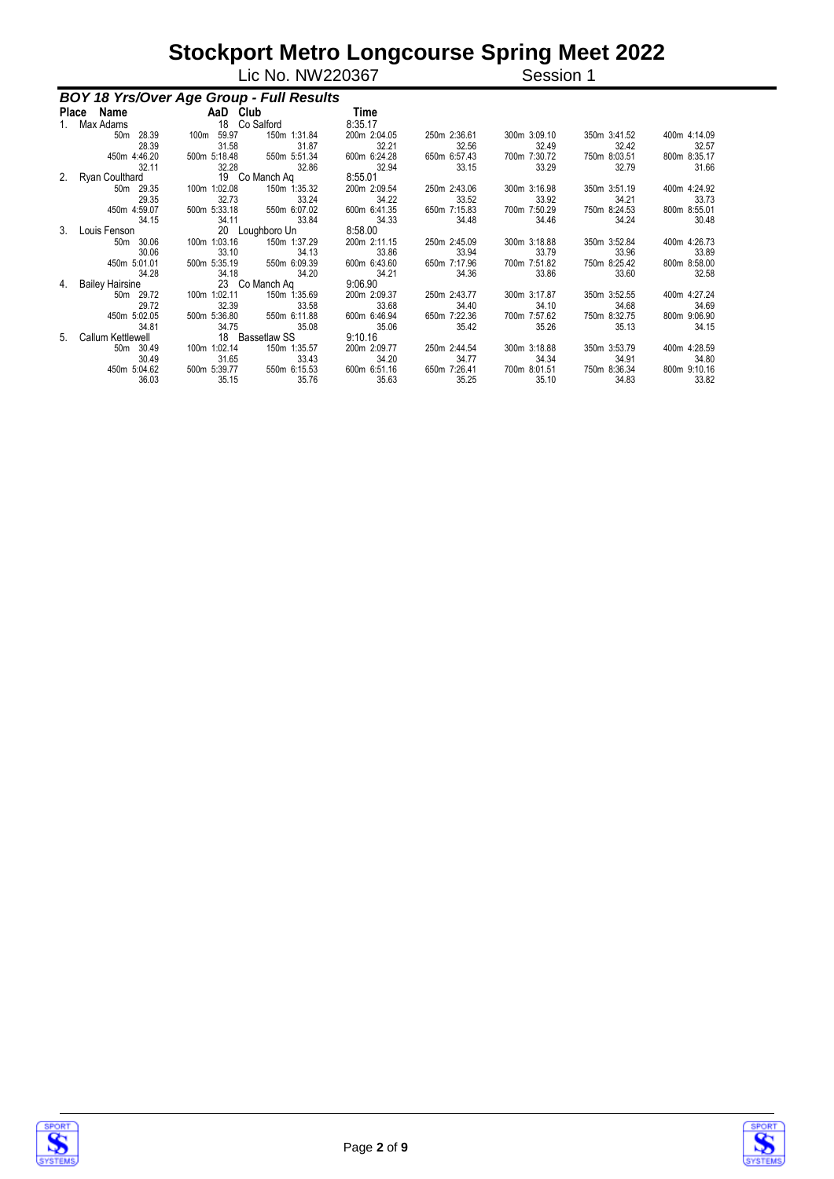|                |                                          |                       | Lic No. NW220367      |                       |                       | Session 1             |                       |                       |
|----------------|------------------------------------------|-----------------------|-----------------------|-----------------------|-----------------------|-----------------------|-----------------------|-----------------------|
|                | BOY 18 Yrs/Over Age Group - Full Results |                       |                       |                       |                       |                       |                       |                       |
|                | Place Name AaD Club                      |                       |                       | Time                  |                       |                       |                       |                       |
|                | 1. Max Adams                             | 18 Co Salford         |                       | 8:35.17               |                       |                       |                       |                       |
|                | 50m 28.39                                | 100m 59.97            | 150m 1:31.84          | 200m 2:04.05          | 250m 2:36.61          | 300m 3:09.10          | 350m 3:41.52          | 400m 4:14.09          |
|                | 28.39<br>450m 4:46.20                    | 31.58<br>500m 5:18.48 | 31.87<br>550m 5:51.34 | 32.21<br>600m 6:24.28 | 32.56<br>650m 6:57.43 | 32.49<br>700m 7:30.72 | 32.42<br>750m 8:03.51 | 32.57<br>800m 8:35.17 |
|                | 32.11                                    | 32.28                 | 32.86                 | 32.94                 | 33.15                 | 33.29                 | 32.79                 | 31.66                 |
| 2.             | Ryan Coulthard 19 Co Manch Aq            |                       |                       | 8:55.01               |                       |                       |                       |                       |
|                | 50m 29.35                                | 100m 1:02.08          | 150m 1:35.32          | 200m 2:09.54          | 250m 2:43.06          | 300m 3:16.98          | 350m 3:51.19          | 400m 4:24.92          |
|                | 29.35                                    | 32.73                 | 33.24                 | 34.22                 | 33.52                 | 33.92                 | 34.21                 | 33.73                 |
|                | 450m 4:59.07                             | 500m 5:33.18          | 550m 6:07.02          | 600m 6:41.35          | 650m 7:15.83          | 700m 7:50.29          | 750m 8:24.53          | 800m 8:55.01          |
|                | 34.15                                    | 34.11                 | 33.84                 | 34.33                 | 34.48                 | 34.46                 | 34.24                 | 30.48                 |
| 3 <sub>1</sub> | Louis Fenson                             |                       | 20 Loughboro Un       | 8:58.00               |                       |                       |                       |                       |
|                | 50m 30.06                                | 100m 1:03.16          | 150m 1:37.29          | 200m 2:11.15          | 250m 2:45.09          | 300m 3:18.88          | 350m 3:52.84          | 400m 4:26.73          |
|                | 30.06                                    | 33.10                 | 34.13                 | 33.86                 | 33.94                 | 33.79                 | 33.96                 | 33.89                 |
|                | 450m 5:01.01                             | 500m 5:35.19          | 550m 6:09.39          | 600m 6:43.60          | 650m 7:17.96          | 700m 7:51.82          | 750m 8:25.42          | 800m 8:58.00          |
|                | 34.28                                    | 34.18                 | 34.20                 | 34.21                 | 34.36                 | 33.86                 | 33.60                 | 32.58                 |
| 4.             | Bailey Hairsine                          | 23 Co Manch Aq        |                       | 9:06.90               |                       |                       |                       |                       |
|                | 50m 29.72                                | 100m 1:02.11          | 150m 1:35.69          | 200m 2:09.37          | 250m 2:43.77          | 300m 3:17.87          | 350m 3:52.55          | 400m 4:27.24          |
|                | 29.72                                    | 32.39                 | 33.58                 | 33.68                 | 34.40                 | 34.10                 | 34.68                 | 34.69                 |
|                | 450m 5:02.05                             | 500m 5:36.80          | 550m 6:11.88          | 600m 6:46.94          | 650m 7:22.36          | 700m 7:57.62          | 750m 8:32.75          | 800m 9:06.90          |
|                | 34.81                                    | 34.75                 | 35.08                 | 35.06                 | 35.42                 | 35.26                 | 35.13                 | 34.15                 |
| 5              | Callum Kettlewell                        |                       | 18 Bassetlaw SS       | 9:10.16               |                       |                       |                       |                       |
|                | 50m 30.49                                | 100m 1:02.14          | 150m 1:35.57          | 200m 2:09.77          | 250m 2:44.54          | 300m 3:18.88          | 350m 3:53.79          | 400m 4:28.59          |
|                | 30.49                                    | 31.65                 | 33.43                 | 34.20                 | 34.77                 | 34.34                 | 34.91                 | 34.80                 |
|                | 450m 5:04.62                             | 500m 5:39.77          | 550m 6:15.53          | 600m 6:51.16          | 650m 7:26.41          | 700m 8:01.51          | 750m 8:36.34          | 800m 9:10.16          |
|                | 36.03                                    | 35.15                 | 35.76                 | 35.63                 | 35.25                 | 35.10                 | 34.83                 | 33.82                 |



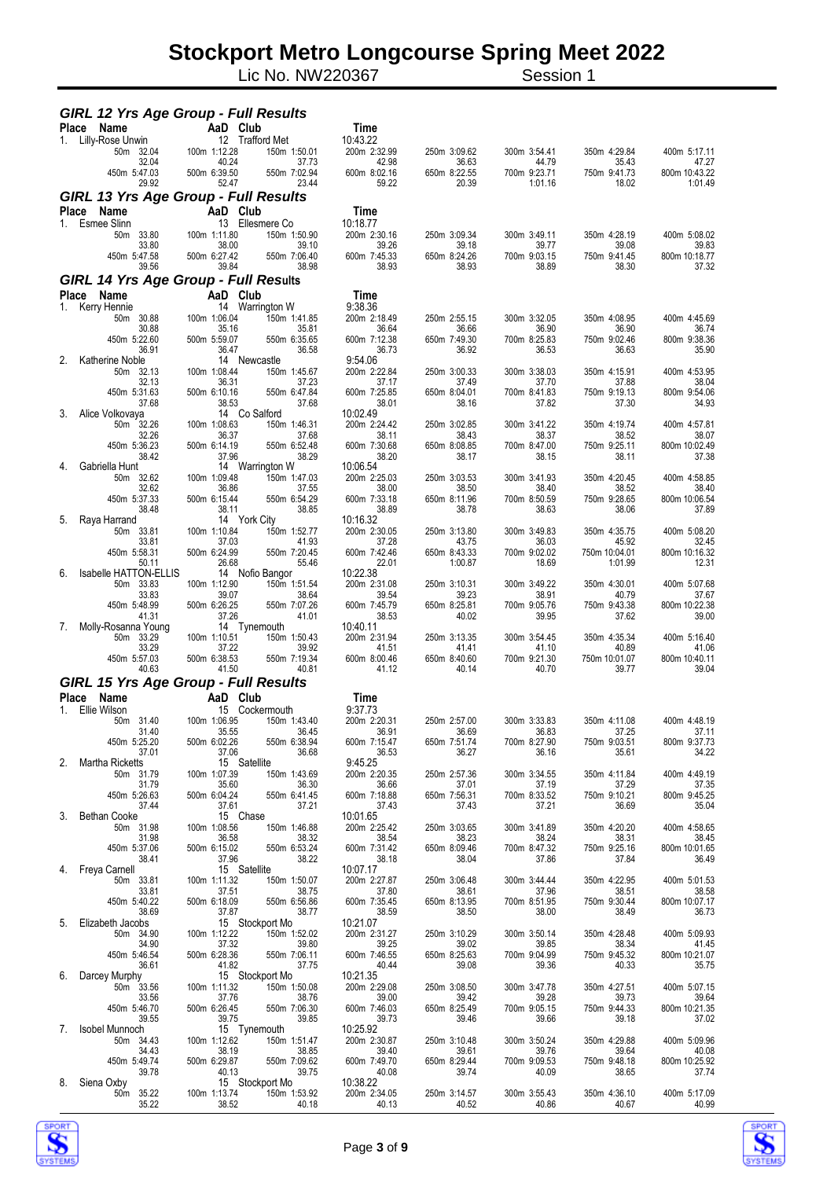Lic No. NW220367 Session 1

| <b>GIRL 12 Yrs Age Group - Full Results</b> |                       |                                 |                          |                       |                       |                        |                        |
|---------------------------------------------|-----------------------|---------------------------------|--------------------------|-----------------------|-----------------------|------------------------|------------------------|
| Place<br>Name                               | AaD Club              |                                 | Time                     |                       |                       |                        |                        |
| Lilly-Rose Unwin<br>1.<br>50m 32.04         | 100m 1:12.28          | 12 Trafford Met<br>150m 1:50.01 | 10:43.22<br>200m 2:32.99 | 250m 3:09.62          | 300m 3:54.41          | 350m 4:29.84           | 400m 5:17.11           |
| 32.04<br>450m 5:47.03                       | 40.24<br>500m 6:39.50 | 37.73<br>550m 7:02.94           | 42.98<br>600m 8:02.16    | 36.63<br>650m 8:22.55 | 44.79<br>700m 9:23.71 | 35.43<br>750m 9:41.73  | 47.27<br>800m 10:43.22 |
| 29.92                                       | 52.47                 | 23.44                           | 59.22                    | 20.39                 | 1:01.16               | 18.02                  | 1:01.49                |
| <b>GIRL 13 Yrs Age Group - Full Results</b> |                       |                                 |                          |                       |                       |                        |                        |
| Place<br>Name                               | AaD Club              | 13 Ellesmere Co                 | Time                     |                       |                       |                        |                        |
| Esmee Slinn<br>1.<br>50m 33.80              | 100m 1:11.80          | 150m 1:50.90                    | 10:18.77<br>200m 2:30.16 | 250m 3:09.34          | 300m 3:49.11          | 350m 4:28.19           | 400m 5:08.02           |
| 33.80<br>450m 5:47.58                       | 38.00<br>500m 6:27.42 | 39.10<br>550m 7:06.40           | 39.26<br>600m 7:45.33    | 39.18<br>650m 8:24.26 | 39.77<br>700m 9:03.15 | 39.08<br>750m 9:41.45  | 39.83<br>800m 10:18.77 |
| 39.56                                       | 39.84                 | 38.98                           | 38.93                    | 38.93                 | 38.89                 | 38.30                  | 37.32                  |
| <b>GIRL 14 Yrs Age Group - Full Results</b> |                       |                                 |                          |                       |                       |                        |                        |
| <b>Place</b><br>Name                        | AaD                   | Club                            | Time                     |                       |                       |                        |                        |
| Kerry Hennie<br>1.<br>50m 30.88             | 14<br>100m 1:06.04    | Warrington W<br>150m 1:41.85    | 9:38.36<br>200m 2:18.49  | 250m 2:55.15          | 300m 3:32.05          | 350m 4:08.95           | 400m 4:45.69           |
| 30.88<br>450m 5:22.60                       | 35.16<br>500m 5:59.07 | 35.81<br>550m 6:35.65           | 36.64<br>600m 7:12.38    | 36.66<br>650m 7:49.30 | 36.90<br>700m 8:25.83 | 36.90<br>750m 9:02.46  | 36.74<br>800m 9:38.36  |
| 36.91                                       | 36.47                 | 36.58                           | 36.73                    | 36.92                 | 36.53                 | 36.63                  | 35.90                  |
| 2.<br>Katherine Noble<br>50m 32.13          | 100m 1:08.44          | 14 Newcastle<br>150m 1:45.67    | 9:54.06<br>200m 2:22.84  | 250m 3:00.33          | 300m 3:38.03          | 350m 4:15.91           | 400m 4:53.95           |
| 32.13                                       | 36.31                 | 37.23                           | 37.17                    | 37.49                 | 37.70                 | 37.88                  | 38.04                  |
| 450m 5:31.63<br>37.68                       | 500m 6:10.16<br>38.53 | 550m 6:47.84<br>37.68           | 600m 7:25.85<br>38.01    | 650m 8:04.01<br>38.16 | 700m 8:41.83<br>37.82 | 750m 9:19.13<br>37.30  | 800m 9:54.06<br>34.93  |
| 3.<br>Alice Volkovaya                       |                       | 14 Co Salford                   | 10:02.49                 |                       |                       |                        |                        |
| 50m 32.26<br>32.26                          | 100m 1:08.63<br>36.37 | 150m 1:46.31<br>37.68           | 200m 2:24.42<br>38.11    | 250m 3:02.85<br>38.43 | 300m 3:41.22<br>38.37 | 350m 4:19.74<br>38.52  | 400m 4:57.81<br>38.07  |
| 450m 5:36.23                                | 500m 6:14.19          | 550m 6:52.48                    | 600m 7:30.68             | 650m 8:08.85          | 700m 8:47.00          | 750m 9:25.11           | 800m 10:02.49          |
| 38.42<br>Gabriella Hunt<br>4.               | 37.96                 | 38.29<br>14 Warrington W        | 38.20<br>10:06.54        | 38.17                 | 38.15                 | 38.11                  | 37.38                  |
| 50m 32.62<br>32.62                          | 100m 1:09.48<br>36.86 | 150m 1:47.03                    | 200m 2:25.03             | 250m 3:03.53          | 300m 3:41.93          | 350m 4:20.45<br>38.52  | 400m 4:58.85<br>38.40  |
| 450m 5:37.33                                | 500m 6:15.44          | 37.55<br>550m 6:54.29           | 38.00<br>600m 7:33.18    | 38.50<br>650m 8:11.96 | 38.40<br>700m 8:50.59 | 750m 9:28.65           | 800m 10:06.54          |
| 38.48<br>5.<br>Raya Harrand                 | 38.11                 | 38.85<br>14 York City           | 38.89<br>10:16.32        | 38.78                 | 38.63                 | 38.06                  | 37.89                  |
| 50m 33.81                                   | 100m 1:10.84          | 150m 1:52.77                    | 200m 2:30.05             | 250m 3:13.80          | 300m 3:49.83          | 350m 4:35.75           | 400m 5:08.20           |
| 33.81<br>450m 5:58.31                       | 37.03<br>500m 6:24.99 | 41.93<br>550m 7:20.45           | 37.28<br>600m 7:42.46    | 43.75<br>650m 8:43.33 | 36.03<br>700m 9:02.02 | 45.92<br>750m 10:04.01 | 32.45<br>800m 10:16.32 |
| 50.11                                       | 26.68                 | 55.46                           | 22.01                    | 1:00.87               | 18.69                 | 1:01.99                | 12.31                  |
| 6.<br>Isabelle HATTON-ELLIS<br>50m 33.83    | 100m 1:12.90          | 14 Nofio Bangor<br>150m 1:51.54 | 10:22.38<br>200m 2:31.08 | 250m 3:10.31          | 300m 3:49.22          | 350m 4:30.01           | 400m 5:07.68           |
| 33.83<br>450m 5:48.99                       | 39.07                 | 38.64<br>550m 7:07.26           | 39.54<br>600m 7:45.79    | 39.23<br>650m 8:25.81 | 38.91<br>700m 9:05.76 | 40.79<br>750m 9:43.38  | 37.67<br>800m 10:22.38 |
| 41.31                                       | 500m 6:26.25<br>37.26 | 41.01                           | 38.53                    | 40.02                 | 39.95                 | 37.62                  | 39.00                  |
| 7.<br>Molly-Rosanna Young<br>50m 33.29      | 100m 1:10.51          | 14 Tynemouth<br>150m 1:50.43    | 10:40.11<br>200m 2:31.94 | 250m 3:13.35          | 300m 3:54.45          | 350m 4:35.34           | 400m 5:16.40           |
| 33.29                                       | 37.22                 | 39.92                           | 41.51                    | 41.41                 | 41.10                 | 40.89                  | 41.06                  |
| 450m 5:57.03<br>40.63                       | 500m 6:38.53<br>41.50 | 550m 7:19.34<br>40.81           | 600m 8:00.46<br>41.12    | 650m 8:40.60<br>40.14 | 700m 9:21.30<br>40.70 | 750m 10:01.07<br>39.77 | 800m 10:40.11<br>39.04 |
| <b>GIRL 15 Yrs Age Group - Full Results</b> |                       |                                 |                          |                       |                       |                        |                        |
| Name<br>Place                               | AaD                   | Club                            | Time                     |                       |                       |                        |                        |
| Ellie Wilson<br>1.<br>50m 31.40             | 100m 1:06.95          | 15 Cockermouth<br>150m 1:43.40  | 9:37.73<br>200m 2:20.31  | 250m 2:57.00          | 300m 3:33.83          | 350m 4:11.08           | 400m 4:48.19           |
| 31.40                                       | 35.55                 | 36.45                           | 36.91                    | 36.69                 | 36.83                 | 37.25                  | 37.11                  |
| 450m 5:25.20<br>37.01                       | 500m 6:02.26<br>37.06 | 550m 6:38.94<br>36.68           | 600m 7:15.47<br>36.53    | 650m 7:51.74<br>36.27 | 700m 8:27.90<br>36.16 | 750m 9:03.51<br>35.61  | 800m 9:37.73<br>34.22  |
| 2. Martha Ricketts                          |                       | 15 Satellite                    | 9:45.25                  |                       |                       |                        |                        |
| 50m 31.79<br>31.79                          | 100m 1:07.39<br>35.60 | 150m 1:43.69<br>36.30           | 200m 2:20.35<br>36.66    | 250m 2:57.36<br>37.01 | 300m 3:34.55<br>37.19 | 350m 4:11.84<br>37.29  | 400m 4:49.19<br>37.35  |
| 450m 5:26.63<br>37.44                       | 500m 6:04.24<br>37.61 | 550m 6:41.45<br>37.21           | 600m 7:18.88<br>37.43    | 650m 7:56.31<br>37.43 | 700m 8:33.52<br>37.21 | 750m 9:10.21<br>36.69  | 800m 9:45.25<br>35.04  |
| 3.<br><b>Bethan Cooke</b>                   | 15 Chase              |                                 | 10:01.65                 |                       |                       |                        |                        |
| 50m 31.98<br>31.98                          | 100m 1:08.56<br>36.58 | 150m 1:46.88<br>38.32           | 200m 2:25.42<br>38.54    | 250m 3:03.65<br>38.23 | 300m 3:41.89<br>38.24 | 350m 4:20.20<br>38.31  | 400m 4:58.65<br>38.45  |
| 450m 5:37.06                                | 500m 6:15.02          | 550m 6:53.24                    | 600m 7:31.42             | 650m 8:09.46          | 700m 8:47.32          | 750m 9:25.16           | 800m 10:01.65          |
| 38.41<br>4. Freya Carnell                   | 37.96                 | 38.22<br>15 Satellite           | 38.18<br>10:07.17        | 38.04                 | 37.86                 | 37.84                  | 36.49                  |
| 50m 33.81                                   | 100m 1:11.32          | 150m 1:50.07                    | 200m 2:27.87             | 250m 3:06.48          | 300m 3:44.44          | 350m 4:22.95           | 400m 5:01.53           |
| 33.81<br>450m 5:40.22                       | 37.51<br>500m 6:18.09 | 38.75<br>550m 6:56.86           | 37.80<br>600m 7:35.45    | 38.61<br>650m 8:13.95 | 37.96<br>700m 8:51.95 | 38.51<br>750m 9:30.44  | 38.58<br>800m 10:07.17 |
| 38.69<br>5. Elizabeth Jacobs                | 37.87                 | 38.77<br>15 Stockport Mo        | 38.59<br>10:21.07        | 38.50                 | 38.00                 | 38.49                  | 36.73                  |
| 50m 34.90                                   | 100m 1:12.22          | 150m 1:52.02                    | 200m 2:31.27             | 250m 3:10.29          | 300m 3:50.14          | 350m 4:28.48           | 400m 5:09.93           |
| 34.90<br>450m 5:46.54                       | 37.32<br>500m 6:28.36 | 39.80<br>550m 7:06.11           | 39.25<br>600m 7:46.55    | 39.02<br>650m 8:25.63 | 39.85<br>700m 9:04.99 | 38.34<br>750m 9:45.32  | 41.45<br>800m 10:21.07 |
| 36.61                                       | 41.82                 | 37.75                           | 40.44                    | 39.08                 | 39.36                 | 40.33                  | 35.75                  |
| 6. Darcey Murphy<br>50m 33.56               | 100m 1:11.32          | 15 Stockport Mo<br>150m 1:50.08 | 10:21.35<br>200m 2:29.08 | 250m 3:08.50          | 300m 3:47.78          | 350m 4:27.51           | 400m 5:07.15           |
| 33.56                                       | 37.76                 | 38.76                           | 39.00                    | 39.42                 | 39.28                 | 39.73                  | 39.64                  |
| 450m 5:46.70<br>39.55                       | 500m 6:26.45<br>39.75 | 550m 7:06.30<br>39.85           | 600m 7:46.03<br>39.73    | 650m 8:25.49<br>39.46 | 700m 9:05.15<br>39.66 | 750m 9:44.33<br>39.18  | 800m 10:21.35<br>37.02 |
| 7. Isobel Munnoch                           | 100m 1:12.62          | 15 Tynemouth<br>150m 1:51.47    | 10:25.92<br>200m 2:30.87 | 250m 3:10.48          |                       | 350m 4:29.88           | 400m 5:09.96           |
| 50m 34.43<br>34.43                          | 38.19                 | 38.85<br>550m                   | 39.40                    | 39.61                 | 300m 3:50.24<br>39.76 | 39.64                  | 40.08                  |
| 450m 5:49.74<br>39.78                       | 500m 6:29.87<br>40.13 | 550m 7:09.62<br>39.75           | 600m 7:49.70<br>40.08    | 650m 8:29.44<br>39.74 | 700m 9:09.53<br>40.09 | 750m 9:48.18<br>38.65  | 800m 10:25.92<br>37.74 |
| 8. Siena Oxby                               | 15 Stockport Mo       |                                 | 10:38.22                 |                       |                       |                        |                        |
| 50m 35.22<br>35.22                          | 100m 1:13.74<br>38.52 | 150m 1:53.92<br>40.18           | 200m 2:34.05<br>40.13    | 250m 3:14.57<br>40.52 | 300m 3:55.43<br>40.86 | 350m 4:36.10<br>40.67  | 400m 5:17.09<br>40.99  |



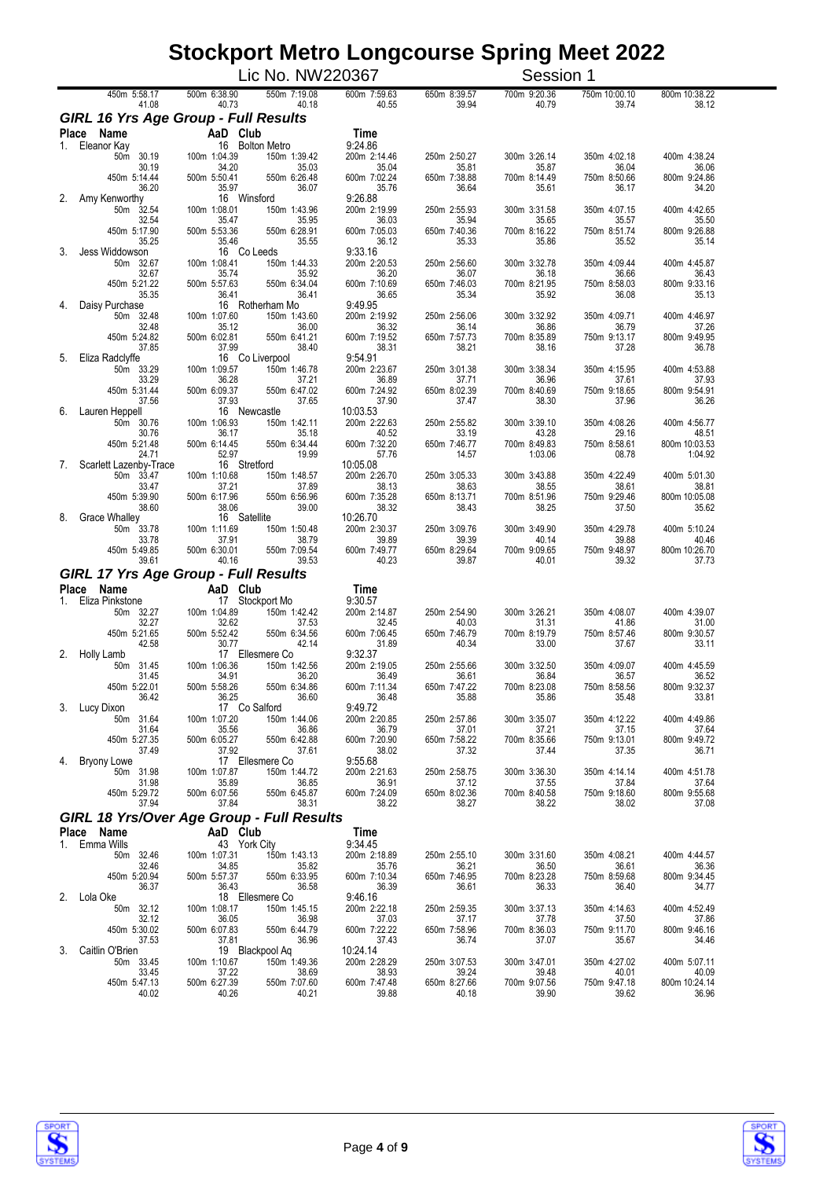|              |                                                              |                             | Lic No. NW220367                |                         |                       | Session 1             |                       |                        |
|--------------|--------------------------------------------------------------|-----------------------------|---------------------------------|-------------------------|-----------------------|-----------------------|-----------------------|------------------------|
|              | 450m 5:58.17                                                 | 500m 6:38.90                | 550m 7:19.08                    | 600m 7:59.63            | 650m 8:39.57          | 700m 9:20.36          | 750m 10:00.10         | 800m 10:38.22          |
|              | 41.08<br><b>GIRL 16 Yrs Age Group - Full Results</b>         | 40.73                       | 40.18                           | 40.55                   | 39.94                 | 40.79                 | 39.74                 | 38.12                  |
|              | Place<br>Name                                                | AaD Club                    |                                 | Time                    |                       |                       |                       |                        |
| 1.           | Eleanor Kay<br>50m 30.19                                     | 100m 1:04.39                | 16 Bolton Metro<br>150m 1:39.42 | 9:24.86<br>200m 2:14.46 | 250m 2:50.27          | 300m 3:26.14          | 350m 4:02.18          | 400m 4:38.24           |
|              | 30.19                                                        | 34.20                       | 35.03                           | 35.04                   | 35.81                 | 35.87                 | 36.04                 | 36.06                  |
|              | 450m 5:14.44<br>36.20                                        | 500m 5:50.41<br>35.97       | 550m 6:26.48<br>36.07           | 600m 7:02.24<br>35.76   | 650m 7:38.88<br>36.64 | 700m 8:14.49<br>35.61 | 750m 8:50.66<br>36.17 | 800m 9:24.86<br>34.20  |
| 2.           | Amy Kenworthy<br>50m 32.54                                   | 16 Winsford<br>100m 1:08.01 | 150m 1:43.96                    | 9:26.88<br>200m 2:19.99 | 250m 2:55.93          | 300m 3:31.58          | 350m 4:07.15          | 400m 4:42.65           |
|              | 32.54                                                        | 35.47                       | 35.95                           | 36.03                   | 35.94                 | 35.65                 | 35.57                 | 35.50                  |
|              | 450m 5:17.90<br>35.25                                        | 500m 5:53.36<br>35.46       | 550m 6:28.91<br>35.55           | 600m 7:05.03<br>36.12   | 650m 7:40.36<br>35.33 | 700m 8:16.22<br>35.86 | 750m 8:51.74<br>35.52 | 800m 9:26.88<br>35.14  |
| 3.           | Jess Widdowson<br>50m 32.67                                  | 16 Co Leeds<br>100m 1:08.41 | 150m 1:44.33                    | 9:33.16<br>200m 2:20.53 | 250m 2:56.60          | 300m 3:32.78          | 350m 4:09.44          | 400m 4:45.87           |
|              | 32.67                                                        | 35.74                       | 35.92                           | 36.20                   | 36.07                 | 36.18                 | 36.66                 | 36.43                  |
|              | 450m 5:21.22<br>35.35                                        | 500m 5:57.63<br>36.41       | 550m 6:34.04<br>36.41           | 600m 7:10.69<br>36.65   | 650m 7:46.03<br>35.34 | 700m 8:21.95<br>35.92 | 750m 8:58.03<br>36.08 | 800m 9:33.16<br>35.13  |
| 4.           | Daisy Purchase<br>50m 32.48                                  | 100m 1:07.60                | 16 Rotherham Mo<br>150m 1:43.60 | 9:49.95<br>200m 2:19.92 | 250m 2:56.06          | 300m 3:32.92          | 350m 4:09.71          | 400m 4:46.97           |
|              | 32.48                                                        | 35.12                       | 36.00                           | 36.32                   | 36.14                 | 36.86                 | 36.79                 | 37.26                  |
|              | 450m 5:24.82<br>37.85                                        | 500m 6:02.81<br>37.99       | 550m 6:41.21<br>38.40           | 600m 7:19.52<br>38.31   | 650m 7:57.73<br>38.21 | 700m 8:35.89<br>38.16 | 750m 9:13.17<br>37.28 | 800m 9:49.95<br>36.78  |
| 5.           | Eliza Radclyffe                                              |                             | 16 Co Liverpool                 | 9:54.91                 |                       |                       |                       |                        |
|              | 50m 33.29<br>33.29                                           | 100m 1:09.57<br>36.28       | 150m 1:46.78<br>37.21           | 200m 2:23.67<br>36.89   | 250m 3:01.38<br>37.71 | 300m 3:38.34<br>36.96 | 350m 4:15.95<br>37.61 | 400m 4:53.88<br>37.93  |
|              | 450m 5:31.44                                                 | 500m 6:09.37                | 550m 6:47.02                    | 600m 7:24.92            | 650m 8:02.39          | 700m 8:40.69          | 750m 9:18.65          | 800m 9:54.91           |
| 6.           | 37.56<br>Lauren Heppell                                      | 37.93<br>16 Newcastle       | 37.65                           | 37.90<br>10:03.53       | 37.47                 | 38.30                 | 37.96                 | 36.26                  |
|              | 50m 30.76<br>30.76                                           | 100m 1:06.93<br>36.17       | 150m 1:42.11<br>35.18           | 200m 2:22.63<br>40.52   | 250m 2:55.82<br>33.19 | 300m 3:39.10<br>43.28 | 350m 4:08.26<br>29.16 | 400m 4:56.77<br>48.51  |
|              | 450m 5:21.48                                                 | 500m 6:14.45                | 550m 6:34.44                    | 600m 7:32.20            | 650m 7:46.77          | 700m 8:49.83          | 750m 8:58.61          | 800m 10:03.53          |
| 7.           | 24.71<br>Scarlett Lazenby-Trace                              | 52.97<br>16 Stretford       | 19.99                           | 57.76<br>10:05.08       | 14.57                 | 1:03.06               | 08.78                 | 1:04.92                |
|              | 50m 33.47                                                    | 100m 1:10.68                | 150m 1:48.57                    | 200m 2:26.70            | 250m 3:05.33          | 300m 3:43.88          | 350m 4:22.49          | 400m 5:01.30           |
|              | 33.47<br>450m 5:39.90                                        | 37.21<br>500m 6:17.96       | 37.89<br>550m 6:56.96           | 38.13<br>600m 7:35.28   | 38.63<br>650m 8:13.71 | 38.55<br>700m 8:51.96 | 38.61<br>750m 9:29.46 | 38.81<br>800m 10:05.08 |
| 8.           | 38.60<br><b>Grace Whalley</b>                                | 38.06<br>16 Satellite       | 39.00                           | 38.32<br>10:26.70       | 38.43                 | 38.25                 | 37.50                 | 35.62                  |
|              | 50m 33.78                                                    | 100m 1:11.69                | 150m 1:50.48                    | 200m 2:30.37            | 250m 3:09.76          | 300m 3:49.90          | 350m 4:29.78          | 400m 5:10.24           |
|              | 33.78<br>450m 5:49.85                                        | 37.91<br>500m 6:30.01       | 38.79<br>550m 7:09.54           | 39.89<br>600m 7:49.77   | 39.39<br>650m 8:29.64 | 40.14<br>700m 9:09.65 | 39.88<br>750m 9:48.97 | 40.46<br>800m 10:26.70 |
|              | 39.61                                                        | 40.16                       | 39.53                           | 40.23                   | 39.87                 | 40.01                 | 39.32                 | 37.73                  |
|              | <b>GIRL 17 Yrs Age Group - Full Results</b><br>Place<br>Name | AaD Club                    |                                 | Time                    |                       |                       |                       |                        |
| $1_{\ldots}$ | Eliza Pinkstone                                              |                             | 17 Stockport Mo                 | 9:30.57                 |                       |                       |                       |                        |
|              | 50m 32.27<br>32.27                                           | 100m 1:04.89<br>32.62       | 150m 1:42.42<br>37.53           | 200m 2:14.87<br>32.45   | 250m 2:54.90<br>40.03 | 300m 3:26.21<br>31.31 | 350m 4:08.07<br>41.86 | 400m 4:39.07<br>31.00  |
|              | 450m 5:21.65                                                 | 500m 5:52.42                | 550m 6:34.56                    | 600m 7:06.45            | 650m 7:46.79          | 700m 8:19.79          | 750m 8:57.46          | 800m 9:30.57           |
| 2.           | 42.58<br>Holly Lamb                                          | 30.77                       | 42.14<br>17 Ellesmere Co        | 31.89<br>9:32.37        | 40.34                 | 33.00                 | 37.67                 | 33.11                  |
|              | 31.45<br>50m<br>31.45                                        | 100m 1:06.36<br>34.91       | 150m 1:42.56<br>36.20           | 200m 2:19.05<br>36.49   | 250m 2:55.66<br>36.61 | 300m 3:32.50<br>36.84 | 350m 4:09.07<br>36.57 | 400m 4:45.59<br>36.52  |
|              | 450m 5:22.01                                                 | 500m 5:58.26                | 550m 6:34.86                    | 600m 7:11.34            | 650m 7:47.22          | 700m 8:23.08          | 750m 8:58.56          | 800m 9:32.37           |
|              | 36.42<br>3. Lucy Dixon                                       | 36.25                       | 36.60<br>17 Co Salford          | 36.48<br>9:49.72        | 35.88                 | 35.86                 | 35.48                 | 33.81                  |
|              | 50m 31.64                                                    | 100m 1:07.20                | 150m 1:44.06                    | 200m 2:20.85            | 250m 2:57.86          | 300m 3:35.07          | 350m 4:12.22          | 400m 4:49.86           |
|              | 31.64<br>450m 5:27.35                                        | 35.56<br>500m 6:05.27       | 36.86<br>550m 6:42.88           | 36.79<br>600m 7:20.90   | 37.01<br>650m 7:58.22 | 37.21<br>700m 8:35.66 | 37.15<br>750m 9:13.01 | 37.64<br>800m 9:49.72  |
|              | 37.49<br>4. Bryony Lowe                                      | 37.92                       | 37.61<br>17 Ellesmere Co        | 38.02<br>9:55.68        | 37.32                 | 37.44                 | 37.35                 | 36.71                  |
|              | 50m 31.98                                                    | 100m 1:07.87                | 150m 1:44.72                    | 200m 2:21.63            | 250m 2:58.75          | 300m 3:36.30          | 350m 4:14.14          | 400m 4:51.78           |
|              | 31.98<br>450m 5:29.72                                        | 35.89<br>500m 6:07.56       | 36.85<br>550m 6:45.87           | 36.91<br>600m 7:24.09   | 37.12<br>650m 8:02.36 | 37.55<br>700m 8:40.58 | 37.84<br>750m 9:18.60 | 37.64<br>800m 9:55.68  |
|              | 37.94                                                        | 37.84                       | 38.31                           | 38.22                   | 38.27                 | 38.22                 | 38.02                 | 37.08                  |
|              | GIRL 18 Yrs/Over Age Group - Full Results<br>Place Name      |                             |                                 | Time                    |                       |                       |                       |                        |
|              | 1. Emma Wills                                                | AaD Club<br>43 York City    |                                 | 9:34.45                 |                       |                       |                       |                        |
|              | 50m 32.46<br>32.46                                           | 100m 1:07.31                | 150m 1:43.13<br>35.82           | 200m 2:18.89            | 250m 2:55.10<br>36.21 | 300m 3:31.60          | 350m 4:08.21          | 400m 4:44.57           |
|              | 450m 5:20.94                                                 | 34.85<br>500m 5:57.37       | 550m 6:33.95                    | 35.76<br>600m 7:10.34   | 650m 7:46.95          | 36.50<br>700m 8:23.28 | 36.61<br>750m 8:59.68 | 36.36<br>800m 9:34.45  |
|              | 36.37<br>2. Lola Oke                                         | 36.43                       | 36.58<br>18 Ellesmere Co        | 36.39<br>9:46.16        | 36.61                 | 36.33                 | 36.40                 | 34.77                  |
|              | 50m 32.12                                                    | 100m 1:08.17                | 150m 1:45.15                    | 200m 2:22.18            | 250m 2:59.35          | 300m 3:37.13          | 350m 4:14.63          | 400m 4:52.49           |
|              | 32.12<br>450m 5:30.02                                        | 36.05<br>500m 6:07.83       | 36.98<br>550m 6:44.79           | 37.03<br>600m 7:22.22   | 37.17<br>650m 7:58.96 | 37.78<br>700m 8:36.03 | 37.50<br>750m 9:11.70 | 37.86<br>800m 9:46.16  |
|              | 37.53<br>Caitlin O'Brien                                     | 37.81                       | 36.96<br>19 Blackpool Aq        | 37.43<br>10:24.14       | 36.74                 | 37.07                 | 35.67                 | 34.46                  |
| 3.           | 50m 33.45                                                    | 100m 1:10.67                | 150m 1:49.36                    | 200m 2:28.29            | 250m 3:07.53          | 300m 3:47.01          | 350m 4:27.02          | 400m 5:07.11           |
|              | 33.45<br>450m 5:47.13                                        | 37.22<br>500m 6:27.39       | 38.69<br>550m 7:07.60           | 38.93<br>600m 7:47.48   | 39.24<br>650m 8:27.66 | 39.48<br>700m 9:07.56 | 40.01<br>750m 9:47.18 | 40.09<br>800m 10:24.14 |
|              | 40.02                                                        | 40.26                       | 40.21                           | 39.88                   | 40.18                 | 39.90                 | 39.62                 | 36.96                  |

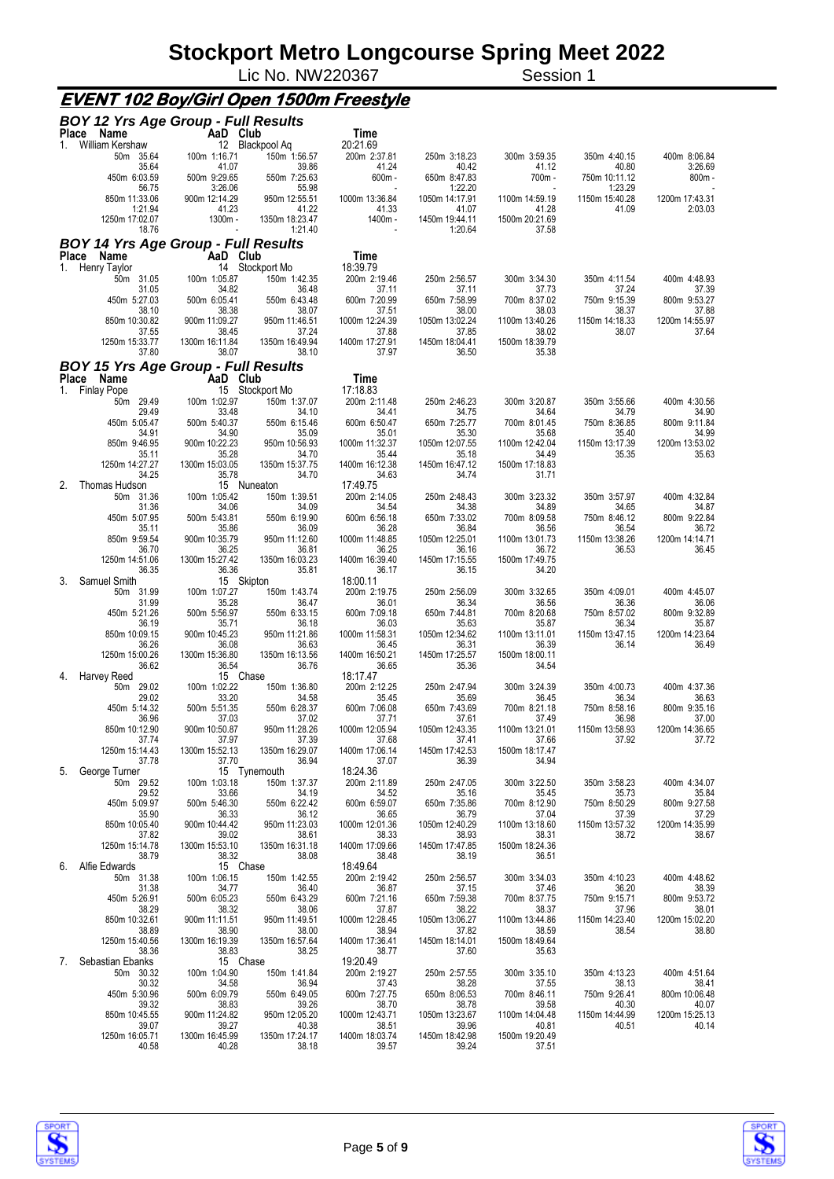Lic No. NW220367 Session 1

### **EVENT 102 Boy/Girl Open 1500m Freestyle**

|       | <b>BOY 12 Yrs Age Group - Full Results</b> |                          |                                 |                          |                           |                         |                          |                           |
|-------|--------------------------------------------|--------------------------|---------------------------------|--------------------------|---------------------------|-------------------------|--------------------------|---------------------------|
| 1.    | Place Name<br>William Kershaw              | AaD Club                 | 12 Blackpool Aq                 | Time<br>20:21.69         |                           |                         |                          |                           |
|       | 50m 35.64                                  | 100m 1:16.71             | 150m 1:56.57                    | 200m 2:37.81             | 250m 3:18.23              | 300m 3:59.35            | 350m 4:40.15             | 400m 8:06.84              |
|       | 35.64                                      | 41.07                    | 39.86                           | 41.24                    | 40.42                     | 41.12                   | 40.80                    | 3:26.69                   |
|       | 450m 6:03.59<br>56.75                      | 500m 9:29.65<br>3:26.06  | 550m 7:25.63<br>55.98           | $600m -$                 | 650m 8:47.83<br>1:22.20   | 700m -                  | 750m 10:11.12<br>1:23.29 | $800m -$                  |
|       | 850m 11:33.06<br>1:21.94                   | 900m 12:14.29<br>41.23   | 950m 12:55.51<br>41.22          | 1000m 13:36.84<br>41.33  | 1050m 14:17.91<br>41.07   | 1100m 14:59.19<br>41.28 | 1150m 15:40.28<br>41.09  | 1200m 17:43.31<br>2:03.03 |
|       | 1250m 17:02.07<br>18.76                    | 1300m -                  | 1350m 18:23.47<br>1:21.40       | 1400m -                  | 1450m 19:44.11<br>1:20.64 | 1500m 20:21.69<br>37.58 |                          |                           |
|       | <b>BOY 14 Yrs Age Group - Full Results</b> |                          |                                 |                          |                           |                         |                          |                           |
| Place | Name                                       | AaD Club                 |                                 | Time                     |                           |                         |                          |                           |
| 1.    | Henry Taylor<br>50m 31.05                  | 100m 1:05.87             | 14 Stockport Mo<br>150m 1:42.35 | 18:39.79<br>200m 2:19.46 | 250m 2:56.57              | 300m 3:34.30            | 350m 4:11.54             | 400m 4:48.93              |
|       | 31.05                                      | 34.82                    | 36.48                           | 37.11                    | 37.11                     | 37.73                   | 37.24                    | 37.39                     |
|       | 450m 5:27.03<br>38.10                      | 500m 6:05.41<br>38.38    | 550m 6:43.48<br>38.07           | 600m 7:20.99<br>37.51    | 650m 7:58.99<br>38.00     | 700m 8:37.02<br>38.03   | 750m 9:15.39<br>38.37    | 800m 9:53.27<br>37.88     |
|       | 850m 10:30.82                              | 900m 11:09.27            | 950m 11:46.51                   | 1000m 12:24.39           | 1050m 13:02.24            | 1100m 13:40.26          | 1150m 14:18.33           | 1200m 14:55.97            |
|       | 37.55                                      | 38.45                    | 37.24                           | 37.88                    | 37.85                     | 38.02                   | 38.07                    | 37.64                     |
|       | 1250m 15:33.77<br>37.80                    | 1300m 16:11.84<br>38.07  | 1350m 16:49.94<br>38.10         | 1400m 17:27.91<br>37.97  | 1450m 18:04.41<br>36.50   | 1500m 18:39.79<br>35.38 |                          |                           |
|       | <b>BOY 15 Yrs Age Group - Full Results</b> |                          |                                 |                          |                           |                         |                          |                           |
| Place | Name                                       | AaD Club                 |                                 | Time                     |                           |                         |                          |                           |
|       | 1. Finlay Pope<br>50m 29.49                | 100m 1:02.97             | 15 Stockport Mo<br>150m 1:37.07 | 17:18.83<br>200m 2:11.48 | 250m 2:46.23              | 300m 3:20.87            | 350m 3:55.66             | 400m 4:30.56              |
|       | 29.49                                      | 33.48                    | 34.10                           | 34.41                    | 34.75                     | 34.64                   | 34.79                    | 34.90                     |
|       | 450m 5:05.47<br>34.91                      | 500m 5:40.37<br>34.90    | 550m 6:15.46<br>35.09           | 600m 6:50.47<br>35.01    | 650m 7:25.77<br>35.30     | 700m 8:01.45<br>35.68   | 750m 8:36.85<br>35.40    | 800m 9:11.84<br>34.99     |
|       | 850m 9:46.95                               | 900m 10:22.23            | 950m 10:56.93                   | 1000m 11:32.37           | 1050m 12:07.55            | 1100m 12:42.04          | 1150m 13:17.39           | 1200m 13:53.02            |
|       | 35.11<br>1250m 14:27.27                    | 35.28<br>1300m 15:03.05  | 34.70<br>1350m 15:37.75         | 35.44<br>1400m 16:12.38  | 35.18<br>1450m 16:47.12   | 34.49<br>1500m 17:18.83 | 35.35                    | 35.63                     |
|       | 34.25                                      | 35.78                    | 34.70                           | 34.63                    | 34.74                     | 31.71                   |                          |                           |
| 2.    | Thomas Hudson                              |                          | 15 Nuneaton                     | 17:49.75                 |                           |                         |                          |                           |
|       | 50m 31.36<br>31.36                         | 100m 1:05.42<br>34.06    | 150m 1:39.51<br>34.09           | 200m 2:14.05<br>34.54    | 250m 2:48.43<br>34.38     | 300m 3:23.32<br>34.89   | 350m 3:57.97<br>34.65    | 400m 4:32.84<br>34.87     |
|       | 450m 5:07.95                               | 500m 5:43.81             | 550m 6:19.90                    | 600m 6:56.18             | 650m 7:33.02              | 700m 8:09.58            | 750m 8:46.12             | 800m 9:22.84              |
|       | 35.11<br>850m 9:59.54                      | 35.86<br>900m 10:35.79   | 36.09<br>950m 11:12.60          | 36.28<br>1000m 11:48.85  | 36.84<br>1050m 12:25.01   | 36.56<br>1100m 13:01.73 | 36.54<br>1150m 13:38.26  | 36.72<br>1200m 14:14.71   |
|       | 36.70                                      | 36.25                    | 36.81                           | 36.25                    | 36.16                     | 36.72                   | 36.53                    | 36.45                     |
|       | 1250m 14:51.06<br>36.35                    | 1300m 15:27.42<br>36.36  | 1350m 16:03.23<br>35.81         | 1400m 16:39.40<br>36.17  | 1450m 17:15.55<br>36.15   | 1500m 17:49.75<br>34.20 |                          |                           |
| 3.    | Samuel Smith                               |                          | 15 Skipton                      | 18:00.11                 |                           |                         |                          |                           |
|       | 50m 31.99<br>31.99                         | 100m 1:07.27<br>35.28    | 150m 1:43.74<br>36.47           | 200m 2:19.75<br>36.01    | 250m 2:56.09<br>36.34     | 300m 3:32.65<br>36.56   | 350m 4:09.01<br>36.36    | 400m 4:45.07<br>36.06     |
|       | 450m 5:21.26                               | 500m 5:56.97             | 550m 6:33.15                    | 600m 7:09.18             | 650m 7:44.81              | 700m 8:20.68            | 750m 8:57.02             | 800m 9:32.89              |
|       | 36.19<br>850m 10:09.15                     | 35.71<br>900m 10:45.23   | 36.18<br>950m 11:21.86          | 36.03<br>1000m 11:58.31  | 35.63<br>1050m 12:34.62   | 35.87<br>1100m 13:11.01 | 36.34<br>1150m 13:47.15  | 35.87<br>1200m 14:23.64   |
|       | 36.26                                      | 36.08                    | 36.63                           | 36.45                    | 36.31                     | 36.39                   | 36.14                    | 36.49                     |
|       | 1250m 15:00.26                             | 1300m 15:36.80           | 1350m 16:13.56                  | 1400m 16:50.21           | 1450m 17:25.57            | 1500m 18:00.11          |                          |                           |
| 4.    | 36.62<br>Harvey Reed                       | 36.54<br>15 Chase        | 36.76                           | 36.65<br>18:17.47        | 35.36                     | 34.54                   |                          |                           |
|       | 50m 29.02                                  | 100m 1:02.22             | 150m 1:36.80                    | 200m 2:12.25             | 250m 2:47.94              | 300m 3:24.39            | 350m 4:00.73             | 400m 4:37.36              |
|       | 29.02<br>450m 5:14.32                      | 33.20<br>500m 5:51.35    | 34.58<br>550m 6:28.37           | 35.45<br>600m 7:06.08    | 35.69<br>650m 7:43.69     | 36.45<br>700m 8:21.18   | 36.34<br>750m 8:58.16    | 36.63<br>800m 9:35.16     |
|       | 36.96                                      | 37.03                    | 37.02                           | 37.71                    | 37.61                     | 37.49                   | 36.98                    | 37.00                     |
|       | 850m 10:12.90<br>37.74                     | 900m 10:50.87<br>37.97   | 950m 11:28.26<br>37.39          | 1000m 12:05.94<br>37.68  | 1050m 12:43.35<br>37.41   | 1100m 13:21.01<br>37.66 | 1150m 13:58.93<br>37.92  | 1200m 14:36.65<br>37.72   |
|       | 1250m 15:14.43                             | 1300m 15:52.13           | 1350m 16:29.07                  | 1400m 17:06.14           | 1450m 17:42.53            | 1500m 18:17.47          |                          |                           |
| 5.    | 37.78<br>George Turner                     | 37.70                    | 36.94<br>15 Tynemouth           | 37.07<br>18:24.36        | 36.39                     | 34.94                   |                          |                           |
|       | 50m 29.52                                  | 100m 1:03.18             | 150m 1:37.37                    | 200m 2:11.89             | 250m 2:47.05              | 300m 3:22.50            | 350m 3:58.23             | 400m 4:34.07              |
|       | 29.52<br>450m 5:09.97                      | 33.66<br>500m 5:46.30    | 34.19<br>550m 6:22.42           | 34.52<br>600m 6:59.07    | 35.16<br>650m 7:35.86     | 35.45<br>700m 8:12.90   | 35.73<br>750m 8:50.29    | 35.84<br>800m 9:27.58     |
|       | 35.90                                      | 36.33                    | 36.12                           | 36.65                    | 36.79                     | 37.04                   | 37.39                    | 37.29                     |
|       | 850m 10:05.40<br>37.82                     | 900m 10:44.42<br>39.02   | 950m 11:23.03<br>38.61          | 1000m 12:01.36<br>38.33  | 1050m 12:40.29<br>38.93   | 1100m 13:18.60<br>38.31 | 1150m 13:57.32<br>38.72  | 1200m 14:35.99<br>38.67   |
|       | 1250m 15:14.78                             | 1300m 15:53.10           | 1350m 16:31.18                  | 1400m 17:09.66           | 1450m 17:47.85            | 1500m 18:24.36          |                          |                           |
| 6.    | 38.79<br>Alfie Edwards                     | 38.32<br>15 Chase        | 38.08                           | 38.48<br>18:49.64        | 38.19                     | 36.51                   |                          |                           |
|       | 50m 31.38                                  | 100m 1:06.15             | 150m 1:42.55                    | 200m 2:19.42             | 250m 2:56.57              | 300m 3:34.03            | 350m 4:10.23             | 400m 4:48.62              |
|       | 31.38                                      | 34.77                    | 36.40                           | 36.87                    | 37.15                     | 37.46<br>700m 8:37.75   | 36.20                    | 38.39                     |
|       | 450m 5:26.91<br>38.29                      | 500m 6:05.23<br>38.32    | 550m 6:43.29<br>38.06           | 600m 7:21.16<br>37.87    | 650m 7:59.38<br>38.22     | 38.37                   | 750m 9:15.71<br>37.96    | 800m 9:53.72<br>38.01     |
|       | 850m 10:32.61                              | 900m 11:11.51            | 950m 11:49.51                   | 1000m 12:28.45           | 1050m 13:06.27            | 1100m 13:44.86          | 1150m 14:23.40           | 1200m 15:02.20            |
|       | 38.89<br>1250m 15:40.56                    | 38.90<br>1300m 16:19.39  | 38.00<br>1350m 16:57.64         | 38.94<br>1400m 17:36.41  | 37.82<br>1450m 18:14.01   | 38.59<br>1500m 18:49.64 | 38.54                    | 38.80                     |
|       | 38.36                                      | 38.83                    | 38.25                           | 38.77                    | 37.60                     | 35.63                   |                          |                           |
| 7.    | Sebastian Ebanks<br>50m 30.32              | 15 Chase<br>100m 1:04.90 | 150m 1:41.84                    | 19:20.49<br>200m 2:19.27 | 250m 2:57.55              | 300m 3:35.10            | 350m 4:13.23             | 400m 4:51.64              |
|       | 30.32                                      | 34.58                    | 36.94                           | 37.43                    | 38.28                     | 37.55                   | 38.13                    | 38.41                     |
|       | 450m 5:30.96<br>39.32                      | 500m 6:09.79<br>38.83    | 550m 6:49.05<br>39.26           | 600m 7:27.75<br>38.70    | 650m 8:06.53<br>38.78     | 700m 8:46.11<br>39.58   | 750m 9:26.41<br>40.30    | 800m 10:06.48<br>40.07    |
|       | 850m 10:45.55                              | 900m 11:24.82            | 950m 12:05.20                   | 1000m 12:43.71           | 1050m 13:23.67            | 1100m 14:04.48          | 1150m 14:44.99           | 1200m 15:25.13            |
|       | 39.07<br>1250m 16:05.71                    | 39.27<br>1300m 16:45.99  | 40.38<br>1350m 17:24.17         | 38.51<br>1400m 18:03.74  | 39.96<br>1450m 18:42.98   | 40.81<br>1500m 19:20.49 | 40.51                    | 40.14                     |
|       | 40.58                                      | 40.28                    | 38.18                           | 39.57                    | 39.24                     | 37.51                   |                          |                           |



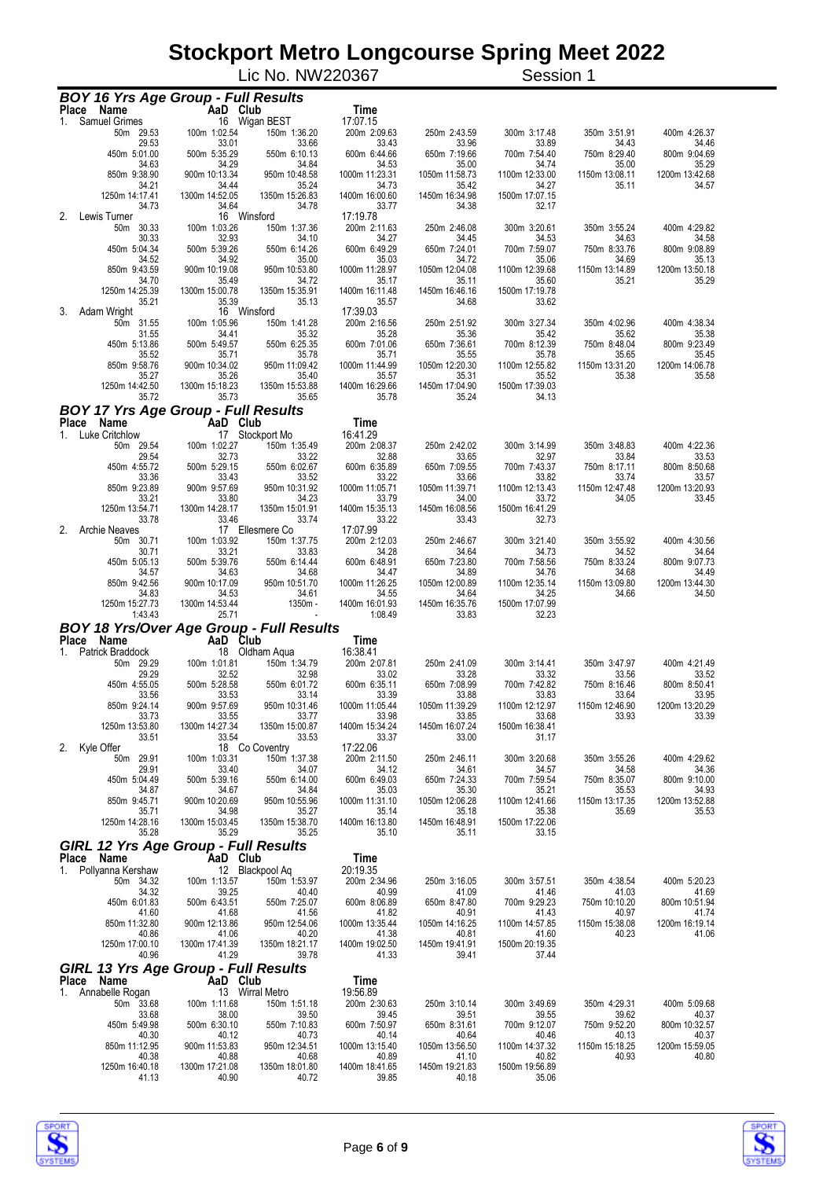|                                                                 |                         | Lic No. NW220367         |                         |                         | Session 1               |                         |                         |
|-----------------------------------------------------------------|-------------------------|--------------------------|-------------------------|-------------------------|-------------------------|-------------------------|-------------------------|
| <b>BOY 16 Yrs Age Group - Full Results</b>                      |                         |                          |                         |                         |                         |                         |                         |
| Place Name                                                      | AaD Club                |                          | Time                    |                         |                         |                         |                         |
| <b>Samuel Grimes</b><br>1.                                      |                         | 16 Wigan BEST            | 17:07.15                |                         |                         |                         |                         |
| 50m 29.53<br>29.53                                              | 100m 1:02.54<br>33.01   | 150m 1:36.20<br>33.66    | 200m 2:09.63<br>33.43   | 250m 2:43.59<br>33.96   | 300m 3:17.48<br>33.89   | 350m 3:51.91<br>34.43   | 400m 4:26.37<br>34.46   |
| 450m 5:01.00                                                    | 500m 5:35.29            | 550m 6:10.13             | 600m 6:44.66            | 650m 7:19.66            | 700m 7:54.40            | 750m 8:29.40            | 800m 9:04.69            |
| 34.63<br>850m 9:38.90                                           | 34.29<br>900m 10:13.34  | 34.84<br>950m 10:48.58   | 34.53<br>1000m 11:23.31 | 35.00<br>1050m 11:58.73 | 34.74<br>1100m 12:33.00 | 35.00<br>1150m 13:08.11 | 35.29<br>1200m 13:42.68 |
| 34.21                                                           | 34.44                   | 35.24                    | 34.73                   | 35.42                   | 34.27                   | 35.11                   | 34.57                   |
| 1250m 14:17.41<br>34.73                                         | 1300m 14:52.05<br>34.64 | 1350m 15:26.83<br>34.78  | 1400m 16:00.60<br>33.77 | 1450m 16:34.98<br>34.38 | 1500m 17:07.15<br>32.17 |                         |                         |
| 2.<br>Lewis Turner                                              |                         | 16 Winsford              | 17:19.78                |                         |                         |                         |                         |
| 50m 30.33<br>30.33                                              | 100m 1:03.26<br>32.93   | 150m 1:37.36<br>34.10    | 200m 2:11.63<br>34.27   | 250m 2:46.08<br>34.45   | 300m 3:20.61<br>34.53   | 350m 3:55.24<br>34.63   | 400m 4:29.82<br>34.58   |
| 450m 5:04.34                                                    | 500m 5:39.26            | 550m 6:14.26             | 600m 6:49.29            | 650m 7:24.01            | 700m 7:59.07            | 750m 8:33.76            | 800m 9:08.89            |
| 34.52<br>850m 9:43.59                                           | 34.92<br>900m 10:19.08  | 35.00<br>950m 10:53.80   | 35.03<br>1000m 11:28.97 | 34.72<br>1050m 12:04.08 | 35.06<br>1100m 12:39.68 | 34.69<br>1150m 13:14.89 | 35.13<br>1200m 13:50.18 |
| 34.70                                                           | 35.49                   | 34.72                    | 35.17                   | 35.11                   | 35.60                   | 35.21                   | 35.29                   |
| 1250m 14:25.39<br>35.21                                         | 1300m 15:00.78<br>35.39 | 1350m 15:35.91<br>35.13  | 1400m 16:11.48<br>35.57 | 1450m 16:46.16<br>34.68 | 1500m 17:19.78<br>33.62 |                         |                         |
| 3.<br>Adam Wright                                               |                         | 16 Winsford              | 17:39.03                |                         |                         |                         |                         |
| 50m 31.55                                                       | 100m 1:05.96            | 150m 1:41.28             | 200m 2:16.56            | 250m 2:51.92            | 300m 3:27.34            | 350m 4:02.96            | 400m 4:38.34            |
| 31.55<br>450m 5:13.86                                           | 34.41<br>500m 5:49.57   | 35.32<br>550m 6:25.35    | 35.28<br>600m 7:01.06   | 35.36<br>650m 7:36.61   | 35.42<br>700m 8:12.39   | 35.62<br>750m 8:48.04   | 35.38<br>800m 9:23.49   |
| 35.52                                                           | 35.71                   | 35.78                    | 35.71                   | 35.55                   | 35.78                   | 35.65                   | 35.45                   |
| 850m 9:58.76<br>35.27                                           | 900m 10:34.02<br>35.26  | 950m 11:09.42<br>35.40   | 1000m 11:44.99<br>35.57 | 1050m 12:20.30<br>35.31 | 1100m 12:55.82<br>35.52 | 1150m 13:31.20<br>35.38 | 1200m 14:06.78<br>35.58 |
| 1250m 14:42.50                                                  | 1300m 15:18.23          | 1350m 15:53.88           | 1400m 16:29.66          | 1450m 17:04.90          | 1500m 17:39.03          |                         |                         |
| 35.72                                                           | 35.73                   | 35.65                    | 35.78                   | 35.24                   | 34.13                   |                         |                         |
| <b>BOY 17 Yrs Age Group - Full Results</b><br>Place<br>Name     | AaD Club                |                          | Time                    |                         |                         |                         |                         |
| 1. Luke Critchlow                                               |                         | 17 Stockport Mo          | 16:41.29                |                         |                         |                         |                         |
| 50m 29.54                                                       | 100m 1:02.27            | 150m 1:35.49             | 200m 2:08.37            | 250m 2:42.02            | 300m 3:14.99            | 350m 3:48.83            | 400m 4:22.36            |
| 29.54<br>450m 4:55.72                                           | 32.73<br>500m 5:29.15   | 33.22<br>550m 6:02.67    | 32.88<br>600m 6:35.89   | 33.65<br>650m 7:09.55   | 32.97<br>700m 7:43.37   | 33.84<br>750m 8:17.11   | 33.53<br>800m 8:50.68   |
| 33.36                                                           | 33.43                   | 33.52                    | 33.22                   | 33.66                   | 33.82                   | 33.74                   | 33.57                   |
| 850m 9:23.89<br>33.21                                           | 900m 9:57.69<br>33.80   | 950m 10:31.92<br>34.23   | 1000m 11:05.71<br>33.79 | 1050m 11:39.71<br>34.00 | 1100m 12:13.43<br>33.72 | 1150m 12:47.48<br>34.05 | 1200m 13:20.93<br>33.45 |
| 1250m 13:54.71                                                  | 1300m 14:28.17          | 1350m 15:01.91           | 1400m 15:35.13          | 1450m 16:08.56          | 1500m 16:41.29          |                         |                         |
| 33.78<br>2.<br><b>Archie Neaves</b>                             | 33.46                   | 33.74<br>17 Ellesmere Co | 33.22<br>17:07.99       | 33.43                   | 32.73                   |                         |                         |
| 50m 30.71                                                       | 100m 1:03.92            | 150m 1:37.75             | 200m 2:12.03            | 250m 2:46.67            | 300m 3:21.40            | 350m 3:55.92            | 400m 4:30.56            |
| 30.71<br>450m 5:05.13                                           | 33.21<br>500m 5:39.76   | 33.83<br>550m 6:14.44    | 34.28<br>600m 6:48.91   | 34.64<br>650m 7:23.80   | 34.73<br>700m 7:58.56   | 34.52<br>750m 8:33.24   | 34.64<br>800m 9:07.73   |
| 34.57                                                           | 34.63                   | 34.68                    | 34.47                   | 34.89                   | 34.76                   | 34.68                   | 34.49                   |
| 850m 9:42.56<br>34.83                                           | 900m 10:17.09<br>34.53  | 950m 10:51.70<br>34.61   | 1000m 11:26.25<br>34.55 | 1050m 12:00.89<br>34.64 | 1100m 12:35.14<br>34.25 | 1150m 13:09.80<br>34.66 | 1200m 13:44.30<br>34.50 |
| 1250m 15:27.73                                                  | 1300m 14:53.44          | 1350m -                  | 1400m 16:01.93          | 1450m 16:35.76          | 1500m 17:07.99          |                         |                         |
| 1:43.43                                                         | 25.71                   |                          | 1:08.49                 | 33.83                   | 32.23                   |                         |                         |
| BOY 18 Yrs/Over Age Group - Full Results<br>Place Name AaD Club |                         |                          | Time                    |                         |                         |                         |                         |
| Patrick Braddock<br>1.                                          |                         | 18 Oldham Aqua           | 16:38.41                |                         |                         |                         |                         |
| 50m 29.29<br>29.29                                              | 100m 1:01.81<br>32.52   | 150m 1:34.79<br>32.98    | 200m 2:07.81<br>33.02   | 250m 2:41.09<br>33.28   | 300m 3:14.41<br>33.32   | 350m 3:47.97<br>33.56   | 400m 4:21.49<br>33.52   |
| 450m 4:55.05                                                    | 500m 5:28.58            | 550m 6:01.72             | 600m 6:35.11            | 650m 7:08.99            | 700m 7:42.82            | 750m 8:16.46            | 800m 8:50.41            |
| 33.56                                                           | 33.53                   | 33.14                    | 33.39                   | 33.88                   | 33.83                   | 33.64<br>1150m 12:46.90 | 33.95<br>1200m 13:20.29 |
| 850m 9:24.14<br>33.73                                           | 900m 9:57.69<br>33.55   | 950m 10:31.46<br>33.77   | 1000m 11:05.44<br>33.98 | 1050m 11:39.29<br>33.85 | 1100m 12:12.97<br>33.68 | 33.93                   | 33.39                   |
| 1250m 13:53.80                                                  | 1300m 14:27.34          | 1350m 15:00.87           | 1400m 15:34.24          | 1450m 16:07.24          | 1500m 16:38.41          |                         |                         |
| 33.51<br>2.<br>Kyle Offer                                       | 33.54                   | 33.53<br>18 Co Coventry  | 33.37<br>17:22.06       | 33.00                   | 31.17                   |                         |                         |
| 50m 29.91                                                       | 100m 1:03.31            | 150m 1:37.38             | 200m 2:11.50            | 250m 2:46.11            | 300m 3:20.68            | 350m 3:55.26            | 400m 4:29.62            |
| 29.91<br>450m 5:04.49                                           | 33.40<br>500m 5:39.16   | 34.07<br>550m 6:14.00    | 34.12<br>600m 6:49.03   | 34.61<br>650m 7:24.33   | 34.57<br>700m 7:59.54   | 34.58<br>750m 8:35.07   | 34.36<br>800m 9:10.00   |
| 34.87                                                           | 34.67                   | 34.84                    | 35.03                   | 35.30                   | 35.21                   | 35.53                   | 34.93                   |
| 850m 9:45.71<br>35.71                                           | 900m 10:20.69<br>34.98  | 950m 10:55.96<br>35.27   | 1000m 11:31.10<br>35.14 | 1050m 12:06.28<br>35.18 | 1100m 12:41.66<br>35.38 | 1150m 13:17.35<br>35.69 | 1200m 13:52.88<br>35.53 |
| 1250m 14:28.16                                                  | 1300m 15:03.45          | 1350m 15:38.70           | 1400m 16:13.80          | 1450m 16:48.91          | 1500m 17:22.06          |                         |                         |
| 35.28                                                           | 35.29                   | 35.25                    | 35.10                   | 35.11                   | 33.15                   |                         |                         |
| <b>GIRL 12 Yrs Age Group - Full Results</b><br>Place Name       | AaD Club                |                          | <b>Time</b>             |                         |                         |                         |                         |
| 1. Pollyanna Kershaw                                            |                         | 12 Blackpool Aq          | 20:19.35                |                         |                         |                         |                         |
| 50m 34.32<br>34.32                                              | 100m 1:13.57<br>39.25   | 150m 1:53.97<br>40.40    | 200m 2:34.96<br>40.99   | 250m 3:16.05<br>41.09   | 300m 3:57.51<br>41.46   | 350m 4:38.54<br>41.03   | 400m 5:20.23<br>41.69   |
| 450m 6:01.83                                                    | 500m 6:43.51            | 550m 7:25.07             | 600m 8:06.89            | 650m 8:47.80            | 700m 9:29.23            | 750m 10:10.20           | 800m 10:51.94           |
| 41.60                                                           | 41.68                   | 41.56                    | 41.82                   | 40.91                   | 41.43                   | 40.97                   | 41.74<br>1200m 16:19.14 |
| 850m 11:32.80<br>40.86                                          | 900m 12:13.86<br>41.06  | 950m 12:54.06<br>40.20   | 1000m 13:35.44<br>41.38 | 1050m 14:16.25<br>40.81 | 1100m 14:57.85<br>41.60 | 1150m 15:38.08<br>40.23 | 41.06                   |
| 1250m 17:00.10                                                  | 1300m 17:41.39          | 1350m 18:21.17           | 1400m 19:02.50          | 1450m 19:41.91          | 1500m 20:19.35          |                         |                         |
| 40.96<br><b>GIRL 13 Yrs Age Group - Full Results</b>            | 41.29                   | 39.78                    | 41.33                   | 39.41                   | 37.44                   |                         |                         |
| Place Name                                                      | AaD Club                |                          | Time                    |                         |                         |                         |                         |
| Annabelle Rogan<br>1.                                           |                         | 13 Wirral Metro          | 19:56.89                |                         |                         |                         |                         |
| 50m 33.68<br>33.68                                              | 100m 1:11.68<br>38.00   | 150m 1:51.18<br>39.50    | 200m 2:30.63<br>39.45   | 250m 3:10.14<br>39.51   | 300m 3:49.69<br>39.55   | 350m 4:29.31<br>39.62   | 400m 5:09.68<br>40.37   |
| 450m 5:49.98                                                    | 500m 6:30.10            | 550m 7:10.83             | 600m 7:50.97            | 650m 8:31.61            | 700m 9:12.07            | 750m 9:52.20            | 800m 10:32.57           |
| 40.30<br>850m 11:12.95                                          | 40.12<br>900m 11:53.83  | 40.73<br>950m 12:34.51   | 40.14<br>1000m 13:15.40 | 40.64<br>1050m 13:56.50 | 40.46<br>1100m 14:37.32 | 40.13<br>1150m 15:18.25 | 40.37<br>1200m 15:59.05 |
| 40.38                                                           | 40.88                   | 40.68                    | 40.89                   | 41.10                   | 40.82                   | 40.93                   | 40.80                   |
| 1250m 16:40.18<br>41.13                                         | 1300m 17:21.08<br>40.90 | 1350m 18:01.80<br>40.72  | 1400m 18:41.65<br>39.85 | 1450m 19:21.83<br>40.18 | 1500m 19:56.89<br>35.06 |                         |                         |
|                                                                 |                         |                          |                         |                         |                         |                         |                         |

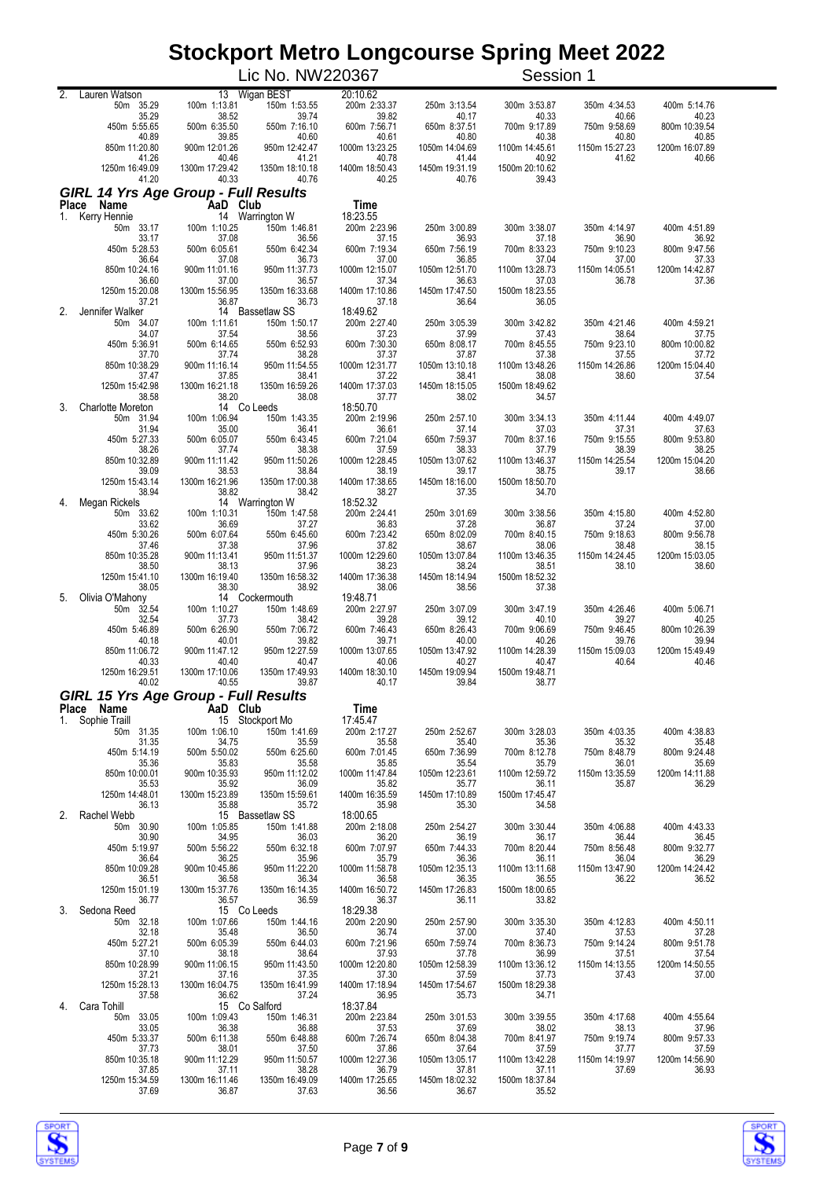|    |                                               |                                  | Lic No. NW220367              |                          |                         | Session 1               |                         |                         |
|----|-----------------------------------------------|----------------------------------|-------------------------------|--------------------------|-------------------------|-------------------------|-------------------------|-------------------------|
|    | 2. Lauren Watson<br>50m 35.29                 | 100m 1:13.81                     | 13 Wigan BEST<br>150m 1:53.55 | 20:10.62<br>200m 2:33.37 | 250m 3:13.54            | 300m 3:53.87            | 350m 4:34.53            | 400m 5:14.76            |
|    | 35.29                                         | 38.52                            | 39.74                         | 39.82                    | 40.17                   | 40.33                   | 40.66                   | 40.23                   |
|    | 450m 5:55.65<br>40.89                         | 500m 6:35.50<br>39.85            | 550m 7:16.10<br>40.60         | 600m 7:56.71<br>40.61    | 650m 8:37.51<br>40.80   | 700m 9:17.89<br>40.38   | 750m 9:58.69<br>40.80   | 800m 10:39.54<br>40.85  |
|    | 850m 11:20.80<br>41.26                        | 900m 12:01.26<br>40.46           | 950m 12:42.47<br>41.21        | 1000m 13:23.25<br>40.78  | 1050m 14:04.69<br>41.44 | 1100m 14:45.61<br>40.92 | 1150m 15:27.23<br>41.62 | 1200m 16:07.89<br>40.66 |
|    | 1250m 16:49.09<br>41.20                       | 1300m 17:29.42<br>40.33          | 1350m 18:10.18<br>40.76       | 1400m 18:50.43<br>40.25  | 1450m 19:31.19<br>40.76 | 1500m 20:10.62<br>39.43 |                         |                         |
|    | <b>GIRL 14 Yrs Age Group - Full Results</b>   |                                  |                               |                          |                         |                         |                         |                         |
| 1. | Place Name<br>Kerry Hennie                    | AaD Club                         | 14 Warrington W               | Time<br>18:23.55         |                         |                         |                         |                         |
|    | 50m 33.17<br>33.17                            | 100m 1:10.25<br>37.08            | 150m 1:46.81<br>36.56         | 200m 2:23.96<br>37.15    | 250m 3:00.89<br>36.93   | 300m 3:38.07<br>37.18   | 350m 4:14.97<br>36.90   | 400m 4:51.89<br>36.92   |
|    | 450m 5:28.53                                  | 500m 6:05.61                     | 550m 6:42.34<br>36.73         | 600m 7:19.34<br>37.00    | 650m 7:56.19<br>36.85   | 700m 8:33.23            | 750m 9:10.23<br>37.00   | 800m 9:47.56            |
|    | 36.64<br>850m 10:24.16                        | 37.08<br>900m 11:01.16           | 950m 11:37.73                 | 1000m 12:15.07           | 1050m 12:51.70          | 37.04<br>1100m 13:28.73 | 1150m 14:05.51          | 37.33<br>1200m 14:42.87 |
|    | 36.60<br>1250m 15:20.08                       | 37.00<br>1300m 15:56.95          | 36.57<br>1350m 16:33.68       | 37.34<br>1400m 17:10.86  | 36.63<br>1450m 17:47.50 | 37.03<br>1500m 18:23.55 | 36.78                   | 37.36                   |
| 2. | 37.21<br>Jennifer Walker                      | 36.87                            | 36.73<br>14 Bassetlaw SS      | 37.18<br>18:49.62        | 36.64                   | 36.05                   |                         |                         |
|    | 50m 34.07<br>34.07                            | 100m 1:11.61<br>37.54            | 150m 1:50.17<br>38.56         | 200m 2:27.40<br>37.23    | 250m 3:05.39<br>37.99   | 300m 3:42.82<br>37.43   | 350m 4:21.46<br>38.64   | 400m 4:59.21<br>37.75   |
|    | 450m 5:36.91<br>37.70                         | 500m 6:14.65<br>37.74            | 550m 6:52.93<br>38.28         | 600m 7:30.30<br>37.37    | 650m 8:08.17<br>37.87   | 700m 8:45.55<br>37.38   | 750m 9:23.10<br>37.55   | 800m 10:00.82<br>37.72  |
|    | 850m 10:38.29                                 | 900m 11:16.14                    | 950m 11:54.55                 | 1000m 12:31.77           | 1050m 13:10.18          | 1100m 13:48.26          | 1150m 14:26.86          | 1200m 15:04.40          |
|    | 37.47<br>1250m 15:42.98                       | 37.85<br>1300m 16:21.18          | 38.41<br>1350m 16:59.26       | 37.22<br>1400m 17:37.03  | 38.41<br>1450m 18:15.05 | 38.08<br>1500m 18:49.62 | 38.60                   | 37.54                   |
| 3. | 38.58<br><b>Charlotte Moreton</b>             | 38.20                            | 38.08<br>14 Co Leeds          | 37.77<br>18:50.70        | 38.02                   | 34.57                   |                         |                         |
|    | 50m 31.94<br>31.94                            | 100m 1:06.94<br>35.00            | 150m 1:43.35<br>36.41         | 200m 2:19.96<br>36.61    | 250m 2:57.10<br>37.14   | 300m 3:34.13<br>37.03   | 350m 4:11.44<br>37.31   | 400m 4:49.07<br>37.63   |
|    | 450m 5:27.33<br>38.26                         | 500m 6:05.07<br>37.74            | 550m 6:43.45<br>38.38         | 600m 7:21.04<br>37.59    | 650m 7:59.37<br>38.33   | 700m 8:37.16<br>37.79   | 750m 9:15.55<br>38.39   | 800m 9:53.80<br>38.25   |
|    | 850m 10:32.89                                 | 900m 11:11.42                    | 950m 11:50.26                 | 1000m 12:28.45           | 1050m 13:07.62          | 1100m 13:46.37          | 1150m 14:25.54          | 1200m 15:04.20          |
|    | 39.09<br>1250m 15:43.14                       | 38.53<br>1300m 16:21.96          | 38.84<br>1350m 17:00.38       | 38.19<br>1400m 17:38.65  | 39.17<br>1450m 18:16.00 | 38.75<br>1500m 18:50.70 | 39.17                   | 38.66                   |
| 4. | 38.94<br>Megan Rickels                        | 38.82                            | 38.42<br>14 Warrington W      | 38.27<br>18:52.32        | 37.35                   | 34.70                   |                         |                         |
|    | 50m 33.62<br>33.62                            | 100m 1:10.31<br>36.69            | 150m 1:47.58<br>37.27         | 200m 2:24.41<br>36.83    | 250m 3:01.69<br>37.28   | 300m 3:38.56<br>36.87   | 350m 4:15.80<br>37.24   | 400m 4:52.80<br>37.00   |
|    | 450m 5:30.26<br>37.46                         | 500m 6:07.64<br>37.38            | 550m 6:45.60<br>37.96         | 600m 7:23.42<br>37.82    | 650m 8:02.09<br>38.67   | 700m 8:40.15<br>38.06   | 750m 9:18.63<br>38.48   | 800m 9:56.78<br>38.15   |
|    | 850m 10:35.28<br>38.50                        | 900m 11:13.41<br>38.13           | 950m 11:51.37<br>37.96        | 1000m 12:29.60<br>38.23  | 1050m 13:07.84<br>38.24 | 1100m 13:46.35<br>38.51 | 1150m 14:24.45<br>38.10 | 1200m 15:03.05<br>38.60 |
|    | 1250m 15:41.10                                | 1300m 16:19.40                   | 1350m 16:58.32                | 1400m 17:36.38           | 1450m 18:14.94          | 1500m 18:52.32          |                         |                         |
| 5. | 38.05<br>Olivia O'Mahony                      | 38.30                            | 38.92<br>14 Cockermouth       | 38.06<br>19:48.71        | 38.56                   | 37.38                   |                         |                         |
|    | 50m 32.54<br>32.54                            | 100m 1:10.27<br>37.73            | 150m 1:48.69<br>38.42         | 200m 2:27.97<br>39.28    | 250m 3:07.09<br>39.12   | 300m 3:47.19<br>40.10   | 350m 4:26.46<br>39.27   | 400m 5:06.71<br>40.25   |
|    | 450m 5:46.89<br>40.18                         | 500m 6:26.90<br>40.01            | 550m 7:06.72<br>39.82         | 600m 7:46.43<br>39.71    | 650m 8:26.43<br>40.00   | 700m 9:06.69<br>40.26   | 750m 9:46.45<br>39.76   | 800m 10:26.39<br>39.94  |
|    | 850m 11:06.72<br>40.33                        | 900m 11:47.12<br>40.40           | 950m 12:27.59<br>40.47        | 1000m 13:07.65<br>40.06  | 1050m 13:47.92<br>40.27 | 1100m 14:28.39<br>40.47 | 1150m 15:09.03<br>40.64 | 1200m 15:49.49<br>40.46 |
|    | 1250m 16:29.51<br>40.02                       | 1300m 17:10.06<br>40.55          | 1350m 17:49.93<br>39.87       | 1400m 18:30.10<br>40.17  | 1450m 19:09.94<br>39.84 | 1500m 19:48.71<br>38.77 |                         |                         |
|    | GIRL 15 Yrs Age Group - Full Results          |                                  |                               |                          |                         |                         |                         |                         |
| 1. | Place Name<br><b>Ce Name</b><br>Sophie Traill | AaD Club                         | 15 Stockport Mo               | Time<br>17:45.47         |                         |                         |                         |                         |
|    | 50m 31.35<br>31.35                            | 100m 1:06.10<br>34.75            | 150m 1:41.69<br>35.59         | 200m 2:17.27<br>35.58    | 250m 2:52.67<br>35.40   | 300m 3:28.03<br>35.36   | 350m 4:03.35<br>35.32   | 400m 4:38.83<br>35.48   |
|    | 450m 5:14.19                                  | 500m 5:50.02                     | 550m 6:25.60                  | 600m 7:01.45             | 650m 7:36.99            | 700m 8:12.78            | 750m 8:48.79            | 800m 9:24.48            |
|    | 35.36<br>850m 10:00.01                        | 35.83<br>900m 10:35.93           | 35.58<br>950m 11:12.02        | 35.85<br>1000m 11:47.84  | 35.54<br>1050m 12:23.61 | 35.79<br>1100m 12:59.72 | 36.01<br>1150m 13:35.59 | 35.69<br>1200m 14:11.88 |
|    | 35.53<br>1250m 14:48.01                       | 35.92<br>1300m 15:23.89          | 36.09<br>1350m 15:59.61       | 35.82<br>1400m 16:35.59  | 35.77<br>1450m 17:10.89 | 36.11<br>1500m 17:45.47 | 35.87                   | 36.29                   |
| 2. | 36.13<br>Rachel Webb                          | 35.88                            | 35.72<br>15 Bassetlaw SS      | 35.98<br>18:00.65        | 35.30                   | 34.58                   |                         |                         |
|    | 50m 30.90<br>30.90                            | 100m 1:05.85<br>34.95            | 150m 1:41.88<br>36.03         | 200m 2:18.08<br>36.20    | 250m 2:54.27<br>36.19   | 300m 3:30.44<br>36.17   | 350m 4:06.88<br>36.44   | 400m 4:43.33<br>36.45   |
|    | 450m 5:19.97<br>36.64                         | 500m 5:56.22<br>36.25            | 550m 6:32.18<br>35.96         | 600m 7:07.97<br>35.79    | 650m 7:44.33<br>36.36   | 700m 8:20.44<br>36.11   | 750m 8:56.48<br>36.04   | 800m 9:32.77<br>36.29   |
|    | 850m 10:09.28                                 | 900m 10:45.86                    | 950m 11:22.20                 | 1000m 11:58.78           | 1050m 12:35.13          | 1100m 13:11.68          | 1150m 13:47.90          | 1200m 14:24.42          |
|    | 36.51<br>1250m 15:01.19                       | 36.58<br>1300m 15:37.76<br>36.57 | 36.34<br>1350m 16:14.35       | 36.58<br>1400m 16:50.72  | 36.35<br>1450m 17:26.83 | 36.55<br>1500m 18:00.65 | 36.22                   | 36.52                   |
| 3. | 36.77<br>Sedona Reed                          |                                  | 36.59<br>15 Co Leeds          | 36.37<br>18:29.38        | 36.11                   | 33.82                   |                         |                         |
|    | 50m 32.18<br>32.18                            | 100m 1:07.66<br>35.48            | 150m 1:44.16<br>36.50         | 200m 2:20.90<br>36.74    | 250m 2:57.90<br>37.00   | 300m 3:35.30<br>37.40   | 350m 4:12.83<br>37.53   | 400m 4:50.11<br>37.28   |
|    | 450m 5:27.21<br>37.10                         | 500m 6:05.39<br>38.18            | 550m 6:44.03<br>38.64         | 600m 7:21.96<br>37.93    | 650m 7:59.74<br>37.78   | 700m 8:36.73<br>36.99   | 750m 9:14.24<br>37.51   | 800m 9:51.78<br>37.54   |
|    | 850m 10:28.99<br>37.21                        | 900m 11:06.15<br>37.16           | 950m 11:43.50<br>37.35        | 1000m 12:20.80<br>37.30  | 1050m 12:58.39<br>37.59 | 1100m 13:36.12<br>37.73 | 1150m 14:13.55<br>37.43 | 1200m 14:50.55<br>37.00 |
|    | 1250m 15:28.13<br>37.58                       | 1300m 16:04.75<br>36.62          | 1350m 16:41.99<br>37.24       | 1400m 17:18.94<br>36.95  | 1450m 17:54.67<br>35.73 | 1500m 18:29.38<br>34.71 |                         |                         |
| 4. | Cara Tohill<br>50m 33.05                      | 100m 1:09.43                     | 15 Co Salford<br>150m 1:46.31 | 18:37.84<br>200m 2:23.84 | 250m 3:01.53            | 300m 3:39.55            | 350m 4:17.68            | 400m 4:55.64            |
|    | 33.05<br>450m 5:33.37                         | 36.38<br>500m 6:11.38            | 36.88<br>550m 6:48.88         | 37.53<br>600m 7:26.74    | 37.69<br>650m 8:04.38   | 38.02<br>700m 8:41.97   | 38.13<br>750m 9:19.74   | 37.96<br>800m 9:57.33   |
|    | 37.73                                         | 38.01                            | 37.50                         | 37.86                    | 37.64                   | 37.59                   | 37.77                   | 37.59                   |
|    | 850m 10:35.18<br>37.85                        | 900m 11:12.29<br>37.11           | 950m 11:50.57<br>38.28        | 1000m 12:27.36<br>36.79  | 1050m 13:05.17<br>37.81 | 1100m 13:42.28<br>37.11 | 1150m 14:19.97<br>37.69 | 1200m 14:56.90<br>36.93 |
|    | 1250m 15:34.59<br>37.69                       | 1300m 16:11.46<br>36.87          | 1350m 16:49.09<br>37.63       | 1400m 17:25.65<br>36.56  | 1450m 18:02.32<br>36.67 | 1500m 18:37.84<br>35.52 |                         |                         |



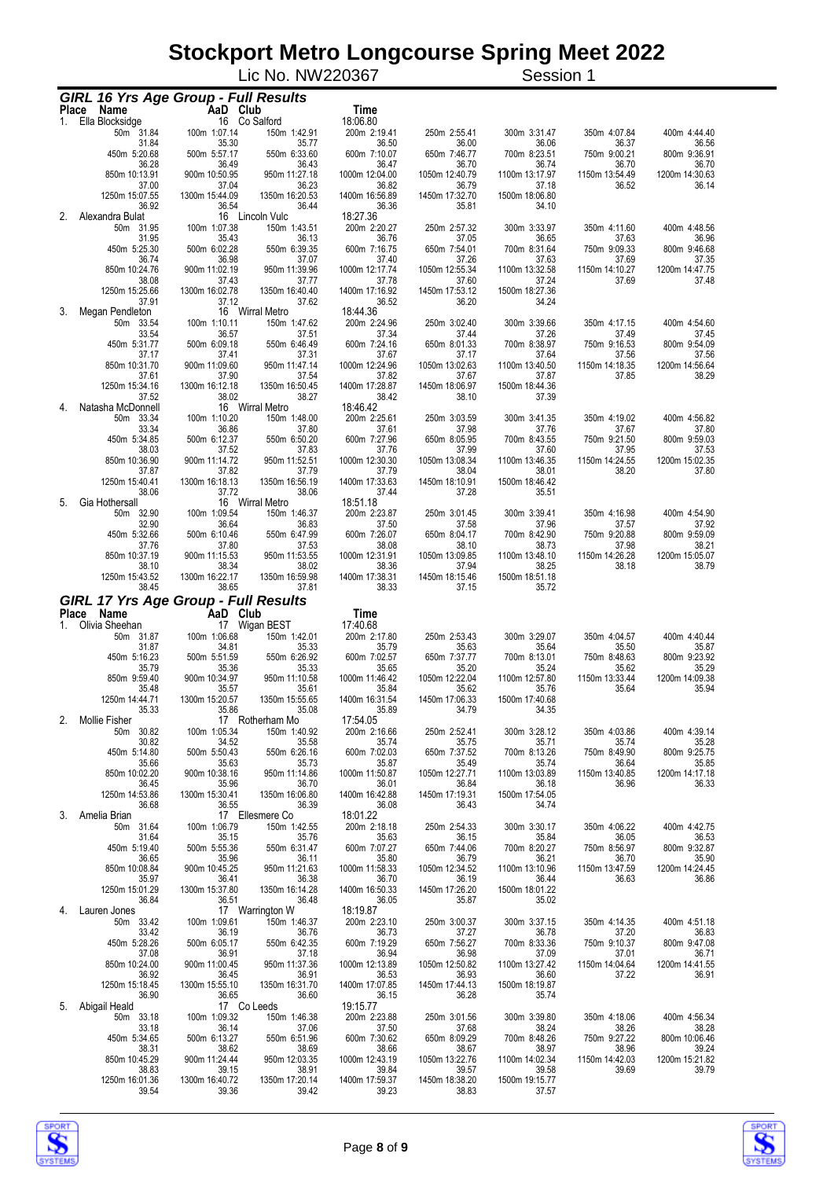|    |                                                              |                         |                 |                        | Lic No. NW220367         |                         | Session 1               |                         |                         |
|----|--------------------------------------------------------------|-------------------------|-----------------|------------------------|--------------------------|-------------------------|-------------------------|-------------------------|-------------------------|
|    | <b>GIRL 16 Yrs Age Group - Full Results</b>                  |                         |                 |                        |                          |                         |                         |                         |                         |
|    | Place Name                                                   | AaD Club                |                 |                        | Time                     |                         |                         |                         |                         |
| 1. | Ella Blocksidge                                              |                         | 16 Co Salford   |                        | 18:06.80                 |                         |                         |                         |                         |
|    | 50m 31.84<br>31.84                                           | 100m 1:07.14<br>35.30   |                 | 150m 1:42.91<br>35.77  | 200m 2:19.41<br>36.50    | 250m 2:55.41<br>36.00   | 300m 3:31.47<br>36.06   | 350m 4:07.84<br>36.37   | 400m 4:44.40<br>36.56   |
|    | 450m 5:20.68                                                 | 500m 5:57.17            |                 | 550m 6:33.60           | 600m 7:10.07             | 650m 7:46.77            | 700m 8:23.51            | 750m 9:00.21            | 800m 9:36.91            |
|    | 36.28<br>850m 10:13.91                                       | 36.49<br>900m 10:50.95  |                 | 36.43<br>950m 11:27.18 | 36.47<br>1000m 12:04.00  | 36.70<br>1050m 12:40.79 | 36.74<br>1100m 13:17.97 | 36.70<br>1150m 13:54.49 | 36.70<br>1200m 14:30.63 |
|    | 37.00                                                        | 37.04                   |                 | 36.23                  | 36.82                    | 36.79                   | 37.18                   | 36.52                   | 36.14                   |
|    | 1250m 15:07.55<br>36.92                                      | 1300m 15:44.09<br>36.54 | 1350m 16:20.53  | 36.44                  | 1400m 16:56.89<br>36.36  | 1450m 17:32.70<br>35.81 | 1500m 18:06.80<br>34.10 |                         |                         |
| 2. | Alexandra Bulat                                              |                         | 16 Lincoln Vulc |                        | 18:27.36                 |                         |                         |                         |                         |
|    | 50m 31.95<br>31.95                                           | 100m 1:07.38<br>35.43   |                 | 150m 1:43.51<br>36.13  | 200m 2:20.27<br>36.76    | 250m 2:57.32<br>37.05   | 300m 3:33.97<br>36.65   | 350m 4:11.60<br>37.63   | 400m 4:48.56<br>36.96   |
|    | 450m 5:25.30                                                 | 500m 6:02.28            |                 | 550m 6:39.35           | 600m 7:16.75             | 650m 7:54.01            | 700m 8:31.64            | 750m 9:09.33            | 800m 9:46.68            |
|    | 36.74<br>850m 10:24.76                                       | 36.98<br>900m 11:02.19  |                 | 37.07<br>950m 11:39.96 | 37.40<br>1000m 12:17.74  | 37.26<br>1050m 12:55.34 | 37.63<br>1100m 13:32.58 | 37.69<br>1150m 14:10.27 | 37.35<br>1200m 14:47.75 |
|    | 38.08                                                        | 37.43                   |                 | 37.77                  | 37.78                    | 37.60                   | 37.24                   | 37.69                   | 37.48                   |
|    | 1250m 15:25.66<br>37.91                                      | 1300m 16:02.78<br>37.12 | 1350m 16:40.40  | 37.62                  | 1400m 17:16.92<br>36.52  | 1450m 17:53.12<br>36.20 | 1500m 18:27.36<br>34.24 |                         |                         |
| 3. | Megan Pendleton                                              | 100m 1:10.11            | 16 Wirral Metro | 150m 1:47.62           | 18:44.36<br>200m 2:24.96 |                         |                         |                         |                         |
|    | 50m 33.54<br>33.54                                           | 36.57                   |                 | 37.51                  | 37.34                    | 250m 3:02.40<br>37.44   | 300m 3:39.66<br>37.26   | 350m 4:17.15<br>37.49   | 400m 4:54.60<br>37.45   |
|    | 450m 5:31.77<br>37.17                                        | 500m 6:09.18<br>37.41   |                 | 550m 6:46.49<br>37.31  | 600m 7:24.16<br>37.67    | 650m 8:01.33<br>37.17   | 700m 8:38.97<br>37.64   | 750m 9:16.53<br>37.56   | 800m 9:54.09<br>37.56   |
|    | 850m 10:31.70                                                | 900m 11:09.60           |                 | 950m 11:47.14          | 1000m 12:24.96           | 1050m 13:02.63          | 1100m 13:40.50          | 1150m 14:18.35          | 1200m 14:56.64          |
|    | 37.61<br>1250m 15:34.16                                      | 37.90<br>1300m 16:12.18 | 1350m 16:50.45  | 37.54                  | 37.82<br>1400m 17:28.87  | 37.67<br>1450m 18:06.97 | 37.87<br>1500m 18:44.36 | 37.85                   | 38.29                   |
|    | 37.52                                                        | 38.02                   |                 | 38.27                  | 38.42                    | 38.10                   | 37.39                   |                         |                         |
| 4. | Natasha McDonnell<br>50m 33.34                               | 100m 1:10.20            | 16 Wirral Metro | 150m 1:48.00           | 18:46.42<br>200m 2:25.61 | 250m 3:03.59            | 300m 3:41.35            | 350m 4:19.02            | 400m 4:56.82            |
|    | 33.34                                                        | 36.86                   |                 | 37.80                  | 37.61                    | 37.98                   | 37.76                   | 37.67                   | 37.80                   |
|    | 450m 5:34.85<br>38.03                                        | 500m 6:12.37<br>37.52   |                 | 550m 6:50.20<br>37.83  | 600m 7:27.96<br>37.76    | 650m 8:05.95<br>37.99   | 700m 8:43.55<br>37.60   | 750m 9:21.50<br>37.95   | 800m 9:59.03<br>37.53   |
|    | 850m 10:36.90                                                | 900m 11:14.72           |                 | 950m 11:52.51          | 1000m 12:30.30           | 1050m 13:08.34          | 1100m 13:46.35          | 1150m 14:24.55          | 1200m 15:02.35          |
|    | 37.87<br>1250m 15:40.41                                      | 37.82<br>1300m 16:18.13 | 1350m 16:56.19  | 37.79                  | 37.79<br>1400m 17:33.63  | 38.04<br>1450m 18:10.91 | 38.01<br>1500m 18:46.42 | 38.20                   | 37.80                   |
|    | 38.06                                                        | 37.72                   |                 | 38.06                  | 37.44                    | 37.28                   | 35.51                   |                         |                         |
| 5. | Gia Hothersall<br>50m 32.90                                  | 100m 1:09.54            | 16 Wirral Metro | 150m 1:46.37           | 18:51.18<br>200m 2:23.87 | 250m 3:01.45            | 300m 3:39.41            | 350m 4:16.98            | 400m 4:54.90            |
|    | 32.90                                                        | 36.64                   |                 | 36.83                  | 37.50                    | 37.58                   | 37.96                   | 37.57                   | 37.92                   |
|    | 450m 5:32.66<br>37.76                                        | 500m 6:10.46<br>37.80   |                 | 550m 6:47.99<br>37.53  | 600m 7:26.07<br>38.08    | 650m 8:04.17<br>38.10   | 700m 8:42.90<br>38.73   | 750m 9:20.88<br>37.98   | 800m 9:59.09<br>38.21   |
|    | 850m 10:37.19                                                | 900m 11:15.53           |                 | 950m 11:53.55          | 1000m 12:31.91           | 1050m 13:09.85          | 1100m 13:48.10          | 1150m 14:26.28          | 1200m 15:05.07          |
|    | 38.10<br>1250m 15:43.52                                      | 38.34<br>1300m 16:22.17 | 1350m 16:59.98  | 38.02                  | 38.36<br>1400m 17:38.31  | 37.94<br>1450m 18:15.46 | 38.25<br>1500m 18:51.18 | 38.18                   | 38.79                   |
|    | 38.45                                                        | 38.65                   |                 | 37.81                  | 38.33                    | 37.15                   | 35.72                   |                         |                         |
|    | <b>GIRL 17 Yrs Age Group - Full Results</b><br>Place<br>Name | AaD Club                |                 |                        | Time                     |                         |                         |                         |                         |
| 1. | Olivia Sheehan                                               |                         | 17 Wigan BEST   |                        | 17:40.68                 |                         |                         |                         |                         |
|    | 50m 31.87<br>31.87                                           | 100m 1:06.68<br>34.81   |                 | 150m 1:42.01<br>35.33  | 200m 2:17.80<br>35.79    | 250m 2:53.43<br>35.63   | 300m 3:29.07<br>35.64   | 350m 4:04.57<br>35.50   | 400m 4:40.44<br>35.87   |
|    | 450m 5:16.23                                                 | 500m 5:51.59            |                 | 550m 6:26.92           | 600m 7:02.57             | 650m 7:37.77            | 700m 8:13.01            | 750m 8:48.63            | 800m 9:23.92            |
|    | 35.79<br>850m 9:59.40                                        | 35.36<br>900m 10:34.97  |                 | 35.33<br>950m 11:10.58 | 35.65<br>1000m 11:46.42  | 35.20<br>1050m 12:22.04 | 35.24<br>1100m 12:57.80 | 35.62<br>1150m 13:33.44 | 35.29<br>1200m 14:09.38 |
|    | 35.48                                                        | 35.57                   |                 | 35.61                  | 35.84                    | 35.62                   | 35.76                   | 35.64                   | 35.94                   |
|    | 1250m 14:44.71<br>35.33                                      | 1300m 15:20.57<br>35.86 | 1350m 15:55.65  | 35.08                  | 1400m 16:31.54<br>35.89  | 1450m 17:06.33<br>34.79 | 1500m 17:40.68<br>34.35 |                         |                         |
| 2. | Mollie Fisher<br>50m 30.82                                   | 100m 1:05.34            | 17 Rotherham Mo | 150m 1:40.92           | 17:54.05<br>200m 2:16.66 | 250m 2:52.41            | 300m 3:28.12            |                         | 400m 4:39.14            |
|    | 30.82                                                        | 34.52                   |                 | 35.58                  | 35.74                    | 35.75                   | 35.71                   | 350m 4:03.86<br>35.74   | 35.28                   |
|    | 450m 5:14.80<br>35.66                                        | 500m 5:50.43<br>35.63   |                 | 550m 6:26.16<br>35.73  | 600m 7:02.03<br>35.87    | 650m 7:37.52<br>35.49   | 700m 8:13.26<br>35.74   | 750m 8:49.90<br>36.64   | 800m 9:25.75<br>35.85   |
|    | 850m 10:02.20                                                | 900m 10:38.16           |                 | 950m 11:14.86          | 1000m 11:50.87           | 1050m 12:27.71          | 1100m 13:03.89          | 1150m 13:40.85          | 1200m 14:17.18          |
|    | 36.45<br>1250m 14:53.86                                      | 35.96<br>1300m 15:30.41 | 1350m 16:06.80  | 36.70                  | 36.01<br>1400m 16:42.88  | 36.84<br>1450m 17:19.31 | 36.18<br>1500m 17:54.05 | 36.96                   | 36.33                   |
|    | 36.68                                                        | 36.55                   |                 | 36.39                  | 36.08                    | 36.43                   | 34.74                   |                         |                         |
| 3. | Amelia Brian<br>50m 31.64                                    | 100m 1:06.79            | 17 Ellesmere Co | 150m 1:42.55           | 18:01.22<br>200m 2:18.18 | 250m 2:54.33            | 300m 3:30.17            | 350m 4:06.22            | 400m 4:42.75            |
|    | 31.64                                                        | 35.15                   |                 | 35.76                  | 35.63                    | 36.15                   | 35.84                   | 36.05                   | 36.53                   |
|    | 450m 5:19.40<br>36.65                                        | 500m 5:55.36<br>35.96   |                 | 550m 6:31.47<br>36.11  | 600m 7:07.27<br>35.80    | 650m 7:44.06<br>36.79   | 700m 8:20.27<br>36.21   | 750m 8:56.97<br>36.70   | 800m 9:32.87<br>35.90   |
|    | 850m 10:08.84                                                | 900m 10:45.25           |                 | 950m 11:21.63          | 1000m 11:58.33           | 1050m 12:34.52          | 1100m 13:10.96          | 1150m 13:47.59          | 1200m 14:24.45          |
|    | 35.97<br>1250m 15:01.29                                      | 36.41<br>1300m 15:37.80 | 1350m 16:14.28  | 36.38                  | 36.70<br>1400m 16:50.33  | 36.19<br>1450m 17:26.20 | 36.44<br>1500m 18:01.22 | 36.63                   | 36.86                   |
| 4. | 36.84<br>Lauren Jones                                        | 36.51                   | 17 Warrington W | 36.48                  | 36.05<br>18:19.87        | 35.87                   | 35.02                   |                         |                         |
|    | 50m 33.42                                                    | 100m 1:09.61            |                 | 150m 1:46.37           | 200m 2:23.10             | 250m 3:00.37            | 300m 3:37.15            | 350m 4:14.35            | 400m 4:51.18            |
|    | 33.42<br>450m 5:28.26                                        | 36.19<br>500m 6:05.17   |                 | 36.76<br>550m 6:42.35  | 36.73<br>600m 7:19.29    | 37.27<br>650m 7:56.27   | 36.78<br>700m 8:33.36   | 37.20<br>750m 9:10.37   | 36.83<br>800m 9:47.08   |
|    | 37.08                                                        | 36.91                   |                 | 37.18                  | 36.94                    | 36.98                   | 37.09                   | 37.01                   | 36.71                   |
|    | 850m 10:24.00<br>36.92                                       | 900m 11:00.45<br>36.45  |                 | 950m 11:37.36<br>36.91 | 1000m 12:13.89<br>36.53  | 1050m 12:50.82<br>36.93 | 1100m 13:27.42<br>36.60 | 1150m 14:04.64<br>37.22 | 1200m 14:41.55<br>36.91 |
|    | 1250m 15:18.45                                               | 1300m 15:55.10          | 1350m 16:31.70  |                        | 1400m 17:07.85           | 1450m 17:44.13          | 1500m 18:19.87          |                         |                         |
| 5. | 36.90<br>Abigail Heald                                       | 36.65                   | 17 Co Leeds     | 36.60                  | 36.15<br>19:15.77        | 36.28                   | 35.74                   |                         |                         |
|    | 50m 33.18                                                    | 100m 1:09.32            |                 | 150m 1:46.38           | 200m 2:23.88             | 250m 3:01.56            | 300m 3:39.80            | 350m 4:18.06            | 400m 4:56.34            |
|    | 33.18<br>450m 5:34.65                                        | 36.14<br>500m 6:13.27   |                 | 37.06<br>550m 6:51.96  | 37.50<br>600m 7:30.62    | 37.68<br>650m 8:09.29   | 38.24<br>700m 8:48.26   | 38.26<br>750m 9:27.22   | 38.28<br>800m 10:06.46  |
|    | 38.31<br>850m 10:45.29                                       | 38.62<br>900m 11:24.44  |                 | 38.69<br>950m 12:03.35 | 38.66<br>1000m 12:43.19  | 38.67<br>1050m 13:22.76 | 38.97<br>1100m 14:02.34 | 38.96<br>1150m 14:42.03 | 39.24<br>1200m 15:21.82 |
|    | 38.83                                                        | 39.15                   |                 | 38.91                  | 39.84                    | 39.57                   | 39.58                   | 39.69                   | 39.79                   |
|    | 1250m 16:01.36<br>39.54                                      | 1300m 16:40.72<br>39.36 | 1350m 17:20.14  | 39.42                  | 1400m 17:59.37<br>39.23  | 1450m 18:38.20<br>38.83 | 1500m 19:15.77<br>37.57 |                         |                         |



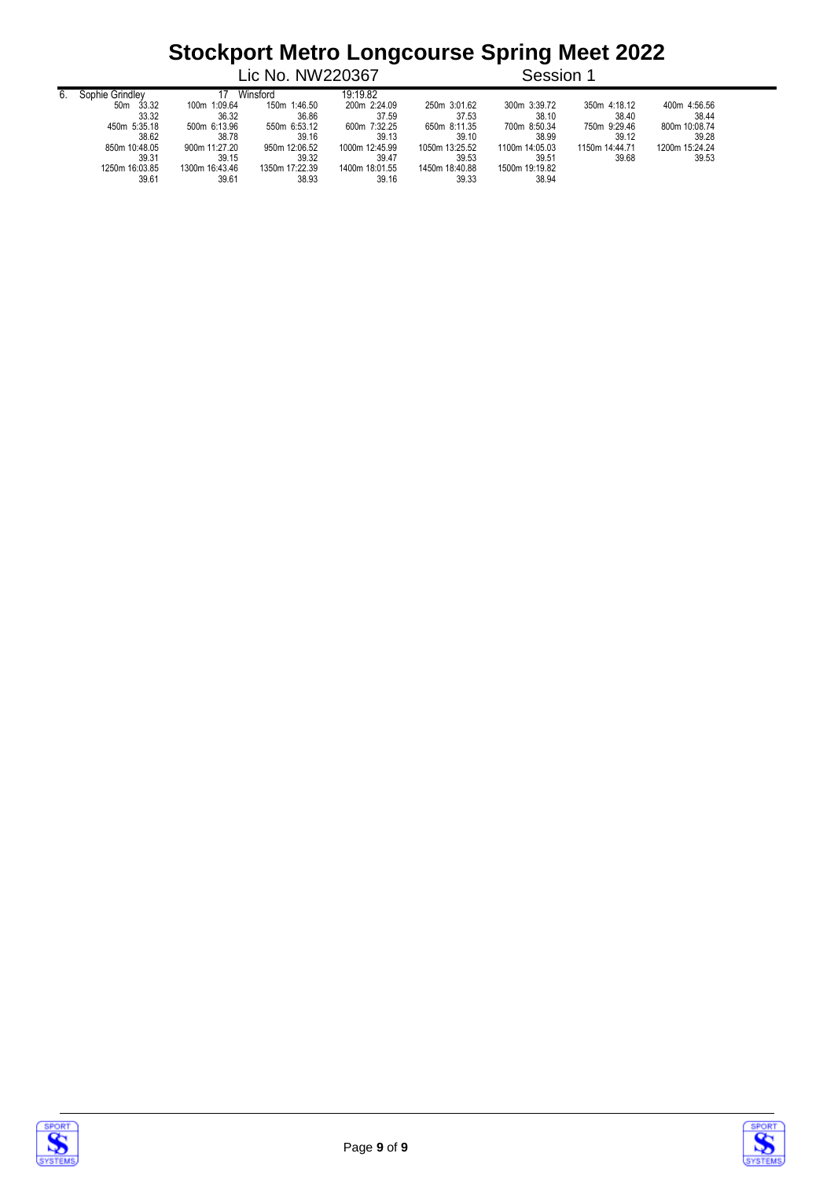|    |                          |                | Lic No. NW220367 |                |                | Session 1      |                |                |
|----|--------------------------|----------------|------------------|----------------|----------------|----------------|----------------|----------------|
| 6. | Sophie Grindlev          |                | Winsford         | 19:19.82       |                |                |                |                |
|    | 33.32<br>50 <sub>m</sub> | 100m 1:09.64   | 150m 1:46.50     | 200m 2:24.09   | 250m 3:01.62   | 300m 3:39.72   | 350m 4:18.12   | 400m 4:56.56   |
|    | 33.32                    | 36.32          | 36.86            | 37.59          | 37.53          | 38.10          | 38.40          | 38.44          |
|    | 450m 5:35.18             | 500m 6:13.96   | 550m 6:53.12     | 600m 7:32.25   | 650m 8:11.35   | 700m 8:50.34   | 750m 9:29.46   | 800m 10:08.74  |
|    | 38.62                    | 38.78          | 39.16            | 39.13          | 39.10          | 38.99          | 39.12          | 39.28          |
|    | 850m 10:48.05            | 900m 11:27.20  | 950m 12:06.52    | 1000m 12:45.99 | 1050m 13:25.52 | 1100m 14:05.03 | 1150m 14:44.71 | 1200m 15:24.24 |
|    | 39.31                    | 39.15          | 39.32            | 39.47          | 39.53          | 39.51          | 39.68          | 39.53          |
|    | 1250m 16:03.85           | 1300m 16:43.46 | 1350m 17:22.39   | 1400m 18:01.55 | 1450m 18:40.88 | 1500m 19:19.82 |                |                |
|    | 39.61                    | 39.61          | 38.93            | 39.16          | 39.33          | 38.94          |                |                |





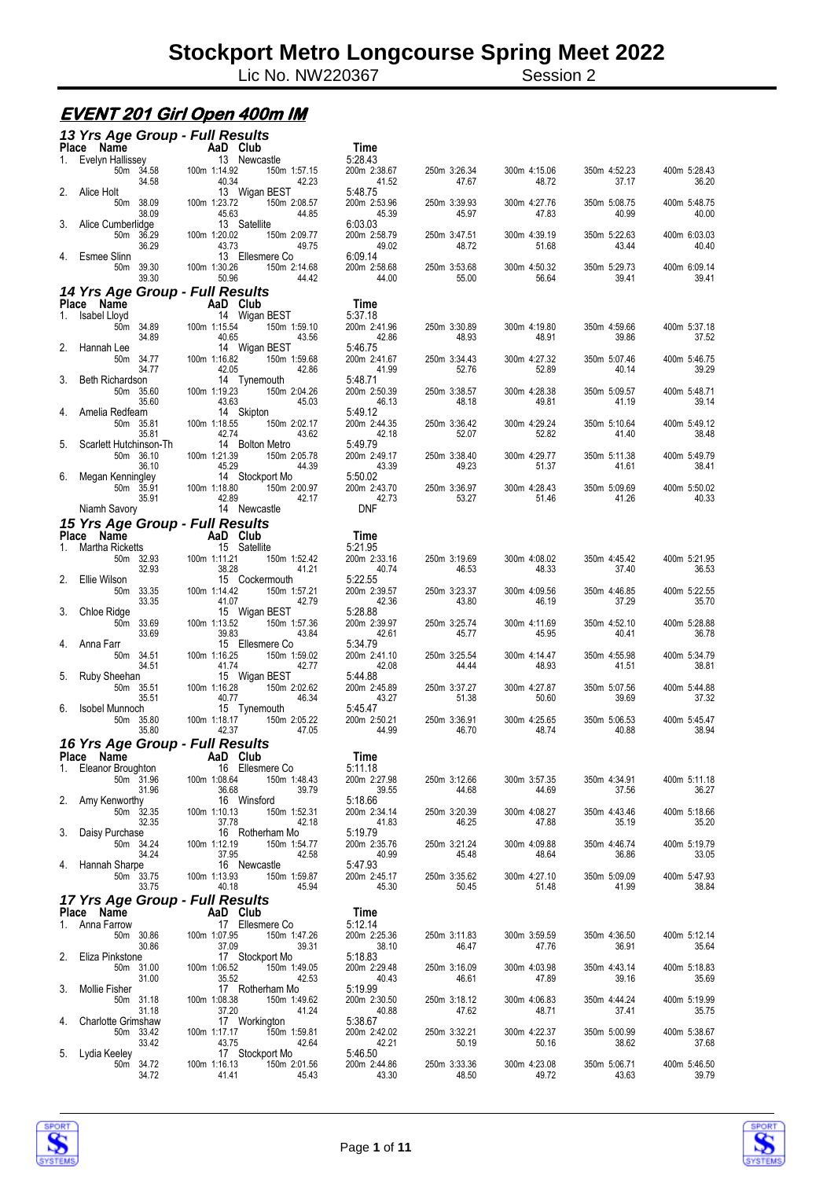Lic No. NW220367 Session 2

# **EVENT 201 Girl Open 400m IM**

|             | 13 Yrs Age Group - Full Results                                                           |                                                                   |                                  |                       |                       |                       |                       |
|-------------|-------------------------------------------------------------------------------------------|-------------------------------------------------------------------|----------------------------------|-----------------------|-----------------------|-----------------------|-----------------------|
|             | Ce Name<br>Evelyn Hallissey <b>AaD Club</b><br>Evelyn Hallissey 13 November<br>Place Name |                                                                   | Time                             |                       |                       |                       |                       |
| 1.          | 50m 34.58<br>34.58                                                                        | 13 Newcastle<br>100m 1:14.92<br>150m 1:57.15<br>40.34<br>42.23    | 5:28.43<br>200m 2:38.67<br>41.52 | 250m 3:26.34<br>47.67 | 300m 4:15.06<br>48.72 | 350m 4:52.23<br>37.17 | 400m 5:28.43<br>36.20 |
| 2.          | Alice Holt<br>50m 38.09                                                                   | 13 Wigan BEST<br>100m 1:23.72<br>150m 2:08.57                     | 5:48.75<br>200m 2:53.96          | 250m 3:39.93          | 300m 4:27.76          | 350m 5:08.75          | 400m 5:48.75          |
| 3.          | 38.09<br>Alice Cumberlidge<br>50m 36.29                                                   | 45.63<br>44.85<br>13 Satellite<br>100m 1:20.02<br>150m 2:09.77    | 45.39<br>6:03.03<br>200m 2:58.79 | 45.97<br>250m 3:47.51 | 47.83<br>300m 4:39.19 | 40.99<br>350m 5:22.63 | 40.00<br>400m 6:03.03 |
| 4.          | 36.29<br>Esmee Slinn                                                                      | 43.73<br>49.75<br>13 Ellesmere Co                                 | 49.02<br>6:09.14                 | 48.72                 | 51.68                 | 43.44                 | 40.40                 |
|             | 50m 39.30<br>39.30<br>14 Yrs Age Group - Full Results                                     | 100m 1:30.26<br>150m 2:14.68<br>50.96<br>44.42                    | 200m 2:58.68<br>44.00            | 250m 3:53.68<br>55.00 | 300m 4:50.32<br>56.64 | 350m 5:29.73<br>39.41 | 400m 6:09.14<br>39.41 |
|             | Place Name                                                                                | AaD Club                                                          | Time                             |                       |                       |                       |                       |
| 1.          | Isabel Lloyd                                                                              | 14 Wigan BEST                                                     | 5:37.18                          |                       |                       |                       |                       |
|             | 50m 34.89<br>34.89<br>Hannah Lee                                                          | 100m 1:15.54<br>150m 1:59.10<br>40.65<br>43.56<br>14 Wigan BEST   | 200m 2:41.96<br>42.86<br>5:46.75 | 250m 3:30.89<br>48.93 | 300m 4:19.80<br>48.91 | 350m 4:59.66<br>39.86 | 400m 5:37.18<br>37.52 |
|             | 50m 34.77<br>34.77                                                                        | 100m 1:16.82<br>150m 1:59.68<br>42.05<br>42.86                    | 200m 2:41.67<br>41.99            | 250m 3:34.43<br>52.76 | 300m 4:27.32<br>52.89 | 350m 5:07.46<br>40.14 | 400m 5:46.75<br>39.29 |
| 3.          | <b>Beth Richardson</b><br>50m 35.60<br>35.60                                              | 14 Tynemouth<br>100m 1:19.23<br>150m 2:04.26<br>43.63<br>45.03    | 5:48.71<br>200m 2:50.39<br>46.13 | 250m 3:38.57<br>48.18 | 300m 4:28.38<br>49.81 | 350m 5:09.57<br>41.19 | 400m 5:48.71<br>39.14 |
| 4.          | Amelia Redfearn<br>50m 35.81                                                              | 14 Skipton<br>100m 1:18.55<br>150m 2:02.17                        | 5:49.12<br>200m 2:44.35          | 250m 3:36.42          | 300m 4:29.24          | 350m 5:10.64          | 400m 5:49.12          |
| 5.          | 35.81<br>Scarlett Hutchinson-Th                                                           | 42.74<br>43.62<br>14 Bolton Metro                                 | 42.18<br>5:49.79                 | 52.07                 | 52.82                 | 41.40                 | 38.48                 |
|             | 50m 36.10<br>36.10                                                                        | 100m 1:21.39<br>150m 2:05.78<br>45.29<br>44.39                    | 200m 2:49.17<br>43.39            | 250m 3:38.40<br>49.23 | 300m 4:29.77<br>51.37 | 350m 5:11.38<br>41.61 | 400m 5:49.79<br>38.41 |
| 6.          | Megan Kenningley<br>50m 35.91<br>35.91                                                    | 14 Stockport Mo<br>150m 2:00.97<br>100m 1:18.80<br>42.89<br>42.17 | 5:50.02<br>200m 2:43.70<br>42.73 | 250m 3:36.97<br>53.27 | 300m 4:28.43<br>51.46 | 350m 5:09.69<br>41.26 | 400m 5:50.02<br>40.33 |
|             | Niamh Savory                                                                              | 14 Newcastle                                                      | <b>DNF</b>                       |                       |                       |                       |                       |
|             | 15 Yrs Age Group - Full Results                                                           |                                                                   |                                  |                       |                       |                       |                       |
|             | Place Name                                                                                | <b>Example 2</b> AaD Club                                         | Time                             |                       |                       |                       |                       |
| $1_{\cdot}$ | Martha Ricketts<br>50m 32.93<br>32.93                                                     | 15 Satellite<br>100m 1:11.21<br>150m 1:52.42<br>38.28<br>41.21    | 5:21.95<br>200m 2:33.16<br>40.74 | 250m 3:19.69<br>46.53 | 300m 4:08.02<br>48.33 | 350m 4:45.42<br>37.40 | 400m 5:21.95<br>36.53 |
| 2.          | Ellie Wilson<br>50m 33.35<br>33.35                                                        | 15 Cockermouth<br>100m 1:14.42<br>150m 1:57.21<br>41.07<br>42.79  | 5:22.55<br>200m 2:39.57<br>42.36 | 250m 3:23.37<br>43.80 | 300m 4:09.56<br>46.19 | 350m 4:46.85<br>37.29 | 400m 5:22.55<br>35.70 |
| 3.          | Chloe Ridge<br>50m 33.69<br>33.69                                                         | 15 Wigan BEST<br>100m 1:13.52<br>150m 1:57.36<br>39.83<br>43.84   | 5:28.88<br>200m 2:39.97<br>42.61 | 250m 3:25.74<br>45.77 | 300m 4:11.69<br>45.95 | 350m 4:52.10<br>40.41 | 400m 5:28.88<br>36.78 |
| 4.          | Anna Farr<br>50m 34.51                                                                    | 15 Ellesmere Co<br>100m 1:16.25<br>150m 1:59.02                   | 5:34.79<br>200m 2:41.10          | 250m 3:25.54          | 300m 4:14.47          | 350m 4:55.98          | 400m 5:34.79          |
| 5.          | 34.51<br>Ruby Sheehan<br>50m 35.51                                                        | 41.74<br>42.77<br>15 Wigan BEST<br>100m 1:16.28<br>150m 2:02.62   | 42.08<br>5:44.88<br>200m 2:45.89 | 44.44<br>250m 3:37.27 | 48.93<br>300m 4:27.87 | 41.51<br>350m 5:07.56 | 38.81<br>400m 5:44.88 |
|             | 35.51<br>6. Isobel Munnoch<br>50m 35.80                                                   | 40.77<br>46.34<br>15 Tynemouth<br>100m 1:18.17<br>150m 2:05.22    | 43.27<br>5:45.47<br>200m 2:50.21 | 51.38<br>250m 3:36.91 | 50.60<br>300m 4:25.65 | 39.69<br>350m 5:06.53 | 37.32<br>400m 5:45.47 |
|             | 35.80<br>16 Yrs Age Group - Full Results                                                  | 42.37<br>47.05                                                    | 44.99                            | 46.70                 | 48.74                 | 40.88                 | 38.94                 |
|             |                                                                                           | Place Name AaD Club                                               | Time                             |                       |                       |                       |                       |
|             | 1. Eleanor Broughton                                                                      | 16 Ellesmere Co                                                   | 5:11.18                          |                       |                       |                       |                       |
|             | 50m 31.96<br>31.96<br>2. Amy Kenworthy                                                    | 100m 1:08.64<br>150m 1:48.43<br>36.68<br>39.79<br>16 Winsford     | 200m 2:27.98<br>39.55<br>5:18.66 | 250m 3:12.66<br>44.68 | 300m 3:57.35<br>44.69 | 350m 4:34.91<br>37.56 | 400m 5:11.18<br>36.27 |
|             | 50m 32.35<br>32.35<br>3. Daisy Purchase                                                   | 150m 1:52.31<br>100m 1:10.13<br>37.78<br>42.18<br>16 Rotherham Mo | 200m 2:34.14<br>41.83<br>5:19.79 | 250m 3:20.39<br>46.25 | 300m 4:08.27<br>47.88 | 350m 4:43.46<br>35.19 | 400m 5:18.66<br>35.20 |
|             | 50m 34.24<br>34.24                                                                        | 100m 1:12.19<br>150m 1:54.77<br>37.95<br>42.58                    | 200m 2:35.76<br>40.99            | 250m 3:21.24<br>45.48 | 300m 4:09.88<br>48.64 | 350m 4:46.74<br>36.86 | 400m 5:19.79<br>33.05 |
|             | 4. Hannah Sharpe<br>50m 33.75<br>33.75                                                    | 16 Newcastle<br>100m 1:13.93<br>150m 1:59.87<br>40.18<br>45.94    | 5:47.93<br>200m 2:45.17<br>45.30 | 250m 3:35.62<br>50.45 | 300m 4:27.10<br>51.48 | 350m 5:09.09<br>41.99 | 400m 5:47.93<br>38.84 |
|             | 17 Yrs Age Group - Full Results                                                           |                                                                   |                                  |                       |                       |                       |                       |
|             | Place Name                                                                                | AaD Club                                                          | Time                             |                       |                       |                       |                       |
|             | 1. Anna Farrow                                                                            | 17 Ellesmere Co                                                   | 5:12.14                          |                       |                       |                       |                       |
| 2.          | 50m 30.86<br>30.86<br>Eliza Pinkstone                                                     | 100m 1:07.95<br>150m 1:47.26<br>37.09<br>39.31<br>17 Stockport Mo | 200m 2:25.36<br>38.10<br>5:18.83 | 250m 3:11.83<br>46.47 | 300m 3:59.59<br>47.76 | 350m 4:36.50<br>36.91 | 400m 5:12.14<br>35.64 |
|             | 50m 31.00<br>31.00                                                                        | 150m 1:49.05<br>100m 1:06.52<br>35.52<br>42.53                    | 200m 2:29.48<br>40.43            | 250m 3:16.09<br>46.61 | 300m 4:03.98<br>47.89 | 350m 4:43.14<br>39.16 | 400m 5:18.83<br>35.69 |
| 3.          | Mollie Fisher<br>50m 31.18<br>31.18                                                       | 17 Rotherham Mo<br>100m 1:08.38<br>150m 1:49.62<br>37.20<br>41.24 | 5:19.99<br>200m 2:30.50<br>40.88 | 250m 3:18.12<br>47.62 | 300m 4:06.83<br>48.71 | 350m 4:44.24<br>37.41 | 400m 5:19.99<br>35.75 |
| 4.          | <b>Charlotte Grimshaw</b><br>50m 33.42<br>33.42                                           | 17 Workington<br>150m 1:59.81<br>100m 1:17.17<br>42.64<br>43.75   | 5:38.67<br>200m 2:42.02<br>42.21 | 250m 3:32.21<br>50.19 | 300m 4:22.37<br>50.16 | 350m 5:00.99<br>38.62 | 400m 5:38.67<br>37.68 |
|             | 5. Lydia Keeley                                                                           | 17 Stockport Mo                                                   | 5:46.50                          |                       |                       |                       |                       |
|             | 50m 34.72<br>34.72                                                                        | 100m 1:16.13<br>150m 2:01.56<br>41.41<br>45.43                    | 200m 2:44.86<br>43.30            | 250m 3:33.36<br>48.50 | 300m 4:23.08<br>49.72 | 350m 5:06.71<br>43.63 | 400m 5:46.50<br>39.79 |



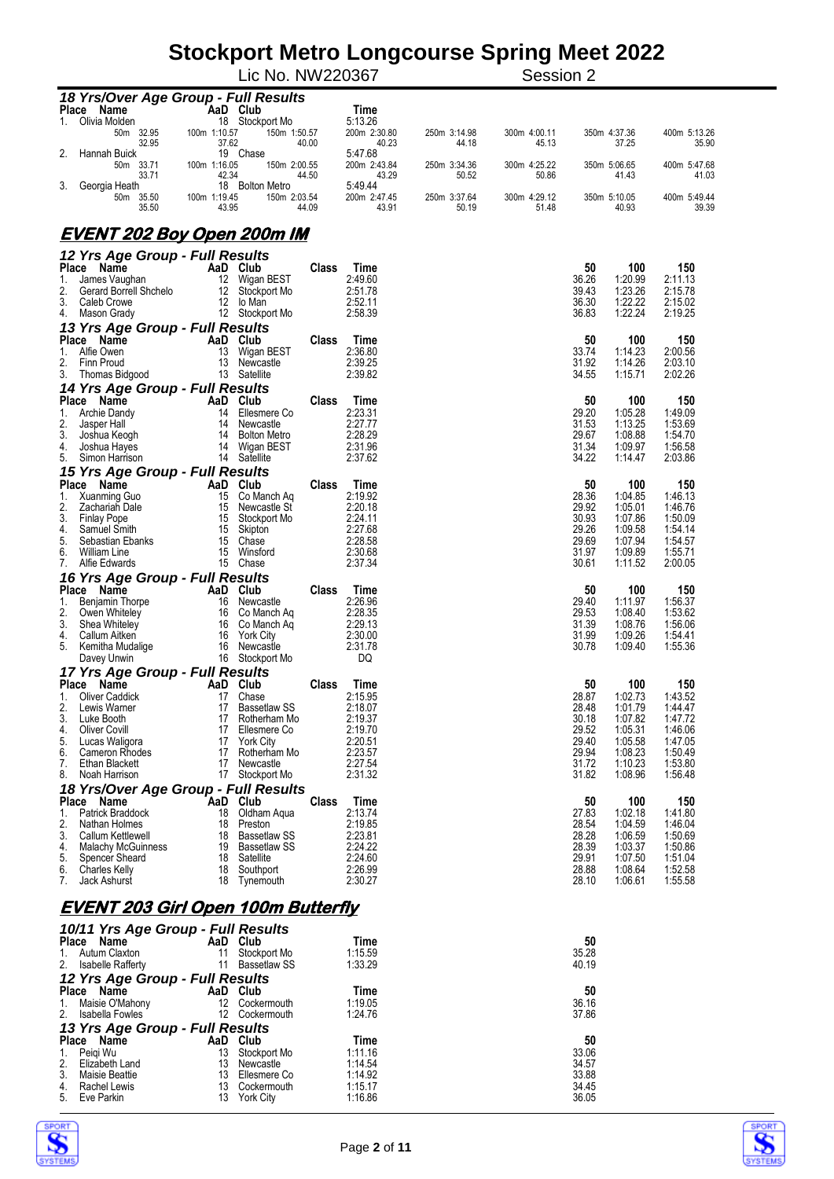|                                                    |                           | Lic No. NW220367                |                         |                       | $\mathbf{v}$<br>־ט<br>Session 2 |                |                       |                       |
|----------------------------------------------------|---------------------------|---------------------------------|-------------------------|-----------------------|---------------------------------|----------------|-----------------------|-----------------------|
| 18 Yrs/Over Age Group - Full Results               |                           |                                 |                         |                       |                                 |                |                       |                       |
| Place Name                                         | AaD Club                  |                                 | Time                    |                       |                                 |                |                       |                       |
| Olivia Molden<br>1.<br>50m 32.95                   | 100m 1:10.57              | 18 Stockport Mo<br>150m 1:50.57 | 5:13.26<br>200m 2:30.80 | 250m 3:14.98          | 300m 4:00.11                    |                | 350m 4:37.36          | 400m 5:13.26          |
| 32.95                                              | 37.62                     | 40.00                           | 40.23                   | 44.18                 | 45.13                           |                | 37.25                 | 35.90                 |
| 2.<br>Hannah Buick                                 | 19 Chase                  |                                 | 5:47.68                 |                       |                                 |                |                       |                       |
| 50m 33.71<br>33.71                                 | 100m 1:16.05<br>42.34     | 150m 2:00.55<br>44.50           | 200m 2:43.84<br>43.29   | 250m 3:34.36<br>50.52 | 300m 4:25.22<br>50.86           |                | 350m 5:06.65<br>41.43 | 400m 5:47.68<br>41.03 |
| 3.<br>Georgia Heath                                |                           | 18 Bolton Metro                 | 5:49.44                 |                       |                                 |                |                       |                       |
| 50m 35.50                                          | 100m 1:19.45              | 150m 2:03.54                    | 200m 2:47.45            | 250m 3:37.64          | 300m 4:29.12                    |                | 350m 5:10.05          | 400m 5:49.44          |
| 35.50                                              | 43.95                     | 44.09                           | 43.91                   | 50.19                 | 51.48                           |                | 40.93                 | 39.39                 |
| <u>EVENT 202 Boy Open 200m IM</u>                  |                           |                                 |                         |                       |                                 |                |                       |                       |
|                                                    |                           |                                 |                         |                       |                                 |                |                       |                       |
| 12 Yrs Age Group - Full Results                    |                           |                                 |                         |                       |                                 |                |                       |                       |
| Place Name<br>James Vaughan<br>1.                  | AaD Club<br>12 Wigan BEST | <b>Class</b>                    | Time<br>2:49.60         |                       |                                 | 50<br>36.26    | 100<br>1:20.99        | 150<br>2:11.13        |
| 2.<br>Gerard Borrell Shchelo                       |                           | 12 Stockport Mo                 | 2:51.78                 |                       |                                 | 39.43          | 1:23.26               | 2:15.78               |
| 3.<br>Caleb Crowe                                  | 12 lo Man                 |                                 | 2:52.11                 |                       |                                 | 36.30          | 1:22.22               | 2:15.02               |
| 4.<br>Mason Grady                                  |                           | 12 Stockport Mo                 | 2:58.39                 |                       |                                 | 36.83          | 1:22.24               | 2:19.25               |
| 13 Yrs Age Group - Full Results<br>Place Name      | AaD Club                  | <b>Class</b>                    |                         |                       |                                 | 50             | 100                   | 150                   |
| 1.<br>Alfie Owen                                   | 13                        | Wigan BEST                      | Time<br>2:36.80         |                       |                                 | 33.74          | 1:14.23               | 2:00.56               |
| 2.<br>Finn Proud                                   |                           | 13 Newcastle                    | 2:39.25                 |                       |                                 | 31.92          | 1:14.26               | 2:03.10               |
| 3.<br>Thomas Bidgood                               | 13 Satellite              |                                 | 2:39.82                 |                       |                                 | 34.55          | 1:15.71               | 2:02.26               |
| 14 Yrs Age Group - Full Results                    |                           |                                 |                         |                       |                                 |                |                       |                       |
| Place Name                                         | AaD Club                  | <b>Class</b>                    | Time                    |                       |                                 | 50             | 100                   | 150                   |
| 1.<br>Archie Dandy<br>2.<br>Jasper Hall            |                           | 14 Ellesmere Co<br>14 Newcastle | 2:23.31<br>2:27.77      |                       |                                 | 29.20<br>31.53 | 1:05.28<br>1:13.25    | 1:49.09<br>1:53.69    |
| 3.<br>Joshua Keogh                                 |                           | 14 Bolton Metro                 | 2:28.29                 |                       |                                 | 29.67          | 1:08.88               | 1:54.70               |
| 4.<br>Joshua Hayes                                 |                           | 14 Wigan BEST                   | 2:31.96                 |                       |                                 | 31.34          | 1:09.97               | 1:56.58               |
| 5.<br>Simon Harrison                               | 14 Satellite              |                                 | 2:37.62                 |                       |                                 | 34.22          | 1:14.47               | 2:03.86               |
| 15 Yrs Age Group - Full Results                    |                           |                                 |                         |                       |                                 |                |                       |                       |
| Place Name<br>1.<br>Xuanming Guo                   | AaD Club                  | <b>Class</b><br>15 Co Manch Aq  | Time<br>2:19.92         |                       |                                 | 50<br>28.36    | 100<br>1:04.85        | 150<br>1:46.13        |
| 2.<br>Zachariah Dale                               |                           | 15 Newcastle St                 | 2:20.18                 |                       |                                 | 29.92          | 1:05.01               | 1:46.76               |
| 3.<br><b>Finlay Pope</b>                           |                           | 15 Stockport Mo                 | 2:24.11                 |                       |                                 | 30.93          | 1:07.86               | 1:50.09               |
| 4.<br>Samuel Smith<br>5.<br>Sebastian Ebanks       | 15 Skipton<br>15 Chase    |                                 | 2:27.68<br>2:28.58      |                       |                                 | 29.26<br>29.69 | 1:09.58               | 1.54.14               |
| 6.<br>William Line                                 |                           | 15 Winsford                     | 2:30.68                 |                       |                                 | 31.97          | 1:07.94<br>1:09.89    | 1:54.57<br>1:55.71    |
| 7.<br>Alfie Edwards                                | 15 Chase                  |                                 | 2:37.34                 |                       |                                 | 30.61          | 1:11.52               | 2:00.05               |
| 16 Yrs Age Group - Full Results                    |                           |                                 |                         |                       |                                 |                |                       |                       |
| Place Name                                         | AaD Club                  | Class                           | Time                    |                       |                                 | 50             | 100                   | 150                   |
| 1.<br>Benjamin Thorpe<br>2.                        |                           | 16 Newcastle<br>16 Co Manch Aq  | 2:26.96<br>2:28.35      |                       |                                 | 29.40<br>29.53 | 1:11.97<br>1:08.40    | 1:56.37<br>1:53.62    |
| Owen Whiteley<br>3.<br>Shea Whiteley               |                           | 16 Co Manch Aq                  | 2:29.13                 |                       |                                 | 31.39          | 1:08.76               | 1:56.06               |
| 4.<br>Callum Aitken                                |                           | 16 York City                    | 2:30.00                 |                       |                                 | 31.99          | 1:09.26               | 1:54.41               |
| 5.<br>Kemitha Mudalige                             |                           | 16 Newcastle                    | 2:31.78                 |                       |                                 | 30.78          | 1:09.40               | 1:55.36               |
| Davey Unwin                                        |                           | 16 Stockport Mo                 | DQ                      |                       |                                 |                |                       |                       |
| 17 Yrs Age Group - Full Results                    |                           |                                 |                         |                       |                                 |                |                       |                       |
| Place Name AaD Club<br>1.<br><b>Oliver Caddick</b> | 17 Chase                  | <b>Class</b>                    | Time<br>2:15.95         |                       |                                 | 50<br>28.87    | 100<br>1:02.73        | 150<br>1:43.52        |
| 2.<br>Lewis Warner                                 |                           | 17 Bassetlaw SS                 | 2:18.07                 |                       |                                 | 28.48          | 1:01.79               | 1:44.47               |
| 3.<br>Luke Booth                                   |                           | 17 Rotherham Mo                 | 2:19.37                 |                       |                                 | 30.18          | 1:07.82               | 1:47.72               |
| 4.<br><b>Oliver Covill</b>                         |                           | 17 Ellesmere Co                 | 2:19.70                 |                       |                                 | 29.52          | 1:05.31               | 1:46.06               |
| 5.<br>Lucas Waligora<br>6.<br>Cameron Rhodes       |                           | 17 York City<br>17 Rotherham Mo | 2:20.51<br>2:23.57      |                       |                                 | 29.40<br>29.94 | 1:05.58<br>1:08.23    | 1:47.05<br>1:50.49    |
| 7.<br>Ethan Blackett                               | 17                        | Newcastle                       | 2:27.54                 |                       |                                 | 31.72          | 1:10.23               | 1:53.80               |
| 8.<br>Noah Harrison                                |                           | 17 Stockport Mo                 | 2:31.32                 |                       |                                 | 31.82          | 1:08.96               | 1:56.48               |
| 18 Yrs/Over Age Group - Full Results               |                           |                                 |                         |                       |                                 |                |                       |                       |
| Place Name                                         | AaD Club                  | Class                           | Time                    |                       |                                 | 50             | 100                   | 150                   |
| Patrick Braddock<br>1.<br>2.<br>Nathan Holmes      | 18<br>18                  | Oldham Aqua<br>Preston          | 2:13.74<br>2:19.85      |                       |                                 | 27.83<br>28.54 | 1:02.18<br>1:04.59    | 1:41.80<br>1:46.04    |
| 3.<br>Callum Kettlewell                            |                           | 18 Bassetlaw SS                 | 2:23.81                 |                       |                                 | 28.28          | 1:06.59               | 1:50.69               |
| 4.<br><b>Malachy McGuinness</b>                    |                           | 19 Bassetlaw SS                 | 2:24.22                 |                       |                                 | 28.39          | 1:03.37               | 1:50.86               |
| 5.<br>Spencer Sheard                               | 18 Satellite              |                                 | 2:24.60                 |                       |                                 | 29.91          | 1:07.50               | 1:51.04               |
| 6.<br><b>Charles Kelly</b><br>7.<br>Jack Ashurst   | 18                        | 18 Southport<br>Tynemouth       | 2:26.99<br>2:30.27      |                       |                                 | 28.88<br>28.10 | 1:08.64<br>1:06.61    | 1:52.58<br>1:55.58    |
|                                                    |                           |                                 |                         |                       |                                 |                |                       |                       |
| <u>EVENT 203 Girl Open 100m Butterfly</u>          |                           |                                 |                         |                       |                                 |                |                       |                       |
|                                                    |                           |                                 |                         |                       |                                 |                |                       |                       |
| 10/11 Yrs Age Group - Full Results                 |                           |                                 |                         |                       |                                 |                |                       |                       |
| Place Name<br>Autum Claxton<br>1.                  | AaD Club<br>11            | Stockport Mo                    | Time<br>1:15.59         |                       |                                 | 50<br>35.28    |                       |                       |
| 2.<br><b>Isabelle Rafferty</b>                     | 11                        | <b>Bassetlaw SS</b>             | 1:33.29                 |                       |                                 | 40.19          |                       |                       |
| 12 Yrs Age Group - Full Results                    |                           |                                 |                         |                       |                                 |                |                       |                       |
| Place Name                                         | AaD Club                  |                                 | Time                    |                       |                                 | 50             |                       |                       |
| Maisie O'Mahony<br>1.                              |                           | 12 Cockermouth                  | 1:19.05                 |                       |                                 | 36.16          |                       |                       |
| Isabella Fowles<br>2.                              |                           | 12 Cockermouth                  | 1:24.76                 |                       |                                 | 37.86          |                       |                       |



systi

*13 Yrs Age Group - Full Results*

**Place Name AaD Club Time 50** 1. Peiqi Wu 13 Stockport Mo 1:11.16 33.06 2. Elizabeth Land 13 Newcastle 1:14.54 34.57 3. Maisie Beattie 13 Ellesmere Co 1:14.92 33.88 4. Rachel Lewis 13 Cockermouth 1:15.17 34.45

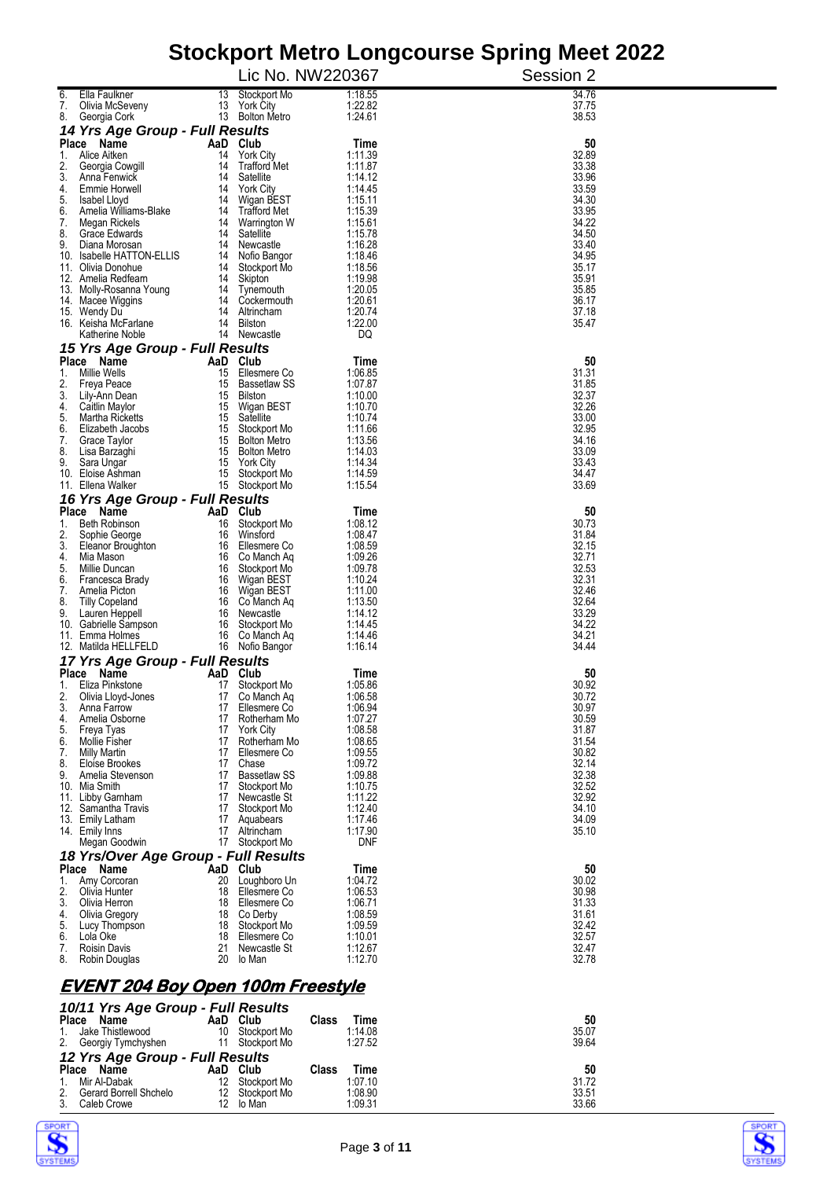|                                                               |                                    | Stockport Metro Longcourse opinig Meet Zuzz |                |
|---------------------------------------------------------------|------------------------------------|---------------------------------------------|----------------|
|                                                               | Lic No. NW220367                   |                                             | Session 2      |
| Ella Faulkner<br>13<br>7.<br>Olivia McSeveny                  | Stockport Mo<br>13 York City       | 1:18.55<br>1:22.82                          | 34.76<br>37.75 |
| 8.<br>Georgia Cork                                            | 13 Bolton Metro                    | 1:24.61                                     | 38.53          |
| 14 Yrs Age Group - Full Results                               |                                    |                                             |                |
| AaD Club<br>Place Name<br>1. Alice Aitken                     | 14 York City                       | Time<br>1:11.39                             | 50<br>32.89    |
| 2.<br>Georgia Cowgill                                         | 14 Trafford Met                    | 1:11.87                                     | 33.38          |
| 3.<br>Anna Fenwick                                            | 14 Satellite                       | 1:14.12                                     | 33.96          |
| 4.<br>Emmie Horwell<br>5.<br>Isabel Lloyd                     | 14 York City<br>14 Wigan BEST      | 1:14.45<br>1:15.11                          | 33.59<br>34.30 |
| 6.<br>Amelia Williams-Blake                                   | 14 Trafford Met                    | 1:15.39                                     | 33.95          |
| 7.<br>Megan Rickels<br>8.<br>Grace Edwards                    | 14 Warrington W<br>14 Satellite    | 1:15.61<br>1:15.78                          | 34.22<br>34.50 |
| 9.<br>Diana Morosan                                           | 14 Newcastle                       | 1:16.28                                     | 33.40          |
| 10. Isabelle HATTON-ELLIS                                     | 14 Nofio Bangor                    | 1:18.46                                     | 34.95          |
| 11. Olivia Donohue<br>12. Amelia Redfearn                     | 14 Stockport Mo<br>14 Skipton      | 1:18.56<br>1:19.98                          | 35.17<br>35.91 |
| 13. Molly-Rosanna Young                                       | 14 Tynemouth                       | 1:20.05                                     | 35.85          |
| 14. Macee Wiggins                                             | 14 Cockermouth<br>14 Altrincham    | 1:20.61<br>1:20.74                          | 36.17<br>37.18 |
| 15. Wendy Du<br>16. Keisha McFarlane                          | 14 Bilston                         | 1:22.00                                     | 35.47          |
| Katherine Noble                                               | 14 Newcastle                       | DQ                                          |                |
| 15 Yrs Age Group - Full Results                               |                                    |                                             |                |
| AaD Club<br>Place Name<br>1. Millie Wells                     | 15 Ellesmere Co                    | Time<br>1:06.85                             | 50<br>31.31    |
| 2.<br>Freya Peace                                             | 15 Bassetlaw SS                    | 1:07.87                                     | 31.85          |
| 3.<br>Lily-Ann Dean<br>4.<br>Caitlin Maylor                   | 15 Bilston<br>15 Wigan BEST        | 1:10.00<br>1:10.70                          | 32.37<br>32.26 |
| Martha Ricketts<br>5.                                         | 15 Satellite                       | 1:10.74                                     | 33.00          |
| 6.<br>Elizabeth Jacobs                                        | 15 Stockport Mo                    | 1:11.66                                     | 32.95          |
| 7.<br>Grace Taylor<br>8.<br>Lisa Barzaghi                     | 15 Bolton Metro<br>15 Bolton Metro | 1:13.56<br>1:14.03                          | 34.16<br>33.09 |
| 9.<br>Sara Ungar                                              | 15 York City                       | 1:14.34                                     | 33.43          |
| 10. Eloise Ashman<br>11. Ellena Walker                        | 15 Stockport Mo<br>15 Stockport Mo | 1:14.59<br>1:15.54                          | 34.47<br>33.69 |
| 16 Yrs Age Group - Full Results                               |                                    |                                             |                |
| AaD Club<br>Place Name                                        |                                    | Time                                        | 50             |
| 1. Beth Robinson                                              | 16 Stockport Mo                    | 1:08.12                                     | 30.73          |
| 2.<br>Sophie George<br>3.<br>Eleanor Broughton                | 16 Winsford<br>16 Ellesmere Co     | 1:08.47<br>1:08.59                          | 31.84<br>32.15 |
| 4.<br>Mia Mason                                               | 16 Co Manch Aq                     | 1:09.26                                     | 32.71          |
| 5.<br>Millie Duncan<br>6.<br>Francesca Brady                  | 16 Stockport Mo<br>16 Wigan BEST   | 1:09.78<br>1:10.24                          | 32.53<br>32.31 |
| 7.<br>Amelia Picton                                           | 16 Wigan BEST                      | 1:11.00                                     | 32.46          |
| 8.<br><b>Tilly Copeland</b>                                   | 16 Co Manch Ag                     | 1:13.50                                     | 32.64          |
| 9.<br>Lauren Heppell<br>10. Gabrielle Sampson                 | 16 Newcastle<br>16 Stockport Mo    | 1:14.12<br>1:14.45                          | 33.29<br>34.22 |
| 11. Emma Holmes                                               | 16 Co Manch Ag                     | 1:14.46                                     | 34.21          |
| 12. Matilda HELLFELD                                          | 16 Nofio Bangor                    | 1:16.14                                     | 34.44          |
| 17 Yrs Age Group - Full Results<br>Place Name<br>AaD Club     |                                    | Time                                        | 50             |
| Eliza Pinkstone<br>17<br>Ι.                                   | Stockport Mo                       | 1:05.86                                     | 30.92          |
| 2.<br>Olivia Lloyd-Jones<br>3.<br>Anna Farrow                 | 17 Co Manch Aq<br>17 Ellesmere Co  | 1:06.58<br>1:06.94                          | 30.72<br>30.97 |
| Amelia Osborne<br>17<br>4.                                    | Rotherham Mo                       | 1:07.27                                     | 30.59          |
| 5.<br>Freya Tyas                                              | 17 York City                       | 1:08.58                                     | 31.87          |
| 6.<br><b>Mollie Fisher</b><br>7.<br>17<br><b>Milly Martin</b> | 17 Rotherham Mo<br>Ellesmere Co    | 1:08.65<br>1:09.55                          | 31.54<br>30.82 |
| 8.<br>Eloise Brookes                                          | 17 Chase                           | 1:09.72                                     | 32.14          |
| 9.<br>Amelia Stevenson<br>10. Mia Smith                       | 17 Bassetlaw SS<br>17 Stockport Mo | 1:09.88<br>1:10.75                          | 32.38<br>32.52 |
| 11. Libby Garnham                                             | 17 Newcastle St                    | 1:11.22                                     | 32.92          |
| 12. Samantha Travis                                           | 17 Stockport Mo                    | 1:12.40                                     | 34.10          |
| 13. Emily Latham<br>14. Emily Inns                            | 17 Aquabears<br>17 Altrincham      | 1:17.46<br>1:17.90                          | 34.09<br>35.10 |
| Megan Goodwin                                                 | 17 Stockport Mo                    | DNF                                         |                |
| 18 Yrs/Over Age Group - Full Results                          |                                    |                                             |                |
| Place Name<br>AaD Club<br>1. Amy Corcoran                     | 20 Loughboro Un                    | Time<br>1:04.72                             | 50<br>30.02    |
| 2.<br>Olivia Hunter                                           | 18 Ellesmere Co                    | 1:06.53                                     | 30.98          |
| 3.<br>Olivia Herron<br>18<br>Olivia Gregory<br>4.             | Ellesmere Co<br>18 Co Derby        | 1:06.71<br>1:08.59                          | 31.33<br>31.61 |
| 5.<br>Lucy Thompson                                           | 18 Stockport Mo                    | 1:09.59                                     | 32.42          |
| 6.<br>Lola Oke<br>18                                          | Ellesmere Co                       | 1:10.01                                     | 32.57          |
| <b>Roisin Davis</b><br>21<br>7.<br>20<br>8.<br>Robin Douglas  | Newcastle St<br>lo Man             | 1:12.67<br>1:12.70                          | 32.47<br>32.78 |
|                                                               |                                    |                                             |                |
| <u>EVENT 204 Boy Open 100m Freestyle</u>                      |                                    |                                             |                |
| 10/11 Yrs Age Group - Full Results                            |                                    |                                             |                |

|                                 | 10/11 Yrs Age Group - Full Results |     |                 |       |         |       |  |  |
|---------------------------------|------------------------------------|-----|-----------------|-------|---------|-------|--|--|
| <b>Place</b>                    | Name                               |     | AaD Club        | Class | Time    | 50    |  |  |
|                                 | Jake Thistlewood                   | 10  | Stockport Mo    |       | 1:14.08 | 35.07 |  |  |
|                                 | Georgiy Tymchyshen                 | 11  | Stockport Mo    |       | 1:27.52 | 39.64 |  |  |
| 12 Yrs Age Group - Full Results |                                    |     |                 |       |         |       |  |  |
|                                 | Place Name                         |     | AaD Club        | Class | Time    | 50    |  |  |
|                                 | Mir Al-Dabak                       | 12. | Stockport Mo    |       | 1:07.10 | 31.72 |  |  |
|                                 | Gerard Borrell Shchelo             |     | 12 Stockport Mo |       | 1:08.90 | 33.51 |  |  |
|                                 | Caleb Crowe                        |     | 12 lo Man       |       | 1:09.31 | 33.66 |  |  |



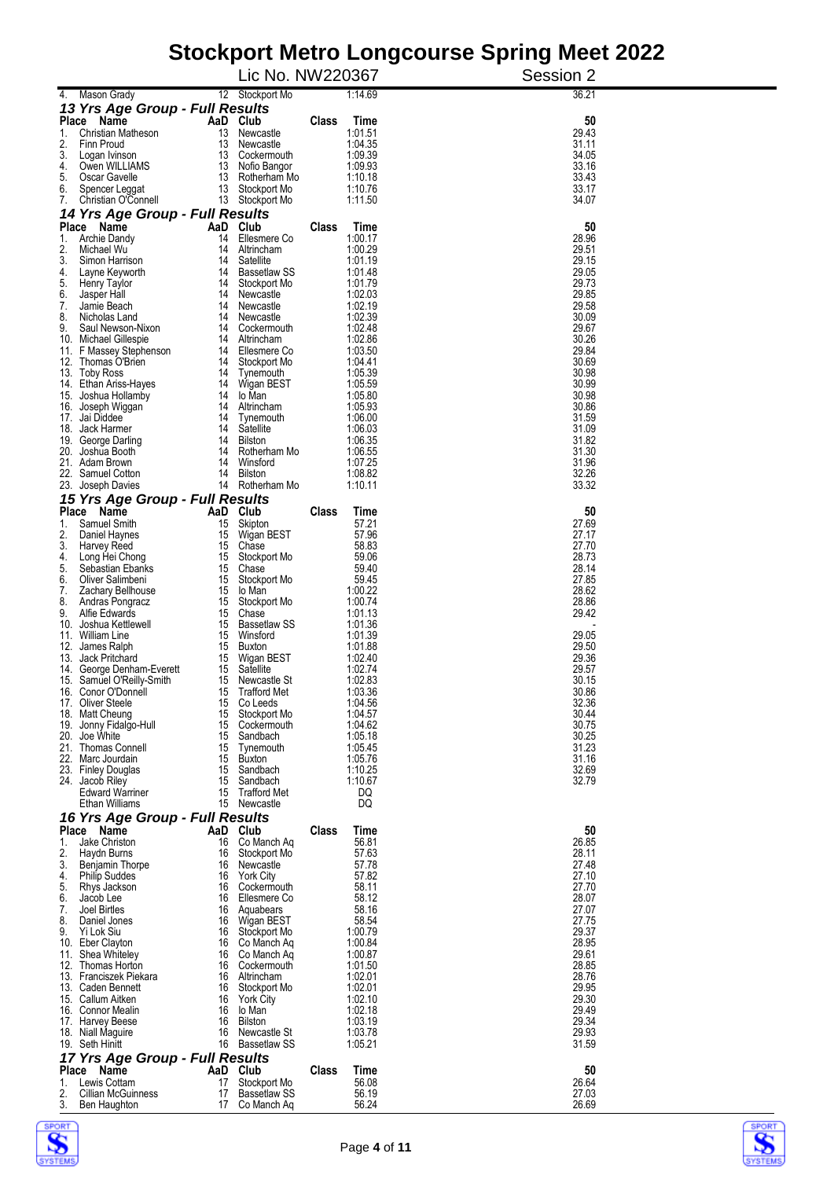|                                                  |                                          |       |                    | oloonport moti o Longoodi so opring moot zozz |
|--------------------------------------------------|------------------------------------------|-------|--------------------|-----------------------------------------------|
|                                                  | Lic No. NW220367                         |       |                    | Session 2                                     |
| 4. Mason Grady                                   | 12 Stockport Mo                          |       | 1:14.69            | 36.21                                         |
| 13 Yrs Age Group - Full Results                  |                                          |       |                    |                                               |
| Place Name<br>Christian Matheson<br>1.           | AaD Club<br>13<br>Newcastle              | Class | Time<br>1:01.51    | 50<br>29.43                                   |
| 2.<br>Finn Proud                                 | 13 Newcastle                             |       | 1:04.35            | 31.11                                         |
| 3.<br>Logan Ivinson                              | 13 Cockermouth                           |       | 1:09.39            | 34.05                                         |
| 4.<br>Owen WILLIAMS<br>5.<br>Oscar Gavelle       | 13<br>Nofio Bangor<br>13 Rotherham Mo    |       | 1:09.93<br>1:10.18 | 33.16<br>33.43                                |
| 6.<br>Spencer Leggat                             | 13 Stockport Mo                          |       | 1:10.76            | 33.17                                         |
| 7.<br>Christian O'Connell                        | 13 Stockport Mo                          |       | 1:11.50            | 34.07                                         |
| 14 Yrs Age Group - Full Results                  |                                          |       |                    |                                               |
| Place Name                                       | AaD Club                                 | Class | Time               | 50                                            |
| 1.<br>Archie Dandy<br>2.<br>Michael Wu           | Ellesmere Co<br>14<br>14<br>Altrincham   |       | 1:00.17<br>1:00.29 | 28.96<br>29.51                                |
| 3.<br>Simon Harrison                             | 14<br>Satellite                          |       | 1:01.19            | 29.15                                         |
| 4.<br>Layne Keyworth                             | <b>Bassetlaw SS</b><br>14                |       | 1:01.48            | 29.05                                         |
| 5.<br><b>Henry Taylor</b>                        | 14<br>Stockport Mo                       |       | 1:01.79            | 29.73                                         |
| 6.<br>Jasper Hall<br>7.<br>Jamie Beach           | 14<br>Newcastle<br>14<br>Newcastle       |       | 1:02.03<br>1:02.19 | 29.85<br>29.58                                |
| 8.<br>Nicholas Land                              | 14<br>Newcastle                          |       | 1:02.39            | 30.09                                         |
| 9.<br>Saul Newson-Nixon                          | Cockermouth<br>14                        |       | 1:02.48            | 29.67                                         |
| 10. Michael Gillespie                            | 14<br>Altrincham                         |       | 1:02.86            | 30.26                                         |
| F Massey Stephenson<br>11.<br>12. Thomas O'Brien | Ellesmere Co<br>14<br>Stockport Mo<br>14 |       | 1:03.50<br>1:04.41 | 29.84<br>30.69                                |
| 13. Toby Ross                                    | 14 Tynemouth                             |       | 1:05.39            | 30.98                                         |
| 14. Ethan Ariss-Hayes                            | Wigan BEST<br>14                         |       | 1:05.59            | 30.99                                         |
| Joshua Hollamby<br>15.                           | lo Man<br>14                             |       | 1:05.80            | 30.98                                         |
| 16. Joseph Wiggan<br>17. Jai Diddee              | 14<br>Altrincham<br>14<br>Tynemouth      |       | 1:05.93<br>1:06.00 | 30.86<br>31.59                                |
| 18. Jack Harmer                                  | Satellite<br>14                          |       | 1:06.03            | 31.09                                         |
| 19. George Darling                               | 14<br>Bilston                            |       | 1:06.35            | 31.82                                         |
| Joshua Booth<br>20.                              | 14<br>Rotherham Mo                       |       | 1:06.55            | 31.30                                         |
| 21. Adam Brown<br>22.<br>Samuel Cotton           | 14<br>Winsford<br>14<br>Bilston          |       | 1:07.25<br>1:08.82 | 31.96<br>32.26                                |
| 23. Joseph Davies                                | 14 Rotherham Mo                          |       | 1:10.11            | 33.32                                         |
| 15 Yrs Age Group - Full Results                  |                                          |       |                    |                                               |
| Place<br>Name                                    | AaD Club                                 | Class | Time               | 50                                            |
| 1.<br>Samuel Smith                               | 15<br>Skipton                            |       | 57.21              | 27.69                                         |
| 2.<br>Daniel Haynes<br>3.<br>Harvey Reed         | Wigan BEST<br>15<br>15<br>Chase          |       | 57.96<br>58.83     | 27.17<br>27.70                                |
| 4.<br>Long Hei Chong                             | 15<br>Stockport Mo                       |       | 59.06              | 28.73                                         |
| 5.<br>Sebastian Ebanks                           | 15<br>Chase                              |       | 59.40              | 28.14                                         |
| 6.<br>Oliver Salimbeni                           | 15<br>Stockport Mo                       |       | 59.45              | 27.85                                         |
| 7.<br>Zachary Bellhouse<br>8.<br>Andras Pongracz | 15<br>lo Man<br>15<br>Stockport Mo       |       | 1:00.22<br>1:00.74 | 28.62<br>28.86                                |
| 9.<br>Alfie Edwards                              | 15<br>Chase                              |       | 1:01.13            | 29.42                                         |
| Joshua Kettlewell<br>10.                         | 15<br>Bassetlaw SS                       |       | 1:01.36            |                                               |
| 11. William Line                                 | 15<br>Winsford                           |       | 1:01.39            | 29.05                                         |
| James Ralph<br>12.<br>13. Jack Pritchard         | 15<br>Buxton<br>15<br>Wigan BEST         |       | 1:01.88<br>1:02.40 | 29.50<br>29.36                                |
| 14. George Denham-Everett                        | 15<br>Satellite                          |       | 1:02.74            | 29.57                                         |
| 15. Samuel O'Reilly-Smith                        | 15<br>Newcastle St                       |       | 1:02.83            | 30.15                                         |
| 16. Conor O'Donnell                              | <b>Trafford Met</b><br>15                |       | 1:03.36            | 30.86                                         |
| 17. Oliver Steele<br>18. Matt Cheung             | 15<br>Co Leeds<br>15<br>Stockport Mo     |       | 1:04.56<br>1:04.57 | 32.36<br>30.44                                |
| 19.<br>Jonny Fidalgo-Hull                        | 15<br>Cockermouth                        |       | 1:04.62            | 30.75                                         |
| 20.<br>Joe White                                 | 15<br>Sandbach                           |       | 1:05.18            | 30.25                                         |
| 21. Thomas Connell                               | 15<br>Tynemouth                          |       | 1:05.45            | 31.23                                         |
| 22. Marc Jourdain<br>23. Finley Douglas          | 15<br>Buxton<br>15<br>Sandbach           |       | 1:05.76<br>1:10.25 | 31.16<br>32.69                                |
| 24. Jacob Riley                                  | Sandbach<br>15                           |       | 1:10.67            | 32.79                                         |
| <b>Edward Warriner</b>                           | 15<br><b>Trafford Met</b>                |       | DQ                 |                                               |
| Ethan Williams                                   | 15<br>Newcastle                          |       | DQ                 |                                               |
| 16 Yrs Age Group - Full Results                  |                                          |       |                    |                                               |
| Place<br>Name<br>Jake Christon<br>1.             | AaD Club<br>16<br>Co Manch Ag            | Class | Time<br>56.81      | 50<br>26.85                                   |
| 2.<br>Haydn Burns                                | 16<br>Stockport Mo                       |       | 57.63              | 28.11                                         |
| 3.<br>Benjamin Thorpe                            | 16<br>Newcastle                          |       | 57.78              | 27.48                                         |
| 4.<br><b>Philip Suddes</b>                       | 16<br><b>York City</b>                   |       | 57.82              | 27.10                                         |
| 5.<br>Rhys Jackson<br>6.<br>Jacob Lee            | Cockermouth<br>16<br>Ellesmere Co<br>16  |       | 58.11<br>58.12     | 27.70<br>28.07                                |
| 7.<br>Joel Birtles                               | 16<br>Aquabears                          |       | 58.16              | 27.07                                         |
| 8.<br>Daniel Jones                               | Wigan BEST<br>16                         |       | 58.54              | 27.75                                         |
| 9.<br>Yi Lok Siu                                 | Stockport Mo<br>16                       |       | 1:00.79            | 29.37                                         |
| 10. Eber Clayton<br>Shea Whiteley<br>11.         | 16<br>Co Manch Aq<br>Co Manch Aq<br>16   |       | 1:00.84<br>1:00.87 | 28.95<br>29.61                                |
| 12. Thomas Horton                                | Cockermouth<br>16                        |       | 1:01.50            | 28.85                                         |
| 13. Franciszek Piekara                           | 16<br>Altrincham                         |       | 1:02.01            | 28.76                                         |
| 13. Caden Bennett                                | Stockport Mo<br>16                       |       | 1:02.01            | 29.95                                         |
| 15. Callum Aitken<br>16. Connor Mealin           | <b>York City</b><br>16<br>16<br>lo Man   |       | 1:02.10<br>1:02.18 | 29.30<br>29.49                                |
| 17. Harvey Beese                                 | 16<br><b>Bilston</b>                     |       | 1:03.19            | 29.34                                         |
| 18. Niall Maguire                                | 16<br>Newcastle St                       |       | 1:03.78            | 29.93                                         |
| 19. Seth Hinitt                                  | 16<br><b>Bassetlaw SS</b>                |       | 1:05.21            | 31.59                                         |
| 17 Yrs Age Group - Full Results                  |                                          |       |                    |                                               |
| Place<br>Name<br>AaD<br>Lewis Cottam<br>1.<br>17 | Club<br>Stockport Mo                     | Class | Time<br>56.08      | 50<br>26.64                                   |
| 2.<br>Cillian McGuinness                         | 17<br><b>Bassetlaw SS</b>                |       | 56.19              | 27.03                                         |
| 3.<br>Ben Haughton                               | 17<br>Co Manch Aq                        |       | 56.24              | 26.69                                         |



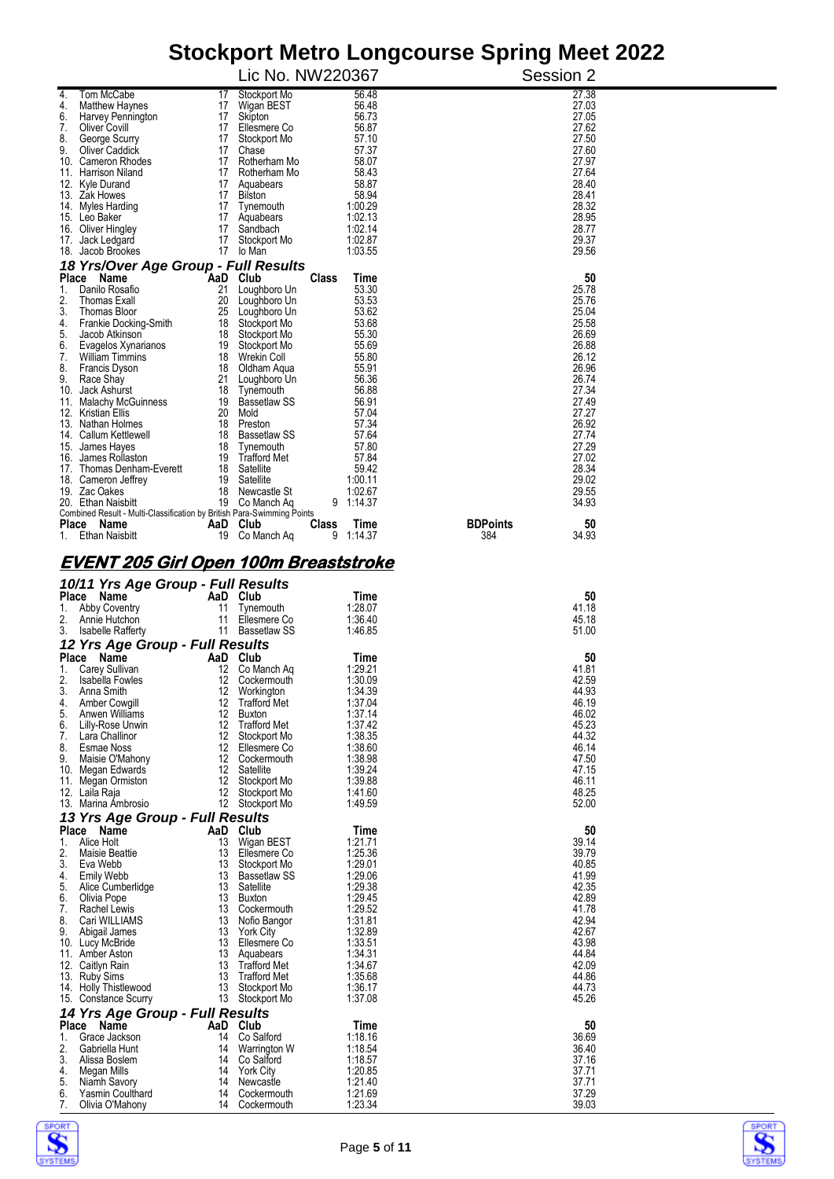|                                                                                      |                                              |                    | Olochport metro Longcourse opinig meet zuzz |
|--------------------------------------------------------------------------------------|----------------------------------------------|--------------------|---------------------------------------------|
|                                                                                      | Lic No. NW220367                             |                    | Session 2                                   |
| Tom McCabe<br>4.<br><b>Matthew Haynes</b><br>4.                                      | 17<br>Stockport Mo<br>17 Wigan BEST          | 56.48<br>56.48     | 27.38<br>27.03                              |
| 6.<br>Harvey Pennington                                                              | 17 Skipton                                   | 56.73              | 27.05                                       |
| 7.<br>Oliver Covill                                                                  | 17 Ellesmere Co                              | 56.87              | 27.62                                       |
| 8.<br>George Scurry<br>9.<br><b>Oliver Caddick</b>                                   | 17 Stockport Mo<br>17 Chase                  | 57.10<br>57.37     | 27.50<br>27.60                              |
| 10. Cameron Rhodes                                                                   | 17 Rotherham Mo                              | 58.07              | 27.97                                       |
| 11. Harrison Niland                                                                  | 17 Rotherham Mo                              | 58.43<br>58.87     | 27.64<br>28.40                              |
| 12. Kyle Durand<br>13. Zak Howes                                                     | 17 Aquabears<br>17 Bilston                   | 58.94              | 28.41                                       |
| 14. Myles Harding                                                                    | 17 Tynemouth                                 | 1:00.29            | 28.32                                       |
| 15. Leo Baker<br>16. Oliver Hingley                                                  | 17 Aquabears<br>17<br>Sandbach               | 1:02.13<br>1:02.14 | 28.95<br>28.77                              |
| 17. Jack Ledgard                                                                     | 17<br>Stockport Mo                           | 1:02.87            | 29.37                                       |
| 18. Jacob Brookes                                                                    | 17 lo Man                                    | 1:03.55            | 29.56                                       |
| 18 Yrs/Over Age Group - Full Results                                                 | AaD Club<br>Class                            |                    | 50                                          |
| Place Name<br>Danilo Rosafio<br>1.                                                   | 21 Loughboro Un                              | Time<br>53.30      | 25.78                                       |
| 2.<br>Thomas Exall                                                                   | 20<br>Loughboro Un                           | 53.53              | 25.76                                       |
| 3.<br>Thomas Bloor<br>Frankie Docking-Smith<br>4.                                    | 25 Loughboro Un<br>18 Stockport Mo           | 53.62<br>53.68     | 25.04<br>25.58                              |
| 5.<br>Jacob Atkinson                                                                 | 18 Stockport Mo                              | 55.30              | 26.69                                       |
| 6.<br>Evagelos Xynarianos                                                            | 19 Stockport Mo                              | 55.69              | 26.88                                       |
| 7.<br><b>William Timmins</b><br>8.<br>Francis Dyson                                  | 18 Wrekin Coll<br>18 Oldham Agua             | 55.80<br>55.91     | 26.12<br>26.96                              |
| 9.<br>Race Shay                                                                      | 21 Loughboro Un                              | 56.36              | 26.74                                       |
| 10. Jack Ashurst                                                                     | 18 Tynemouth<br>19 Bassetlaw SS              | 56.88<br>56.91     | 27.34<br>27.49                              |
| 11. Malachy McGuinness<br>12. Kristian Ellis                                         | 20 Mold                                      | 57.04              | 27.27                                       |
| 13. Nathan Holmes                                                                    | 18 Preston                                   | 57.34              | 26.92                                       |
| 14. Callum Kettlewell<br>15. James Hayes                                             | 18 Bassetlaw SS<br>18 Tynemouth              | 57.64<br>57.80     | 27.74<br>27.29                              |
| 16. James Rollaston                                                                  | 19 Trafford Met                              | 57.84              | 27.02                                       |
| 17. Thomas Denham-Everett                                                            | 18 Satellite                                 | 59.42              | 28.34                                       |
| 18. Cameron Jettrey<br>19. Zac Oakes                                                 | 19 Satellite<br>18 Newcastle St              | 1:00.11<br>1:02.67 | 29.02<br>29.55                              |
| 20. Ethan Naisbitt                                                                   | 19 Co Manch Aq                               | 9 1:14.37          | 34.93                                       |
| Combined Result - Multi-Classification by British Para-Swimming Points<br>Place Name | AaD Club<br><b>Class</b>                     | Time               | <b>BDPoints</b><br>50                       |
| 1. Ethan Naisbitt                                                                    | 19 Co Manch Ag                               | 9 1:14.37          | 384<br>34.93                                |
|                                                                                      |                                              |                    |                                             |
| <u>EVENT 205 Girl Open 100m Breaststroke</u>                                         |                                              |                    |                                             |
| 10/11 Yrs Age Group - Full Results                                                   |                                              |                    |                                             |
| Place Name                                                                           | AaD Club                                     | Time               | 50                                          |
| 1.<br>Abby Coventry<br>2.<br>Annie Hutchon<br>11                                     | 11 Tynemouth<br>Ellesmere Co                 | 1:28.07<br>1:36.40 | 41.18<br>45.18                              |
| 3. Isabelle Rafferty                                                                 | 11 Bassetlaw SS                              | 1:46.85            | 51.00                                       |
| 12 Yrs Age Group - Full Results                                                      |                                              |                    |                                             |
| Place Name<br>1.<br>Carey Sullivan                                                   | AaD Club<br>12 Co Manch Ag                   | Time<br>1:29.21    | 50<br>41.81                                 |
| 2.<br>Isabella Fowles                                                                | 12<br>Cockermouth                            | 1:30.09            | 42.59                                       |
| 3.<br>Anna Smith                                                                     | 12<br>Workington                             | 1:34.39<br>1:37.04 | 44.93                                       |
| 4.<br>Amber Cowgill<br>5.<br>Anwen Williams                                          | 12<br><b>Trafford Met</b><br>12<br>Buxton    | 1:37.14            | 46.19<br>46.02                              |
| 6.<br>Lilly-Rose Unwin                                                               | 12<br><b>Trafford Met</b>                    | 1:37.42            | 45.23                                       |
| 7.<br>Lara Challinor<br>8.<br>Esmae Noss                                             | 12<br>Stockport Mo<br>12<br>Ellesmere Co     | 1:38.35<br>1:38.60 | 44.32<br>46.14                              |
| 9.<br>Maisie O'Mahony                                                                | 12<br>Cockermouth                            | 1:38.98            | 47.50                                       |
| 10. Megan Edwards                                                                    | Satellite<br>12                              | 1:39.24            | 47.15                                       |
| 11. Megan Ormiston<br>12. Laila Raja                                                 | 12<br>Stockport Mo<br>12<br>Stockport Mo     | 1:39.88<br>1:41.60 | 46.11<br>48.25                              |
| 13. Marina Ambrosio                                                                  | 12<br>Stockport Mo                           | 1:49.59            | 52.00                                       |
| 13 Yrs Age Group - Full Results                                                      |                                              |                    |                                             |
| Place Name<br>Alice Holt<br>1.                                                       | AaD Club<br>13<br>Wigan BEST                 | Time<br>1:21.71    | 50<br>39.14                                 |
| 2.<br><b>Maisie Beattie</b>                                                          | 13<br>Ellesmere Co                           | 1:25.36            | 39.79                                       |
| 3.<br>Eva Webb                                                                       | 13<br>Stockport Mo                           | 1:29.01            | 40.85                                       |
| 4.<br><b>Emily Webb</b><br>5.<br>Alice Cumberlidge                                   | 13<br><b>Bassetlaw SS</b><br>13<br>Satellite | 1:29.06<br>1:29.38 | 41.99<br>42.35                              |
| 6.<br>Olivia Pope                                                                    | 13<br>Buxton                                 | 1:29.45            | 42.89                                       |
| 7.<br>Rachel Lewis<br>8.<br>Cari WILLIAMS                                            | 13<br>Cockermouth<br>13<br>Nofio Bangor      | 1:29.52<br>1:31.81 | 41.78<br>42.94                              |
| 9.<br>Abigail James                                                                  | 13<br><b>York City</b>                       | 1:32.89            | 42.67                                       |
| 10. Lucy McBride                                                                     | 13<br>Ellesmere Co                           | 1:33.51            | 43.98                                       |
| 11. Amber Aston<br>12. Caitlyn Rain                                                  | 13<br>Aquabears<br><b>Trafford Met</b><br>13 | 1:34.31<br>1:34.67 | 44.84<br>42.09                              |
| 13. Ruby Sims                                                                        | 13<br><b>Trafford Met</b>                    | 1:35.68            | 44.86                                       |
| 14. Holly Thistlewood                                                                | 13<br>Stockport Mo                           | 1:36.17<br>1:37.08 | 44.73<br>45.26                              |
| 15. Constance Scurry<br>14 Yrs Age Group - Full Results                              | 13<br>Stockport Mo                           |                    |                                             |
| Place Name<br>AaD                                                                    | Club                                         | Time               | 50                                          |
| 1.<br>Grace Jackson                                                                  | 14<br>Co Salford                             | 1:18.16            | 36.69                                       |
| 2.<br>Gabriella Hunt<br>3.<br>Alissa Boslem                                          | 14<br>Warrington W<br>14<br>Co Salford       | 1:18.54<br>1:18.57 | 36.40<br>37.16                              |
| 4.<br>Megan Mills                                                                    | 14<br><b>York City</b>                       | 1:20.85            | 37.71                                       |
| 5.<br>Niamh Savory<br><b>Yasmin Coulthard</b>                                        | 14<br>Newcastle<br>14                        | 1:21.40            | 37.71<br>37.29                              |
| 6.<br>Olivia O'Mahony<br>7.                                                          | Cockermouth<br>14<br>Cockermouth             | 1:21.69<br>1:23.34 | 39.03                                       |



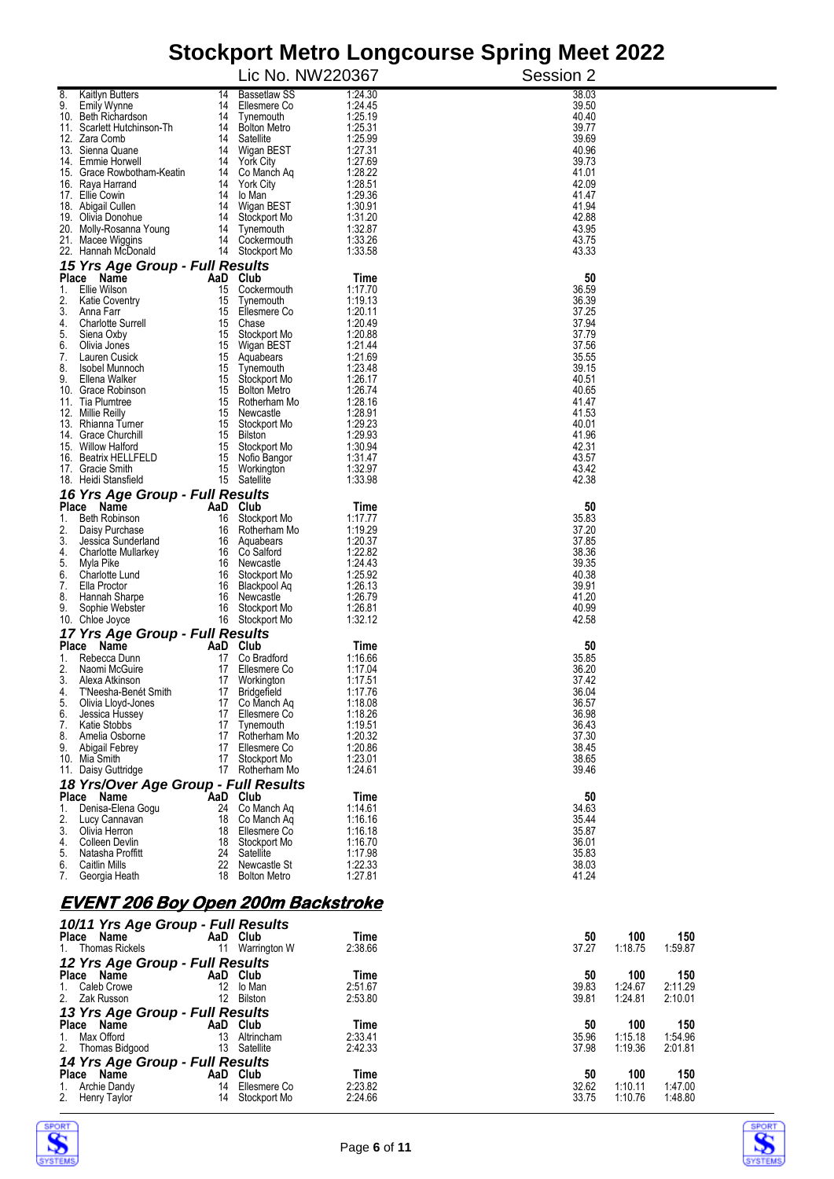|                                                              |                | Lic No. NW220367                    | comport mon o Longoodisc opinig |           |                                                            |
|--------------------------------------------------------------|----------------|-------------------------------------|---------------------------------|-----------|------------------------------------------------------------|
|                                                              |                |                                     |                                 | Session 2 |                                                            |
| 8.<br><b>Kaitlyn Butters</b><br>9.<br><b>Emily Wynne</b>     | 14<br>14       | <b>Bassetlaw SS</b><br>Ellesmere Co | 1:24.30<br>1:24.45              |           | 38.03<br>39.50                                             |
| 10. Beth Richardson                                          | 14             | Tynemouth                           | 1:25.19                         |           | 40.40                                                      |
| 11. Scarlett Hutchinson-Th<br>12. Zara Comb                  | 14<br>14       | <b>Bolton Metro</b><br>Satellite    | 1:25.31<br>1:25.99              |           | 39.77<br>39.69                                             |
| 13. Sienna Quane                                             | 14             | Wigan BEST                          | 1:27.31                         |           | 40.96                                                      |
| 14. Emmie Horwell                                            | 14             | <b>York City</b>                    | 1:27.69                         |           | 39.73                                                      |
| 15. Grace Rowbotham-Keatin<br>16. Raya Harrand               | 14<br>14       | Co Manch Aq<br><b>York City</b>     | 1:28.22<br>1:28.51              |           | 41.01<br>42.09                                             |
| 17. Ellie Cowin                                              | 14             | lo Man                              | 1:29.36                         |           | 41.47                                                      |
| 18. Abigail Cullen<br>19. Olivia Donohue                     | 14<br>14       | Wigan BEST<br>Stockport Mo          | 1:30.91<br>1:31.20              |           | 41.94<br>42.88                                             |
| 20. Molly-Rosanna Young                                      | 14             | Tynemouth                           | 1:32.87                         |           | 43.95                                                      |
| 21. Macee Wiggins                                            | 14             | Cockermouth                         | 1:33.26                         |           | 43.75                                                      |
| 22. Hannah McDonald<br>15 Yrs Age Group - Full Results       | 14             | Stockport Mo                        | 1:33.58                         |           | 43.33                                                      |
| Place Name                                                   | AaD Club       |                                     | Time                            |           | 50                                                         |
| Ellie Wilson<br>1.                                           | 15             | Cockermouth                         | 1:17.70                         |           | 36.59                                                      |
| 2.<br><b>Katie Coventry</b><br>3.<br>Anna Farr               | 15<br>15       | Tynemouth<br>Ellesmere Co           | 1:19.13<br>1:20.11              |           | 36.39<br>37.25                                             |
| <b>Charlotte Surrell</b><br>4.                               | 15             | Chase                               | 1:20.49                         |           | 37.94                                                      |
| 5.<br>Siena Oxby<br>6.<br>Olivia Jones                       | 15<br>15       | Stockport Mo<br>Wigan BEST          | 1:20.88<br>1:21.44              |           | 37.79<br>37.56                                             |
| 7.<br>Lauren Cusick                                          |                | 15 Aquabears                        | 1:21.69                         |           | 35.55                                                      |
| 8.<br>Isobel Munnoch                                         | 15             | Tynemouth                           | 1:23.48                         |           | 39.15                                                      |
| 9.<br>Ellena Walker<br>10. Grace Robinson                    | 15<br>15       | Stockport Mo<br><b>Bolton Metro</b> | 1:26.17<br>1:26.74              |           | 40.51<br>40.65                                             |
| 11. Tia Plumtree                                             | 15             | Rotherham Mo                        | 1:28.16                         |           | 41.47                                                      |
| 12. Millie Reilly<br>13. Rhianna Turner                      | 15<br>15       | Newcastle<br>Stockport Mo           | 1:28.91<br>1:29.23              |           | 41.53<br>40.01                                             |
| 14. Grace Churchill                                          | 15             | Bilston                             | 1:29.93                         |           | 41.96                                                      |
| 15. Willow Halford                                           | 15             | Stockport Mo                        | 1:30.94                         |           | 42.31                                                      |
| 16. Beatrix HELLFELD<br>17. Gracie Smith                     | 15<br>15       | Nofio Bangor<br>Workington          | 1:31.47<br>1:32.97              |           | 43.57<br>43.42                                             |
| 18. Heidi Stansfield                                         | 15             | Satellite                           | 1:33.98                         |           | 42.38                                                      |
| 16 Yrs Age Group - Full Results                              |                |                                     |                                 |           | 50                                                         |
| Place Name<br>Beth Robinson<br>1.                            | AaD<br>16      | Club<br>Stockport Mo                | Time<br>1:17.77                 |           | 35.83                                                      |
| 2.<br>Daisy Purchase                                         | 16             | Rotherham Mo                        | 1:19.29                         |           | 37.20                                                      |
| 3.<br>Jessica Sunderland<br>4.<br><b>Charlotte Mullarkey</b> | 16<br>16       | Aquabears<br>Co Salford             | 1:20.37<br>1:22.82              |           | 37.85<br>38.36                                             |
| 5.<br>Myla Pike                                              | 16             | Newcastle                           | 1:24.43                         |           | 39.35                                                      |
| 6.<br>Charlotte Lund<br>7.<br>Ella Proctor                   | 16             | Stockport Mo                        | 1:25.92<br>1:26.13              |           | 40.38<br>39.91                                             |
| Hannah Sharpe<br>8.                                          | 16<br>16       | Blackpool Aq<br>Newcastle           | 1:26.79                         |           | 41.20                                                      |
| 9.<br>Sophie Webster                                         | 16             | Stockport Mo                        | 1:26.81                         |           | 40.99                                                      |
| 10. Chloe Joyce<br>17 Yrs Age Group - Full Results           | 16             | Stockport Mo                        | 1:32.12                         |           | 42.58                                                      |
| Place Name                                                   | AaD Club       |                                     | Time                            |           | 50                                                         |
| 1.<br>Rebecca Dunn                                           | 17             | Co Bradford                         | 1:16.66                         |           | 35.85                                                      |
| 2.<br>Naomi McGuire<br>3.<br>Alexa Atkinson                  | 17<br>17       | Ellesmere Co<br>Workington          | 1:17.04<br>1:17.51              |           | 36.20<br>37.42                                             |
| T'Neesha-Benét Smith<br>4.                                   | 17             | Bridgefield                         | 1:17.76                         |           | 36.04                                                      |
| 5.<br>Olivia Lloyd-Jones<br>6.<br>Jessica Hussey             | 17<br>17       | Co Manch Aq<br>Ellesmere Co         | 1:18.08<br>1:18.26              |           | 36.57<br>36.98                                             |
| 7.<br>Katie Stobbs                                           | 17             | Tynemouth                           | 1:19.51                         |           | 36.43                                                      |
| 8.<br>Amelia Osborne                                         | 17             | Rotherham Mo                        | 1:20.32                         |           | 37.30                                                      |
| 9.<br>Abigail Febrey<br>10. Mia Smith                        | 17<br>17       | Ellesmere Co<br>Stockport Mo        | 1:20.86<br>1:23.01              |           | 38.45<br>38.65                                             |
| 11. Daisy Guttridge                                          | 17             | Rotherham Mo                        | 1:24.61                         |           | 39.46                                                      |
| 18 Yrs/Over Age Group - Full Results                         |                |                                     |                                 |           |                                                            |
| Place<br>Name<br>1.<br>Denisa-Elena Gogu                     | AaD Club<br>24 | Co Manch Aq                         | Time<br>1:14.61                 |           | 50<br>34.63                                                |
| 2.<br>Lucy Cannavan                                          | 18             | Co Manch Aq                         | 1:16.16                         |           | 35.44                                                      |
| 3.<br>Olivia Herron<br>4.<br>Colleen Devlin                  | 18             | Ellesmere Co                        | 1:16.18                         |           | 35.87                                                      |
| 5.<br>Natasha Proffitt                                       | 18<br>24       | Stockport Mo<br>Satellite           | 1:16.70<br>1:17.98              |           | 36.01<br>35.83                                             |
| 6.<br><b>Caitlin Mills</b>                                   | 22             | Newcastle St                        | 1:22.33                         |           | 38.03                                                      |
| 7.<br>Georgia Heath                                          | 18             | <b>Bolton Metro</b>                 | 1:27.81                         |           | 41.24                                                      |
| <u>EVENT 206 Boy Open 200m Backstroke</u>                    |                |                                     |                                 |           |                                                            |
|                                                              |                |                                     |                                 |           |                                                            |
| 10/11 Yrs Age Group - Full Results<br>Place Name             | AaD Club       |                                     | Time                            |           | 50<br>150<br>100                                           |
| <b>Thomas Rickels</b><br>1.                                  |                | 11 Warrington W                     | 2:38.66                         |           | 37.27<br>1:18.75<br>1:59.87                                |
| 12 Yrs Age Group - Full Results                              |                |                                     |                                 |           |                                                            |
| Place Name<br>1.                                             | 12             | AaD Club                            | Time                            |           | 50<br>100<br>150                                           |
| Caleb Crowe<br>2.<br>Zak Russon                              |                | lo Man<br>12 Bilston                | 2:51.67<br>2:53.80              |           | 39.83<br>1:24.67<br>2:11.29<br>39.81<br>1:24.81<br>2:10.01 |
| 13 Yrs Age Group - Full Results                              |                |                                     |                                 |           |                                                            |
| Place Name                                                   | AaD Club       |                                     | Time                            |           | 150<br>50<br>100                                           |
| 1.<br>Max Offord<br>2.<br>Thomas Bidgood                     | 13             | Altrincham<br>13 Satellite          | 2:33.41<br>2:42.33              |           | 35.96<br>1:15.18<br>1:54.96<br>37.98<br>1:19.36<br>2:01.81 |
| 14 Yrs Age Group - Full Results                              |                |                                     |                                 |           |                                                            |
| Place Name                                                   | AaD Club       |                                     | Time                            |           | 50<br>150<br>100                                           |
| <b>Archie Dandy</b><br>1.<br>2.<br>Henry Taylor              | 14<br>14       | Ellesmere Co<br>Stockport Mo        | 2:23.82<br>2:24.66              |           | 32.62<br>1:10.11<br>1:47.00<br>33.75<br>1:48.80<br>1:10.76 |
|                                                              |                |                                     |                                 |           |                                                            |



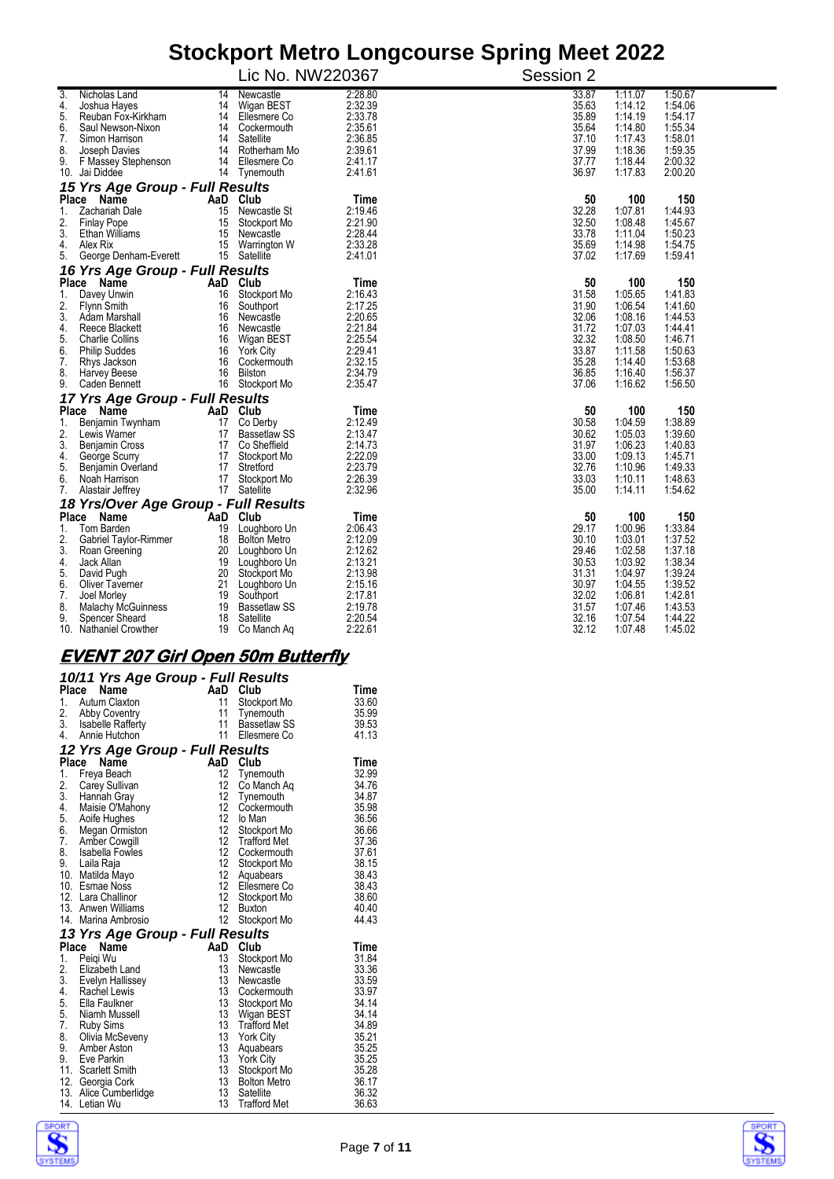|              |                                             |          | Lic No. NW220367                 |                    | Session 2      |                    |                    |
|--------------|---------------------------------------------|----------|----------------------------------|--------------------|----------------|--------------------|--------------------|
| 3.           | Nicholas Land                               | 14       | Newcastle                        | 2:28.80            | 33.87          | 1:11.07            | 1:50.67            |
| 4.           | Joshua Hayes                                | 14       | Wigan BEST                       | 2:32.39            | 35.63          | 1:14.12            | 1:54.06            |
| 5.           | Reuban Fox-Kirkham                          | 14       | Ellesmere Co                     | 2:33.78            | 35.89          | 1:14.19            | 1:54.17            |
| 6.           | Saul Newson-Nixon                           |          | 14 Cockermouth                   | 2:35.61            | 35.64          | 1:14.80            | 1:55.34            |
| 7.           | Simon Harrison                              | 14       | Satellite                        | 2:36.85            | 37.10          | 1:17.43            | 1:58.01            |
| 8.           | Joseph Davies                               | 14       | Rotherham Mo                     | 2:39.61            | 37.99          | 1:18.36            | 1:59.35            |
| 9.           | F Massey Stephenson                         | 14       | Ellesmere Co                     | 2:41.17            | 37.77          | 1:18.44            | 2:00.32            |
|              | 10. Jai Diddee                              |          | 14 Tynemouth                     | 2:41.61            | 36.97          | 1:17.83            | 2:00.20            |
|              | 15 Yrs Age Group - Full Results             |          |                                  |                    |                |                    |                    |
| <b>Place</b> | Name                                        |          | AaD Club                         | Time               | 50             | 100                | 150                |
| 1.           | Zachariah Dale                              | 15       | Newcastle St                     | 2:19.46            | 32.28          | 1:07.81            | 1:44.93            |
| 2.           | <b>Finlay Pope</b>                          | 15       | Stockport Mo                     | 2:21.90            | 32.50          | 1:08.48            | 1:45.67            |
| 3.           | <b>Ethan Williams</b>                       | 15       | Newcastle                        | 2:28.44            | 33.78          | 1:11.04            | 1:50.23            |
| 4.           | Alex Rix                                    |          | 15 Warrington W                  | 2:33.28            | 35.69          | 1:14.98            | 1:54.75            |
| 5.           | George Denham-Everett                       |          | 15 Satellite                     | 2:41.01            | 37.02          | 1:17.69            | 1:59.41            |
|              | 16 Yrs Age Group - Full Results             |          |                                  |                    |                |                    |                    |
| <b>Place</b> | Name                                        | AaD      | Club                             | Time               | 50             | 100                | 150                |
| 1.           | Davey Unwin                                 | 16       | Stockport Mo                     | 2:16.43            | 31.58          | 1:05.65            | 1:41.83            |
| 2.           | Flynn Smith                                 | 16       | Southport                        | 2:17.25            | 31.90          | 1:06.54            | 1:41.60            |
| 3.           | Adam Marshall                               | 16       | Newcastle                        | 2:20.65            | 32.06          | 1:08.16            | 1:44.53            |
| 4.           | Reece Blackett                              | 16       | Newcastle                        | 2:21.84            | 31.72          | 1:07.03            | 1:44.41            |
| 5.           | <b>Charlie Collins</b>                      | 16       | Wigan BEST                       | 2:25.54            | 32.32          | 1:08.50            | 1:46.71            |
| 6.           | <b>Philip Suddes</b>                        | 16       | <b>York City</b>                 | 2:29.41            | 33.87          | 1:11.58            | 1:50.63            |
| 7.           | Rhys Jackson                                | 16       | Cockermouth                      | 2:32.15            | 35.28          | 1:14.40            | 1:53.68            |
| 8.           | <b>Harvey Beese</b>                         | 16       | Bilston                          | 2:34.79            | 36.85          | 1:16.40            | 1:56.37            |
| 9.           | Caden Bennett                               |          | 16 Stockport Mo                  | 2:35.47            | 37.06          | 1:16.62            | 1:56.50            |
|              | 17 Yrs Age Group - Full Results             |          |                                  |                    |                |                    |                    |
|              | Place Name                                  | AaD Club |                                  | Time               | 50             | 100                | 150                |
| 1.           | Benjamin Twynham                            | 17       | Co Derby                         | 2:12.49            | 30.58          | 1:04.59            | 1:38.89            |
| 2.           | Lewis Warner                                | 17       | <b>Bassetlaw SS</b>              | 2:13.47            | 30.62          | 1:05.03            | 1:39.60            |
| 3.           | <b>Benjamin Cross</b>                       | 17       | Co Sheffield                     | 2:14.73            | 31.97          | 1:06.23            | 1:40.83            |
| 4.           | George Scurry                               |          | 17 Stockport Mo                  | 2:22.09            | 33.00          | 1:09.13            | 1:45.71            |
| 5.           | Benjamin Overland                           | 17       | Stretford                        | 2:23.79            | 32.76          | 1:10.96            | 1:49.33            |
| 6.           | Noah Harrison                               | 17       | Stockport Mo                     | 2:26.39            | 33.03          | 1:10.11            | 1:48.63            |
| 7.           | Alastair Jeffrey                            |          | 17 Satellite                     | 2:32.96            | 35.00          | 1:14.11            | 1:54.62            |
|              | 18 Yrs/Over Age Group - Full Results        |          | Club                             |                    | 50             | 100                | 150                |
| Place        | Name                                        | AaD      |                                  | Time               | 29.17          | 1:00.96            | 1:33.84            |
| 1.           | Tom Barden                                  | 19       | Loughboro Un                     | 2:06.43            |                |                    |                    |
| 2.           | Gabriel Taylor-Rimmer                       | 18       | <b>Bolton Metro</b>              | 2:12.09            | 30.10          | 1:03.01            | 1:37.52            |
| 3.           | Roan Greening                               | 20       | Loughboro Un                     | 2:12.62<br>2:13.21 | 29.46<br>30.53 | 1:02.58<br>1:03.92 | 1:37.18<br>1:38.34 |
| 4.           | Jack Allan                                  | 20       | 19 Loughboro Un                  |                    |                |                    |                    |
| 5.           | David Pugh                                  | 21       | Stockport Mo                     | 2:13.98<br>2:15.16 | 31.31<br>30.97 | 1:04.97<br>1:04.55 | 1:39.24<br>1:39.52 |
| 6.           | Oliver Taverner                             |          | Loughboro Un                     |                    |                |                    |                    |
| 7.           | Joel Morley                                 | 19       | Southport                        | 2:17.81            | 32.02          | 1:06.81            | 1:42.81            |
| 8.<br>9.     | <b>Malachy McGuinness</b><br>Spencer Sheard | 19<br>18 | <b>Bassetlaw SS</b><br>Satellite | 2:19.78<br>2:20.54 | 31.57<br>32.16 | 1:07.46<br>1:07.54 | 1:43.53<br>1.44.22 |
|              | 10. Nathaniel Crowther                      | 19       | Co Manch Aq                      | 2:22.61            | 32.12          | 1:07.48            | 1:45.02            |

#### **EVENT 207 Girl Open 50m Butterfly**

|       | 10/11 Yrs Age Group - Full Results |                  |                     |       |
|-------|------------------------------------|------------------|---------------------|-------|
|       | Place<br>Name                      | AaD              | Club                | Time  |
| 1.    | Autum Claxton                      | 11               | Stockport Mo        | 33.60 |
|       | 2. Abby Coventry                   | 11               | Tynemouth           | 35.99 |
|       | 3. Isabelle Rafferty               | 11               | <b>Bassetlaw SS</b> | 39.53 |
| 4.    | Annie Hutchon                      | 11               | Ellesmere Co        | 41.13 |
|       | 12 Yrs Age Group - Full Results    |                  |                     |       |
| Place | Name                               | AaD              | Club                | Time  |
| 1.    | Freya Beach                        | 12               | Tynemouth           | 32.99 |
| 2.    | Carey Sullivan                     | 12               | Co Manch Aq         | 34.76 |
| 3.    | Hannah Gray                        | 12 <sup>°</sup>  | Tynemouth           | 34.87 |
| 4.    | Maisie O'Mahony                    | 12               | Cockermouth         | 35.98 |
|       | 5. Aoife Hughes                    | 12 <sup>°</sup>  | lo Man              | 36.56 |
|       | 6. Megan Ormiston                  | 12 <sup>°</sup>  | Stockport Mo        | 36.66 |
| 7.    | Amber Cowgill                      | 12               | <b>Trafford Met</b> | 37.36 |
| 8.    | Isabella Fowles                    | 12               | Cockermouth         | 37.61 |
| 9.    | Laila Raja                         | 12 <sup>12</sup> | Stockport Mo        | 38.15 |
|       | 10. Matilda Mayo                   | 12 <sup>12</sup> | Aquabears           | 38.43 |
|       | 10. Esmae Noss                     | 12 <sup>12</sup> | Ellesmere Co        | 38.43 |
|       | 12. Lara Challinor                 | 12 <sup>12</sup> | Stockport Mo        | 38.60 |
|       | 13. Anwen Williams                 | 12               | <b>Buxton</b>       | 40.40 |
|       | 14. Marina Ambrosio                | 12               | Stockport Mo        | 44.43 |
|       | 13 Yrs Age Group - Full Results    |                  |                     |       |
|       | Place<br>Name                      | AaD              | Club                | Time  |
| 1.    | Peigi Wu                           | 13               | Stockport Mo        | 31.84 |
| 2.    | Elizabeth Land                     | 13               | Newcastle           | 33.36 |
|       | 3. Evelyn Hallissey                | 13               | Newcastle           | 33.59 |
| 4.    | Rachel Lewis                       | 13               | Cockermouth         | 33.97 |
|       | 5. Ella Faulkner                   | 13               | Stockport Mo        | 34.14 |
|       | 5. Niamh Mussell                   | 13               | Wigan BEST          | 34.14 |
| 7.    | Ruby Sims                          | 13               | <b>Trafford Met</b> | 34.89 |
| 8.    | Olivia McSeveny                    | 13               | <b>York City</b>    | 35.21 |
| 9.    | Amber Aston                        | 13               | Aquabears           | 35.25 |
| 9.    | Eve Parkin                         | 13               | <b>York City</b>    | 35.25 |
|       | 11. Scarlett Smith                 | 13               | Stockport Mo        | 35.28 |
|       | 12. Georgia Cork                   | 13               | <b>Bolton Metro</b> | 36.17 |
|       | 13. Alice Cumberlidge              | 13               | Satellite           | 36.32 |
|       | 14. Letian Wu                      | 13               | <b>Trafford Met</b> | 36.63 |
|       |                                    |                  |                     |       |



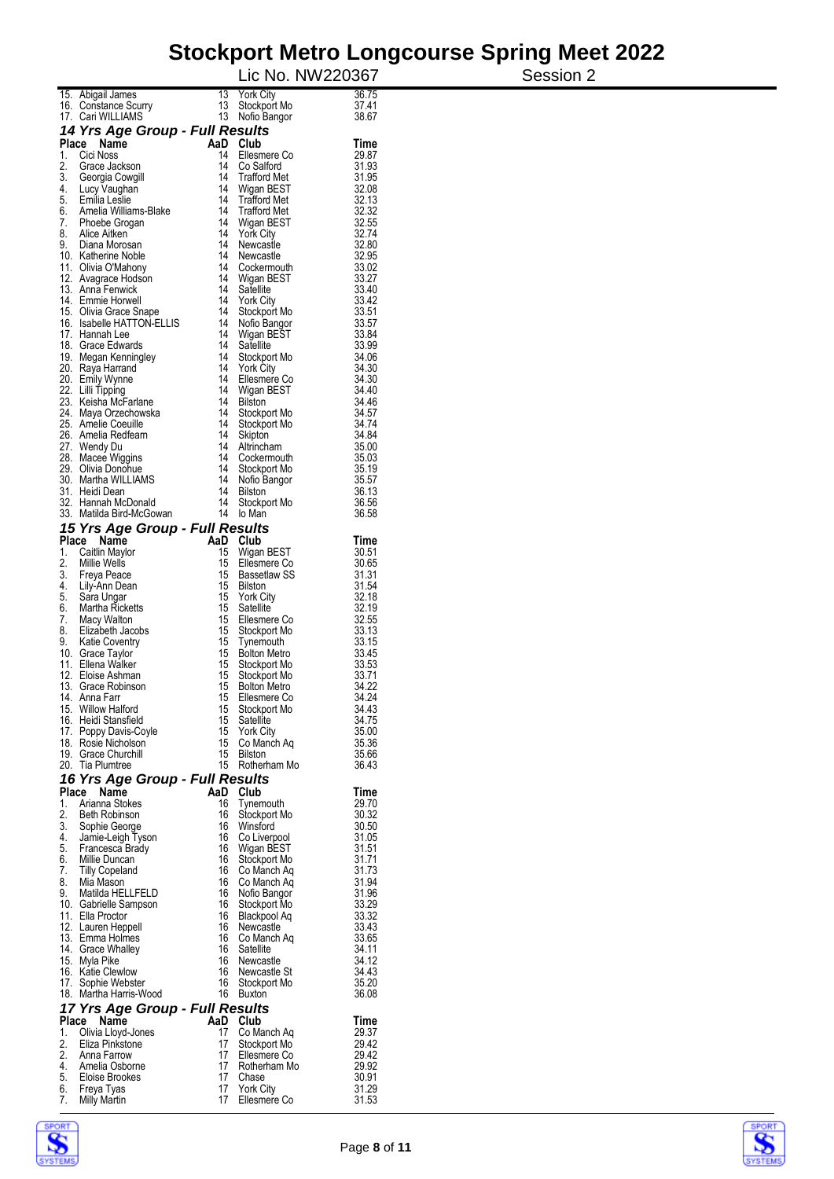|          |                                                     |          |                                            | Lic No. NW220367 | Session 2 |
|----------|-----------------------------------------------------|----------|--------------------------------------------|------------------|-----------|
|          | 15. Abigail James                                   | 13       | <b>York City</b>                           | 36.75            |           |
|          | 16. Constance Scurry<br>17. Cari WILLIAMS           | 13<br>13 | Stockport Mo<br>Nofio Bangor               | 37.41<br>38.67   |           |
|          | 14 Yrs Age Group - Full Results                     |          |                                            |                  |           |
| Place    | Name                                                | AaD      | Club                                       | Time             |           |
| 1.<br>2. | Cici Noss<br>Grace Jackson                          | 14<br>14 | Ellesmere Co<br>Co Salford                 | 29.87<br>31.93   |           |
| 3.       | Georgia Cowgill                                     | 14       | <b>Trafford Met</b>                        | 31.95            |           |
| 4.       | Lucy Vaughan                                        | 14       | Wigan BEST                                 | 32.08            |           |
| 5.<br>6. | Emilia Leslie<br>Amelia Williams-Blake              | 14<br>14 | <b>Trafford Met</b><br><b>Trafford Met</b> | 32.13<br>32.32   |           |
| 7.       | Phoebe Grogan                                       | 14       | Wigan BEST                                 | 32.55            |           |
| 8.<br>9. | Alice Aitken<br>Diana Morosan                       | 14<br>14 | <b>York City</b><br>Newcastle              | 32.74<br>32.80   |           |
|          | 10. Katherine Noble                                 | 14       | Newcastle                                  | 32.95            |           |
|          | 11. Olivia O'Mahony                                 | 14       | Cockermouth                                | 33.02            |           |
|          | 12. Avagrace Hodson<br>13. Anna Fenwick             | 14<br>14 | Wigan BEST<br>Satellite                    | 33.27<br>33.40   |           |
|          | 14. Emmie Horwell                                   | 14       | <b>York City</b>                           | 33.42            |           |
|          | 15. Olivia Grace Snape<br>16. Isabelle HATTON-ELLIS | 14<br>14 | Stockport Mo<br>Nofio Bangor               | 33.51<br>33.57   |           |
|          | 17. Hannah Lee                                      |          | 14 Wigan BEST                              | 33.84            |           |
|          | 18. Grace Edwards                                   | 14       | Satellite                                  | 33.99            |           |
|          | 19. Megan Kenningley<br>20. Raya Harrand            | 14<br>14 | Stockport Mo<br><b>York City</b>           | 34.06<br>34.30   |           |
|          | 20. Emily Wynne                                     | 14       | Ellesmere Co                               | 34.30            |           |
|          | 22. Lilli Tipping<br>23. Keisha McFarlane           | 14<br>14 | Wigan BEST<br><b>Bilston</b>               | 34.40<br>34.46   |           |
|          | 24. Maya Orzechowska                                | 14       | Stockport Mo                               | 34.57            |           |
|          | 25. Amelie Coeuille                                 | 14       | Stockport Mo                               | 34.74            |           |
|          | 26. Amelia Redfearn<br>27. Wendy Du                 | 14<br>14 | Skipton<br>Altrincham                      | 34.84<br>35.00   |           |
|          | 28. Macee Wiggins                                   | 14       | Cockermouth                                | 35.03            |           |
|          | 29. Olivia Donohue                                  | 14<br>14 | Stockport Mo                               | 35.19<br>35.57   |           |
|          | 30. Martha WILLIAMS<br>31. Heidi Dean               | 14       | Nofio Bangor<br><b>Bilston</b>             | 36.13            |           |
|          | 32. Hannah McDonald                                 | 14       | Stockport Mo                               | 36.56            |           |
|          | 33. Matilda Bird-McGowan                            | 14       | lo Man                                     | 36.58            |           |
|          | 15 Yrs Age Group - Full Results<br>Place Name       | AaD      | Club                                       | Time             |           |
| 1.       | Caitlin Maylor                                      | 15       | Wigan BEST                                 | 30.51            |           |
| 2.<br>3. | Millie Wells                                        | 15<br>15 | Ellesmere Co<br><b>Bassetlaw SS</b>        | 30.65<br>31.31   |           |
| 4.       | Freya Peace<br>Lily-Ann Dean                        | 15       | Bilston                                    | 31.54            |           |
| 5.       | Sara Ungar                                          | 15       | <b>York City</b>                           | 32.18            |           |
| 6.<br>7. | Martha Ricketts<br>Macy Walton                      | 15<br>15 | Satellite<br>Ellesmere Co                  | 32.19<br>32.55   |           |
| 8.       | Elizabeth Jacobs                                    | 15       | Stockport Mo                               | 33.13            |           |
| 9.       | <b>Katie Coventry</b>                               | 15<br>15 | Tynemouth                                  | 33.15<br>33.45   |           |
| 11.      | 10. Grace Taylor<br>Ellena Walker                   | 15       | <b>Bolton Metro</b><br>Stockport Mo        | 33.53            |           |
|          | 12. Eloise Ashman                                   | 15       | Stockport Mo                               | 33.71            |           |
|          | 13. Grace Robinson<br>14. Anna Farr                 | 15       | 15 Bolton Metro<br>Ellesmere Co            | 34.22<br>34.24   |           |
|          | 15. Willow Halford                                  | 15       | Stockport Mo                               | 34.43            |           |
|          | 16. Heidi Stansfield                                |          | 15 Satellite<br>15 York City               | 34.75<br>35.00   |           |
|          | 17. Poppy Davis-Coyle<br>18. Rosie Nicholson        |          | 15 Co Manch Aq                             | 35.36            |           |
|          | 19. Grace Churchill                                 |          | 15 Bilston                                 | 35.66            |           |
|          | 20. Tia Plumtree                                    |          | 15 Rotherham Mo                            | 36.43            |           |
|          | 16 Yrs Age Group - Full Results<br>Place Name       |          | AaD Club                                   | Time             |           |
| 1.       | Arianna Stokes                                      |          | 16 Tynemouth                               | 29.70            |           |
| 2.<br>3. | <b>Beth Robinson</b><br>Sophie George               | 16       | Stockport Mo<br>16 Winsford                | 30.32<br>30.50   |           |
| 4.       | Jamie-Leigh Tyson                                   |          | 16 Co Liverpool                            | 31.05            |           |
| 5.       | Francesca Brady                                     |          | 16 Wigan BEST                              | 31.51            |           |
| 6.<br>7. | Millie Duncan<br>Tilly Copeland                     |          | 16 Stockport Mo<br>16 Co Manch Aq          | 31.71<br>31.73   |           |
| 8.       | Mia Mason                                           |          | 16 Co Manch Ag                             | 31.94            |           |
| 9.       | Matilda HELLFELD<br>10. Gabrielle Sampson           |          | 16 Nofio Bangor<br>16 Stockport Mo         | 31.96<br>33.29   |           |
|          | 11. Ella Proctor                                    |          | 16 Blackpool Aq                            | 33.32            |           |
|          | 12. Lauren Heppell                                  |          | 16 Newcastle                               | 33.43            |           |
|          | 13. Emma Holmes<br>14. Grace Whalley                |          | 16 Co Manch Ag<br>16 Satellite             | 33.65<br>34.11   |           |
|          | 15. Myla Pike                                       |          | 16 Newcastle                               | 34.12            |           |
|          | 16. Katie Clewlow<br>17. Sophie Webster             | 16       | 16 Newcastle St                            | 34.43<br>35.20   |           |
|          | 18. Martha Harris-Wood                              |          | Stockport Mo<br>16 Buxton                  | 36.08            |           |
|          | 17 Yrs Age Group - Full Results                     |          |                                            |                  |           |
|          | Place Name                                          |          | AaD Club                                   | Time             |           |
| 1.<br>2. | Olivia Lloyd-Jones<br>Eliza Pinkstone               | 17<br>17 | Co Manch Aq<br>Stockport Mo                | 29.37<br>29.42   |           |
| 2.       | Anna Farrow                                         | 17       | Ellesmere Co                               | 29.42            |           |
| 4.       | Amelia Osborne                                      | 17       | Rotherham Mo                               | 29.92            |           |
| 5.<br>6. | Eloise Brookes<br>Freya Tyas                        | 17       | 17 Chase<br>York City                      | 30.91<br>31.29   |           |
| 7.       | Milly Martin                                        | 17       | Ellesmere Co                               | 31.53            |           |



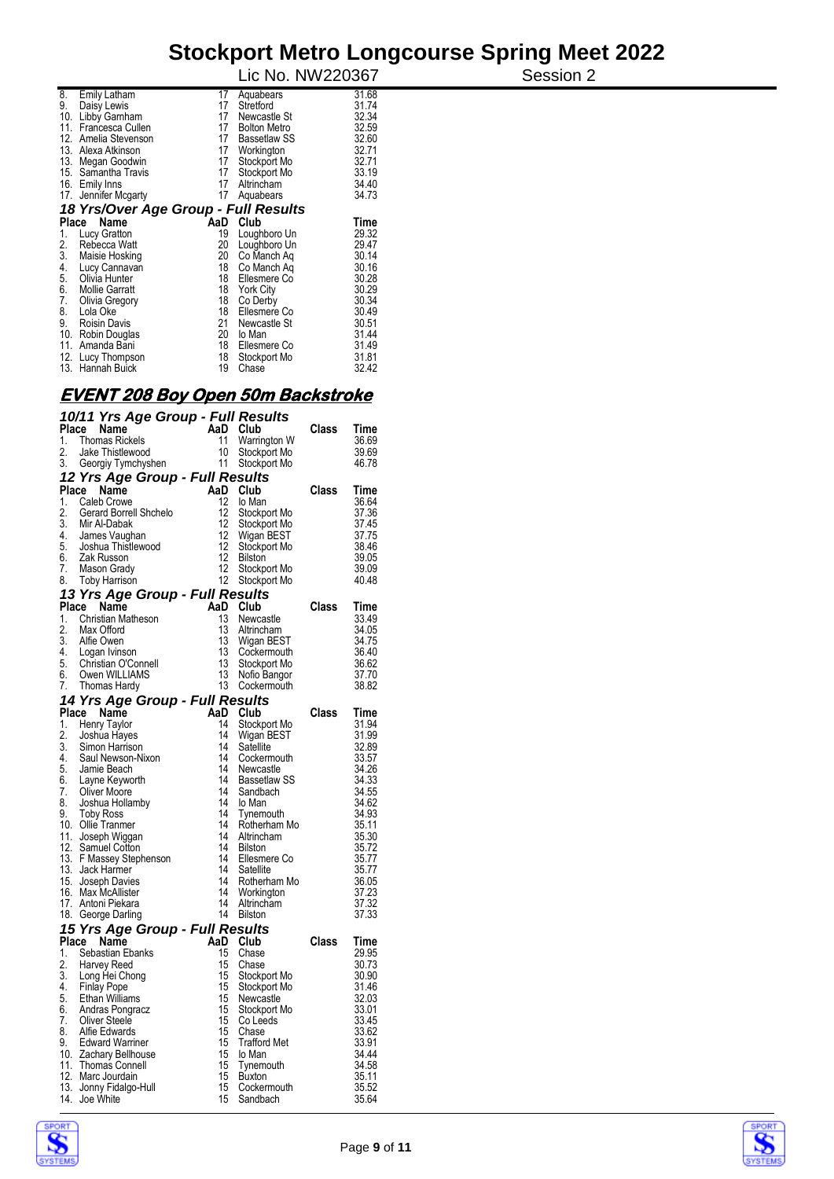|                       |                                                                                                                                                                                                                                |                                        |                                                                                                                              | Session 2                                                                                                  |
|-----------------------|--------------------------------------------------------------------------------------------------------------------------------------------------------------------------------------------------------------------------------|----------------------------------------|------------------------------------------------------------------------------------------------------------------------------|------------------------------------------------------------------------------------------------------------|
| Emily Latham          | 17                                                                                                                                                                                                                             | Aquabears                              | 31.68                                                                                                                        |                                                                                                            |
| Daisy Lewis           |                                                                                                                                                                                                                                | Stretford                              | 31.74                                                                                                                        |                                                                                                            |
|                       |                                                                                                                                                                                                                                |                                        |                                                                                                                              |                                                                                                            |
|                       |                                                                                                                                                                                                                                |                                        |                                                                                                                              |                                                                                                            |
|                       |                                                                                                                                                                                                                                |                                        |                                                                                                                              |                                                                                                            |
|                       |                                                                                                                                                                                                                                |                                        |                                                                                                                              |                                                                                                            |
|                       |                                                                                                                                                                                                                                | Stockport Mo                           |                                                                                                                              |                                                                                                            |
|                       | 17                                                                                                                                                                                                                             | Stockport Mo                           |                                                                                                                              |                                                                                                            |
|                       | 17                                                                                                                                                                                                                             | Altrincham                             | 34.40                                                                                                                        |                                                                                                            |
| Jennifer Mcgarty      | 17                                                                                                                                                                                                                             | Aquabears                              |                                                                                                                              |                                                                                                            |
|                       |                                                                                                                                                                                                                                |                                        |                                                                                                                              |                                                                                                            |
| Name                  |                                                                                                                                                                                                                                |                                        | Time                                                                                                                         |                                                                                                            |
| Lucy Gratton          | 19                                                                                                                                                                                                                             | Loughboro Un                           | 29.32                                                                                                                        |                                                                                                            |
| Rebecca Watt          | 20                                                                                                                                                                                                                             | Loughboro Un                           | 29.47                                                                                                                        |                                                                                                            |
| Maisie Hosking        | 20                                                                                                                                                                                                                             | Co Manch Ag                            | 30.14                                                                                                                        |                                                                                                            |
| Lucy Cannavan         | 18                                                                                                                                                                                                                             | Co Manch Ag                            | 30.16                                                                                                                        |                                                                                                            |
| Olivia Hunter         | 18                                                                                                                                                                                                                             | Ellesmere Co                           | 30.28                                                                                                                        |                                                                                                            |
| <b>Mollie Garratt</b> | 18                                                                                                                                                                                                                             | <b>York City</b>                       |                                                                                                                              |                                                                                                            |
| Olivia Gregory        | 18                                                                                                                                                                                                                             | Co Derby                               | 30.34                                                                                                                        |                                                                                                            |
| Lola Oke              | 18                                                                                                                                                                                                                             | Ellesmere Co                           |                                                                                                                              |                                                                                                            |
| <b>Roisin Davis</b>   |                                                                                                                                                                                                                                | Newcastle St                           |                                                                                                                              |                                                                                                            |
|                       | 20                                                                                                                                                                                                                             | lo Man                                 | 31.44                                                                                                                        |                                                                                                            |
| Amanda Bani           | 18                                                                                                                                                                                                                             | Ellesmere Co                           | 31.49                                                                                                                        |                                                                                                            |
|                       | 18                                                                                                                                                                                                                             | Stockport Mo                           | 31.81                                                                                                                        |                                                                                                            |
|                       | 19                                                                                                                                                                                                                             | Chase                                  | 32.42                                                                                                                        |                                                                                                            |
| 11.<br>12.            | 10.<br>Libby Garnham<br>Francesca Cullen<br>Amelia Stevenson<br>13. Alexa Atkinson<br>13. Megan Goodwin<br>15. Samantha Travis<br>16. Emily Inns<br>17.<br>Place<br>10. Robin Douglas<br>12. Lucy Thompson<br>13. Hannah Buick | 17<br>17<br>17<br>17<br>17<br>17<br>21 | Newcastle St<br><b>Bolton Metro</b><br><b>Bassetlaw SS</b><br>Workington<br>18 Yrs/Over Age Group - Full Results<br>AaD Club | Lic No. NW220367<br>32.34<br>32.59<br>32.60<br>32.71<br>32.71<br>33.19<br>34.73<br>30.29<br>30.49<br>30.51 |

#### **EVENT 208 Boy Open 50m Backstroke**

|                  | 10/11 Yrs Age Group - Full Results         |          |                                |       |                |
|------------------|--------------------------------------------|----------|--------------------------------|-------|----------------|
| Place            | Name                                       | AaD      | Club                           | Class | Time           |
| 1.               | <b>Thomas Rickels</b>                      | 11       | Warrington W                   |       | 36.69          |
| 2.               | Jake Thistlewood                           | 10       | Stockport Mo                   |       | 39.69          |
| 3.               | Georgiy Tymchyshen                         | 11       | Stockport Mo                   |       | 46.78          |
|                  | 12 Yrs Age Group - Full Results            |          |                                |       |                |
| Place            | Name                                       | AaD      | Club                           | Class | Time           |
| 1.               | Caleb Crowe                                | 12       | lo Man                         |       | 36.64          |
| 2.               | Gerard Borrell Shchelo                     | 12       |                                |       | 37.36          |
| $\overline{3}$ . | Mir Al-Dabak                               | 12       | Stockport Mo                   |       | 37.45          |
|                  |                                            | 12       | Stockport Mo<br>Wigan BEST     |       | 37.75          |
|                  | 4 James Vaughan                            | 12       |                                |       | 38.46          |
| 6.               | 5. Joshua Thistlewood<br>Zak Russon        | 12       | Stockport Mo<br><b>Bilston</b> |       |                |
| 7.               | Mason Grady                                | 12       | Stockport Mo                   |       | 39.05<br>39.09 |
| 8.               | <b>Toby Harrison</b>                       | 12       | Stockport Mo                   |       | 40.48          |
|                  |                                            |          |                                |       |                |
|                  | 13 Yrs Age Group - Full Results            |          |                                |       |                |
| Place            | Name                                       | AaD      | Club                           | Class | Time           |
| 1.               | Christian Matheson                         | 13<br>13 | Newcastle                      |       | 33.49          |
| $\overline{2}$ . | Max Offord                                 |          | Altrincham                     |       | 34.05          |
| 3.               | Alfie Owen                                 | 13       | Wigan BEST                     |       | 34.75          |
|                  | 4. Logan Ivinson                           | 13       | Cockermouth                    |       | 36.40          |
|                  | 5. Christian O'Connell<br>6. Owen WILLIAMS | 13       | Stockport Mo                   |       | 36.62          |
|                  |                                            | 13       | Nofio Bangor                   |       | 37.70          |
| 7.               | Thomas Hardy                               | 13       | Cockermouth                    |       | 38.82          |
|                  | 14 Yrs Age Group - Full Results            |          |                                |       |                |
| Place            | Name                                       | AaD      | Club                           | Class | Time           |
| 1.               | <b>Henry Taylor</b>                        | 14       | Stockport Mo                   |       | 31.94          |
| 2.               | Joshua Hayes                               | 14       | Wigan BEST                     |       | 31.99          |
| $\overline{3}$ . | Simon Harrison                             | 14       | Satellite                      |       | 32.89          |
| 4.               | Saul Newson-Nixon                          | 14       | Cockermouth                    |       | 33.57          |
|                  | 5. Jamie Beach                             | 14       | Newcastle                      |       | 34.26          |
|                  | 6. Layne Keyworth                          | 14       | Bassetlaw SS                   |       | 34.33          |
| 7.               | Oliver Moore                               | 14       | Sandbach                       |       | 34.55          |
| 8.               | Joshua Hollamby                            | 14       | lo Man                         |       | 34.62          |
| 9.               | <b>Toby Ross</b>                           | 14       | Tynemouth                      |       | 34.93          |
|                  | 10. Ollie Tranmer                          | 14       | Rotherham Mo                   |       | 35.11          |
|                  | 11. Joseph Wiggan                          | 14       | Altrincham                     |       | 35.30          |
|                  | 12. Samuel Cotton                          | 14       | <b>Bilston</b>                 |       | 35.72          |
|                  | 13. F Massey Stephenson                    | 14       | Ellesmere Co                   |       | 35.77          |
|                  | 13. Jack Harmer                            | 14       | Satellite                      |       | 35.77          |
|                  | 15. Joseph Davies                          | 14       | Rotherham Mo                   |       | 36.05          |
|                  | 16. Max McAllister                         | 14       | Workington                     |       | 37.23          |
|                  | 17. Antoni Piekara                         | 14       | Altrincham                     |       | 37.32          |
|                  | 18. George Darling                         | 14       | Bilston                        |       | 37.33          |
|                  | 15 Yrs Age Group - Full Results            |          |                                |       |                |
|                  | Place Name                                 | AaD      | Club                           | Class | Time           |
| 1.               | Sebastian Ebanks                           | 15       | Chase                          |       | 29.95          |
| 2.               | Harvey Reed                                | 15       | Chase                          |       | 30.73          |
| 3.               | Long Hei Chong                             | 15       | Stockport Mo                   |       | 30.90          |
| 4.               | Finlay Pope                                | 15       | Stockport Mo                   |       | 31.46          |
| 5.               | Ethan Williams                             | 15       | Newcastle                      |       | 32.03          |
| 6.               | Andras Pongracz                            | 15       | Stockport Mo                   |       | 33.01          |
| 7.               | Oliver Steele                              | 15       | Co Leeds                       |       | 33.45          |
| 8.               | Alfie Edwards                              | 15       | Chase                          |       | 33.62          |
| 9.               | Edward Warriner                            | 15       | <b>Trafford Met</b>            |       | 33.91          |
|                  | 10. Zachary Bellhouse                      | 15       | lo Man                         |       | 34.44          |
|                  | 11. Thomas Connell                         | 15       | Tynemouth                      |       | 34.58          |
|                  | 12. Marc Jourdain                          | 15       | <b>Buxton</b>                  |       | 35.11          |
|                  | 13. Jonny Fidalgo-Hull                     | 15       | Cockermouth                    |       | 35.52          |
|                  | 14. Joe White                              | 15       | Sandbach                       |       | 35.64          |
|                  |                                            |          |                                |       |                |



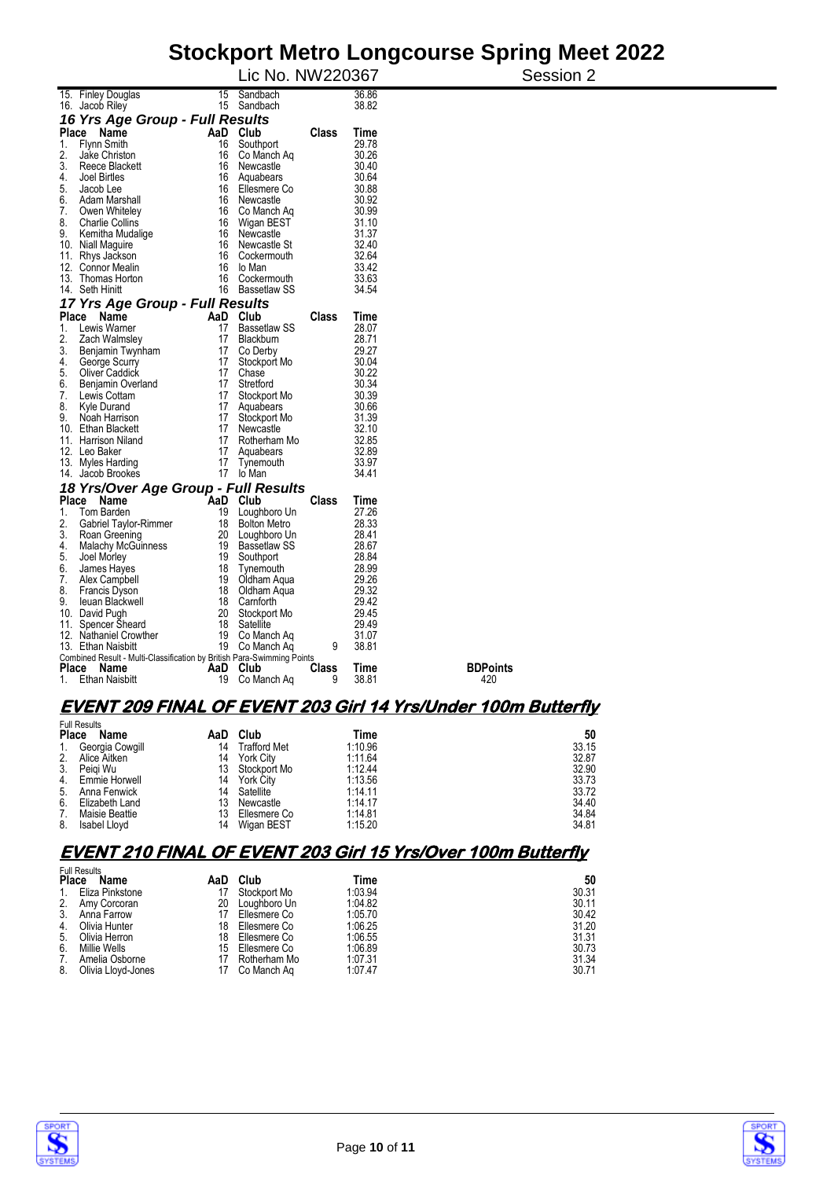|                                                                                         |          | Lic No. NW220367                    |       |                | Session 2                                                     |
|-----------------------------------------------------------------------------------------|----------|-------------------------------------|-------|----------------|---------------------------------------------------------------|
| 15. Finley Douglas<br>16. Jacob Riley                                                   | 15       | Sandbach<br>15 Sandbach             |       | 36.86<br>38.82 |                                                               |
| 16 Yrs Age Group - Full Results                                                         |          |                                     |       |                |                                                               |
| Place Name                                                                              |          | AaD Club                            | Class | Time           |                                                               |
| Flynn Smith<br>1.                                                                       | 16       | Southport                           |       | 29.78          |                                                               |
| 2.<br>Jake Christon                                                                     | 16       | Co Manch Ag                         |       | 30.26          |                                                               |
| 3.<br>Reece Blackett                                                                    | 16       | Newcastle                           |       | 30.40          |                                                               |
| 4.<br>Joel Birtles                                                                      | 16       | Aquabears                           |       | 30.64          |                                                               |
| 5.<br>Jacob Lee                                                                         | 16       | Ellesmere Co                        |       | 30.88          |                                                               |
| 6.<br>Adam Marshall                                                                     | 16       | Newcastle                           |       | 30.92          |                                                               |
| 7.<br>Owen Whiteley                                                                     | 16       | Co Manch Aq                         |       | 30.99          |                                                               |
| 8.<br><b>Charlie Collins</b>                                                            | 16       | Wigan BEST                          |       | 31.10          |                                                               |
| 9.<br>Kemitha Mudalige                                                                  | 16<br>16 | Newcastle                           |       | 31.37<br>32.40 |                                                               |
| 10. Niall Maguire<br>11. Rhys Jackson                                                   | 16       | Newcastle St<br>Cockermouth         |       | 32.64          |                                                               |
| 12. Connor Mealin                                                                       | 16       | lo Man                              |       | 33.42          |                                                               |
| 13. Thomas Horton                                                                       | 16       | Cockermouth                         |       | 33.63          |                                                               |
| Seth Hinitt<br>14.                                                                      | 16       | <b>Bassetlaw SS</b>                 |       | 34.54          |                                                               |
| 17 Yrs Age Group - Full Results                                                         |          |                                     |       |                |                                                               |
| Name<br><b>Place</b>                                                                    |          | AaD Club                            | Class | Time           |                                                               |
| Lewis Warner<br>1.                                                                      | 17       | <b>Bassetlaw SS</b>                 |       | 28.07          |                                                               |
| 2.<br>Zach Walmsley                                                                     | 17       | Blackburn                           |       | 28.71          |                                                               |
| 3.<br>Benjamin Twynham                                                                  | 17       | Co Derby                            |       | 29.27          |                                                               |
| 4.<br>George Scurry                                                                     | 17       | Stockport Mo                        |       | 30.04          |                                                               |
| 5.<br>Oliver Caddick                                                                    | 17       | Chase                               |       | 30.22          |                                                               |
| 6.<br>Benjamin Overland                                                                 | 17       | Stretford                           |       | 30.34          |                                                               |
| Lewis Cottam<br>7.                                                                      | 17       | Stockport Mo                        |       | 30.39          |                                                               |
| 8.<br>Kyle Durand                                                                       | 17       | Aquabears                           |       | 30.66          |                                                               |
| 9.<br>Noah Harrison<br>10. Ethan Blackett                                               | 17<br>17 | Stockport Mo<br>Newcastle           |       | 31.39<br>32.10 |                                                               |
| 11. Harrison Niland                                                                     | 17       | Rotherham Mo                        |       | 32.85          |                                                               |
| 12. Leo Baker                                                                           | 17       | Aquabears                           |       | 32.89          |                                                               |
| 13. Myles Harding                                                                       | 17       | Tynemouth                           |       | 33.97          |                                                               |
| 14. Jacob Brookes                                                                       | 17       | lo Man                              |       | 34.41          |                                                               |
| 18 Yrs/Over Age Group - Full Results                                                    |          |                                     |       |                |                                                               |
| Place Name                                                                              |          | AaD Club                            | Class | Time           |                                                               |
| Tom Barden<br>1.                                                                        | 19       | Loughboro Un                        |       | 27.26          |                                                               |
| 2.<br>Gabriel Taylor-Rimmer<br>3.                                                       | 18<br>20 | <b>Bolton Metro</b><br>Loughboro Un |       | 28.33<br>28.41 |                                                               |
| Roan Greening<br>4.<br><b>Malachy McGuinness</b>                                        | 19       | <b>Bassetlaw SS</b>                 |       | 28.67          |                                                               |
| 5.<br>Joel Morley                                                                       | 19       | Southport                           |       | 28.84          |                                                               |
| 6.<br>James Hayes                                                                       | 18       | Tynemouth                           |       | 28.99          |                                                               |
| 7.<br>Alex Campbell                                                                     | 19       | Oldham Agua                         |       | 29.26          |                                                               |
| 8.<br><b>Francis Dyson</b>                                                              | 18       | Oldham Agua                         |       | 29.32          |                                                               |
| 9.<br>leuan Blackwell                                                                   | 18       | Camforth                            |       | 29.42          |                                                               |
| 10. David Pugh                                                                          | 20       | Stockport Mo                        |       | 29.45          |                                                               |
| Spencer Sheard<br>11.                                                                   | 18       | Satellite                           |       | 29.49          |                                                               |
| 12. Nathaniel Crowther                                                                  | 19       | Co Manch Ag                         |       | 31.07          |                                                               |
| 13. Ethan Naisbitt                                                                      | 19       | Co Manch Aq                         | 9     | 38.81          |                                                               |
| Combined Result - Multi-Classification by British Para-Swimming Points<br>Place<br>Name | AaD      | Club                                | Class | Time           | <b>BDPoints</b>                                               |
| <b>Ethan Naisbitt</b><br>1.                                                             |          | 19 Co Manch Ag                      | 9     | 38.81          | 420                                                           |
|                                                                                         |          |                                     |       |                |                                                               |
|                                                                                         |          |                                     |       |                | EVENT 209 FINAL OF EVENT 203 Girl 14 Yrs/Under 100m Butterfly |

|                | <b>Full Results</b> |     |                     |         |       |
|----------------|---------------------|-----|---------------------|---------|-------|
| <b>Place</b>   | Name                | AaD | Club                | Time    | 50    |
| $\mathbf{1}$ . | Georgia Cowgill     | 14  | <b>Trafford Met</b> | 1:10.96 | 33.15 |
| 2.             | Alice Aitken        | 14  | York City           | 1:11.64 | 32.87 |
| 3.             | Peiai Wu            |     | 13 Stockport Mo     | 1:12.44 | 32.90 |
| 4.             | Emmie Horwell       | 14  | York City           | 1:13.56 | 33.73 |
| 5.             | Anna Fenwick        | 14  | Satellite           | 1:14.11 | 33.72 |
| 6.             | Elizabeth Land      | 13  | Newcastle           | 1:14.17 | 34.40 |
| 7.             | Maisie Beattie      | 13  | Ellesmere Co        | 1:14.81 | 34.84 |
| 8.             | Isabel Llovd        | 14  | Wigan BEST          | 1:15.20 | 34.81 |

#### **EVENT 210 FINAL OF EVENT 203 Girl 15 Yrs/Over 100m Butterfly**

|              | <b>Full Results</b> |     |              |         |       |
|--------------|---------------------|-----|--------------|---------|-------|
| <b>Place</b> | Name                | AaD | Club         | Time    | 50    |
| 1.           | Eliza Pinkstone     |     | Stockport Mo | 1:03.94 | 30.31 |
| 2.           | Amy Corcoran        | 20  | Loughboro Un | 1:04.82 | 30.11 |
| 3.           | Anna Farrow         | 17  | Ellesmere Co | 1:05.70 | 30.42 |
| 4.           | Olivia Hunter       | 18  | Ellesmere Co | 1:06.25 | 31.20 |
| 5.           | Olivia Herron       | 18  | Ellesmere Co | 1:06.55 | 31.31 |
| 6.           | Millie Wells        | 15  | Ellesmere Co | 1:06.89 | 30.73 |
| 7.           | Amelia Osborne      |     | Rotherham Mo | 1:07.31 | 31.34 |
| 8.           | Olivia Lloyd-Jones  | 17  | Co Manch Ag  | 1:07.47 | 30.71 |



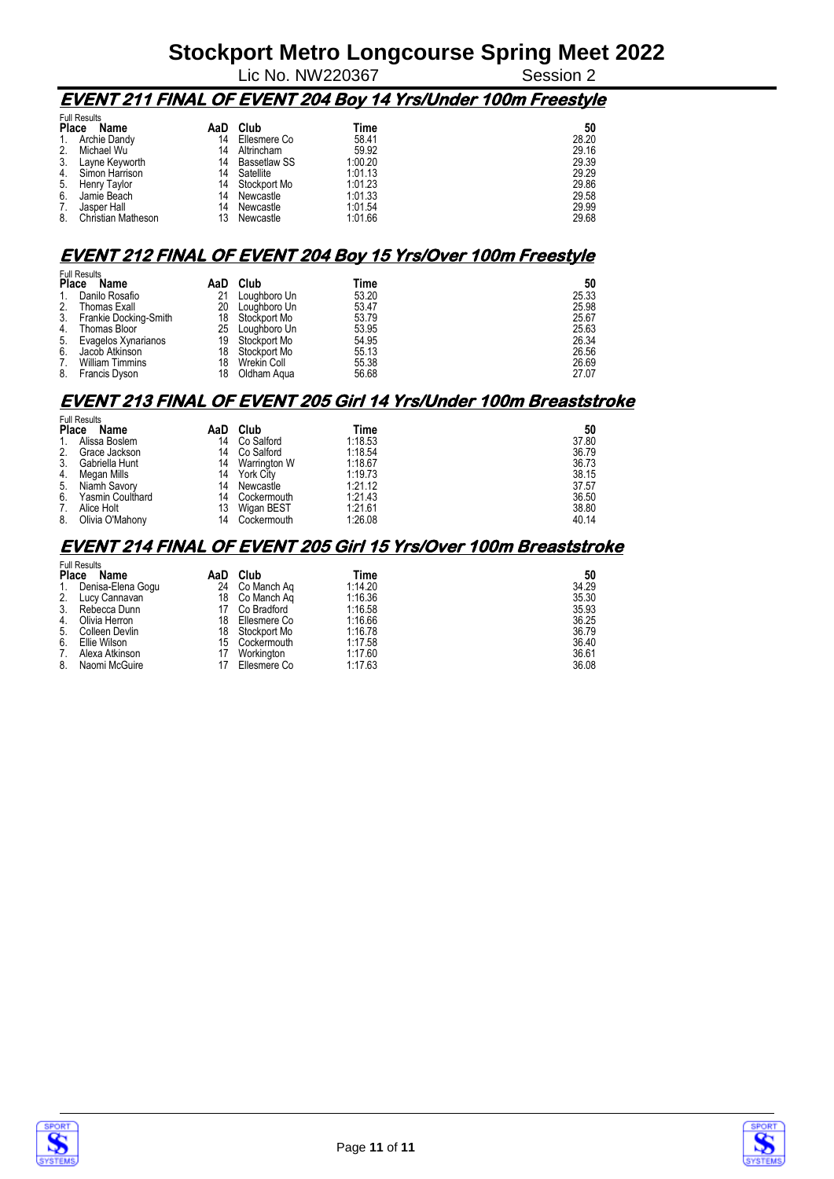$\overline{\phantom{a}}$  Lic No. NW220367

#### **EVENT 211 FINAL OF EVENT 204 Boy 14 Yrs/Under 100m Freestyle**

| <b>Full Results</b> |                     |     |                     |         |       |  |
|---------------------|---------------------|-----|---------------------|---------|-------|--|
| <b>Place</b>        | Name                | AaD | Club                | Time    | 50    |  |
| 1.                  | Archie Dandy        | 14  | Ellesmere Co        | 58.41   | 28.20 |  |
| 2.                  | Michael Wu          | 14  | Altrincham          | 59.92   | 29.16 |  |
| 3.                  | Layne Keyworth      | 14  | <b>Bassetlaw SS</b> | 1:00.20 | 29.39 |  |
| 4.                  | Simon Harrison      | 14  | Satellite           | 1:01.13 | 29.29 |  |
| 5.                  | <b>Henry Taylor</b> | 14  | Stockport Mo        | 1:01.23 | 29.86 |  |
| 6.                  | Jamie Beach         | 14  | Newcastle           | 1:01.33 | 29.58 |  |
|                     | Jasper Hall         | 14  | Newcastle           | 1:01.54 | 29.99 |  |
| 8.                  | Christian Matheson  | 13  | Newcastle           | 1:01.66 | 29.68 |  |

#### **EVENT 212 FINAL OF EVENT 204 Boy 15 Yrs/Over 100m Freestyle**

| <b>Full Results</b> |                          |     |              |       |       |  |
|---------------------|--------------------------|-----|--------------|-------|-------|--|
| <b>Place</b>        | Name                     | AaD | Club         | Time  | 50    |  |
| $1_{\cdot}$         | Danilo Rosafio           | 21  | Loughboro Un | 53.20 | 25.33 |  |
| 2.                  | Thomas Exall             | 20  | Louahboro Un | 53.47 | 25.98 |  |
|                     | 3. Frankie Docking-Smith | 18  | Stockport Mo | 53.79 | 25.67 |  |
| 4.                  | Thomas Bloor             | 25  | Loughboro Un | 53.95 | 25.63 |  |
| 5.                  | Evagelos Xynarianos      | 19  | Stockport Mo | 54.95 | 26.34 |  |
| 6.                  | Jacob Atkinson           | 18  | Stockport Mo | 55.13 | 26.56 |  |
| $7_{\cdot}$         | <b>William Timmins</b>   | 18  | Wrekin Coll  | 55.38 | 26.69 |  |
| 8.                  | Francis Dyson            | 18  | Oldham Agua  | 56.68 | 27.07 |  |

#### **EVENT 213 FINAL OF EVENT 205 Girl 14 Yrs/Under 100m Breaststroke**

| <b>Full Results</b> |                         |     |              |         |       |  |  |
|---------------------|-------------------------|-----|--------------|---------|-------|--|--|
| <b>Place</b>        | Name                    | AaD | Club         | Time    | 50    |  |  |
| 1.                  | Alissa Boslem           | 14  | Co Salford   | 1:18.53 | 37.80 |  |  |
| 2.                  | Grace Jackson           | 14  | Co Salford   | 1:18.54 | 36.79 |  |  |
| 3.                  | Gabriella Hunt          | 14  | Warrington W | 1:18.67 | 36.73 |  |  |
| 4.                  | Megan Mills             | 14  | York City    | 1:19.73 | 38.15 |  |  |
| 5.                  | Niamh Savory            | 14  | Newcastle    | 1:21.12 | 37.57 |  |  |
| 6.                  | <b>Yasmin Coulthard</b> | 14  | Cockermouth  | 1:21.43 | 36.50 |  |  |
| 7.                  | Alice Holt              | 13  | Wigan BEST   | 1:21.61 | 38.80 |  |  |
| 8.                  | Olivia O'Mahony         | 14  | Cockermouth  | 1:26.08 | 40.14 |  |  |

#### **EVENT 214 FINAL OF EVENT 205 Girl 15 Yrs/Over 100m Breaststroke**

| <b>Full Results</b> |                   |    |                |         |       |  |  |
|---------------------|-------------------|----|----------------|---------|-------|--|--|
| <b>Place</b>        | Name              |    | AaD Club       | Time    | 50    |  |  |
| 1.                  | Denisa-Elena Gogu | 24 | Co Manch Ag    | 1:14.20 | 34.29 |  |  |
| 2.                  | Lucy Cannavan     |    | 18 Co Manch Ag | 1:16.36 | 35.30 |  |  |
| 3.                  | Rebecca Dunn      | 17 | Co Bradford    | 1:16.58 | 35.93 |  |  |
| 4.                  | Olivia Herron     | 18 | Ellesmere Co   | 1:16.66 | 36.25 |  |  |
| 5.                  | Colleen Devlin    | 18 | Stockport Mo   | 1:16.78 | 36.79 |  |  |
| 6.                  | Ellie Wilson      |    | 15 Cockermouth | 1:17.58 | 36.40 |  |  |
| 7.                  | Alexa Atkinson    | 17 | Workington     | 1:17.60 | 36.61 |  |  |
| 8.                  | Naomi McGuire     |    | Ellesmere Co   | 1:17.63 | 36.08 |  |  |



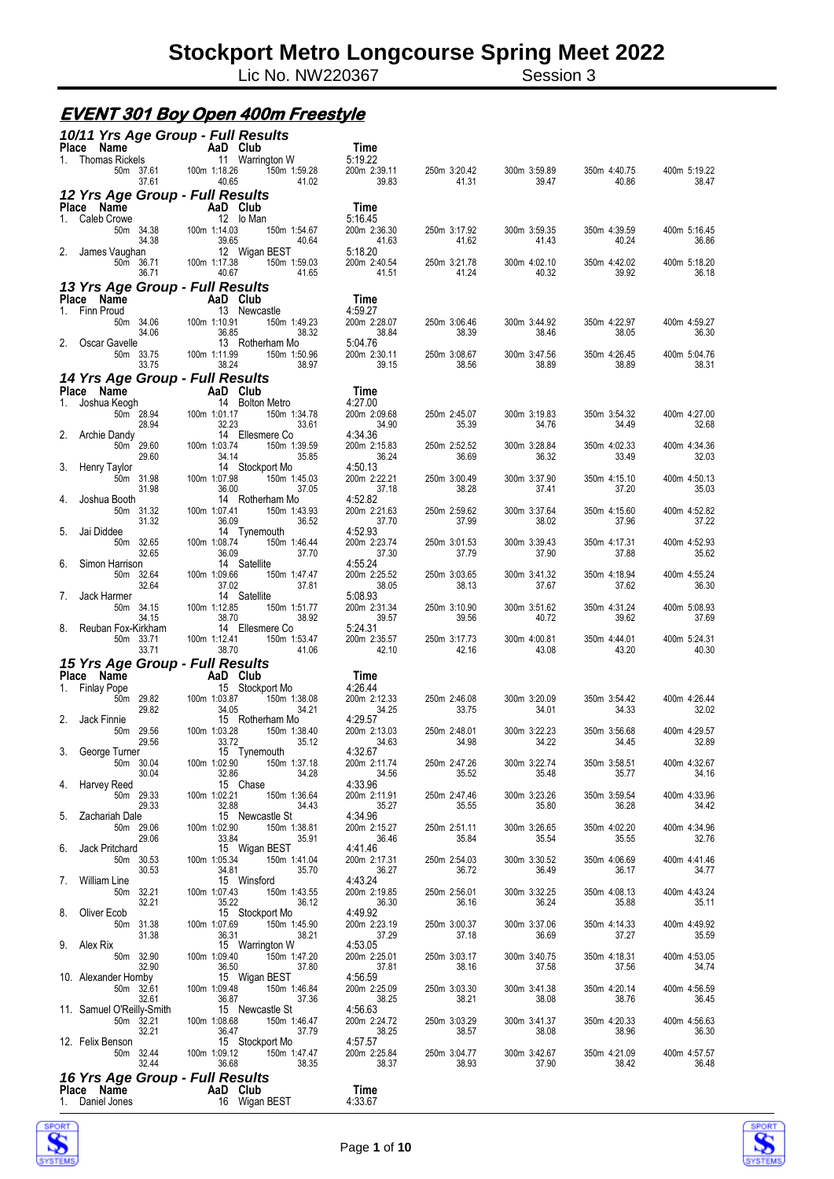# **Stockport Metro Longcourse Spring Meet 2022**<br>Lic No. NW220367 **Session 3**

Lic No. NW220367

#### **EVENT 301 Boy Open 400m Freestyle**

| 10/11 Yrs Age Group - Full Results                           | Time                                                                               |                         |                       |                       |                       |                       |
|--------------------------------------------------------------|------------------------------------------------------------------------------------|-------------------------|-----------------------|-----------------------|-----------------------|-----------------------|
| Place Name<br>1. Thomas Rickels                              | AaD Club<br>Start 11 Warring<br>37.61 100m 1:18.26<br>$\overline{11}$ Warrington W | 5:19.22                 |                       |                       |                       |                       |
| 50m 37.61<br>37.61                                           | 150m 1:59.28<br>40.65<br>41.02                                                     | 200m 2:39.11<br>39.83   | 250m 3:20.42<br>41.31 | 300m 3:59.89<br>39.47 | 350m 4:40.75<br>40.86 | 400m 5:19.22<br>38.47 |
| 12 Yrs Age Group - Full Results                              |                                                                                    |                         |                       |                       |                       |                       |
| Place Name<br>1. Caleb Crowe                                 |                                                                                    | Time<br>5:16.45         |                       |                       |                       |                       |
|                                                              | 150m 1:54.67                                                                       | 200m 2:36.30            | 250m 3:17.92          | 300m 3:59.35          | 350m 4:39.59          | 400m 5:16.45          |
| 2.<br>James Vaughan                                          | 40.64<br>12 Wigan BEST                                                             | 41.63<br>5:18.20        | 41.62                 | 41.43                 | 40.24                 | 36.86                 |
| 50m 36.71<br>36.71                                           | 100m 1:17.38<br>150m 1:59.03<br>40.67<br>41.65                                     | 200m 2:40.54<br>41.51   | 250m 3:21.78<br>41.24 | 300m 4:02.10<br>40.32 | 350m 4:42.02<br>39.92 | 400m 5:18.20<br>36.18 |
| 13 Yrs Age Group - Full Results                              |                                                                                    |                         |                       |                       |                       |                       |
| Place Name<br>1. Finn Proud                                  | 13 Newcastle                                                                       | Time<br>4:59.27         |                       |                       |                       |                       |
| 50m 34.06                                                    | <b>AaD Club</b><br>13 Newca<br>34.06 100m 1:10.91<br>150m 1:49.23                  | 200m 2:28.07            | 250m 3:06.46          | 300m 3:44.92          | 350m 4:22.97          | 400m 4:59.27          |
| 34.06<br>2. Oscar Gavelle                                    | 36.85<br>38.32<br>13 Rotherham Mo                                                  | 38.84<br>5:04.76        | 38.39                 | 38.46                 | 38.05                 | 36.30                 |
| 50m 33.75<br>33.75                                           | 100m 1:11.99<br>150m 1:50.96<br>38.24<br>38.97                                     | 200m 2:30.11<br>39.15   | 250m 3:08.67<br>38.56 | 300m 3:47.56<br>38.89 | 350m 4:26.45<br>38.89 | 400m 5:04.76<br>38.31 |
| 14 Yrs Age Group - Full Results                              |                                                                                    |                         |                       |                       |                       |                       |
| Place Name<br>1.<br>Joshua Keogh                             | me<br>Keogh 14 Bolton<br>50m 28.94 100m 1:01.17<br>14 Bolton Metro                 | Time<br>4:27.00         |                       |                       |                       |                       |
|                                                              | 150m 1:34.78                                                                       | 200m 2:09.68            | 250m 2:45.07          | 300m 3:19.83          | 350m 3:54.32          | 400m 4:27.00          |
| 28.94<br>2.<br>Archie Dandy                                  | 32.23<br>33.61<br>14 Ellesmere Co                                                  | 34.90<br>4:34.36        | 35.39                 | 34.76                 | 34.49                 | 32.68                 |
| 50m <sup>29.60</sup><br>29.60                                | 100m 1:03.74<br>150m 1:39.59<br>34.14<br>35.85                                     | 200m 2:15.83<br>36.24   | 250m 2:52.52<br>36.69 | 300m 3:28.84<br>36.32 | 350m 4:02.33<br>33.49 | 400m 4:34.36<br>32.03 |
| 3. Henry Taylor                                              | 14 Stockport Mo<br>100m 1:07.98<br>150m 1:45.03                                    | 4:50.13<br>200m 2:22.21 | 250m 3:00.49          | 300m 3:37.90          | 350m 4:15.10          | 400m 4:50.13          |
| 50m 31.98<br>31.98                                           | 36.00<br>37.05                                                                     | 37.18                   | 38.28                 | 37.41                 | 37.20                 | 35.03                 |
| Joshua Booth<br>4.<br>50m 31.32                              | 14 Rotherham Mo<br>100m 1:07.41<br>150m 1:43.93                                    | 4:52.82<br>200m 2:21.63 | 250m 2:59.62          | 300m 3:37.64          | 350m 4:15.60          | 400m 4:52.82          |
| 31.32<br>5.<br>Jai Diddee                                    | 36.09<br>36.52<br>14 Tynemouth                                                     | 37.70<br>4:52.93        | 37.99                 | 38.02                 | 37.96                 | 37.22                 |
| 50m 32.65<br>32.65                                           | 100m 1:08.74<br>150m 1:46.44<br>36.09<br>37.70                                     | 200m 2:23.74            | 250m 3:01.53<br>37.79 | 300m 3:39.43<br>37.90 | 350m 4:17.31<br>37.88 | 400m 4:52.93          |
| 6.<br>Simon Harrison                                         | 14 Satellite                                                                       | 37.30<br>4:55.24        |                       |                       |                       | 35.62                 |
| 50m 32.64<br>32.64                                           | 100m 1:09.66<br>150m 1:47.47<br>37.02<br>37.81                                     | 200m 2:25.52<br>38.05   | 250m 3:03.65<br>38.13 | 300m 3:41.32<br>37.67 | 350m 4:18.94<br>37.62 | 400m 4:55.24<br>36.30 |
| 7.<br>Jack Harmer<br>50m 34.15                               | 14 Satellite<br>100m 1:12.85<br>150m 1:51.77                                       | 5:08.93<br>200m 2:31.34 | 250m 3:10.90          | 300m 3:51.62          | 350m 4:31.24          | 400m 5:08.93          |
| 34.15<br>8. Reuban Fox-Kirkham                               | 38.70<br>38.92<br>14 Ellesmere Co                                                  | 39.57<br>5:24.31        | 39.56                 | 40.72                 | 39.62                 | 37.69                 |
| 50m 33.71                                                    | 100m 1:12.41<br>150m 1:53.47                                                       | 200m 2:35.57            | 250m 3:17.73          | 300m 4:00.81          | 350m 4:44.01          | 400m 5:24.31          |
| 33.71<br>15 Yrs Age Group - Full Results                     | 38.70<br>41.06                                                                     | 42.10                   | 42.16                 | 43.08                 | 43.20                 | 40.30                 |
| Place Name                                                   | $A\n\nA\n\n15 Stock$                                                               | Time                    |                       |                       |                       |                       |
| <b>Finlay Pope</b><br>$1_{\ldots}$<br>50m 29.82 100m 1:03.87 | 15 Stockport Mo<br>150m 1:38.08                                                    | 4:26.44<br>200m 2:12.33 | 250m 2:46.08          | 300m 3:20.09          | 350m 3:54.42          | 400m 4:26.44          |
| 29.82<br>2. Jack Finnie                                      | 34.05<br>34.21<br>15 Rotherham Mo                                                  | 34.25<br>4:29.57        | 33.75                 | 34.01                 | 34.33                 | 32.02                 |
| 50m 29.56                                                    | 100m 1:03.28<br>150m 1:38.40                                                       | 200m 2:13.03            | 250m 2:48.01          | 300m 3:22.23          | 350m 3:56.68          | 400m 4:29.57          |
| 29.56<br>3. George Turner                                    | 33.72<br>35.12<br>15 Tynemouth                                                     | 34.63<br>4:32.67        | 34.98                 | 34.22                 | 34.45                 | 32.89                 |
| 50m 30.04<br>30.04                                           | 150m 1:37.18<br>100m 1:02.90<br>32.86<br>34.28                                     | 200m 2:11.74<br>34.56   | 250m 2:47.26<br>35.52 | 300m 3:22.74<br>35.48 | 350m 3:58.51<br>35.77 | 400m 4:32.67<br>34.16 |
| Harvey Reed<br>50m 29.33                                     | 15 Chase<br>100m 1:02.21<br>150m 1:36.64                                           | 4:33.96<br>200m 2:11.91 | 250m 2:47.46          | 300m 3:23.26          | 350m 3:59.54          | 400m 4:33.96          |
| 29.33                                                        | 32.88<br>34.43                                                                     | 35.27                   | 35.55                 | 35.80                 | 36.28                 | 34.42                 |
| Zachariah Dale<br>5.<br>50m 29.06                            | 15 Newcastle St<br>100m 1:02.90<br>150m 1:38.81                                    | 4:34.96<br>200m 2:15.27 | 250m 2:51.11          | 300m 3:26.65          | 350m 4:02.20          | 400m 4:34.96          |
| 29.06<br>Jack Pritchard<br>6.                                | 33.84<br>35.91<br>15 Wigan BEST                                                    | 36.46<br>4:41.46        | 35.84                 | 35.54                 | 35.55                 | 32.76                 |
| 50m 30.53                                                    | 150m 1:41.04<br>100m 1:05.34                                                       | 200m 2:17.31            | 250m 2:54.03          | 300m 3:30.52          | 350m 4:06.69          | 400m 4:41.46<br>34.77 |
| 30.53<br>William Line<br>7.                                  | 34.81<br>35.70<br>15 Winsford                                                      | 36.27<br>4:43.24        | 36.72                 | 36.49                 | 36.17                 |                       |
| 50m 32.21<br>32.21                                           | 100m 1:07.43<br>150m 1:43.55<br>35.22<br>36.12                                     | 200m 2:19.85<br>36.30   | 250m 2:56.01<br>36.16 | 300m 3:32.25<br>36.24 | 350m 4:08.13<br>35.88 | 400m 4:43.24<br>35.11 |
| 8. Oliver Ecob<br>50m 31.38                                  | 15 Stockport Mo<br>100m 1:07.69<br>150m 1:45.90                                    | 4:49.92<br>200m 2:23.19 | 250m 3:00.37          | 300m 3:37.06          | 350m 4:14.33          | 400m 4:49.92          |
| 31.38                                                        | 36.31<br>38.21                                                                     | 37.29                   | 37.18                 | 36.69                 | 37.27                 | 35.59                 |
| 9. Alex Rix<br>50m 32.90                                     | 15 Warrington W<br>100m 1:09.40<br>150m 1:47.20                                    | 4:53.05<br>200m 2:25.01 | 250m 3:03.17          | 300m 3:40.75          | 350m 4:18.31          | 400m 4:53.05          |
| 32.90<br>10. Alexander Hornby                                | 36.50<br>37.80<br>15 Wigan BEST                                                    | 37.81<br>4:56.59        | 38.16                 | 37.58                 | 37.56                 | 34.74                 |
| 50m 32.61<br>32.61                                           | 150m 1:46.84<br>100m 1:09.48<br>36.87<br>37.36                                     | 200m 2:25.09<br>38.25   | 250m 3:03.30<br>38.21 | 300m 3:41.38<br>38.08 | 350m 4:20.14<br>38.76 | 400m 4:56.59<br>36.45 |
| 11. Samuel O'Reilly-Smith                                    | 15 Newcastle St                                                                    | 4:56.63                 |                       |                       |                       |                       |
| 50m 32.21<br>32.21                                           | 100m 1:08.68<br>150m 1:46.47<br>36.47<br>37.79                                     | 200m 2:24.72<br>38.25   | 250m 3:03.29<br>38.57 | 300m 3:41.37<br>38.08 | 350m 4:20.33<br>38.96 | 400m 4:56.63<br>36.30 |
| 12. Felix Benson<br>50m 32.44                                | 15 Stockport Mo<br>100m 1:09.12<br>150m 1:47.47                                    | 4:57.57<br>200m 2:25.84 | 250m 3:04.77          | 300m 3:42.67          | 350m 4:21.09          | 400m 4:57.57          |
| 32.44                                                        | 36.68<br>38.35                                                                     | 38.37                   | 38.93                 | 37.90                 | 38.42                 | 36.48                 |
| 16 Yrs Age Group - Full Results<br>Place Name                | <b>Example 2</b> AaD Club                                                          | Time                    |                       |                       |                       |                       |
| 1. Daniel Jones                                              | 16 Wigan BEST                                                                      | 4:33.67                 |                       |                       |                       |                       |



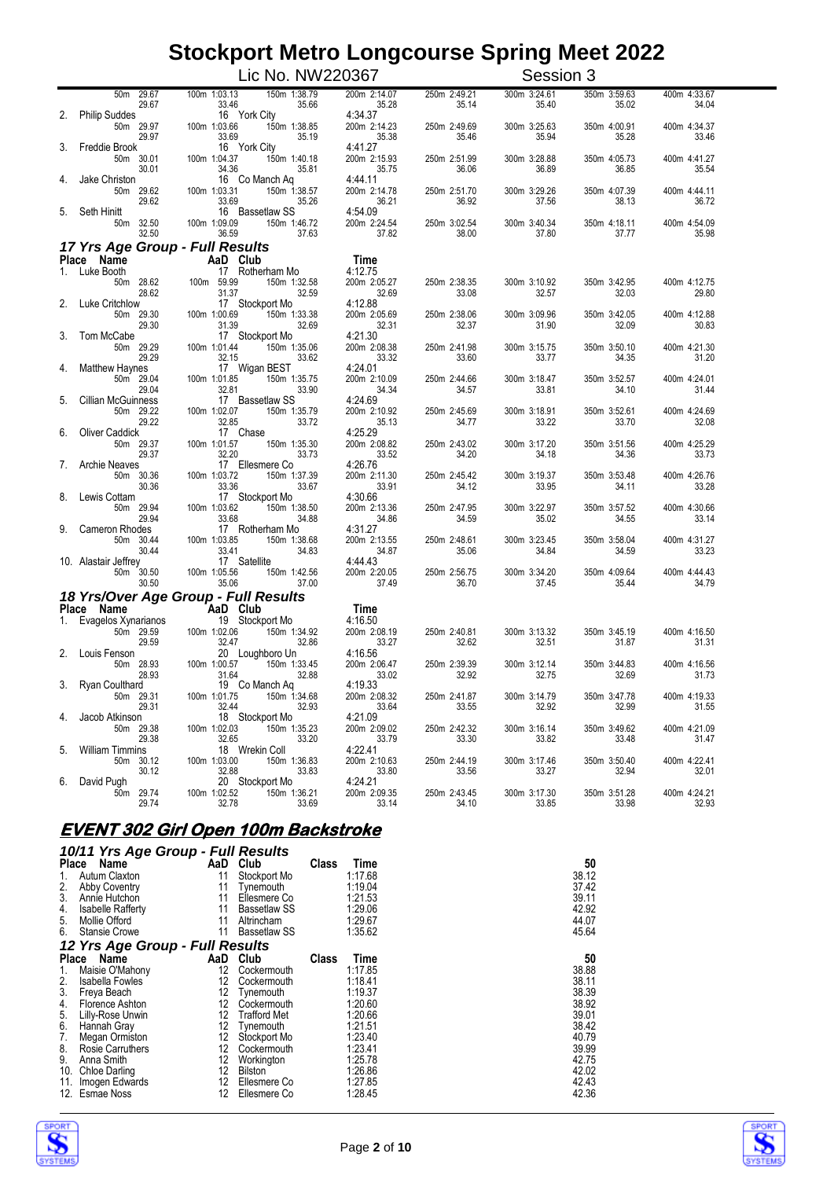|    |                                             | Lic No. NW220367                                                             |                                  |                       | Session 3             |                       |                       |
|----|---------------------------------------------|------------------------------------------------------------------------------|----------------------------------|-----------------------|-----------------------|-----------------------|-----------------------|
|    | 50m 29.67<br>29.67                          | 150m 1:38.79<br>100m 1:03.13<br>35.66<br>33.46                               | 200m 2:14.07<br>35.28            | 250m 2:49.21<br>35.14 | 300m 3:24.61<br>35.40 | 350m 3:59.63<br>35.02 | 400m 4:33.67<br>34.04 |
| 2. | <b>Philip Suddes</b><br>50m 29.97<br>29.97  | 16 York City<br>100m 1:03.66<br>150m 1:38.85<br>35.19                        | 4:34.37<br>200m 2:14.23<br>35.38 | 250m 2:49.69<br>35.46 | 300m 3:25.63<br>35.94 | 350m 4:00.91<br>35.28 | 400m 4:34.37<br>33.46 |
|    | Freddie Brook<br>50m 30.01<br>30.01         | 33.69<br>16 York City<br>100m 1:04.37<br>150m 1:40.18<br>34.36<br>35.81      | 4:41.27<br>200m 2:15.93<br>35.75 | 250m 2:51.99<br>36.06 | 300m 3:28.88<br>36.89 | 350m 4:05.73<br>36.85 | 400m 4:41.27<br>35.54 |
|    | Jake Christon<br>50m 29.62<br>29.62         | 16 Co Manch Aq<br>100m 1:03.31<br>150m 1:38.57<br>33.69<br>35.26             | 4:44.11<br>200m 2:14.78<br>36.21 | 250m 2:51.70<br>36.92 | 300m 3:29.26<br>37.56 | 350m 4:07.39<br>38.13 | 400m 4:44.11<br>36.72 |
| 5. | Seth Hinitt<br>50m 32.50                    | 16 Bassetlaw SS<br>100m 1:09.09<br>150m 1:46.72                              | 4:54.09<br>200m 2:24.54          | 250m 3:02.54          | 300m 3:40.34          | 350m 4:18.11          | 400m 4:54.09          |
|    | 32.50<br>17 Yrs Age Group - Full Results    | 36.59<br>37.63                                                               | 37.82                            | 38.00                 | 37.80                 | 37.77                 | 35.98                 |
|    | Place Name                                  | AaD Club                                                                     | Time                             |                       |                       |                       |                       |
|    | 1. Luke Booth                               | 17 Rotherham Mo                                                              | 4:12.75                          |                       |                       |                       |                       |
| 2. | 50m 28.62<br>28.62<br><b>Luke Critchlow</b> | 100m 59.99<br>150m 1:32.58<br>32.59<br>31.37<br>17 Stockport Mo              | 200m 2:05.27<br>32.69<br>4:12.88 | 250m 2:38.35<br>33.08 | 300m 3:10.92<br>32.57 | 350m 3:42.95<br>32.03 | 400m 4:12.75<br>29.80 |
|    | 50m 29.30<br>29.30                          | 100m 1:00.69<br>150m 1:33.38<br>31.39<br>32.69                               | 200m 2:05.69<br>32.31            | 250m 2:38.06<br>32.37 | 300m 3:09.96<br>31.90 | 350m 3:42.05<br>32.09 | 400m 4:12.88<br>30.83 |
| 3. | Tom McCabe<br>50m 29.29<br>29.29            | 17 Stockport Mo<br>100m 1:01.44<br>150m 1:35.06<br>32.15<br>33.62            | 4:21.30<br>200m 2:08.38<br>33.32 | 250m 2:41.98<br>33.60 | 300m 3:15.75<br>33.77 | 350m 3:50.10<br>34.35 | 400m 4:21.30<br>31.20 |
|    | Matthew Haynes<br>50m 29.04                 | 17 Wigan BEST<br>100m 1:01.85<br>150m 1:35.75                                | 4:24.01<br>200m 2:10.09          | 250m 2:44.66          | 300m 3:18.47          | 350m 3:52.57          | 400m 4:24.01<br>31.44 |
| 5. | 29.04<br>Cillian McGuinness<br>50m 29.22    | 32.81<br>33.90<br>17 Bassetlaw SS<br>100m 1:02.07<br>150m 1:35.79            | 34.34<br>4:24.69<br>200m 2:10.92 | 34.57<br>250m 2:45.69 | 33.81<br>300m 3:18.91 | 34.10<br>350m 3:52.61 | 400m 4:24.69          |
| 6. | 29.22<br>Oliver Caddick<br>50m 29.37        | 32.85<br>17 Chase<br>33.72<br>100m 1:01.57<br>150m 1:35.30                   | 35.13<br>4:25.29<br>200m 2:08.82 | 34.77<br>250m 2:43.02 | 33.22<br>300m 3:17.20 | 33.70<br>350m 3:51.56 | 32.08<br>400m 4:25.29 |
| 7. | 29.37<br><b>Archie Neaves</b>               | 32.20<br>33.73<br>17 Ellesmere Co                                            | 33.52<br>4:26.76                 | 34.20                 | 34.18                 | 34.36                 | 33.73                 |
| 8. | 50m 30.36<br>30.36<br>Lewis Cottam          | 150m 1:37.39<br>100m 1:03.72<br>33.36<br>33.67<br>17 Stockport Mo            | 200m 2:11.30<br>33.91<br>4:30.66 | 250m 2:45.42<br>34.12 | 300m 3:19.37<br>33.95 | 350m 3:53.48<br>34.11 | 400m 4:26.76<br>33.28 |
| 9. | 50m 29.94<br>29.94<br>Cameron Rhodes        | 100m 1:03.62<br>150m 1:38.50<br>33.68<br>34.88<br>17 Rotherham Mo            | 200m 2:13.36<br>34.86<br>4:31.27 | 250m 2:47.95<br>34.59 | 300m 3:22.97<br>35.02 | 350m 3:57.52<br>34.55 | 400m 4:30.66<br>33.14 |
|    | 50m 30.44<br>30.44                          | 100m 1:03.85<br>150m 1:38.68<br>33.41<br>34.83                               | 200m 2:13.55<br>34.87            | 250m 2:48.61<br>35.06 | 300m 3:23.45<br>34.84 | 350m 3:58.04<br>34.59 | 400m 4:31.27<br>33.23 |
|    | 10. Alastair Jeffrey<br>50m 30.50<br>30.50  | 17 Satellite<br>100m 1:05.56<br>150m 1:42.56<br>35.06<br>37.00               | 4:44.43<br>200m 2:20.05<br>37.49 | 250m 2:56.75<br>36.70 | 300m 3:34.20<br>37.45 | 350m 4:09.64<br>35.44 | 400m 4:44.43<br>34.79 |
|    |                                             | 18 Yrs/Over Age Group - Full Results                                         |                                  |                       |                       |                       |                       |
|    | Place Name<br>Evagelos Xynarianos           | AaD Club<br>19 Stockport Mo                                                  | Time<br>4:16.50                  |                       |                       |                       |                       |
| 1. | 50m 29.59<br>29.59                          | 100m 1:02.06<br>150m 1:34.92<br>32.47<br>32.86                               | 200m 2:08.19<br>33.27            | 250m 2:40.81<br>32.62 | 300m 3:13.32<br>32.51 | 350m 3:45.19<br>31.87 | 400m 4:16.50<br>31.31 |
|    | Louis Fenson<br>50m 28.93<br>28.93          | 20 Loughboro Un<br>$\frac{100m}{21.00.57}$<br>150m 1:33.45<br>31.64<br>32.88 | 4:16.56<br>200m 2:06.47<br>33.02 | 250m 2:39.39<br>32.92 | 300m 3:12.14<br>32.75 | 350m 3:44.83<br>32.69 | 400m 4:16.56<br>31.73 |
|    | 3. Ryan Coulthard<br>50m 29.31              | 19 Co Manch Aq<br>100m 1:01.75<br>150m 1:34.68                               | 4:19.33<br>200m 2:08.32          | 250m 2:41.87          | 300m 3:14.79          | 350m 3:47.78          | 400m 4:19.33          |
| 4. | 29.31<br>Jacob Atkinson<br>50m 29.38        | 32.93<br>32.44<br>18 Stockport Mo<br>100m 1:02.03<br>150m 1:35.23            | 33.64<br>4:21.09<br>200m 2:09.02 | 33.55<br>250m 2:42.32 | 32.92<br>300m 3:16.14 | 32.99<br>350m 3:49.62 | 31.55<br>400m 4:21.09 |
| 5. | 29.38<br><b>William Timmins</b>             | 32.65<br>33.20<br>18 Wrekin Coll                                             | 33.79<br>4:22.41                 | 33.30                 | 33.82                 | 33.48                 | 31.47                 |
| 6. | 50m 30.12<br>30.12<br>David Pugh            | 150m 1:36.83<br>100m 1:03.00<br>32.88<br>33.83<br>20 Stockport Mo            | 200m 2:10.63<br>33.80<br>4:24.21 | 250m 2:44.19<br>33.56 | 300m 3:17.46<br>33.27 | 350m 3:50.40<br>32.94 | 400m 4:22.41<br>32.01 |
|    | 50m 29.74<br>29.74                          | 150m 1:36.21<br>100m 1:02.52<br>32.78<br>33.69                               | 200m 2:09.35<br>33.14            | 250m 2:43.45<br>34.10 | 300m 3:17.30<br>33.85 | 350m 3:51.28<br>33.98 | 400m 4:24.21<br>32.93 |

### **EVENT 302 Girl Open 100m Backstroke**

#### *10/11 Yrs Age Group - Full Results*

| Place        | . .<br>Name                     | - 1-<br>AaD | Club                | Class | Time    | 50    |
|--------------|---------------------------------|-------------|---------------------|-------|---------|-------|
| $1_{\cdot}$  | Autum Claxton                   | 11          | Stockport Mo        |       | 1:17.68 | 38.12 |
| 2.           | <b>Abby Coventry</b>            | 11          | Tynemouth           |       | 1:19.04 | 37.42 |
| 3.           | Annie Hutchon                   | 11          | Ellesmere Co        |       | 1:21.53 | 39.11 |
| 4.           | <b>Isabelle Rafferty</b>        | 11          | <b>Bassetlaw SS</b> |       | 1:29.06 | 42.92 |
| 5.           | Mollie Offord                   | 11          | Altrincham          |       | 1:29.67 | 44.07 |
| 6.           | <b>Stansie Crowe</b>            | 11          | Bassetlaw SS        |       | 1:35.62 | 45.64 |
|              | 12 Yrs Age Group - Full Results |             |                     |       |         |       |
| <b>Place</b> | Name                            | AaD         | Club                | Class | Time    | 50    |
| 1.           | Maisie O'Mahony                 | 12          | Cockermouth         |       | 1:17.85 | 38.88 |
| 2.           | <b>Isabella Fowles</b>          | 12          | Cockermouth         |       | 1:18.41 | 38.11 |
| 3.           | Freya Beach                     | 12          | Tynemouth           |       | 1:19.37 | 38.39 |
| 4.           | Florence Ashton                 | 12          | Cockermouth         |       | 1:20.60 | 38.92 |
| 5.           | Lilly-Rose Unwin                | 12          | <b>Trafford Met</b> |       | 1:20.66 | 39.01 |
| 6.           | Hannah Gray                     | 12          | Tvnemouth           |       | 1:21.51 | 38.42 |
| 7.           | Megan Ormiston                  | 12          | Stockport Mo        |       | 1:23.40 | 40.79 |
| 8.           | Rosie Carruthers                | 12          | Cockermouth         |       | 1:23.41 | 39.99 |
| 9.           | Anna Smith                      | 12          | Workington          |       | 1:25.78 | 42.75 |
| 10.          | Chloe Darling                   | 12          | Bilston             |       | 1:26.86 | 42.02 |
| 11.          | Imogen Edwards                  | 12          | Ellesmere Co        |       | 1:27.85 | 42.43 |
|              | 12. Esmae Noss                  | 12          | Ellesmere Co        |       | 1:28.45 | 42.36 |



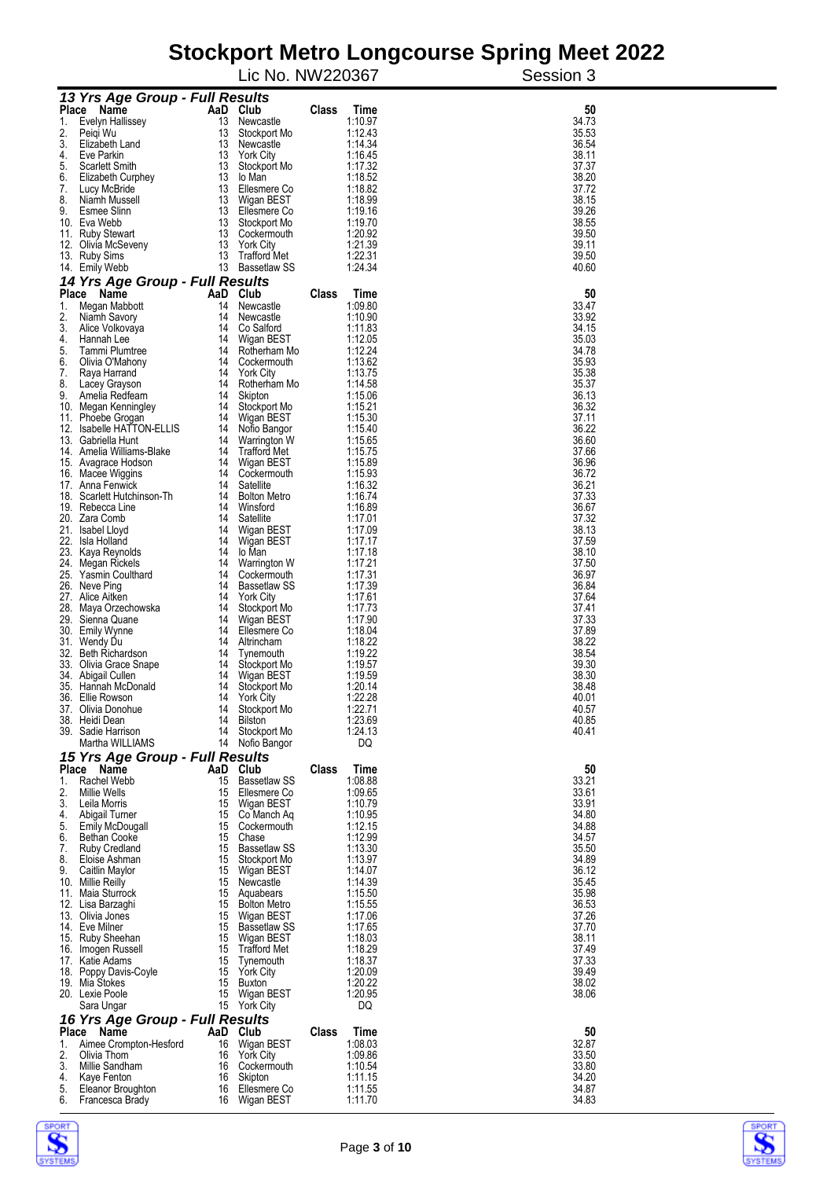| 13 Yrs Age Group - Full Results<br>AaD Club<br>Class<br>50<br>Place<br>Name<br>Time<br>13 Newcastle<br>34.73<br>Evelyn Hallissey<br>1:10.97<br>1.<br>2.<br>1:12.43<br>35.53<br>Peigi Wu<br>13<br>Stockport Mo<br>3.<br>1:14.34<br>36.54<br>Elizabeth Land<br>13<br>Newcastle<br>4.<br>13<br>Eve Parkin<br><b>York City</b><br>1:16.45<br>38.11<br>5.<br>13<br>1:17.32<br>37.37<br>Scarlett Smith<br>Stockport Mo<br>13<br>1:18.52<br>38.20<br>6.<br>Elizabeth Curphey<br>lo Man<br>13<br>7.<br>Ellesmere Co<br>1:18.82<br>37.72<br>Lucy McBride<br>8.<br>13<br>38.15<br>Niamh Mussell<br>Wigan BEST<br>1:18.99<br>9.<br>Esmee Slinn<br>13<br>1:19.16<br>39.26<br>Ellesmere Co<br>13<br>10. Eva Webb<br>1:19.70<br>38.55<br>Stockport Mo<br>13<br>1:20.92<br>39.50<br>11. Ruby Stewart<br>Cockermouth<br>13<br><b>York City</b><br>1:21.39<br>39.11<br>12. Olivia McSeveny<br>13<br><b>Trafford Met</b><br>1:22.31<br>39.50<br>13. Ruby Sims<br>13 Bassetlaw SS<br>1:24.34<br>40.60<br>14. Emily Webb<br>14 Yrs Age Group - Full Results<br>Place<br>AaD Club<br>Class<br>50<br>Name<br>Time<br>14<br>1:09.80<br>33.47<br>1.<br>Megan Mabbott<br>Newcastle<br>2.<br>1:10.90<br>33.92<br>14<br>Niamh Savory<br>Newcastle<br>3.<br>Co Salford<br>34.15<br>Alice Volkovaya<br>14<br>1:11.83<br>4.<br>35.03<br>14<br>Wigan BEST<br>1:12.05<br>Hannah Lee<br>5.<br>Tammi Plumtree<br>14<br>1:12.24<br>34.78<br>Rotherham Mo<br>6.<br>35.93<br>Olivia O'Mahony<br>14<br>Cockermouth<br>1:13.62<br>7.<br>35.38<br>14<br><b>York City</b><br>1:13.75<br>Raya Harrand<br>8.<br>35.37<br>Lacey Grayson<br>14<br>Rotherham Mo<br>1:14.58<br>9.<br>36.13<br>Amelia Redfearn<br>14<br>Skipton<br>1:15.06<br>36.32<br>14<br>Stockport Mo<br>1:15.21<br>10. Megan Kenningley<br>37.11<br>11. Phoebe Grogan<br>14<br>Wigan BEST<br>1:15.30<br>36.22<br>12. Isabelle HATTON-ELLIS<br>14<br>Nofio Bangor<br>1:15.40<br>36.60<br>13. Gabriella Hunt<br>14<br>1:15.65<br>Warrington W<br>37.66<br>14. Amelia Williams-Blake<br>14<br>Trafford Met<br>1:15.75<br>36.96<br>15. Avagrace Hodson<br>14<br>Wigan BEST<br>1:15.89<br>1:15.93<br>36.72<br>14<br>16. Macee Wiggins<br>Cockermouth<br>36.21<br>1:16.32<br>17. Anna Fenwick<br>14<br>Satellite<br>37.33<br>18. Scarlett Hutchinson-Th<br>14<br><b>Bolton Metro</b><br>1:16.74<br>36.67<br>19. Rebecca Line<br>14<br>Winsford<br>1:16.89<br>20. Zara Comb<br>37.32<br>14<br>Satellite<br>1:17.01<br>38.13<br>21. Isabel Lloyd<br>14<br>Wigan BEST<br>1:17.09<br>37.59<br>22. Isla Holland<br>14<br>Wigan BEST<br>1:17.17<br>23. Kaya Reynolds<br>38.10<br>14<br>lo Man<br>1:17.18<br>37.50<br>24. Megan Rickels<br>14<br>Warrington W<br>1:17.21<br>36.97<br>25. Yasmin Coulthard<br>14<br>1:17.31<br>Cockermouth<br>36.84<br>26. Neve Ping<br>14<br>Bassetlaw SS<br>1:17.39<br>37.64<br>27. Alice Aitken<br>14<br><b>York City</b><br>1:17.61<br>37.41<br>28. Maya Orzechowska<br>14<br>Stockport Mo<br>1:17.73<br>37.33<br>29. Sienna Quane<br>14<br>Wigan BEST<br>1:17.90<br>37.89<br>30. Emily Wynne<br>14<br>Ellesmere Co<br>1:18.04<br>38.22<br>31. Wendy Du<br>14<br>Altrincham<br>1:18.22<br>38.54<br>32. Beth Richardson<br>14<br>Tynemouth<br>1:19.22<br>39.30<br>33. Olivia Grace Snape<br>14<br>Stockport Mo<br>1:19.57<br>1:19.59<br>38.30<br>34. Abigail Cullen<br>14<br>Wigan BEST<br>1:20.14<br>35. Hannah McDonald<br>14<br>38.48<br>Stockport Mo<br>36. Ellie Rowson<br>14<br>York City<br>1:22.28<br>40.01<br>1:22.71<br>40.57<br>37. Olivia Donohue<br>14<br>Stockport Mo<br>1:23.69<br>14<br>40.85<br>38. Heidi Dean<br><b>Bilston</b><br>Stockport Mo<br>1:24.13<br>40.41<br>39. Sadie Harrison<br>14<br>Martha WILLIAMS<br>14 Nofio Bangor<br>DQ<br>15 Yrs Age Group - Full Results<br>50<br>Place Name<br>AaD Club<br>Class<br>Time<br>1.<br>Rachel Webb<br>15<br>1:08.88<br>33.21<br><b>Bassetlaw SS</b><br>2.<br>15 Ellesmere Co<br>1:09.65<br>33.61<br>Millie Wells<br>3.<br>15 Wigan BEST<br>1:10.79<br>33.91<br>Leila Morris<br>4.<br>15 Co Manch Aq<br>34.80<br>Abigail Turner<br>1:10.95<br>5.<br>15 Cockermouth<br>1:12.15<br>34.88<br>Emily McDougall<br>6.<br>15 Chase<br>1:12.99<br>34.57<br>Bethan Cooke<br>7.<br>15 Bassetlaw SS<br>1:13.30<br>35.50<br><b>Ruby Credland</b><br>8.<br>15 Stockport Mo<br>1:13.97<br>34.89<br>Eloise Ashman<br>9.<br>15 Wigan BEST<br>1:14.07<br>36.12<br>Caitlin Maylor<br>15 Newcastle<br>1:14.39<br>35.45<br>10. Millie Reilly<br>35.98<br>11. Maia Sturrock<br>15 Aquabears<br>1:15.50<br>15 Bolton Metro<br>1:15.55<br>36.53<br>12. Lisa Barzaghi<br>15 Wigan BEST<br>37.26<br>13. Olivia Jones<br>1:17.06<br>15 Bassetlaw SS<br>37.70<br>14. Eve Milner<br>1:17.65<br>15. Ruby Sheehan<br>15 Wigan BEST<br>1:18.03<br>38.11<br>15 Trafford Met<br>37.49<br>16. Imogen Russell<br>1:18.29<br>37.33<br>17. Katie Adams<br>15<br>Tynemouth<br>1:18.37<br>39.49<br>15<br>1:20.09<br>18. Poppy Davis-Coyle<br>York City<br>38.02<br>19. Mia Stokes<br>15 Buxton<br>1:20.22<br>15 Wigan BEST<br>1:20.95<br>38.06<br>20. Lexie Poole<br>15 York City<br>DQ<br>Sara Ungar<br>16 Yrs Age Group - Full Results<br>Place<br>AaD Club<br><b>Class</b><br>Time<br>50<br>Name<br>32.87<br>16<br>Wigan BEST<br>1:08.03<br>Aimee Crompton-Hesford<br>1.<br>2.<br>1:09.86<br>33.50<br>Olivia Thom<br>16 York City<br>3.<br>1:10.54<br>33.80<br>Millie Sandham<br>16 Cockermouth<br>34.20<br>4.<br>1:11.15<br>Kaye Fenton<br>16<br>Skipton<br>5.<br>34.87<br>Eleanor Broughton<br>16 Ellesmere Co<br>1:11.55<br>6.<br>1:11.70<br>34.83<br>Francesca Brady<br>16 Wigan BEST |  | Lic No. NW220367 |  | s mon o congoodroo<br>פייי יץ<br>Session 3 |  |
|--------------------------------------------------------------------------------------------------------------------------------------------------------------------------------------------------------------------------------------------------------------------------------------------------------------------------------------------------------------------------------------------------------------------------------------------------------------------------------------------------------------------------------------------------------------------------------------------------------------------------------------------------------------------------------------------------------------------------------------------------------------------------------------------------------------------------------------------------------------------------------------------------------------------------------------------------------------------------------------------------------------------------------------------------------------------------------------------------------------------------------------------------------------------------------------------------------------------------------------------------------------------------------------------------------------------------------------------------------------------------------------------------------------------------------------------------------------------------------------------------------------------------------------------------------------------------------------------------------------------------------------------------------------------------------------------------------------------------------------------------------------------------------------------------------------------------------------------------------------------------------------------------------------------------------------------------------------------------------------------------------------------------------------------------------------------------------------------------------------------------------------------------------------------------------------------------------------------------------------------------------------------------------------------------------------------------------------------------------------------------------------------------------------------------------------------------------------------------------------------------------------------------------------------------------------------------------------------------------------------------------------------------------------------------------------------------------------------------------------------------------------------------------------------------------------------------------------------------------------------------------------------------------------------------------------------------------------------------------------------------------------------------------------------------------------------------------------------------------------------------------------------------------------------------------------------------------------------------------------------------------------------------------------------------------------------------------------------------------------------------------------------------------------------------------------------------------------------------------------------------------------------------------------------------------------------------------------------------------------------------------------------------------------------------------------------------------------------------------------------------------------------------------------------------------------------------------------------------------------------------------------------------------------------------------------------------------------------------------------------------------------------------------------------------------------------------------------------------------------------------------------------------------------------------------------------------------------------------------------------------------------------------------------------------------------------------------------------------------------------------------------------------------------------------------------------------------------------------------------------------------------------------------------------------------------------------------------------------------------------------------------------------------------------------------------------------------------------------------------------------------------------------------------------------------------------------------------------------------------------------------------------------------------------------------------------------------------------------------------------------------------------------------------------------------------------------------------------------------------------------------------------------------------------------------------------------------------------------------------------------------------------------------------------------------------------------------------------------------------------------------------------------------------------------------------------------------------------------------------------------------------------------------------------------------------------|--|------------------|--|--------------------------------------------|--|
|                                                                                                                                                                                                                                                                                                                                                                                                                                                                                                                                                                                                                                                                                                                                                                                                                                                                                                                                                                                                                                                                                                                                                                                                                                                                                                                                                                                                                                                                                                                                                                                                                                                                                                                                                                                                                                                                                                                                                                                                                                                                                                                                                                                                                                                                                                                                                                                                                                                                                                                                                                                                                                                                                                                                                                                                                                                                                                                                                                                                                                                                                                                                                                                                                                                                                                                                                                                                                                                                                                                                                                                                                                                                                                                                                                                                                                                                                                                                                                                                                                                                                                                                                                                                                                                                                                                                                                                                                                                                                                                                                                                                                                                                                                                                                                                                                                                                                                                                                                                                                                                                                                                                                                                                                                                                                                                                                                                                                                                                                                                                                                    |  |                  |  |                                            |  |
|                                                                                                                                                                                                                                                                                                                                                                                                                                                                                                                                                                                                                                                                                                                                                                                                                                                                                                                                                                                                                                                                                                                                                                                                                                                                                                                                                                                                                                                                                                                                                                                                                                                                                                                                                                                                                                                                                                                                                                                                                                                                                                                                                                                                                                                                                                                                                                                                                                                                                                                                                                                                                                                                                                                                                                                                                                                                                                                                                                                                                                                                                                                                                                                                                                                                                                                                                                                                                                                                                                                                                                                                                                                                                                                                                                                                                                                                                                                                                                                                                                                                                                                                                                                                                                                                                                                                                                                                                                                                                                                                                                                                                                                                                                                                                                                                                                                                                                                                                                                                                                                                                                                                                                                                                                                                                                                                                                                                                                                                                                                                                                    |  |                  |  |                                            |  |
|                                                                                                                                                                                                                                                                                                                                                                                                                                                                                                                                                                                                                                                                                                                                                                                                                                                                                                                                                                                                                                                                                                                                                                                                                                                                                                                                                                                                                                                                                                                                                                                                                                                                                                                                                                                                                                                                                                                                                                                                                                                                                                                                                                                                                                                                                                                                                                                                                                                                                                                                                                                                                                                                                                                                                                                                                                                                                                                                                                                                                                                                                                                                                                                                                                                                                                                                                                                                                                                                                                                                                                                                                                                                                                                                                                                                                                                                                                                                                                                                                                                                                                                                                                                                                                                                                                                                                                                                                                                                                                                                                                                                                                                                                                                                                                                                                                                                                                                                                                                                                                                                                                                                                                                                                                                                                                                                                                                                                                                                                                                                                                    |  |                  |  |                                            |  |
|                                                                                                                                                                                                                                                                                                                                                                                                                                                                                                                                                                                                                                                                                                                                                                                                                                                                                                                                                                                                                                                                                                                                                                                                                                                                                                                                                                                                                                                                                                                                                                                                                                                                                                                                                                                                                                                                                                                                                                                                                                                                                                                                                                                                                                                                                                                                                                                                                                                                                                                                                                                                                                                                                                                                                                                                                                                                                                                                                                                                                                                                                                                                                                                                                                                                                                                                                                                                                                                                                                                                                                                                                                                                                                                                                                                                                                                                                                                                                                                                                                                                                                                                                                                                                                                                                                                                                                                                                                                                                                                                                                                                                                                                                                                                                                                                                                                                                                                                                                                                                                                                                                                                                                                                                                                                                                                                                                                                                                                                                                                                                                    |  |                  |  |                                            |  |
|                                                                                                                                                                                                                                                                                                                                                                                                                                                                                                                                                                                                                                                                                                                                                                                                                                                                                                                                                                                                                                                                                                                                                                                                                                                                                                                                                                                                                                                                                                                                                                                                                                                                                                                                                                                                                                                                                                                                                                                                                                                                                                                                                                                                                                                                                                                                                                                                                                                                                                                                                                                                                                                                                                                                                                                                                                                                                                                                                                                                                                                                                                                                                                                                                                                                                                                                                                                                                                                                                                                                                                                                                                                                                                                                                                                                                                                                                                                                                                                                                                                                                                                                                                                                                                                                                                                                                                                                                                                                                                                                                                                                                                                                                                                                                                                                                                                                                                                                                                                                                                                                                                                                                                                                                                                                                                                                                                                                                                                                                                                                                                    |  |                  |  |                                            |  |
|                                                                                                                                                                                                                                                                                                                                                                                                                                                                                                                                                                                                                                                                                                                                                                                                                                                                                                                                                                                                                                                                                                                                                                                                                                                                                                                                                                                                                                                                                                                                                                                                                                                                                                                                                                                                                                                                                                                                                                                                                                                                                                                                                                                                                                                                                                                                                                                                                                                                                                                                                                                                                                                                                                                                                                                                                                                                                                                                                                                                                                                                                                                                                                                                                                                                                                                                                                                                                                                                                                                                                                                                                                                                                                                                                                                                                                                                                                                                                                                                                                                                                                                                                                                                                                                                                                                                                                                                                                                                                                                                                                                                                                                                                                                                                                                                                                                                                                                                                                                                                                                                                                                                                                                                                                                                                                                                                                                                                                                                                                                                                                    |  |                  |  |                                            |  |
|                                                                                                                                                                                                                                                                                                                                                                                                                                                                                                                                                                                                                                                                                                                                                                                                                                                                                                                                                                                                                                                                                                                                                                                                                                                                                                                                                                                                                                                                                                                                                                                                                                                                                                                                                                                                                                                                                                                                                                                                                                                                                                                                                                                                                                                                                                                                                                                                                                                                                                                                                                                                                                                                                                                                                                                                                                                                                                                                                                                                                                                                                                                                                                                                                                                                                                                                                                                                                                                                                                                                                                                                                                                                                                                                                                                                                                                                                                                                                                                                                                                                                                                                                                                                                                                                                                                                                                                                                                                                                                                                                                                                                                                                                                                                                                                                                                                                                                                                                                                                                                                                                                                                                                                                                                                                                                                                                                                                                                                                                                                                                                    |  |                  |  |                                            |  |
|                                                                                                                                                                                                                                                                                                                                                                                                                                                                                                                                                                                                                                                                                                                                                                                                                                                                                                                                                                                                                                                                                                                                                                                                                                                                                                                                                                                                                                                                                                                                                                                                                                                                                                                                                                                                                                                                                                                                                                                                                                                                                                                                                                                                                                                                                                                                                                                                                                                                                                                                                                                                                                                                                                                                                                                                                                                                                                                                                                                                                                                                                                                                                                                                                                                                                                                                                                                                                                                                                                                                                                                                                                                                                                                                                                                                                                                                                                                                                                                                                                                                                                                                                                                                                                                                                                                                                                                                                                                                                                                                                                                                                                                                                                                                                                                                                                                                                                                                                                                                                                                                                                                                                                                                                                                                                                                                                                                                                                                                                                                                                                    |  |                  |  |                                            |  |
|                                                                                                                                                                                                                                                                                                                                                                                                                                                                                                                                                                                                                                                                                                                                                                                                                                                                                                                                                                                                                                                                                                                                                                                                                                                                                                                                                                                                                                                                                                                                                                                                                                                                                                                                                                                                                                                                                                                                                                                                                                                                                                                                                                                                                                                                                                                                                                                                                                                                                                                                                                                                                                                                                                                                                                                                                                                                                                                                                                                                                                                                                                                                                                                                                                                                                                                                                                                                                                                                                                                                                                                                                                                                                                                                                                                                                                                                                                                                                                                                                                                                                                                                                                                                                                                                                                                                                                                                                                                                                                                                                                                                                                                                                                                                                                                                                                                                                                                                                                                                                                                                                                                                                                                                                                                                                                                                                                                                                                                                                                                                                                    |  |                  |  |                                            |  |
|                                                                                                                                                                                                                                                                                                                                                                                                                                                                                                                                                                                                                                                                                                                                                                                                                                                                                                                                                                                                                                                                                                                                                                                                                                                                                                                                                                                                                                                                                                                                                                                                                                                                                                                                                                                                                                                                                                                                                                                                                                                                                                                                                                                                                                                                                                                                                                                                                                                                                                                                                                                                                                                                                                                                                                                                                                                                                                                                                                                                                                                                                                                                                                                                                                                                                                                                                                                                                                                                                                                                                                                                                                                                                                                                                                                                                                                                                                                                                                                                                                                                                                                                                                                                                                                                                                                                                                                                                                                                                                                                                                                                                                                                                                                                                                                                                                                                                                                                                                                                                                                                                                                                                                                                                                                                                                                                                                                                                                                                                                                                                                    |  |                  |  |                                            |  |
|                                                                                                                                                                                                                                                                                                                                                                                                                                                                                                                                                                                                                                                                                                                                                                                                                                                                                                                                                                                                                                                                                                                                                                                                                                                                                                                                                                                                                                                                                                                                                                                                                                                                                                                                                                                                                                                                                                                                                                                                                                                                                                                                                                                                                                                                                                                                                                                                                                                                                                                                                                                                                                                                                                                                                                                                                                                                                                                                                                                                                                                                                                                                                                                                                                                                                                                                                                                                                                                                                                                                                                                                                                                                                                                                                                                                                                                                                                                                                                                                                                                                                                                                                                                                                                                                                                                                                                                                                                                                                                                                                                                                                                                                                                                                                                                                                                                                                                                                                                                                                                                                                                                                                                                                                                                                                                                                                                                                                                                                                                                                                                    |  |                  |  |                                            |  |
|                                                                                                                                                                                                                                                                                                                                                                                                                                                                                                                                                                                                                                                                                                                                                                                                                                                                                                                                                                                                                                                                                                                                                                                                                                                                                                                                                                                                                                                                                                                                                                                                                                                                                                                                                                                                                                                                                                                                                                                                                                                                                                                                                                                                                                                                                                                                                                                                                                                                                                                                                                                                                                                                                                                                                                                                                                                                                                                                                                                                                                                                                                                                                                                                                                                                                                                                                                                                                                                                                                                                                                                                                                                                                                                                                                                                                                                                                                                                                                                                                                                                                                                                                                                                                                                                                                                                                                                                                                                                                                                                                                                                                                                                                                                                                                                                                                                                                                                                                                                                                                                                                                                                                                                                                                                                                                                                                                                                                                                                                                                                                                    |  |                  |  |                                            |  |
|                                                                                                                                                                                                                                                                                                                                                                                                                                                                                                                                                                                                                                                                                                                                                                                                                                                                                                                                                                                                                                                                                                                                                                                                                                                                                                                                                                                                                                                                                                                                                                                                                                                                                                                                                                                                                                                                                                                                                                                                                                                                                                                                                                                                                                                                                                                                                                                                                                                                                                                                                                                                                                                                                                                                                                                                                                                                                                                                                                                                                                                                                                                                                                                                                                                                                                                                                                                                                                                                                                                                                                                                                                                                                                                                                                                                                                                                                                                                                                                                                                                                                                                                                                                                                                                                                                                                                                                                                                                                                                                                                                                                                                                                                                                                                                                                                                                                                                                                                                                                                                                                                                                                                                                                                                                                                                                                                                                                                                                                                                                                                                    |  |                  |  |                                            |  |
|                                                                                                                                                                                                                                                                                                                                                                                                                                                                                                                                                                                                                                                                                                                                                                                                                                                                                                                                                                                                                                                                                                                                                                                                                                                                                                                                                                                                                                                                                                                                                                                                                                                                                                                                                                                                                                                                                                                                                                                                                                                                                                                                                                                                                                                                                                                                                                                                                                                                                                                                                                                                                                                                                                                                                                                                                                                                                                                                                                                                                                                                                                                                                                                                                                                                                                                                                                                                                                                                                                                                                                                                                                                                                                                                                                                                                                                                                                                                                                                                                                                                                                                                                                                                                                                                                                                                                                                                                                                                                                                                                                                                                                                                                                                                                                                                                                                                                                                                                                                                                                                                                                                                                                                                                                                                                                                                                                                                                                                                                                                                                                    |  |                  |  |                                            |  |
|                                                                                                                                                                                                                                                                                                                                                                                                                                                                                                                                                                                                                                                                                                                                                                                                                                                                                                                                                                                                                                                                                                                                                                                                                                                                                                                                                                                                                                                                                                                                                                                                                                                                                                                                                                                                                                                                                                                                                                                                                                                                                                                                                                                                                                                                                                                                                                                                                                                                                                                                                                                                                                                                                                                                                                                                                                                                                                                                                                                                                                                                                                                                                                                                                                                                                                                                                                                                                                                                                                                                                                                                                                                                                                                                                                                                                                                                                                                                                                                                                                                                                                                                                                                                                                                                                                                                                                                                                                                                                                                                                                                                                                                                                                                                                                                                                                                                                                                                                                                                                                                                                                                                                                                                                                                                                                                                                                                                                                                                                                                                                                    |  |                  |  |                                            |  |
|                                                                                                                                                                                                                                                                                                                                                                                                                                                                                                                                                                                                                                                                                                                                                                                                                                                                                                                                                                                                                                                                                                                                                                                                                                                                                                                                                                                                                                                                                                                                                                                                                                                                                                                                                                                                                                                                                                                                                                                                                                                                                                                                                                                                                                                                                                                                                                                                                                                                                                                                                                                                                                                                                                                                                                                                                                                                                                                                                                                                                                                                                                                                                                                                                                                                                                                                                                                                                                                                                                                                                                                                                                                                                                                                                                                                                                                                                                                                                                                                                                                                                                                                                                                                                                                                                                                                                                                                                                                                                                                                                                                                                                                                                                                                                                                                                                                                                                                                                                                                                                                                                                                                                                                                                                                                                                                                                                                                                                                                                                                                                                    |  |                  |  |                                            |  |
|                                                                                                                                                                                                                                                                                                                                                                                                                                                                                                                                                                                                                                                                                                                                                                                                                                                                                                                                                                                                                                                                                                                                                                                                                                                                                                                                                                                                                                                                                                                                                                                                                                                                                                                                                                                                                                                                                                                                                                                                                                                                                                                                                                                                                                                                                                                                                                                                                                                                                                                                                                                                                                                                                                                                                                                                                                                                                                                                                                                                                                                                                                                                                                                                                                                                                                                                                                                                                                                                                                                                                                                                                                                                                                                                                                                                                                                                                                                                                                                                                                                                                                                                                                                                                                                                                                                                                                                                                                                                                                                                                                                                                                                                                                                                                                                                                                                                                                                                                                                                                                                                                                                                                                                                                                                                                                                                                                                                                                                                                                                                                                    |  |                  |  |                                            |  |
|                                                                                                                                                                                                                                                                                                                                                                                                                                                                                                                                                                                                                                                                                                                                                                                                                                                                                                                                                                                                                                                                                                                                                                                                                                                                                                                                                                                                                                                                                                                                                                                                                                                                                                                                                                                                                                                                                                                                                                                                                                                                                                                                                                                                                                                                                                                                                                                                                                                                                                                                                                                                                                                                                                                                                                                                                                                                                                                                                                                                                                                                                                                                                                                                                                                                                                                                                                                                                                                                                                                                                                                                                                                                                                                                                                                                                                                                                                                                                                                                                                                                                                                                                                                                                                                                                                                                                                                                                                                                                                                                                                                                                                                                                                                                                                                                                                                                                                                                                                                                                                                                                                                                                                                                                                                                                                                                                                                                                                                                                                                                                                    |  |                  |  |                                            |  |
|                                                                                                                                                                                                                                                                                                                                                                                                                                                                                                                                                                                                                                                                                                                                                                                                                                                                                                                                                                                                                                                                                                                                                                                                                                                                                                                                                                                                                                                                                                                                                                                                                                                                                                                                                                                                                                                                                                                                                                                                                                                                                                                                                                                                                                                                                                                                                                                                                                                                                                                                                                                                                                                                                                                                                                                                                                                                                                                                                                                                                                                                                                                                                                                                                                                                                                                                                                                                                                                                                                                                                                                                                                                                                                                                                                                                                                                                                                                                                                                                                                                                                                                                                                                                                                                                                                                                                                                                                                                                                                                                                                                                                                                                                                                                                                                                                                                                                                                                                                                                                                                                                                                                                                                                                                                                                                                                                                                                                                                                                                                                                                    |  |                  |  |                                            |  |
|                                                                                                                                                                                                                                                                                                                                                                                                                                                                                                                                                                                                                                                                                                                                                                                                                                                                                                                                                                                                                                                                                                                                                                                                                                                                                                                                                                                                                                                                                                                                                                                                                                                                                                                                                                                                                                                                                                                                                                                                                                                                                                                                                                                                                                                                                                                                                                                                                                                                                                                                                                                                                                                                                                                                                                                                                                                                                                                                                                                                                                                                                                                                                                                                                                                                                                                                                                                                                                                                                                                                                                                                                                                                                                                                                                                                                                                                                                                                                                                                                                                                                                                                                                                                                                                                                                                                                                                                                                                                                                                                                                                                                                                                                                                                                                                                                                                                                                                                                                                                                                                                                                                                                                                                                                                                                                                                                                                                                                                                                                                                                                    |  |                  |  |                                            |  |
|                                                                                                                                                                                                                                                                                                                                                                                                                                                                                                                                                                                                                                                                                                                                                                                                                                                                                                                                                                                                                                                                                                                                                                                                                                                                                                                                                                                                                                                                                                                                                                                                                                                                                                                                                                                                                                                                                                                                                                                                                                                                                                                                                                                                                                                                                                                                                                                                                                                                                                                                                                                                                                                                                                                                                                                                                                                                                                                                                                                                                                                                                                                                                                                                                                                                                                                                                                                                                                                                                                                                                                                                                                                                                                                                                                                                                                                                                                                                                                                                                                                                                                                                                                                                                                                                                                                                                                                                                                                                                                                                                                                                                                                                                                                                                                                                                                                                                                                                                                                                                                                                                                                                                                                                                                                                                                                                                                                                                                                                                                                                                                    |  |                  |  |                                            |  |
|                                                                                                                                                                                                                                                                                                                                                                                                                                                                                                                                                                                                                                                                                                                                                                                                                                                                                                                                                                                                                                                                                                                                                                                                                                                                                                                                                                                                                                                                                                                                                                                                                                                                                                                                                                                                                                                                                                                                                                                                                                                                                                                                                                                                                                                                                                                                                                                                                                                                                                                                                                                                                                                                                                                                                                                                                                                                                                                                                                                                                                                                                                                                                                                                                                                                                                                                                                                                                                                                                                                                                                                                                                                                                                                                                                                                                                                                                                                                                                                                                                                                                                                                                                                                                                                                                                                                                                                                                                                                                                                                                                                                                                                                                                                                                                                                                                                                                                                                                                                                                                                                                                                                                                                                                                                                                                                                                                                                                                                                                                                                                                    |  |                  |  |                                            |  |
|                                                                                                                                                                                                                                                                                                                                                                                                                                                                                                                                                                                                                                                                                                                                                                                                                                                                                                                                                                                                                                                                                                                                                                                                                                                                                                                                                                                                                                                                                                                                                                                                                                                                                                                                                                                                                                                                                                                                                                                                                                                                                                                                                                                                                                                                                                                                                                                                                                                                                                                                                                                                                                                                                                                                                                                                                                                                                                                                                                                                                                                                                                                                                                                                                                                                                                                                                                                                                                                                                                                                                                                                                                                                                                                                                                                                                                                                                                                                                                                                                                                                                                                                                                                                                                                                                                                                                                                                                                                                                                                                                                                                                                                                                                                                                                                                                                                                                                                                                                                                                                                                                                                                                                                                                                                                                                                                                                                                                                                                                                                                                                    |  |                  |  |                                            |  |
|                                                                                                                                                                                                                                                                                                                                                                                                                                                                                                                                                                                                                                                                                                                                                                                                                                                                                                                                                                                                                                                                                                                                                                                                                                                                                                                                                                                                                                                                                                                                                                                                                                                                                                                                                                                                                                                                                                                                                                                                                                                                                                                                                                                                                                                                                                                                                                                                                                                                                                                                                                                                                                                                                                                                                                                                                                                                                                                                                                                                                                                                                                                                                                                                                                                                                                                                                                                                                                                                                                                                                                                                                                                                                                                                                                                                                                                                                                                                                                                                                                                                                                                                                                                                                                                                                                                                                                                                                                                                                                                                                                                                                                                                                                                                                                                                                                                                                                                                                                                                                                                                                                                                                                                                                                                                                                                                                                                                                                                                                                                                                                    |  |                  |  |                                            |  |
|                                                                                                                                                                                                                                                                                                                                                                                                                                                                                                                                                                                                                                                                                                                                                                                                                                                                                                                                                                                                                                                                                                                                                                                                                                                                                                                                                                                                                                                                                                                                                                                                                                                                                                                                                                                                                                                                                                                                                                                                                                                                                                                                                                                                                                                                                                                                                                                                                                                                                                                                                                                                                                                                                                                                                                                                                                                                                                                                                                                                                                                                                                                                                                                                                                                                                                                                                                                                                                                                                                                                                                                                                                                                                                                                                                                                                                                                                                                                                                                                                                                                                                                                                                                                                                                                                                                                                                                                                                                                                                                                                                                                                                                                                                                                                                                                                                                                                                                                                                                                                                                                                                                                                                                                                                                                                                                                                                                                                                                                                                                                                                    |  |                  |  |                                            |  |
|                                                                                                                                                                                                                                                                                                                                                                                                                                                                                                                                                                                                                                                                                                                                                                                                                                                                                                                                                                                                                                                                                                                                                                                                                                                                                                                                                                                                                                                                                                                                                                                                                                                                                                                                                                                                                                                                                                                                                                                                                                                                                                                                                                                                                                                                                                                                                                                                                                                                                                                                                                                                                                                                                                                                                                                                                                                                                                                                                                                                                                                                                                                                                                                                                                                                                                                                                                                                                                                                                                                                                                                                                                                                                                                                                                                                                                                                                                                                                                                                                                                                                                                                                                                                                                                                                                                                                                                                                                                                                                                                                                                                                                                                                                                                                                                                                                                                                                                                                                                                                                                                                                                                                                                                                                                                                                                                                                                                                                                                                                                                                                    |  |                  |  |                                            |  |
|                                                                                                                                                                                                                                                                                                                                                                                                                                                                                                                                                                                                                                                                                                                                                                                                                                                                                                                                                                                                                                                                                                                                                                                                                                                                                                                                                                                                                                                                                                                                                                                                                                                                                                                                                                                                                                                                                                                                                                                                                                                                                                                                                                                                                                                                                                                                                                                                                                                                                                                                                                                                                                                                                                                                                                                                                                                                                                                                                                                                                                                                                                                                                                                                                                                                                                                                                                                                                                                                                                                                                                                                                                                                                                                                                                                                                                                                                                                                                                                                                                                                                                                                                                                                                                                                                                                                                                                                                                                                                                                                                                                                                                                                                                                                                                                                                                                                                                                                                                                                                                                                                                                                                                                                                                                                                                                                                                                                                                                                                                                                                                    |  |                  |  |                                            |  |
|                                                                                                                                                                                                                                                                                                                                                                                                                                                                                                                                                                                                                                                                                                                                                                                                                                                                                                                                                                                                                                                                                                                                                                                                                                                                                                                                                                                                                                                                                                                                                                                                                                                                                                                                                                                                                                                                                                                                                                                                                                                                                                                                                                                                                                                                                                                                                                                                                                                                                                                                                                                                                                                                                                                                                                                                                                                                                                                                                                                                                                                                                                                                                                                                                                                                                                                                                                                                                                                                                                                                                                                                                                                                                                                                                                                                                                                                                                                                                                                                                                                                                                                                                                                                                                                                                                                                                                                                                                                                                                                                                                                                                                                                                                                                                                                                                                                                                                                                                                                                                                                                                                                                                                                                                                                                                                                                                                                                                                                                                                                                                                    |  |                  |  |                                            |  |
|                                                                                                                                                                                                                                                                                                                                                                                                                                                                                                                                                                                                                                                                                                                                                                                                                                                                                                                                                                                                                                                                                                                                                                                                                                                                                                                                                                                                                                                                                                                                                                                                                                                                                                                                                                                                                                                                                                                                                                                                                                                                                                                                                                                                                                                                                                                                                                                                                                                                                                                                                                                                                                                                                                                                                                                                                                                                                                                                                                                                                                                                                                                                                                                                                                                                                                                                                                                                                                                                                                                                                                                                                                                                                                                                                                                                                                                                                                                                                                                                                                                                                                                                                                                                                                                                                                                                                                                                                                                                                                                                                                                                                                                                                                                                                                                                                                                                                                                                                                                                                                                                                                                                                                                                                                                                                                                                                                                                                                                                                                                                                                    |  |                  |  |                                            |  |
|                                                                                                                                                                                                                                                                                                                                                                                                                                                                                                                                                                                                                                                                                                                                                                                                                                                                                                                                                                                                                                                                                                                                                                                                                                                                                                                                                                                                                                                                                                                                                                                                                                                                                                                                                                                                                                                                                                                                                                                                                                                                                                                                                                                                                                                                                                                                                                                                                                                                                                                                                                                                                                                                                                                                                                                                                                                                                                                                                                                                                                                                                                                                                                                                                                                                                                                                                                                                                                                                                                                                                                                                                                                                                                                                                                                                                                                                                                                                                                                                                                                                                                                                                                                                                                                                                                                                                                                                                                                                                                                                                                                                                                                                                                                                                                                                                                                                                                                                                                                                                                                                                                                                                                                                                                                                                                                                                                                                                                                                                                                                                                    |  |                  |  |                                            |  |
|                                                                                                                                                                                                                                                                                                                                                                                                                                                                                                                                                                                                                                                                                                                                                                                                                                                                                                                                                                                                                                                                                                                                                                                                                                                                                                                                                                                                                                                                                                                                                                                                                                                                                                                                                                                                                                                                                                                                                                                                                                                                                                                                                                                                                                                                                                                                                                                                                                                                                                                                                                                                                                                                                                                                                                                                                                                                                                                                                                                                                                                                                                                                                                                                                                                                                                                                                                                                                                                                                                                                                                                                                                                                                                                                                                                                                                                                                                                                                                                                                                                                                                                                                                                                                                                                                                                                                                                                                                                                                                                                                                                                                                                                                                                                                                                                                                                                                                                                                                                                                                                                                                                                                                                                                                                                                                                                                                                                                                                                                                                                                                    |  |                  |  |                                            |  |
|                                                                                                                                                                                                                                                                                                                                                                                                                                                                                                                                                                                                                                                                                                                                                                                                                                                                                                                                                                                                                                                                                                                                                                                                                                                                                                                                                                                                                                                                                                                                                                                                                                                                                                                                                                                                                                                                                                                                                                                                                                                                                                                                                                                                                                                                                                                                                                                                                                                                                                                                                                                                                                                                                                                                                                                                                                                                                                                                                                                                                                                                                                                                                                                                                                                                                                                                                                                                                                                                                                                                                                                                                                                                                                                                                                                                                                                                                                                                                                                                                                                                                                                                                                                                                                                                                                                                                                                                                                                                                                                                                                                                                                                                                                                                                                                                                                                                                                                                                                                                                                                                                                                                                                                                                                                                                                                                                                                                                                                                                                                                                                    |  |                  |  |                                            |  |
|                                                                                                                                                                                                                                                                                                                                                                                                                                                                                                                                                                                                                                                                                                                                                                                                                                                                                                                                                                                                                                                                                                                                                                                                                                                                                                                                                                                                                                                                                                                                                                                                                                                                                                                                                                                                                                                                                                                                                                                                                                                                                                                                                                                                                                                                                                                                                                                                                                                                                                                                                                                                                                                                                                                                                                                                                                                                                                                                                                                                                                                                                                                                                                                                                                                                                                                                                                                                                                                                                                                                                                                                                                                                                                                                                                                                                                                                                                                                                                                                                                                                                                                                                                                                                                                                                                                                                                                                                                                                                                                                                                                                                                                                                                                                                                                                                                                                                                                                                                                                                                                                                                                                                                                                                                                                                                                                                                                                                                                                                                                                                                    |  |                  |  |                                            |  |
|                                                                                                                                                                                                                                                                                                                                                                                                                                                                                                                                                                                                                                                                                                                                                                                                                                                                                                                                                                                                                                                                                                                                                                                                                                                                                                                                                                                                                                                                                                                                                                                                                                                                                                                                                                                                                                                                                                                                                                                                                                                                                                                                                                                                                                                                                                                                                                                                                                                                                                                                                                                                                                                                                                                                                                                                                                                                                                                                                                                                                                                                                                                                                                                                                                                                                                                                                                                                                                                                                                                                                                                                                                                                                                                                                                                                                                                                                                                                                                                                                                                                                                                                                                                                                                                                                                                                                                                                                                                                                                                                                                                                                                                                                                                                                                                                                                                                                                                                                                                                                                                                                                                                                                                                                                                                                                                                                                                                                                                                                                                                                                    |  |                  |  |                                            |  |
|                                                                                                                                                                                                                                                                                                                                                                                                                                                                                                                                                                                                                                                                                                                                                                                                                                                                                                                                                                                                                                                                                                                                                                                                                                                                                                                                                                                                                                                                                                                                                                                                                                                                                                                                                                                                                                                                                                                                                                                                                                                                                                                                                                                                                                                                                                                                                                                                                                                                                                                                                                                                                                                                                                                                                                                                                                                                                                                                                                                                                                                                                                                                                                                                                                                                                                                                                                                                                                                                                                                                                                                                                                                                                                                                                                                                                                                                                                                                                                                                                                                                                                                                                                                                                                                                                                                                                                                                                                                                                                                                                                                                                                                                                                                                                                                                                                                                                                                                                                                                                                                                                                                                                                                                                                                                                                                                                                                                                                                                                                                                                                    |  |                  |  |                                            |  |
|                                                                                                                                                                                                                                                                                                                                                                                                                                                                                                                                                                                                                                                                                                                                                                                                                                                                                                                                                                                                                                                                                                                                                                                                                                                                                                                                                                                                                                                                                                                                                                                                                                                                                                                                                                                                                                                                                                                                                                                                                                                                                                                                                                                                                                                                                                                                                                                                                                                                                                                                                                                                                                                                                                                                                                                                                                                                                                                                                                                                                                                                                                                                                                                                                                                                                                                                                                                                                                                                                                                                                                                                                                                                                                                                                                                                                                                                                                                                                                                                                                                                                                                                                                                                                                                                                                                                                                                                                                                                                                                                                                                                                                                                                                                                                                                                                                                                                                                                                                                                                                                                                                                                                                                                                                                                                                                                                                                                                                                                                                                                                                    |  |                  |  |                                            |  |
|                                                                                                                                                                                                                                                                                                                                                                                                                                                                                                                                                                                                                                                                                                                                                                                                                                                                                                                                                                                                                                                                                                                                                                                                                                                                                                                                                                                                                                                                                                                                                                                                                                                                                                                                                                                                                                                                                                                                                                                                                                                                                                                                                                                                                                                                                                                                                                                                                                                                                                                                                                                                                                                                                                                                                                                                                                                                                                                                                                                                                                                                                                                                                                                                                                                                                                                                                                                                                                                                                                                                                                                                                                                                                                                                                                                                                                                                                                                                                                                                                                                                                                                                                                                                                                                                                                                                                                                                                                                                                                                                                                                                                                                                                                                                                                                                                                                                                                                                                                                                                                                                                                                                                                                                                                                                                                                                                                                                                                                                                                                                                                    |  |                  |  |                                            |  |
|                                                                                                                                                                                                                                                                                                                                                                                                                                                                                                                                                                                                                                                                                                                                                                                                                                                                                                                                                                                                                                                                                                                                                                                                                                                                                                                                                                                                                                                                                                                                                                                                                                                                                                                                                                                                                                                                                                                                                                                                                                                                                                                                                                                                                                                                                                                                                                                                                                                                                                                                                                                                                                                                                                                                                                                                                                                                                                                                                                                                                                                                                                                                                                                                                                                                                                                                                                                                                                                                                                                                                                                                                                                                                                                                                                                                                                                                                                                                                                                                                                                                                                                                                                                                                                                                                                                                                                                                                                                                                                                                                                                                                                                                                                                                                                                                                                                                                                                                                                                                                                                                                                                                                                                                                                                                                                                                                                                                                                                                                                                                                                    |  |                  |  |                                            |  |
|                                                                                                                                                                                                                                                                                                                                                                                                                                                                                                                                                                                                                                                                                                                                                                                                                                                                                                                                                                                                                                                                                                                                                                                                                                                                                                                                                                                                                                                                                                                                                                                                                                                                                                                                                                                                                                                                                                                                                                                                                                                                                                                                                                                                                                                                                                                                                                                                                                                                                                                                                                                                                                                                                                                                                                                                                                                                                                                                                                                                                                                                                                                                                                                                                                                                                                                                                                                                                                                                                                                                                                                                                                                                                                                                                                                                                                                                                                                                                                                                                                                                                                                                                                                                                                                                                                                                                                                                                                                                                                                                                                                                                                                                                                                                                                                                                                                                                                                                                                                                                                                                                                                                                                                                                                                                                                                                                                                                                                                                                                                                                                    |  |                  |  |                                            |  |
|                                                                                                                                                                                                                                                                                                                                                                                                                                                                                                                                                                                                                                                                                                                                                                                                                                                                                                                                                                                                                                                                                                                                                                                                                                                                                                                                                                                                                                                                                                                                                                                                                                                                                                                                                                                                                                                                                                                                                                                                                                                                                                                                                                                                                                                                                                                                                                                                                                                                                                                                                                                                                                                                                                                                                                                                                                                                                                                                                                                                                                                                                                                                                                                                                                                                                                                                                                                                                                                                                                                                                                                                                                                                                                                                                                                                                                                                                                                                                                                                                                                                                                                                                                                                                                                                                                                                                                                                                                                                                                                                                                                                                                                                                                                                                                                                                                                                                                                                                                                                                                                                                                                                                                                                                                                                                                                                                                                                                                                                                                                                                                    |  |                  |  |                                            |  |
|                                                                                                                                                                                                                                                                                                                                                                                                                                                                                                                                                                                                                                                                                                                                                                                                                                                                                                                                                                                                                                                                                                                                                                                                                                                                                                                                                                                                                                                                                                                                                                                                                                                                                                                                                                                                                                                                                                                                                                                                                                                                                                                                                                                                                                                                                                                                                                                                                                                                                                                                                                                                                                                                                                                                                                                                                                                                                                                                                                                                                                                                                                                                                                                                                                                                                                                                                                                                                                                                                                                                                                                                                                                                                                                                                                                                                                                                                                                                                                                                                                                                                                                                                                                                                                                                                                                                                                                                                                                                                                                                                                                                                                                                                                                                                                                                                                                                                                                                                                                                                                                                                                                                                                                                                                                                                                                                                                                                                                                                                                                                                                    |  |                  |  |                                            |  |
|                                                                                                                                                                                                                                                                                                                                                                                                                                                                                                                                                                                                                                                                                                                                                                                                                                                                                                                                                                                                                                                                                                                                                                                                                                                                                                                                                                                                                                                                                                                                                                                                                                                                                                                                                                                                                                                                                                                                                                                                                                                                                                                                                                                                                                                                                                                                                                                                                                                                                                                                                                                                                                                                                                                                                                                                                                                                                                                                                                                                                                                                                                                                                                                                                                                                                                                                                                                                                                                                                                                                                                                                                                                                                                                                                                                                                                                                                                                                                                                                                                                                                                                                                                                                                                                                                                                                                                                                                                                                                                                                                                                                                                                                                                                                                                                                                                                                                                                                                                                                                                                                                                                                                                                                                                                                                                                                                                                                                                                                                                                                                                    |  |                  |  |                                            |  |
|                                                                                                                                                                                                                                                                                                                                                                                                                                                                                                                                                                                                                                                                                                                                                                                                                                                                                                                                                                                                                                                                                                                                                                                                                                                                                                                                                                                                                                                                                                                                                                                                                                                                                                                                                                                                                                                                                                                                                                                                                                                                                                                                                                                                                                                                                                                                                                                                                                                                                                                                                                                                                                                                                                                                                                                                                                                                                                                                                                                                                                                                                                                                                                                                                                                                                                                                                                                                                                                                                                                                                                                                                                                                                                                                                                                                                                                                                                                                                                                                                                                                                                                                                                                                                                                                                                                                                                                                                                                                                                                                                                                                                                                                                                                                                                                                                                                                                                                                                                                                                                                                                                                                                                                                                                                                                                                                                                                                                                                                                                                                                                    |  |                  |  |                                            |  |
|                                                                                                                                                                                                                                                                                                                                                                                                                                                                                                                                                                                                                                                                                                                                                                                                                                                                                                                                                                                                                                                                                                                                                                                                                                                                                                                                                                                                                                                                                                                                                                                                                                                                                                                                                                                                                                                                                                                                                                                                                                                                                                                                                                                                                                                                                                                                                                                                                                                                                                                                                                                                                                                                                                                                                                                                                                                                                                                                                                                                                                                                                                                                                                                                                                                                                                                                                                                                                                                                                                                                                                                                                                                                                                                                                                                                                                                                                                                                                                                                                                                                                                                                                                                                                                                                                                                                                                                                                                                                                                                                                                                                                                                                                                                                                                                                                                                                                                                                                                                                                                                                                                                                                                                                                                                                                                                                                                                                                                                                                                                                                                    |  |                  |  |                                            |  |
|                                                                                                                                                                                                                                                                                                                                                                                                                                                                                                                                                                                                                                                                                                                                                                                                                                                                                                                                                                                                                                                                                                                                                                                                                                                                                                                                                                                                                                                                                                                                                                                                                                                                                                                                                                                                                                                                                                                                                                                                                                                                                                                                                                                                                                                                                                                                                                                                                                                                                                                                                                                                                                                                                                                                                                                                                                                                                                                                                                                                                                                                                                                                                                                                                                                                                                                                                                                                                                                                                                                                                                                                                                                                                                                                                                                                                                                                                                                                                                                                                                                                                                                                                                                                                                                                                                                                                                                                                                                                                                                                                                                                                                                                                                                                                                                                                                                                                                                                                                                                                                                                                                                                                                                                                                                                                                                                                                                                                                                                                                                                                                    |  |                  |  |                                            |  |
|                                                                                                                                                                                                                                                                                                                                                                                                                                                                                                                                                                                                                                                                                                                                                                                                                                                                                                                                                                                                                                                                                                                                                                                                                                                                                                                                                                                                                                                                                                                                                                                                                                                                                                                                                                                                                                                                                                                                                                                                                                                                                                                                                                                                                                                                                                                                                                                                                                                                                                                                                                                                                                                                                                                                                                                                                                                                                                                                                                                                                                                                                                                                                                                                                                                                                                                                                                                                                                                                                                                                                                                                                                                                                                                                                                                                                                                                                                                                                                                                                                                                                                                                                                                                                                                                                                                                                                                                                                                                                                                                                                                                                                                                                                                                                                                                                                                                                                                                                                                                                                                                                                                                                                                                                                                                                                                                                                                                                                                                                                                                                                    |  |                  |  |                                            |  |
|                                                                                                                                                                                                                                                                                                                                                                                                                                                                                                                                                                                                                                                                                                                                                                                                                                                                                                                                                                                                                                                                                                                                                                                                                                                                                                                                                                                                                                                                                                                                                                                                                                                                                                                                                                                                                                                                                                                                                                                                                                                                                                                                                                                                                                                                                                                                                                                                                                                                                                                                                                                                                                                                                                                                                                                                                                                                                                                                                                                                                                                                                                                                                                                                                                                                                                                                                                                                                                                                                                                                                                                                                                                                                                                                                                                                                                                                                                                                                                                                                                                                                                                                                                                                                                                                                                                                                                                                                                                                                                                                                                                                                                                                                                                                                                                                                                                                                                                                                                                                                                                                                                                                                                                                                                                                                                                                                                                                                                                                                                                                                                    |  |                  |  |                                            |  |
|                                                                                                                                                                                                                                                                                                                                                                                                                                                                                                                                                                                                                                                                                                                                                                                                                                                                                                                                                                                                                                                                                                                                                                                                                                                                                                                                                                                                                                                                                                                                                                                                                                                                                                                                                                                                                                                                                                                                                                                                                                                                                                                                                                                                                                                                                                                                                                                                                                                                                                                                                                                                                                                                                                                                                                                                                                                                                                                                                                                                                                                                                                                                                                                                                                                                                                                                                                                                                                                                                                                                                                                                                                                                                                                                                                                                                                                                                                                                                                                                                                                                                                                                                                                                                                                                                                                                                                                                                                                                                                                                                                                                                                                                                                                                                                                                                                                                                                                                                                                                                                                                                                                                                                                                                                                                                                                                                                                                                                                                                                                                                                    |  |                  |  |                                            |  |
|                                                                                                                                                                                                                                                                                                                                                                                                                                                                                                                                                                                                                                                                                                                                                                                                                                                                                                                                                                                                                                                                                                                                                                                                                                                                                                                                                                                                                                                                                                                                                                                                                                                                                                                                                                                                                                                                                                                                                                                                                                                                                                                                                                                                                                                                                                                                                                                                                                                                                                                                                                                                                                                                                                                                                                                                                                                                                                                                                                                                                                                                                                                                                                                                                                                                                                                                                                                                                                                                                                                                                                                                                                                                                                                                                                                                                                                                                                                                                                                                                                                                                                                                                                                                                                                                                                                                                                                                                                                                                                                                                                                                                                                                                                                                                                                                                                                                                                                                                                                                                                                                                                                                                                                                                                                                                                                                                                                                                                                                                                                                                                    |  |                  |  |                                            |  |
|                                                                                                                                                                                                                                                                                                                                                                                                                                                                                                                                                                                                                                                                                                                                                                                                                                                                                                                                                                                                                                                                                                                                                                                                                                                                                                                                                                                                                                                                                                                                                                                                                                                                                                                                                                                                                                                                                                                                                                                                                                                                                                                                                                                                                                                                                                                                                                                                                                                                                                                                                                                                                                                                                                                                                                                                                                                                                                                                                                                                                                                                                                                                                                                                                                                                                                                                                                                                                                                                                                                                                                                                                                                                                                                                                                                                                                                                                                                                                                                                                                                                                                                                                                                                                                                                                                                                                                                                                                                                                                                                                                                                                                                                                                                                                                                                                                                                                                                                                                                                                                                                                                                                                                                                                                                                                                                                                                                                                                                                                                                                                                    |  |                  |  |                                            |  |
|                                                                                                                                                                                                                                                                                                                                                                                                                                                                                                                                                                                                                                                                                                                                                                                                                                                                                                                                                                                                                                                                                                                                                                                                                                                                                                                                                                                                                                                                                                                                                                                                                                                                                                                                                                                                                                                                                                                                                                                                                                                                                                                                                                                                                                                                                                                                                                                                                                                                                                                                                                                                                                                                                                                                                                                                                                                                                                                                                                                                                                                                                                                                                                                                                                                                                                                                                                                                                                                                                                                                                                                                                                                                                                                                                                                                                                                                                                                                                                                                                                                                                                                                                                                                                                                                                                                                                                                                                                                                                                                                                                                                                                                                                                                                                                                                                                                                                                                                                                                                                                                                                                                                                                                                                                                                                                                                                                                                                                                                                                                                                                    |  |                  |  |                                            |  |
|                                                                                                                                                                                                                                                                                                                                                                                                                                                                                                                                                                                                                                                                                                                                                                                                                                                                                                                                                                                                                                                                                                                                                                                                                                                                                                                                                                                                                                                                                                                                                                                                                                                                                                                                                                                                                                                                                                                                                                                                                                                                                                                                                                                                                                                                                                                                                                                                                                                                                                                                                                                                                                                                                                                                                                                                                                                                                                                                                                                                                                                                                                                                                                                                                                                                                                                                                                                                                                                                                                                                                                                                                                                                                                                                                                                                                                                                                                                                                                                                                                                                                                                                                                                                                                                                                                                                                                                                                                                                                                                                                                                                                                                                                                                                                                                                                                                                                                                                                                                                                                                                                                                                                                                                                                                                                                                                                                                                                                                                                                                                                                    |  |                  |  |                                            |  |
|                                                                                                                                                                                                                                                                                                                                                                                                                                                                                                                                                                                                                                                                                                                                                                                                                                                                                                                                                                                                                                                                                                                                                                                                                                                                                                                                                                                                                                                                                                                                                                                                                                                                                                                                                                                                                                                                                                                                                                                                                                                                                                                                                                                                                                                                                                                                                                                                                                                                                                                                                                                                                                                                                                                                                                                                                                                                                                                                                                                                                                                                                                                                                                                                                                                                                                                                                                                                                                                                                                                                                                                                                                                                                                                                                                                                                                                                                                                                                                                                                                                                                                                                                                                                                                                                                                                                                                                                                                                                                                                                                                                                                                                                                                                                                                                                                                                                                                                                                                                                                                                                                                                                                                                                                                                                                                                                                                                                                                                                                                                                                                    |  |                  |  |                                            |  |
|                                                                                                                                                                                                                                                                                                                                                                                                                                                                                                                                                                                                                                                                                                                                                                                                                                                                                                                                                                                                                                                                                                                                                                                                                                                                                                                                                                                                                                                                                                                                                                                                                                                                                                                                                                                                                                                                                                                                                                                                                                                                                                                                                                                                                                                                                                                                                                                                                                                                                                                                                                                                                                                                                                                                                                                                                                                                                                                                                                                                                                                                                                                                                                                                                                                                                                                                                                                                                                                                                                                                                                                                                                                                                                                                                                                                                                                                                                                                                                                                                                                                                                                                                                                                                                                                                                                                                                                                                                                                                                                                                                                                                                                                                                                                                                                                                                                                                                                                                                                                                                                                                                                                                                                                                                                                                                                                                                                                                                                                                                                                                                    |  |                  |  |                                            |  |
|                                                                                                                                                                                                                                                                                                                                                                                                                                                                                                                                                                                                                                                                                                                                                                                                                                                                                                                                                                                                                                                                                                                                                                                                                                                                                                                                                                                                                                                                                                                                                                                                                                                                                                                                                                                                                                                                                                                                                                                                                                                                                                                                                                                                                                                                                                                                                                                                                                                                                                                                                                                                                                                                                                                                                                                                                                                                                                                                                                                                                                                                                                                                                                                                                                                                                                                                                                                                                                                                                                                                                                                                                                                                                                                                                                                                                                                                                                                                                                                                                                                                                                                                                                                                                                                                                                                                                                                                                                                                                                                                                                                                                                                                                                                                                                                                                                                                                                                                                                                                                                                                                                                                                                                                                                                                                                                                                                                                                                                                                                                                                                    |  |                  |  |                                            |  |
|                                                                                                                                                                                                                                                                                                                                                                                                                                                                                                                                                                                                                                                                                                                                                                                                                                                                                                                                                                                                                                                                                                                                                                                                                                                                                                                                                                                                                                                                                                                                                                                                                                                                                                                                                                                                                                                                                                                                                                                                                                                                                                                                                                                                                                                                                                                                                                                                                                                                                                                                                                                                                                                                                                                                                                                                                                                                                                                                                                                                                                                                                                                                                                                                                                                                                                                                                                                                                                                                                                                                                                                                                                                                                                                                                                                                                                                                                                                                                                                                                                                                                                                                                                                                                                                                                                                                                                                                                                                                                                                                                                                                                                                                                                                                                                                                                                                                                                                                                                                                                                                                                                                                                                                                                                                                                                                                                                                                                                                                                                                                                                    |  |                  |  |                                            |  |
|                                                                                                                                                                                                                                                                                                                                                                                                                                                                                                                                                                                                                                                                                                                                                                                                                                                                                                                                                                                                                                                                                                                                                                                                                                                                                                                                                                                                                                                                                                                                                                                                                                                                                                                                                                                                                                                                                                                                                                                                                                                                                                                                                                                                                                                                                                                                                                                                                                                                                                                                                                                                                                                                                                                                                                                                                                                                                                                                                                                                                                                                                                                                                                                                                                                                                                                                                                                                                                                                                                                                                                                                                                                                                                                                                                                                                                                                                                                                                                                                                                                                                                                                                                                                                                                                                                                                                                                                                                                                                                                                                                                                                                                                                                                                                                                                                                                                                                                                                                                                                                                                                                                                                                                                                                                                                                                                                                                                                                                                                                                                                                    |  |                  |  |                                            |  |
|                                                                                                                                                                                                                                                                                                                                                                                                                                                                                                                                                                                                                                                                                                                                                                                                                                                                                                                                                                                                                                                                                                                                                                                                                                                                                                                                                                                                                                                                                                                                                                                                                                                                                                                                                                                                                                                                                                                                                                                                                                                                                                                                                                                                                                                                                                                                                                                                                                                                                                                                                                                                                                                                                                                                                                                                                                                                                                                                                                                                                                                                                                                                                                                                                                                                                                                                                                                                                                                                                                                                                                                                                                                                                                                                                                                                                                                                                                                                                                                                                                                                                                                                                                                                                                                                                                                                                                                                                                                                                                                                                                                                                                                                                                                                                                                                                                                                                                                                                                                                                                                                                                                                                                                                                                                                                                                                                                                                                                                                                                                                                                    |  |                  |  |                                            |  |
|                                                                                                                                                                                                                                                                                                                                                                                                                                                                                                                                                                                                                                                                                                                                                                                                                                                                                                                                                                                                                                                                                                                                                                                                                                                                                                                                                                                                                                                                                                                                                                                                                                                                                                                                                                                                                                                                                                                                                                                                                                                                                                                                                                                                                                                                                                                                                                                                                                                                                                                                                                                                                                                                                                                                                                                                                                                                                                                                                                                                                                                                                                                                                                                                                                                                                                                                                                                                                                                                                                                                                                                                                                                                                                                                                                                                                                                                                                                                                                                                                                                                                                                                                                                                                                                                                                                                                                                                                                                                                                                                                                                                                                                                                                                                                                                                                                                                                                                                                                                                                                                                                                                                                                                                                                                                                                                                                                                                                                                                                                                                                                    |  |                  |  |                                            |  |
|                                                                                                                                                                                                                                                                                                                                                                                                                                                                                                                                                                                                                                                                                                                                                                                                                                                                                                                                                                                                                                                                                                                                                                                                                                                                                                                                                                                                                                                                                                                                                                                                                                                                                                                                                                                                                                                                                                                                                                                                                                                                                                                                                                                                                                                                                                                                                                                                                                                                                                                                                                                                                                                                                                                                                                                                                                                                                                                                                                                                                                                                                                                                                                                                                                                                                                                                                                                                                                                                                                                                                                                                                                                                                                                                                                                                                                                                                                                                                                                                                                                                                                                                                                                                                                                                                                                                                                                                                                                                                                                                                                                                                                                                                                                                                                                                                                                                                                                                                                                                                                                                                                                                                                                                                                                                                                                                                                                                                                                                                                                                                                    |  |                  |  |                                            |  |
|                                                                                                                                                                                                                                                                                                                                                                                                                                                                                                                                                                                                                                                                                                                                                                                                                                                                                                                                                                                                                                                                                                                                                                                                                                                                                                                                                                                                                                                                                                                                                                                                                                                                                                                                                                                                                                                                                                                                                                                                                                                                                                                                                                                                                                                                                                                                                                                                                                                                                                                                                                                                                                                                                                                                                                                                                                                                                                                                                                                                                                                                                                                                                                                                                                                                                                                                                                                                                                                                                                                                                                                                                                                                                                                                                                                                                                                                                                                                                                                                                                                                                                                                                                                                                                                                                                                                                                                                                                                                                                                                                                                                                                                                                                                                                                                                                                                                                                                                                                                                                                                                                                                                                                                                                                                                                                                                                                                                                                                                                                                                                                    |  |                  |  |                                            |  |
|                                                                                                                                                                                                                                                                                                                                                                                                                                                                                                                                                                                                                                                                                                                                                                                                                                                                                                                                                                                                                                                                                                                                                                                                                                                                                                                                                                                                                                                                                                                                                                                                                                                                                                                                                                                                                                                                                                                                                                                                                                                                                                                                                                                                                                                                                                                                                                                                                                                                                                                                                                                                                                                                                                                                                                                                                                                                                                                                                                                                                                                                                                                                                                                                                                                                                                                                                                                                                                                                                                                                                                                                                                                                                                                                                                                                                                                                                                                                                                                                                                                                                                                                                                                                                                                                                                                                                                                                                                                                                                                                                                                                                                                                                                                                                                                                                                                                                                                                                                                                                                                                                                                                                                                                                                                                                                                                                                                                                                                                                                                                                                    |  |                  |  |                                            |  |



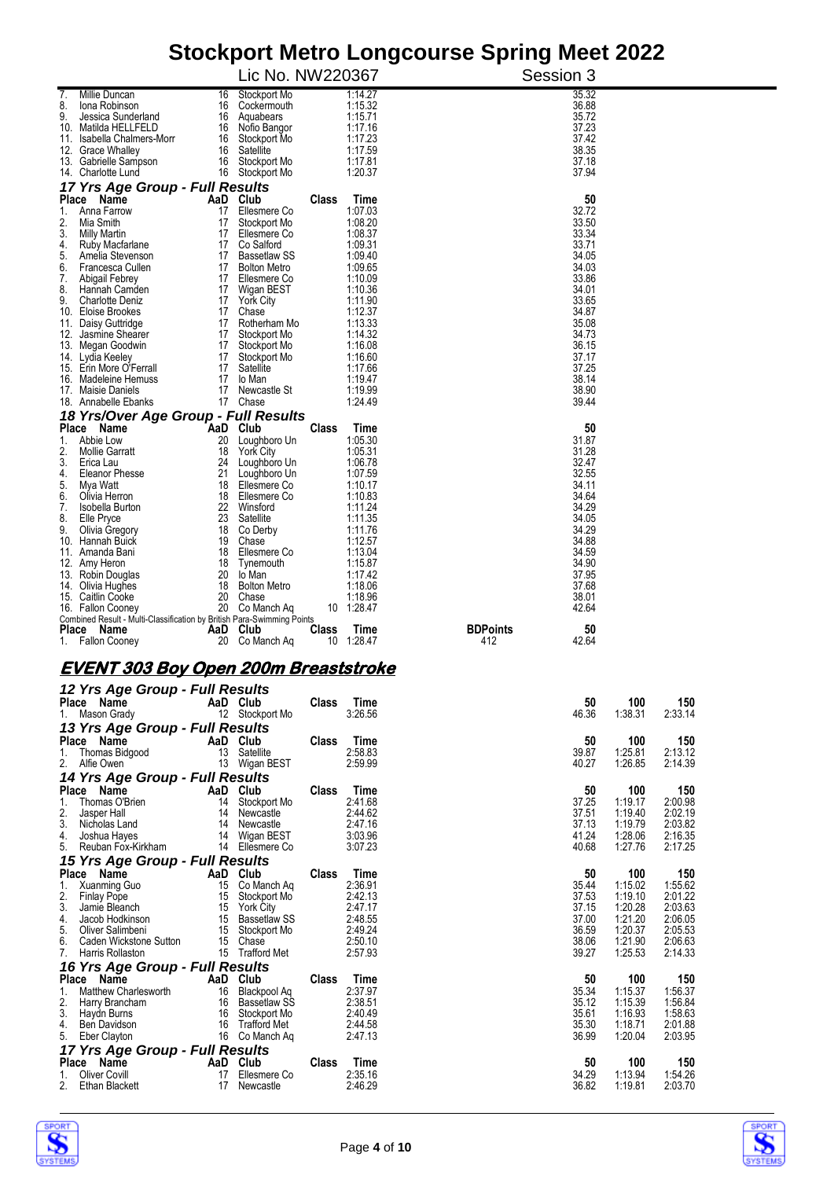|                                                                                      |          |                                         |              |                    | Olochport Metro Longcourse Opinig Meet Zuzz |                    |                    |
|--------------------------------------------------------------------------------------|----------|-----------------------------------------|--------------|--------------------|---------------------------------------------|--------------------|--------------------|
|                                                                                      |          | Lic No. NW220367                        |              |                    | Session 3                                   |                    |                    |
| Millie Duncan<br>7.                                                                  | 16       | Stockport Mo                            |              | 1:14.27            | 35.32                                       |                    |                    |
| 8.<br>lona Robinson<br>9.<br>Jessica Sunderland                                      | 16<br>16 | Cockermouth<br>Aquabears                |              | 1:15.32<br>1:15.71 | 36.88<br>35.72                              |                    |                    |
| 10. Matilda HELLFELD                                                                 | 16       | Nofio Bangor                            |              | 1:17.16            | 37.23                                       |                    |                    |
| 11. Isabella Chalmers-Morr                                                           | 16       | Stockport Mo                            |              | 1:17.23            | 37.42                                       |                    |                    |
| 12. Grace Whalley<br>13. Gabrielle Sampson                                           | 16<br>16 | Satellite<br>Stockport Mo               |              | 1:17.59<br>1:17.81 | 38.35<br>37.18                              |                    |                    |
| 14. Charlotte Lund                                                                   | 16       | Stockport Mo                            |              | 1:20.37            | 37.94                                       |                    |                    |
| 17 Yrs Age Group - Full Results                                                      |          |                                         |              |                    |                                             |                    |                    |
| Place Name                                                                           |          | AaD Club                                | Class        | Time               | 50                                          |                    |                    |
| Anna Farrow<br>1.<br>2.<br>Mia Smith                                                 | 17<br>17 | Ellesmere Co<br>Stockport Mo            |              | 1:07.03<br>1:08.20 | 32.72<br>33.50                              |                    |                    |
| 3.<br><b>Milly Martin</b>                                                            | 17       | Ellesmere Co                            |              | 1:08.37            | 33.34                                       |                    |                    |
| 4.<br>Ruby Macfarlane                                                                | 17       | Co Salford                              |              | 1:09.31            | 33.71                                       |                    |                    |
| 5.<br>Amelia Stevenson<br>6.<br>Francesca Cullen                                     | 17<br>17 | Bassetlaw SS<br><b>Bolton Metro</b>     |              | 1:09.40<br>1:09.65 | 34.05<br>34.03                              |                    |                    |
| 7.<br>Abigail Febrey                                                                 | 17       | Ellesmere Co                            |              | 1:10.09            | 33.86                                       |                    |                    |
| 8.<br>Hannah Camden                                                                  | 17       | Wigan BEST                              |              | 1:10.36            | 34.01                                       |                    |                    |
| 9.<br><b>Charlotte Deniz</b><br>10. Eloise Brookes                                   | 17<br>17 | <b>York City</b><br>Chase               |              | 1:11.90<br>1:12.37 | 33.65<br>34.87                              |                    |                    |
| 11. Daisy Guttridge                                                                  | 17       | Rotherham Mo                            |              | 1:13.33            | 35.08                                       |                    |                    |
| Jasmine Shearer<br>12.                                                               | 17       | Stockport Mo                            |              | 1:14.32            | 34.73                                       |                    |                    |
| 13. Megan Goodwin<br>14. Lydia Keeley                                                | 17<br>17 | Stockport Mo<br>Stockport Mo            |              | 1:16.08<br>1:16.60 | 36.15<br>37.17                              |                    |                    |
| 15. Erin More O'Ferrall                                                              | 17       | Satellite                               |              | 1:17.66            | 37.25                                       |                    |                    |
| 16. Madeleine Hemuss                                                                 | 17       | lo Man                                  |              | 1:19.47            | 38.14                                       |                    |                    |
| 17. Maisie Daniels<br>18. Annabelle Ebanks                                           | 17       | Newcastle St<br>17 Chase                |              | 1:19.99<br>1:24.49 | 38.90<br>39.44                              |                    |                    |
| 18 Yrs/Over Age Group - Full Results                                                 |          |                                         |              |                    |                                             |                    |                    |
| Place Name                                                                           |          | AaD Club                                | Class        | Time               | 50                                          |                    |                    |
| 1.<br>Abbie Low                                                                      | 20       | Loughboro Un                            |              | 1:05.30            | 31.87                                       |                    |                    |
| 2.<br><b>Mollie Garratt</b><br>3.<br>Erica Lau                                       | 18<br>24 | <b>York City</b><br>Loughboro Un        |              | 1:05.31<br>1:06.78 | 31.28<br>32.47                              |                    |                    |
| <b>Eleanor Phesse</b><br>4.                                                          | 21       | Loughboro Un                            |              | 1:07.59            | 32.55                                       |                    |                    |
| 5.<br>Mya Watt                                                                       | 18       | Ellesmere Co                            |              | 1:10.17            | 34.11                                       |                    |                    |
| 6.<br>Olivia Herron<br>7.<br>Isobella Burton                                         | 18<br>22 | Ellesmere Co<br>Winsford                |              | 1:10.83<br>1:11.24 | 34.64<br>34.29                              |                    |                    |
| 8.<br>Elle Pryce                                                                     | 23       | Satellite                               |              | 1:11.35            | 34.05                                       |                    |                    |
| 9.<br>Olivia Gregory                                                                 | 18       | Co Derby                                |              | 1:11.76            | 34.29                                       |                    |                    |
| Hannah Buick<br>10.<br>11.<br>Amanda Bani                                            | 19<br>18 | Chase<br>Ellesmere Co                   |              | 1:12.57<br>1:13.04 | 34.88<br>34.59                              |                    |                    |
| 12. Amy Heron                                                                        | 18       | Tynemouth                               |              | 1:15.87            | 34.90                                       |                    |                    |
| 13. Robin Douglas                                                                    | 20       | lo Man                                  |              | 1:17.42            | 37.95                                       |                    |                    |
| 14. Olivia Hughes<br>15. Caitlin Cooke                                               | 18<br>20 | <b>Bolton Metro</b><br>Chase            |              | 1:18.06<br>1:18.96 | 37.68<br>38.01                              |                    |                    |
| 16. Fallon Cooney                                                                    | 20       | Co Manch Ag                             |              | 10 1:28.47         | 42.64                                       |                    |                    |
| Combined Result - Multi-Classification by British Para-Swimming Points<br>Place Name |          | AaD Club                                |              | Time               | <b>BDPoints</b><br>50                       |                    |                    |
| 1. Fallon Cooney                                                                     | 20       | Co Manch Aq                             | Class<br>10  | 1:28.47            | 412<br>42.64                                |                    |                    |
|                                                                                      |          |                                         |              |                    |                                             |                    |                    |
| <b>EVENT 303 Boy Open 200m Breaststroke</b>                                          |          |                                         |              |                    |                                             |                    |                    |
| 12 Yrs Age Group - Full Results                                                      |          |                                         |              |                    |                                             |                    |                    |
| Place Name                                                                           |          | AaD Club                                | Class        | Time               | 50                                          | 100                | 150                |
| 1. Mason Grady                                                                       |          | 12 Stockport Mo                         |              | 3:26.56            | 46.36                                       | 1:38.31            | 2:33.14            |
| 13 Yrs Age Group - Full Results<br>Place Name                                        |          |                                         |              |                    |                                             |                    |                    |
| 1.<br>Thomas Bidgood                                                                 |          | AaD Club<br>13 Satellite                | Class        | Time<br>2:58.83    | 50<br>39.87                                 | 100<br>1:25.81     | 150<br>2:13.12     |
| 2. Alfie Owen                                                                        |          | 13 Wigan BEST                           |              | 2:59.99            | 40.27                                       | 1:26.85            | 2:14.39            |
| 14 Yrs Age Group - Full Results                                                      |          |                                         |              |                    |                                             |                    |                    |
| Place Name                                                                           | 14       | AaD Club                                | Class        | Time<br>2:41.68    | 50<br>37.25                                 | 100                | 150                |
| 1.<br>Thomas O'Brien<br>2.<br>Jasper Hall                                            | 14       | Stockport Mo<br>Newcastle               |              | 2:44.62            | 37.51                                       | 1:19.17<br>1:19.40 | 2:00.98<br>2:02.19 |
| 3.<br>Nicholas Land                                                                  | 14       | Newcastle                               |              | 2:47.16            | 37.13                                       | 1:19.79            | 2:03.82            |
| 4.<br>Joshua Hayes<br>5.<br>Reuban Fox-Kirkham                                       |          | 14 Wigan BEST<br>14 Ellesmere Co        |              | 3:03.96<br>3:07.23 | 41.24<br>40.68                              | 1:28.06            | 2:16.35<br>2:17.25 |
| 15 Yrs Age Group - Full Results                                                      |          |                                         |              |                    |                                             | 1:27.76            |                    |
| Place Name                                                                           |          | AaD Club                                | Class        | Time               | 50                                          | 100                | 150                |
| 1.<br>Xuanming Guo                                                                   | 15       | Co Manch Aq                             |              | 2:36.91            | 35.44                                       | 1:15.02            | 1:55.62            |
| 2.<br><b>Finlay Pope</b>                                                             | 15       | Stockport Mo                            |              | 2:42.13            | 37.53                                       | 1:19.10            | 2:01.22            |
| 3.<br>Jamie Bleanch<br>4.<br>Jacob Hodkinson                                         | 15<br>15 | <b>York City</b><br><b>Bassetlaw SS</b> |              | 2:47.17<br>2:48.55 | 37.15<br>37.00                              | 1:20.28<br>1:21.20 | 2:03.63<br>2:06.05 |
| 5.<br>Oliver Salimbeni                                                               | 15       | Stockport Mo                            |              | 2:49.24            | 36.59                                       | 1:20.37            | 2:05.53            |
| 6.<br>Caden Wickstone Sutton                                                         | 15       | Chase                                   |              | 2:50.10            | 38.06                                       | 1:21.90            | 2:06.63            |
| 7.<br>Harris Rollaston<br>16 Yrs Age Group - Full Results                            |          | 15 Trafford Met                         |              | 2:57.93            | 39.27                                       | 1:25.53            | 2:14.33            |
| Place Name                                                                           |          | AaD Club                                | <b>Class</b> | Time               | 50                                          | 100                | 150                |
| Matthew Charlesworth<br>1.                                                           | 16       | Blackpool Aq                            |              | 2:37.97            | 35.34                                       | 1:15.37            | 1:56.37            |
| 2.<br>Harry Brancham<br>3.                                                           |          | 16 Bassetlaw SS                         |              | 2:38.51<br>2:40.49 | 35.12<br>35.61                              | 1:15.39<br>1:16.93 | 1:56.84<br>1:58.63 |
| Haydn Burns<br>4.<br>Ben Davidson                                                    | 16       | Stockport Mo<br>16 Trafford Met         |              | 2:44.58            | 35.30                                       | 1:18.71            | 2:01.88            |
| 5.<br>Eber Clayton                                                                   |          | 16 Co Manch Ag                          |              | 2:47.13            | 36.99                                       | 1:20.04            | 2:03.95            |



*17 Yrs Age Group - Full Results*

**Place Name AaD Club Class Time 50 100 150** 1. Oliver Covill 17 Ellesmere Co 2:35.16 34.29 1:13.94 1:54.26 2. Ethan Blackett 17 Newcastle 2:46.29 36.82 1:19.81 2:03.70

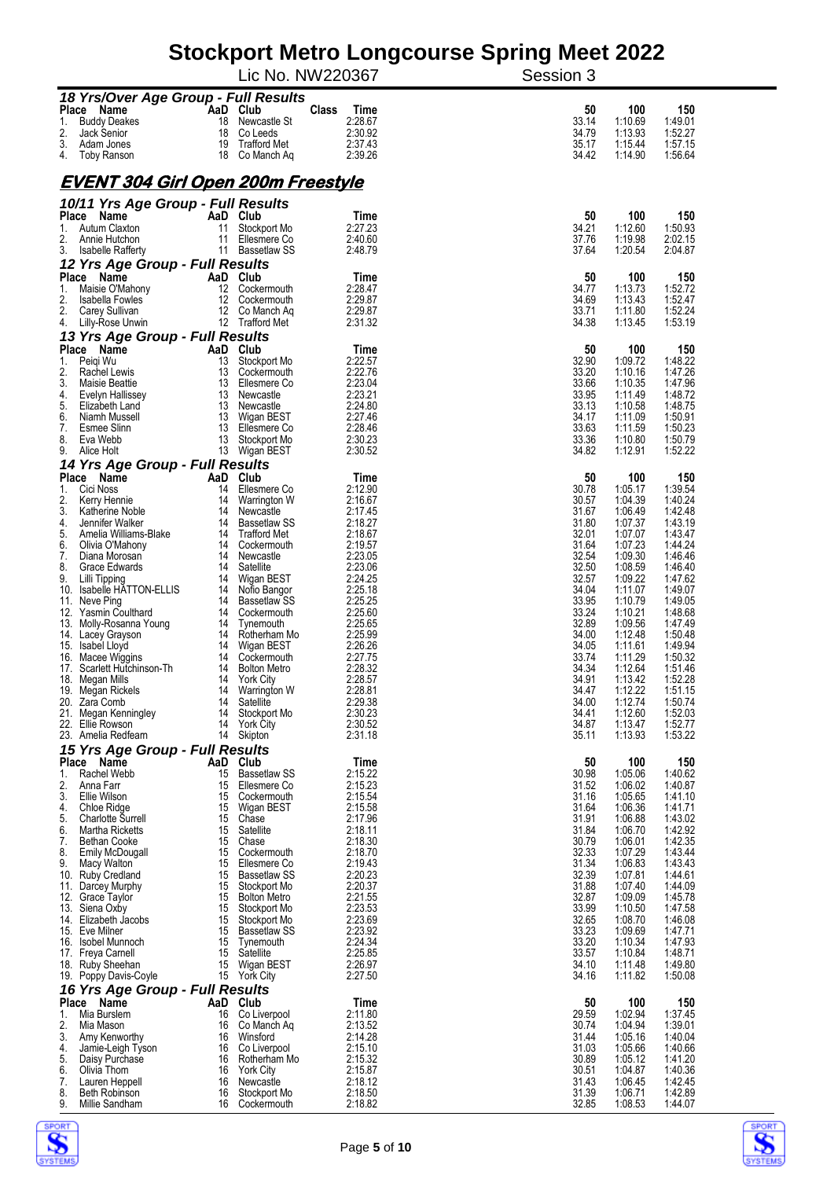|                                                       |           |                                     | s mono congoodroo<br>Lic No. NW220367 | YP'<br>שי<br>Session 3               |                    |
|-------------------------------------------------------|-----------|-------------------------------------|---------------------------------------|--------------------------------------|--------------------|
| 18 Yrs/Over Age Group - Full Results                  |           |                                     |                                       |                                      |                    |
| Place Name                                            |           | AaD Club                            | <b>Class</b><br>Time                  | 100<br>50                            | 150                |
| 1.<br><b>Buddy Deakes</b><br>2.<br><b>Jack Senior</b> | 18<br>18  | Newcastle St<br>Co Leeds            | 2:28.67<br>2:30.92                    | 33.14<br>1:10.69<br>34.79<br>1:13.93 | 1:49.01<br>1:52.27 |
| 3.<br>Adam Jones                                      | 19        | Trafford Met                        | 2:37.43                               | 35.17<br>1:15.44                     | 1:57.15            |
| 4.<br>Toby Ranson                                     | 18        | Co Manch Aq                         | 2:39.26                               | 34.42<br>1:14.90                     | 1:56.64            |
| <u>EVENT 304 Girl Open 200m Freestyle</u>             |           |                                     |                                       |                                      |                    |
| 10/11 Yrs Age Group - Full Results                    |           |                                     |                                       |                                      |                    |
| Place<br>Name                                         | AaD       | Club                                | Time                                  | 50<br>100                            | 150                |
| Autum Claxton<br>1.                                   | 11        | Stockport Mo                        | 2:27.23                               | 34.21<br>1:12.60                     | 1:50.93            |
| 2.<br>Annie Hutchon<br>3.<br><b>Isabelle Rafferty</b> | 11        | Ellesmere Co<br>11 Bassetlaw SS     | 2:40.60<br>2:48.79                    | 37.76<br>1:19.98<br>37.64<br>1:20.54 | 2:02.15<br>2:04.87 |
| 12 Yrs Age Group - Full Results                       |           |                                     |                                       |                                      |                    |
| Place<br>Name                                         | AaD       | Club                                | Time                                  | 100<br>50                            | 150                |
| Maisie O'Mahony<br>1.<br>2.<br>Isabella Fowles        | 12<br>12  | Cockermouth<br>Cockermouth          | 2:28.47<br>2:29.87                    | 34.77<br>1:13.73<br>34.69<br>1:13.43 | 1:52.72<br>1:52.47 |
| 2.<br>Carey Sullivan                                  | 12        | Co Manch Ag                         | 2:29.87                               | 33.71<br>1:11.80                     | 1:52.24            |
| 4.<br>Lilly-Rose Unwin                                |           | 12 Trafford Met                     | 2:31.32                               | 34.38<br>1:13.45                     | 1:53.19            |
| 13 Yrs Age Group - Full Results                       |           |                                     |                                       |                                      |                    |
| Place Name<br>1.<br>Peigi Wu                          | AaD<br>13 | Club<br>Stockport Mo                | Time<br>2:22.57                       | 50<br>100<br>32.90<br>1:09.72        | 150<br>1:48.22     |
| 2.<br>Rachel Lewis                                    | 13        | Cockermouth                         | 2:22.76                               | 33.20<br>1:10.16                     | 1:47.26            |
| 3.<br>Maisie Beattie<br>4.<br>Evelyn Hallissey        | 13<br>13  | Ellesmere Co<br>Newcastle           | 2:23.04<br>2:23.21                    | 33.66<br>1:10.35<br>33.95<br>1:11.49 | 1:47.96<br>1:48.72 |
| 5.<br>Elizabeth Land                                  | 13        | Newcastle                           | 2:24.80                               | 33.13<br>1:10.58                     | 1:48.75            |
| 6.<br>Niamh Mussell                                   | 13        | Wigan BEST                          | 2:27.46                               | 34.17<br>1:11.09                     | 1:50.91            |
| 7.<br>Esmee Slinn<br>8.<br>Eva Webb                   | 13<br>13  | Ellesmere Co<br>Stockport Mo        | 2:28.46<br>2:30.23                    | 33.63<br>1:11.59<br>33.36<br>1:10.80 | 1:50.23<br>1:50.79 |
| 9.<br>Alice Holt                                      | 13        | Wigan BEST                          | 2:30.52                               | 34.82<br>1:12.91                     | 1:52.22            |
| 14 Yrs Age Group - Full Results                       |           |                                     |                                       |                                      |                    |
| Place<br>Name<br>Cici Noss<br>1.                      | AaD<br>14 | Club<br>Ellesmere Co                | Time<br>2:12.90                       | 50<br>100<br>30.78<br>1:05.17        | 150<br>1:39.54     |
| 2.<br>Kerry Hennie                                    | 14        | Warrington W                        | 2:16.67                               | 30.57<br>1:04.39                     | 1:40.24            |
| 3.<br>Katherine Noble                                 | 14        | Newcastle                           | 2:17.45                               | 31.67<br>1:06.49                     | 1:42.48            |
| 4.<br>Jennifer Walker<br>5.<br>Amelia Williams-Blake  | 14<br>14  | Bassetlaw SS<br><b>Trafford Met</b> | 2:18.27<br>2:18.67                    | 31.80<br>1:07.37<br>32.01<br>1:07.07 | 1:43.19<br>1:43.47 |
| 6.<br>Olivia O'Mahony                                 | 14        | Cockermouth                         | 2:19.57                               | 31.64<br>1:07.23                     | 1:44.24            |
| 7.<br>Diana Morosan<br>8.<br>Grace Edwards            | 14<br>14  | Newcastle<br>Satellite              | 2:23.05<br>2:23.06                    | 32.54<br>1:09.30<br>32.50<br>1:08.59 | 1:46.46<br>1:46.40 |
| 9.<br>Lilli Tipping                                   | 14        | Wigan BEST                          | 2:24.25                               | 32.57<br>1:09.22                     | 1:47.62            |
| 10. Isabelle HATTON-ELLIS                             | 14        | Nofio Bangor                        | 2:25.18                               | 34.04<br>1:11.07                     | 1:49.07            |
| 11. Neve Ping<br>Yasmin Coulthard<br>12.              | 14<br>14  | <b>Bassetlaw SS</b><br>Cockermouth  | 2:25.25<br>2:25.60                    | 33.95<br>1:10.79<br>33.24<br>1:10.21 | 1:49.05<br>1:48.68 |
| 13. Molly-Rosanna Young                               | 14        | Tynemouth                           | 2:25.65                               | 32.89<br>1:09.56                     | 1:47.49            |
| 14. Lacey Grayson                                     | 14        | Rotherham Mo                        | 2:25.99<br>2:26.26                    | 34.00<br>1:12.48<br>34.05            | 1:50.48<br>1:49.94 |
| 15. Isabel Lloyd<br>16. Macee Wiggins                 | 14<br>14  | Wigan BEST<br>Cockermouth           | 2:27.75                               | 1:11.61<br>33.74<br>1:11.29          | 1:50.32            |
| 17.<br>Scarlett Hutchinson-Th                         | 14        | <b>Bolton Metro</b>                 | 2:28.32                               | 34.34<br>1:12.64                     | 1:51.46            |
| 18. Megan Mills<br>Megan Rickels<br>19.               | 14<br>14  | <b>York City</b><br>Warrington W    | 2:28.57<br>2:28.81                    | 34.91<br>1:13.42<br>34.47<br>1:12.22 | 1:52.28<br>1:51.15 |
| 20.<br>Zara Comb                                      | 14        | Satellite                           | 2:29.38                               | 34.00<br>1:12.74                     | 1:50.74            |
| 21.<br>Megan Kenningley                               | 14        | Stockport Mo                        | 2:30.23                               | 34.41<br>1:12.60                     | 1:52.03            |
| 22. Ellie Rowson<br>23. Amelia Redfearn               | 14<br>14  | <b>York City</b><br>Skipton         | 2:30.52<br>2:31.18                    | 34.87<br>1:13.47<br>35.11<br>1:13.93 | 1:52.77<br>1:53.22 |
| 15 Yrs Age Group - Full Results                       |           |                                     |                                       |                                      |                    |
| Place Name                                            | AaD       | Club                                | Time                                  | 50<br>100                            | 150                |
| Rachel Webb<br>1.<br>2.<br>Anna Farr                  | 15<br>15  | <b>Bassetlaw SS</b><br>Ellesmere Co | 2:15.22<br>2:15.23                    | 30.98<br>1:05.06<br>31.52<br>1:06.02 | 1:40.62<br>1:40.87 |
| 3.<br>Ellie Wilson                                    | 15        | Cockermouth                         | 2:15.54                               | 31.16<br>1:05.65                     | 1:41.10            |
| 4.<br>Chloe Ridge<br>5.<br><b>Charlotte Surrell</b>   | 15<br>15  | Wigan BEST<br>Chase                 | 2:15.58<br>2:17.96                    | 31.64<br>1:06.36<br>31.91<br>1:06.88 | 1:41.71<br>1:43.02 |
| 6.<br>Martha Ricketts                                 | 15        | Satellite                           | 2:18.11                               | 31.84<br>1:06.70                     | 1:42.92            |
| 7.<br><b>Bethan Cooke</b>                             | 15        | Chase                               | 2:18.30                               | 30.79<br>1:06.01                     | 1:42.35            |
| 8.<br>Emily McDougall<br>9.<br>Macy Walton            | 15<br>15  | Cockermouth<br>Ellesmere Co         | 2:18.70<br>2:19.43                    | 32.33<br>1:07.29<br>31.34<br>1:06.83 | 1:43.44<br>1:43.43 |
| 10. Ruby Credland                                     | 15        | <b>Bassetlaw SS</b>                 | 2:20.23                               | 32.39<br>1:07.81                     | 1:44.61            |
| 11. Darcey Murphy                                     | 15        | Stockport Mo                        | 2:20.37<br>2:21.55                    | 31.88<br>1:07.40<br>32.87<br>1:09.09 | 1:44.09<br>1:45.78 |
| 12.<br>Grace Taylor<br>13. Siena Oxby                 | 15<br>15  | <b>Bolton Metro</b><br>Stockport Mo | 2:23.53                               | 33.99<br>1:10.50                     | 1:47.58            |
| 14. Elizabeth Jacobs                                  | 15        | Stockport Mo                        | 2:23.69                               | 32.65<br>1:08.70                     | 1:46.08            |
| 15. Eve Milner<br>16. Isobel Munnoch                  | 15<br>15  | <b>Bassetlaw SS</b><br>Tynemouth    | 2:23.92<br>2:24.34                    | 33.23<br>1:09.69<br>33.20<br>1:10.34 | 1:47.71<br>1:47.93 |
| 17. Freya Carnell                                     | 15        | Satellite                           | 2:25.85                               | 33.57<br>1:10.84                     | 1:48.71            |
| 18. Ruby Sheehan<br>19. Poppy Davis-Coyle             | 15<br>15  | Wigan BEST<br>York City             | 2:26.97<br>2:27.50                    | 34.10<br>1:11.48<br>34.16<br>1:11.82 | 1:49.80<br>1:50.08 |
| 16 Yrs Age Group - Full Results                       |           |                                     |                                       |                                      |                    |
| Place Name                                            | AaD       | Club                                | Time                                  | 50<br>100                            | 150                |
| Mia Burslem<br>1.                                     | 16        | Co Liverpool                        | 2:11.80                               | 29.59<br>1:02.94                     | 1:37.45            |
| 2.<br>Mia Mason<br>3.<br>Amy Kenworthy                | 16<br>16  | Co Manch Aq<br>Winsford             | 2:13.52<br>2:14.28                    | 30.74<br>1:04.94<br>31.44<br>1:05.16 | 1:39.01<br>1:40.04 |
| 4.<br>Jamie-Leigh Tyson                               | 16        | Co Liverpool                        | 2:15.10                               | 1:05.66<br>31.03                     | 1:40.66            |
| 5.<br>Daisy Purchase<br>6.<br>Olivia Thom             | 16<br>16  | Rotherham Mo<br><b>York City</b>    | 2:15.32<br>2:15.87                    | 30.89<br>1:05.12<br>30.51<br>1:04.87 | 1:41.20<br>1:40.36 |
| 7.<br>Lauren Heppell                                  | 16        | Newcastle                           | 2:18.12                               | 31.43<br>1:06.45                     | 1:42.45            |
| 8.<br>Beth Robinson<br>9.<br>Millie Sandham           | 16<br>16  | Stockport Mo<br>Cockermouth         | 2:18.50<br>2:18.82                    | 31.39<br>1:06.71<br>32.85<br>1:08.53 | 1:42.89<br>1:44.07 |
|                                                       |           |                                     |                                       |                                      |                    |



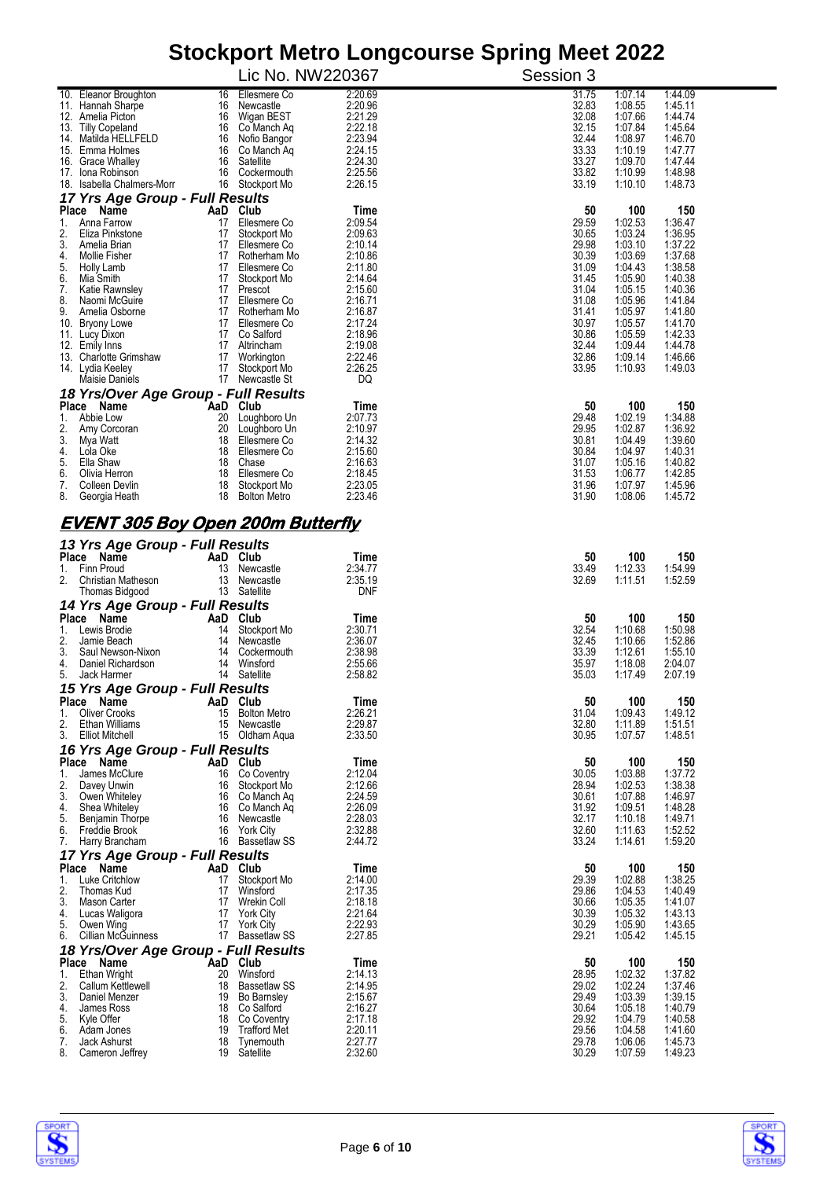|                                                                  | Lic No. NW220367                    |                       | Session 3      |                    |                    |
|------------------------------------------------------------------|-------------------------------------|-----------------------|----------------|--------------------|--------------------|
| 10. Eleanor Broughton<br>16<br>11. Hannah Sharpe<br>16           | Ellesmere Co<br>Newcastle           | 2:20.69<br>2:20.96    | 31.75<br>32.83 | 1:07.14<br>1:08.55 | 1:44.09<br>1:45.11 |
| 12. Amelia Picton<br>16                                          | Wigan BEST                          | 2:21.29               | 32.08          | 1:07.66            | 1:44.74            |
| 13. Tilly Copeland<br>16<br>14. Matilda HELLFELD<br>16           | Co Manch Ag<br>Nofio Bangor         | 2:22.18<br>2:23.94    | 32.15<br>32.44 | 1:07.84<br>1:08.97 | 1:45.64<br>1:46.70 |
| 16<br>15. Emma Holmes<br>16<br>16. Grace Whalley                 | Co Manch Aq<br>Satellite            | 2:24.15<br>2:24.30    | 33.33<br>33.27 | 1:10.19<br>1:09.70 | 1:47.77<br>1:47.44 |
| 16<br>17. Iona Robinson<br>18. Isabella Chalmers-Morr            | Cockermouth<br>16 Stockport Mo      | 2:25.56<br>2:26.15    | 33.82<br>33.19 | 1:10.99<br>1:10.10 | 1:48.98<br>1:48.73 |
| 17 Yrs Age Group - Full Results                                  |                                     |                       |                |                    |                    |
| Place Name<br>1.<br>Anna Farrow<br>17                            | AaD Club<br>Ellesmere Co            | Time<br>2:09.54       | 50<br>29.59    | 100<br>1:02.53     | 150<br>1:36.47     |
| 2.<br>Eliza Pinkstone<br>17<br>3.<br>Amelia Brian                | Stockport Mo<br>17 Ellesmere Co     | 2:09.63<br>2:10.14    | 30.65<br>29.98 | 1:03.24<br>1:03.10 | 1:36.95<br>1:37.22 |
| 4.<br>17<br><b>Mollie Fisher</b>                                 | Rotherham Mo                        | 2:10.86               | 30.39          | 1:03.69            | 1:37.68            |
| 5.<br>17<br>Holly Lamb<br>6.<br>Mia Smith<br>17                  | Ellesmere Co<br>Stockport Mo        | 2:11.80<br>2:14.64    | 31.09<br>31.45 | 1:04.43<br>1:05.90 | 1:38.58<br>1:40.38 |
| 7.<br>17<br>Katie Rawnsley<br>8.<br>Naomi McGuire                | Prescot<br>17 Ellesmere Co          | 2:15.60<br>2:16.71    | 31.04<br>31.08 | 1:05.15<br>1:05.96 | 1:40.36<br>1:41.84 |
| 9.<br>Amelia Osborne<br>17<br>10. Bryony Lowe                    | 17 Rotherham Mo<br>Ellesmere Co     | 2:16.87<br>2:17.24    | 31.41<br>30.97 | 1:05.97<br>1:05.57 | 1:41.80<br>1:41.70 |
| 11. Lucy Dixon                                                   | 17 Co Salford                       | 2:18.96               | 30.86          | 1:05.59            | 1:42.33            |
| 12. Emily Inns<br>17<br>13. Charlotte Grimshaw                   | 17 Altrincham<br>Workington         | 2:19.08<br>2:22.46    | 32.44<br>32.86 | 1:09.44<br>1:09.14 | 1:44.78<br>1:46.66 |
| 14. Lydia Keeley<br>Maisie Daniels                               | 17 Stockport Mo<br>17 Newcastle St  | 2:26.25<br>DQ         | 33.95          | 1:10.93            | 1:49.03            |
| 18 Yrs/Over Age Group - Full Results                             |                                     |                       |                |                    |                    |
| Place Name<br>20<br>Abbie Low<br>1.                              | AaD Club<br>Loughboro Un            | Time<br>2:07.73       | 50<br>29.48    | 100<br>1:02.19     | 150<br>1:34.88     |
| 2.<br>20<br>Amy Corcoran<br>3.<br>18<br>Mya Watt                 | Loughboro Un<br>Ellesmere Co        | 2:10.97<br>2:14.32    | 29.95<br>30.81 | 1:02.87<br>1:04.49 | 1:36.92<br>1:39.60 |
| 4.<br>Lola Oke<br>18<br>5.<br>18<br>Ella Shaw                    | Ellesmere Co<br>Chase               | 2:15.60<br>2:16.63    | 30.84<br>31.07 | 1:04.97<br>1:05.16 | 1:40.31<br>1:40.82 |
| 6.<br>18<br>Olivia Herron                                        | Ellesmere Co                        | 2:18.45               | 31.53          | 1:06.77            | 1:42.85            |
| 7.<br>Colleen Devlin<br>18<br>8.<br>18<br>Georgia Heath          | Stockport Mo<br><b>Bolton Metro</b> | 2:23.05<br>2:23.46    | 31.96<br>31.90 | 1:07.97<br>1:08.06 | 1:45.96<br>1:45.72 |
| <u>EVENT 305 Boy Open 200m Butterfly</u>                         |                                     |                       |                |                    |                    |
| 13 Yrs Age Group - Full Results                                  |                                     |                       |                |                    |                    |
| Place Name<br>Finn Proud<br>13<br>1.                             | AaD Club<br>Newcastle               | Time<br>2:34.77       | 50<br>33.49    | 100<br>1:12.33     | 150<br>1:54.99     |
| 2.<br>13<br>Christian Matheson<br>Thomas Bidgood                 | Newcastle<br>13 Satellite           | 2:35.19<br><b>DNF</b> | 32.69          | 1:11.51            | 1:52.59            |
| 14 Yrs Age Group - Full Results                                  |                                     |                       |                |                    |                    |
| Place Name<br>Lewis Brodie<br>1.                                 | AaD Club<br>14 Stockport Mo         | Time<br>2:30.71       | 50<br>32.54    | 100<br>1:10.68     | 150<br>1:50.98     |
| 2.<br>Jamie Beach<br>3.                                          | 14 Newcastle                        | 2:36.07<br>2:38.98    | 32.45<br>33.39 | 1:10.66<br>1:12.61 | 1:52.86<br>1:55.10 |
| Saul Newson-Nixon<br>4.<br>Daniel Richardson<br>14               | 14 Cockermouth<br>Winsford          | 2:55.66               | 35.97          | 1:18.08            | 2:04.07            |
| 5.<br>Jack Harmer<br>15 Yrs Age Group - Full Results             | 14 Satellite                        | 2:58.82               | 35.03          | 1:17.49            | 2:07.19            |
| Place Name<br><b>Oliver Crooks</b>                               | AaD Club<br>15 Bolton Metro         | <b>Time</b>           | 50             | 100                | 150                |
| 1.<br>2.<br><b>Ethan Williams</b>                                | 15 Newcastle                        | 2:26.21<br>2:29.87    | 31.04<br>32.80 | 1:09.43<br>1:11.89 | 1:49.12<br>1:51.51 |
| 3.<br>Elliot Mitchell<br>16 Yrs Age Group - Full Results         | 15 Oldham Aqua                      | 2:33.50               | 30.95          | 1:07.57            | 1:48.51            |
| Place Name                                                       | AaD Club                            | Time                  | 50             | 100                | 150                |
| 1.<br>James McClure<br>2.<br>Davey Unwin<br>16                   | 16 Co Coventry<br>Stockport Mo      | 2:12.04<br>2:12.66    | 30.05<br>28.94 | 1:03.88<br>1:02.53 | 1:37.72<br>1:38.38 |
| 3.<br>Owen Whiteley<br>4.<br>Shea Whiteley                       | 16 Co Manch Ag<br>16 Co Manch Ag    | 2:24.59<br>2:26.09    | 30.61<br>31.92 | 1:07.88<br>1:09.51 | 1:46.97<br>1:48.28 |
| 5.<br>16<br>Benjamin Thorpe<br>6.<br>Freddie Brook               | Newcastle<br>16 York City           | 2:28.03<br>2:32.88    | 32.17<br>32.60 | 1:10.18<br>1:11.63 | 1:49.71<br>1:52.52 |
| 7.<br>Harry Brancham                                             | 16 Bassetlaw SS                     | 2:44.72               | 33.24          | 1:14.61            | 1:59.20            |
| 17 Yrs Age Group - Full Results<br>Place Name                    | AaD Club                            | Time                  | 50             | 100                | 150                |
| Luke Critchlow<br>1.<br>2.<br>17<br>Thomas Kud                   | 17 Stockport Mo<br>Winsford         | 2:14.00<br>2:17.35    | 29.39<br>29.86 | 1:02.88<br>1:04.53 | 1:38.25<br>1:40.49 |
| 3.<br>17<br>Mason Carter                                         | Wrekin Coll                         | 2:18.18               | 30.66          | 1:05.35            | 1:41.07            |
| 4.<br>Lucas Waligora<br>5.<br>Owen Wing                          | 17 York City<br>17 York City        | 2:21.64<br>2:22.93    | 30.39<br>30.29 | 1:05.32<br>1:05.90 | 1:43.13<br>1:43.65 |
| 6.<br>Cillian McGuinness<br>18 Yrs/Over Age Group - Full Results | 17 Bassetlaw SS                     | 2:27.85               | 29.21          | 1:05.42            | 1:45.15            |
| Place<br>Name                                                    | AaD Club                            | Time                  | 50             | 100                | 150                |
| 20<br>1.<br>Ethan Wright<br>2.<br>18<br>Callum Kettlewell        | Winsford<br><b>Bassetlaw SS</b>     | 2:14.13<br>2:14.95    | 28.95<br>29.02 | 1:02.32<br>1:02.24 | 1:37.82<br>1:37.46 |
| 3.<br>Daniel Menzer<br>18<br>4.<br>James Ross                    | 19 Bo Barnsley<br>Co Salford        | 2:15.67<br>2:16.27    | 29.49<br>30.64 | 1:03.39<br>1:05.18 | 1:39.15<br>1:40.79 |
| 5.<br>18<br>Kyle Offer<br>6.<br>Adam Jones<br>19                 | Co Coventry<br><b>Trafford Met</b>  | 2:17.18<br>2:20.11    | 29.92<br>29.56 | 1:04.79<br>1:04.58 | 1:40.58<br>1:41.60 |
| 7.<br>18<br>Jack Ashurst                                         | Tynemouth                           | 2:27.77               | 29.78          | 1:06.06            | 1:45.73            |
| 8.<br>Cameron Jeffrey                                            | 19 Satellite                        | 2:32.60               | 30.29          | 1:07.59            | 1:49.23            |

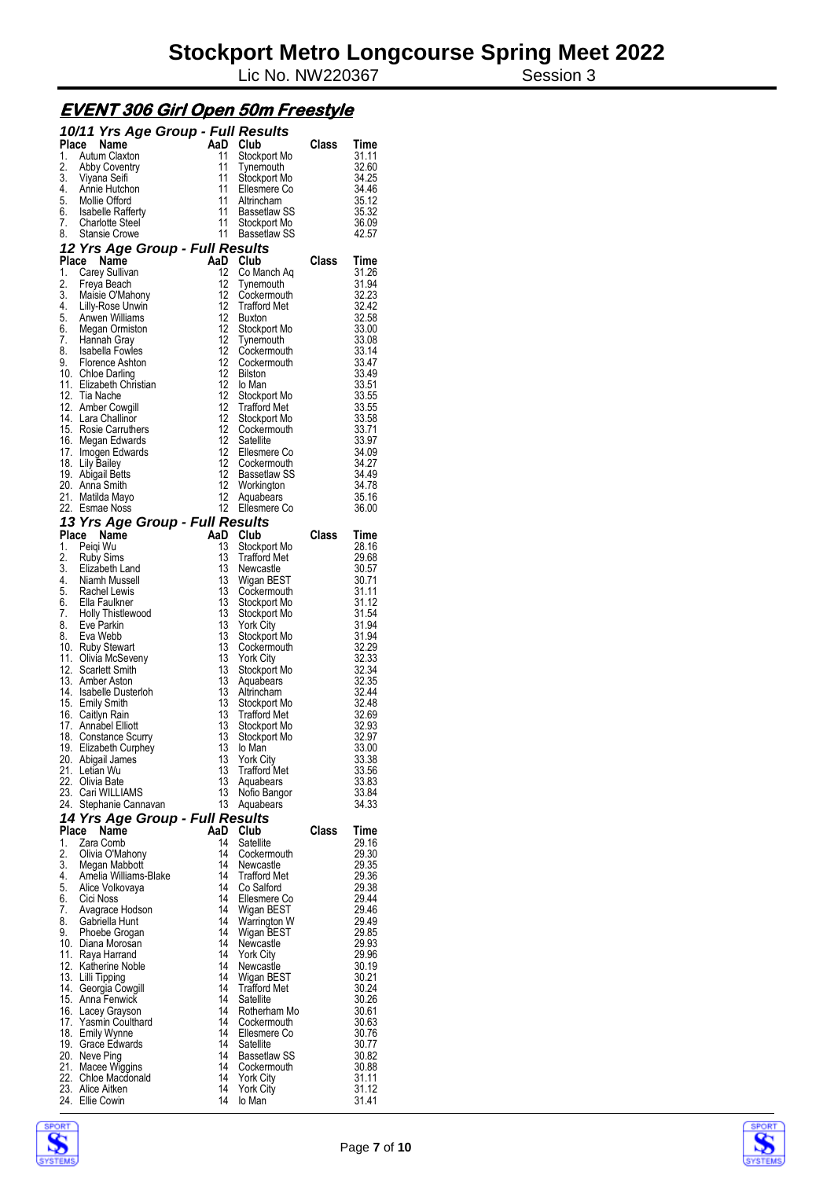Lic No. NW220367 Session 3

#### **EVENT 306 Girl Open 50m Freestyle**

|             | 10/11 Yrs Age Group - Full Results         |           |                                     |       |                |
|-------------|--------------------------------------------|-----------|-------------------------------------|-------|----------------|
| Place       | Name                                       |           | AaD Club                            | Class | Time           |
| 1.          | Autum Claxton                              | 11<br>11  | Stockport Mo                        |       | 31.11          |
| 2.<br>3.    | <b>Abby Coventry</b><br>Viyana Seifi       | 11        | Tynemouth<br>Stockport Mo           |       | 32.60<br>34.25 |
|             | 4. Annie Hutchon                           | 11        | Ellesmere Co                        |       | 34.46          |
|             | 5. Mollie Offord<br>6. Isabelle Rafferty   | 11        | Altrincham                          |       | 35.12          |
|             |                                            | 11        | Bassetlaw SS                        |       | 35.32          |
| 7.          | <b>Charlotte Steel</b><br>8. Stansie Crowe | 11<br>11  | Stockport Mo<br>Bassetlaw SS        |       | 36.09<br>42.57 |
|             | 12 Yrs Age Group - Full Results            |           |                                     |       |                |
| Place       | Name                                       | AaD Club  |                                     | Class | Time           |
| 1.          | Carey Sullivan                             | 12        | Co Manch Aq                         |       | 31.26          |
| 2.          | Freya Beach                                | 12        | Tynemouth                           |       | 31.94          |
| 3.          | Maisie O'Mahony<br>4. Lilly-Rose Unwin     | 12<br>12  | Cockermouth<br>Trafford Met         |       | 32.23<br>32.42 |
|             | 5 Anwen Williams                           | 12        | Buxton                              |       | 32.58          |
|             | 6. Megan Ormiston                          | 12        | Stockport Mo                        |       | 33.00          |
| 7.          | Hannah Gray                                |           | 12 Tynemouth                        |       | 33.08          |
| 8.<br>9.    | Isabella Fowles<br>Florence Ashton         | 12<br>12  | Cockermouth<br>Cockermouth          |       | 33.14<br>33.47 |
|             | 10. Chloe Darling                          |           | 12 Bilston                          |       | 33.49          |
|             | 11. Elizabeth Christian                    | 12        | lo Man                              |       | 33.51          |
|             | 12. Tia Nache                              | 12        | Stockport Mo                        |       | 33.55          |
|             | 12. Amber Cowgill<br>14. Lara Challinor    | 12        | 12 Trafford Met                     |       | 33.55          |
|             | 15. Rosie Carruthers                       | 12        | Stockport Mo<br>Cockermouth         |       | 33.58<br>33.71 |
|             | 16. Megan Edwards                          | 12        | Satellite                           |       | 33.97          |
|             | 17. Imogen Edwards                         | 12        | Ellesmere Co                        |       | 34.09          |
|             | 18. Lily Bailey                            | 12        | Cockermouth<br>12 Bassetlaw SS      |       | 34.27          |
|             | 19. Abigail Betts<br>20. Anna Smith        |           | 12 Workington                       |       | 34.49<br>34.78 |
|             | 21. Matilda Mayo                           | 12        | Aquabears                           |       | 35.16          |
|             | 22. Esmae Noss                             |           | 12 Ellesmere Co                     |       | 36.00          |
|             | 13 Yrs Age Group - Full Results            |           |                                     |       |                |
|             | Place Name                                 | AaD Club  |                                     | Class | Time           |
| 1.<br>2.    | Peiqi Wu<br><b>Ruby Sims</b>               | 13<br>13  | Stockport Mo<br><b>Trafford Met</b> |       | 28.16<br>29.68 |
|             | 3. Elizabeth Land                          | 13        | Newcastle                           |       | 30.57          |
|             | 4. Niamh Mussell                           |           | 13 Wigan BEST                       |       | 30.71          |
|             | 5. Rachel Lewis                            | 13        | Cockermouth                         |       | 31.11          |
| 7.          | 6. Ella Faulkner<br>Holly Thistlewood      | 13<br>13  | Stockport Mo<br>Stockport Mo        |       | 31.12<br>31.54 |
| 8.          | Eve Parkin                                 | 13        | <b>York City</b>                    |       | 31.94          |
| 8.          | Eva Webb                                   | 13        | Stockport Mo                        |       | 31.94          |
|             | 10. Ruby Stewart                           | 13        | Cockermouth                         |       | 32.29          |
|             | 11. Olivia McSeveny<br>12. Scarlett Smith  | 13<br>13  | <b>York City</b><br>Stockport Mo    |       | 32.33<br>32.34 |
|             | 13. Amber Aston                            | 13        | Aquabears                           |       | 32.35          |
|             | 14. Isabelle Dusterloh                     | 13        | Altrincham                          |       | 32.44          |
|             | 15. Emily Smith                            | 13        | Stockport Mo                        |       | 32.48          |
|             | 16. Caitlyn Rain<br>17. Annabel Elliott    | 13<br>13  | Trafford Met<br>Stockport Mo        |       | 32.69<br>32.93 |
| 18.         | <b>Constance Scurry</b>                    | 13        | Stockport Mo                        |       | 32.97          |
|             | 19. Elizabeth Curphey                      |           | 13 lo Man                           |       | 33.00          |
|             | 20. Abigail James                          | 13        | <b>York City</b>                    |       | 33.38          |
| 21.         | Letian Wu<br>22. Olivia Bate               | 13<br>13  | <b>Trafford Met</b><br>Aquabears    |       | 33.56<br>33.83 |
|             | 23. Cari WILLIAMS                          | 13        | Notio Bangor                        |       | 33.84          |
|             | 24. Stephanie Cannavan                     | 13        | Aquabears                           |       | 34.33          |
|             | 14 Yrs Age Group - Full Results            |           |                                     |       |                |
| Place<br>1. | Name<br>Zara Comb                          | AaD<br>14 | Club<br>Satellite                   | Class | Time<br>29.16  |
| 2.          | Olivia O'Mahony                            | 14        | Cockermouth                         |       | 29.30          |
| 3.          | Megan Mabbott                              | 14        | Newcastle                           |       | 29.35          |
| 4.          | Amelia Williams-Blake                      | 14        | <b>Trafford Met</b>                 |       | 29.36          |
| 5.          | Alice Volkovaya                            | 14<br>14  | Co Salford                          |       | 29.38          |
| 6.<br>7.    | Cici Noss<br>Avagrace Hodson               | 14        | Ellesmere Co<br>Wigan BEST          |       | 29.44<br>29.46 |
| 8.          | Gabriella Hunt                             | 14        | Warrington W                        |       | 29.49          |
| 9.          | Phoebe Grogan                              | 14        | Wigan BEST                          |       | 29.85          |
|             | 10. Diana Morosan                          | 14        | Newcastle                           |       | 29.93          |
| 11.         | Raya Harrand<br>12. Katherine Noble        | 14<br>14  | <b>York City</b><br>Newcastle       |       | 29.96<br>30.19 |
|             | 13. Lilli Tipping                          | 14        | Wigan BEST                          |       | 30.21          |
| 14.         | Georgia Cowgill                            | 14        | <b>Trafford Met</b>                 |       | 30.24          |
|             | 15. Anna Fenwick                           | 14        | Satellite                           |       | 30.26          |
| 17.         | 16. Lacey Grayson<br>Yasmin Coulthard      | 14<br>14  | Rotherham Mo<br>Cockermouth         |       | 30.61<br>30.63 |
|             | 18. Emily Wynne                            | 14        | Ellesmere Co                        |       | 30.76          |
|             | 19. Grace Edwards                          | 14        | Satellite                           |       | 30.77          |
|             | 20. Neve Ping                              | 14        | Bassetlaw SS                        |       | 30.82          |
|             | 21. Macee Wiggins<br>22. Chloe Macdonaid   | 14<br>14  | Cockermouth<br><b>York City</b>     |       | 30.88<br>31.11 |
|             | 23. Alice Aitken                           | 14        | <b>York City</b>                    |       | 31.12          |
|             | 24. Ellie Cowin                            | 14        | lo Man                              |       | 31.41          |



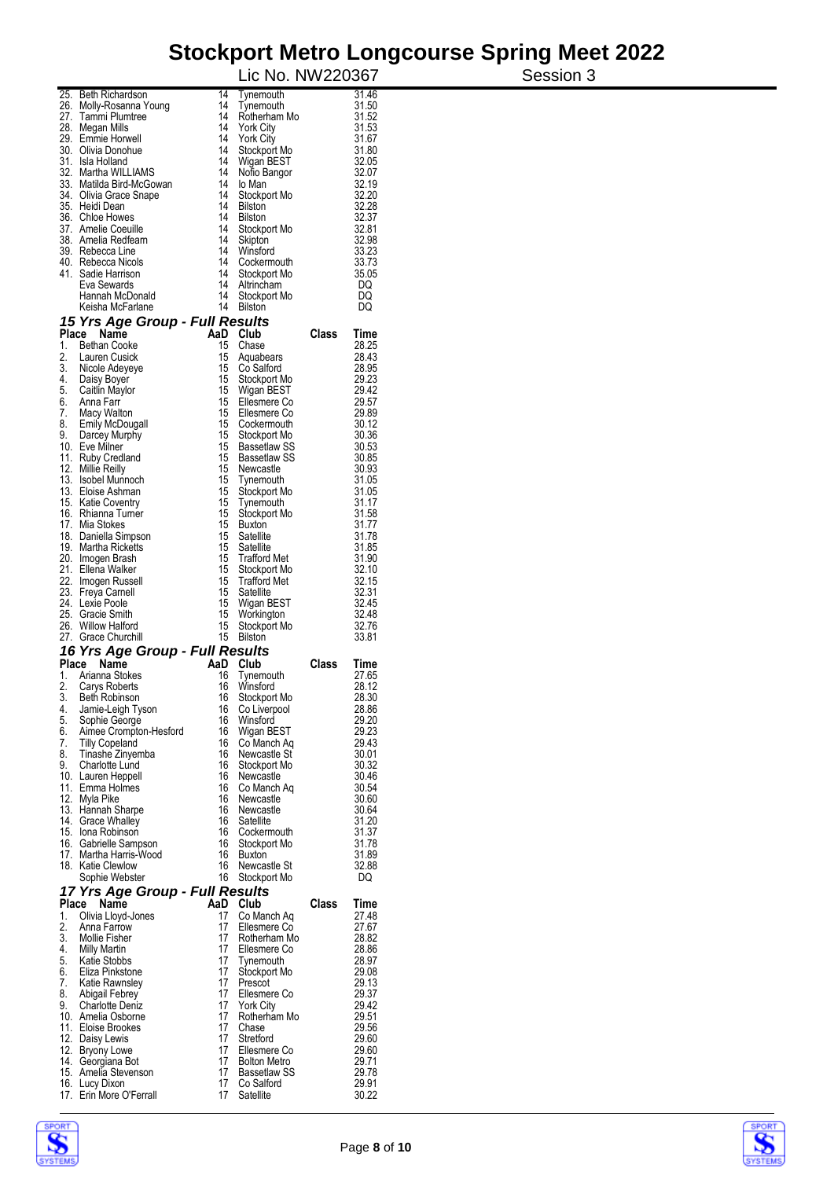### **Stockport Metro Longcourse Spring Meet 2022**  Session 3

|          |                                                     |                  | Lic No. NW220367                    |       |                |
|----------|-----------------------------------------------------|------------------|-------------------------------------|-------|----------------|
|          | 25. Beth Richardson                                 | 14               | Tynemouth                           |       | 31.46          |
|          | 26. Molly-Rosanna Young                             | 14<br>14         | Tynemouth                           |       | 31.50          |
|          | 27. Tammi Plumtree<br>28. Megan Mills               | 14               | Rotherham Mo<br>York City           |       | 31.52<br>31.53 |
|          | 29. Emmie Horwell                                   | 14               | York City                           |       | 31.67          |
|          | 30. Olivia Donohue                                  | 14               | Stockport Mo                        |       | 31.80          |
|          | 31. Isla Holland<br>32. Martha WILLIAMS             | 14<br>14         | Wigan BEST<br>Notio Bangor          |       | 32.05<br>32.07 |
|          | 33. Matilda Bird-McGowan                            | 14               | lo Man                              |       | 32.19          |
|          | 34. Olivia Grace Snape                              | 14               | Stockport Mo                        |       | 32.20          |
|          | 35. Heidi Dean<br>36. Chloe Howes                   | 14<br>14         | Bilston                             |       | 32.28<br>32.37 |
|          | 37. Amelie Coeuille                                 | 14               | <b>Bilston</b><br>Stockport Mo      |       | 32.81          |
|          | 38. Amelia Redfearn                                 | 14               | Skipton                             |       | 32.98          |
|          | 39. Rebecca Line                                    | 14               | Winsford                            |       | 33.23          |
|          | 40. Rebecca Nicols<br>41. Sadie Harrison            | 14<br>14         | Cockermouth<br>Stockport Mo         |       | 33.73<br>35.05 |
|          | Eva Sewards                                         | 14               | Altrincham                          |       | DQ             |
|          | Hannah McDonald                                     | 14               | Stockport Mo                        |       | DQ             |
|          | Keisha McFarlane<br>15 Yrs Age Group - Full Results | 14               | <b>Bilston</b>                      |       | DQ             |
|          | Place Name                                          | AaD Club         |                                     | Class | Time           |
| 1.       | <b>Bethan Cooke</b>                                 | 15               | Chase                               |       | 28.25          |
| 2.<br>3. | Lauren Cusick                                       | 15<br>15         | Aquabears<br>Co Salford             |       | 28.43<br>28.95 |
|          | Nicole Adeyeye<br>4. Daisy Boyer                    | 15               | Stockport Mo                        |       | 29.23          |
|          | 5. Caitlin Maylor                                   | 15               | Wigan BEST                          |       | 29.42          |
| 6.       | Anna Farr                                           | 15               | Ellesmere Co                        |       | 29.57          |
| 7.       | Macy Walton<br>8. Emily McDougall                   | 15<br>15         | Ellesmere Co<br>Cockermouth         |       | 29.89<br>30.12 |
| 9.       | Darcey Murphy                                       | 15               | Stockport Mo                        |       | 30.36          |
|          | 10. Eve Milner                                      | 15               | <b>Bassetlaw SS</b>                 |       | 30.53          |
|          | 11. Ruby Credland<br>12. Millie Reilly              | 15<br>15         | <b>Bassetlaw SS</b><br>Newcastle    |       | 30.85<br>30.93 |
|          | 13. Isobel Munnoch                                  | 15 <sub>15</sub> | Tynemouth                           |       | 31.05          |
|          | 13. Eloise Ashman                                   | 15               | Stockport Mo                        |       | 31.05          |
|          | 15. Katie Coventry                                  | 15               | Tynemouth                           |       | 31.17          |
|          | 16. Rhianna Turner<br>17. Mia Stokes                | 15<br>15         | Stockport Mo<br><b>Buxton</b>       |       | 31.58<br>31.77 |
|          | 18. Daniella Simpson                                | 15               | Satellite                           |       | 31.78          |
|          | 19. Martha Ricketts                                 | 15               | Satellite                           |       | 31.85          |
|          | 20. Imogen Brash<br>21. Ellena Walker               | 15<br>15         | <b>Trafford Met</b>                 |       | 31.90<br>32.10 |
|          | 22. Imogen Russell                                  | 15               | Stockport Mo<br><b>Trafford Met</b> |       | 32.15          |
|          | 23. Freya Carnell                                   | 15               | Satellite                           |       | 32.31          |
|          | 24. Lexie Poole<br>25. Gracie Smith                 | 15               | Wigan BEST                          |       | 32.45          |
|          | 26. Willow Halford                                  | 15<br>15         | Workington<br>Stockport Mo          |       | 32.48<br>32.76 |
|          | 27. Grace Churchill                                 | 15               | <b>Bilston</b>                      |       | 33.81          |
|          | 16 Yrs Age Group - Full Results                     |                  |                                     |       |                |
| 1.       | Place<br>Name<br>Arianna Stokes                     | AaD<br>16        | Club<br>Tynemouth                   | Class | Time<br>27.65  |
| 2.       | Carys Roberts                                       | 16               | Winsford                            |       | 28.12          |
| 3.       | Beth Robinson                                       | 16               | Stockport Mo                        |       | 28.30          |
| 4.       | Jamie-Leigh Tyson                                   | 16               | Co Liverpool                        |       | 28.86          |
| 5.<br>6. | Sophie George<br>Aimee Crompton-Hesford             | 16<br>16         | Winsford<br>Wigan BEST              |       | 29.20<br>29.23 |
| 7.       | <b>Tilly Copeland</b>                               | 16               | Co Manch Aq                         |       | 29.43          |
| 8.       | Tinashe Zinyemba                                    | 16               | Newcastle St                        |       | 30.01          |
| 9.       | <b>Charlotte Lund</b><br>10. Lauren Heppell         | 16<br>16         | Stockport Mo<br>Newcastle           |       | 30.32<br>30.46 |
|          | 11. Emma Holmes                                     | 16               | Co Manch Aq                         |       | 30.54          |
|          | 12. Myla Pike                                       | 16               | Newcastle                           |       | 30.60          |
|          | 13. Hannah Sharpe<br>14. Grace Whalley              | 16<br>16         | Newcastle<br>Satellite              |       | 30.64<br>31.20 |
|          | 15. Iona Robinson                                   | 16               | Cockermouth                         |       | 31.37          |
|          | 16. Gabrielle Sampson                               | 16               | Stockport Mo                        |       | 31.78          |
|          | 17. Martha Harris-Wood<br>18. Katie Clewlow         | 16<br>16         | <b>Buxton</b><br>Newcastle St       |       | 31.89<br>32.88 |
|          | Sophie Webster                                      | 16               | Stockport Mo                        |       | DQ             |
|          | 17 Yrs Age Group - Full Results                     |                  |                                     |       |                |
| Place    | Name                                                | AaD Club         |                                     | Class | Time           |
| 1.<br>2. | Olivia Lloyd-Jones<br>Anna Farrow                   | 17<br>17         | Co Manch Aq<br>Ellesmere Co         |       | 27.48<br>27.67 |
| 3.       | <b>Mollie Fisher</b>                                | 17               | Rotherham Mo                        |       | 28.82          |
| 4.       | Milly Martin                                        | 17               | Ellesmere Co                        |       | 28.86          |
| 5.       | Katie Stobbs                                        | 17<br>17         | Tynemouth                           |       | 28.97          |
| 6.<br>7. | Eliza Pinkstone<br>Katie Rawnsley                   | 17               | Stockport Mo<br>Prescot             |       | 29.08<br>29.13 |
| 8.       | Abigail Febrey                                      | 17               | Ellesmere Co                        |       | 29.37          |
| 9.       | <b>Charlotte Deniz</b><br>10. Amelia Osborne        | 17<br>17         | <b>York City</b>                    |       | 29.42<br>29.51 |
|          | 11. Eloise Brookes                                  | 17               | Rotherham Mo<br>Chase               |       | 29.56          |
|          | 12. Daisy Lewis                                     | 17               | Stretford                           |       | 29.60          |
|          | 12. Bryony Lowe                                     | 17               | Ellesmere Co                        |       | 29.60          |
|          | 14. Georgiana Bot<br>15. Amelia Stevenson           | 17<br>17         | <b>Bolton Metro</b><br>Bassetlaw SS |       | 29.71<br>29.78 |
|          | 16. Lucy Dixon                                      | 17               | Co Salford                          |       | 29.91          |
|          | 17. Erin More O'Ferrall                             | 17               | Satellite                           |       | 30.22          |



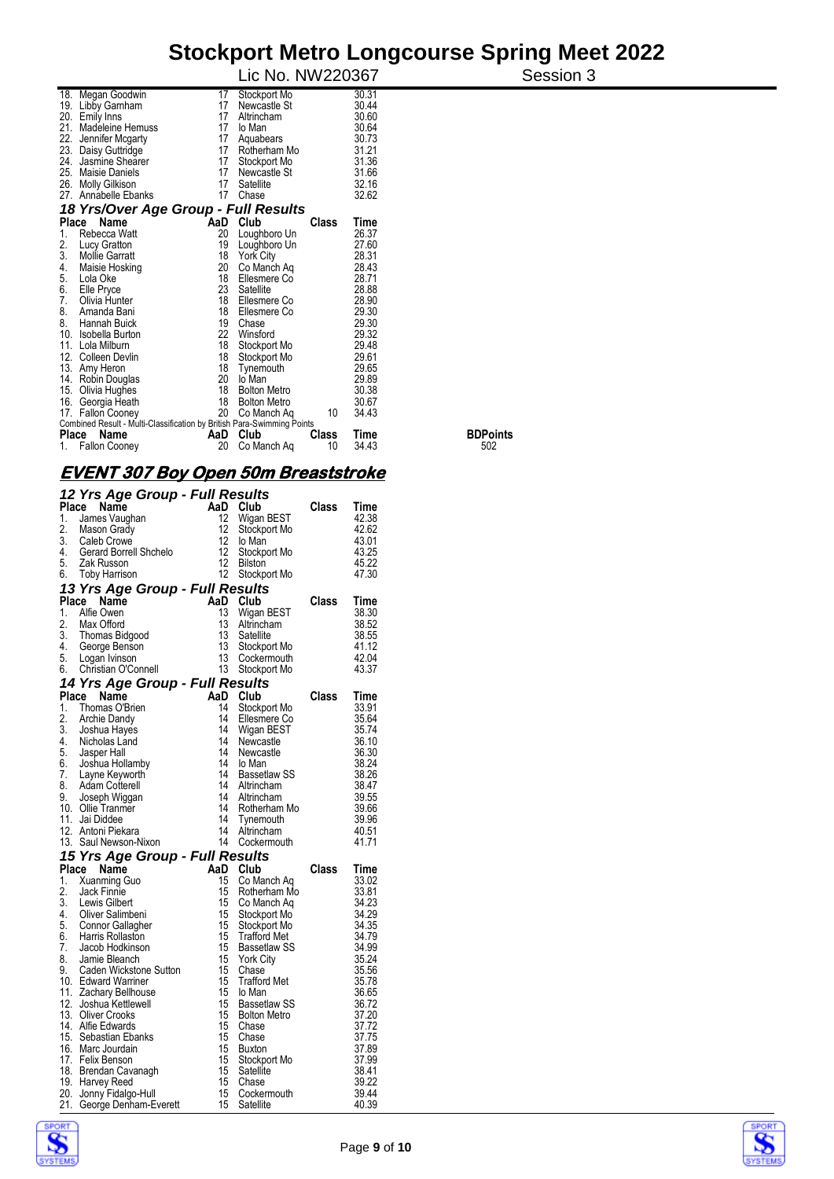|                       |                                                                                                                                                                                                                                                                                                                                                                                                                                                                                  |                                                                                                                                               |                                                                                                                                                                                                                                                                                                                                           |                                                                                                                               | Session 3                                                                                                                                                                                                                                        |
|-----------------------|----------------------------------------------------------------------------------------------------------------------------------------------------------------------------------------------------------------------------------------------------------------------------------------------------------------------------------------------------------------------------------------------------------------------------------------------------------------------------------|-----------------------------------------------------------------------------------------------------------------------------------------------|-------------------------------------------------------------------------------------------------------------------------------------------------------------------------------------------------------------------------------------------------------------------------------------------------------------------------------------------|-------------------------------------------------------------------------------------------------------------------------------|--------------------------------------------------------------------------------------------------------------------------------------------------------------------------------------------------------------------------------------------------|
|                       | 17                                                                                                                                                                                                                                                                                                                                                                                                                                                                               | Stockport Mo                                                                                                                                  |                                                                                                                                                                                                                                                                                                                                           | 30.31                                                                                                                         |                                                                                                                                                                                                                                                  |
|                       | 17                                                                                                                                                                                                                                                                                                                                                                                                                                                                               | Newcastle St                                                                                                                                  |                                                                                                                                                                                                                                                                                                                                           | 30.44                                                                                                                         |                                                                                                                                                                                                                                                  |
|                       |                                                                                                                                                                                                                                                                                                                                                                                                                                                                                  | Altrincham                                                                                                                                    |                                                                                                                                                                                                                                                                                                                                           |                                                                                                                               |                                                                                                                                                                                                                                                  |
|                       |                                                                                                                                                                                                                                                                                                                                                                                                                                                                                  |                                                                                                                                               |                                                                                                                                                                                                                                                                                                                                           |                                                                                                                               |                                                                                                                                                                                                                                                  |
|                       |                                                                                                                                                                                                                                                                                                                                                                                                                                                                                  |                                                                                                                                               |                                                                                                                                                                                                                                                                                                                                           |                                                                                                                               |                                                                                                                                                                                                                                                  |
|                       |                                                                                                                                                                                                                                                                                                                                                                                                                                                                                  |                                                                                                                                               |                                                                                                                                                                                                                                                                                                                                           |                                                                                                                               |                                                                                                                                                                                                                                                  |
|                       |                                                                                                                                                                                                                                                                                                                                                                                                                                                                                  |                                                                                                                                               |                                                                                                                                                                                                                                                                                                                                           |                                                                                                                               |                                                                                                                                                                                                                                                  |
|                       |                                                                                                                                                                                                                                                                                                                                                                                                                                                                                  |                                                                                                                                               |                                                                                                                                                                                                                                                                                                                                           |                                                                                                                               |                                                                                                                                                                                                                                                  |
|                       |                                                                                                                                                                                                                                                                                                                                                                                                                                                                                  |                                                                                                                                               |                                                                                                                                                                                                                                                                                                                                           |                                                                                                                               |                                                                                                                                                                                                                                                  |
|                       |                                                                                                                                                                                                                                                                                                                                                                                                                                                                                  |                                                                                                                                               |                                                                                                                                                                                                                                                                                                                                           |                                                                                                                               |                                                                                                                                                                                                                                                  |
|                       |                                                                                                                                                                                                                                                                                                                                                                                                                                                                                  |                                                                                                                                               |                                                                                                                                                                                                                                                                                                                                           |                                                                                                                               |                                                                                                                                                                                                                                                  |
|                       |                                                                                                                                                                                                                                                                                                                                                                                                                                                                                  |                                                                                                                                               | Class                                                                                                                                                                                                                                                                                                                                     | Time                                                                                                                          |                                                                                                                                                                                                                                                  |
| Rebecca Watt          | 20                                                                                                                                                                                                                                                                                                                                                                                                                                                                               | Loughboro Un                                                                                                                                  |                                                                                                                                                                                                                                                                                                                                           | 26.37                                                                                                                         |                                                                                                                                                                                                                                                  |
| Lucy Gratton          |                                                                                                                                                                                                                                                                                                                                                                                                                                                                                  |                                                                                                                                               |                                                                                                                                                                                                                                                                                                                                           |                                                                                                                               |                                                                                                                                                                                                                                                  |
| <b>Mollie Garratt</b> |                                                                                                                                                                                                                                                                                                                                                                                                                                                                                  | <b>York City</b>                                                                                                                              |                                                                                                                                                                                                                                                                                                                                           |                                                                                                                               |                                                                                                                                                                                                                                                  |
| Maisie Hosking        |                                                                                                                                                                                                                                                                                                                                                                                                                                                                                  | Co Manch Ag                                                                                                                                   |                                                                                                                                                                                                                                                                                                                                           |                                                                                                                               |                                                                                                                                                                                                                                                  |
|                       |                                                                                                                                                                                                                                                                                                                                                                                                                                                                                  |                                                                                                                                               |                                                                                                                                                                                                                                                                                                                                           |                                                                                                                               |                                                                                                                                                                                                                                                  |
|                       |                                                                                                                                                                                                                                                                                                                                                                                                                                                                                  |                                                                                                                                               |                                                                                                                                                                                                                                                                                                                                           |                                                                                                                               |                                                                                                                                                                                                                                                  |
|                       |                                                                                                                                                                                                                                                                                                                                                                                                                                                                                  |                                                                                                                                               |                                                                                                                                                                                                                                                                                                                                           |                                                                                                                               |                                                                                                                                                                                                                                                  |
|                       |                                                                                                                                                                                                                                                                                                                                                                                                                                                                                  |                                                                                                                                               |                                                                                                                                                                                                                                                                                                                                           |                                                                                                                               |                                                                                                                                                                                                                                                  |
|                       |                                                                                                                                                                                                                                                                                                                                                                                                                                                                                  |                                                                                                                                               |                                                                                                                                                                                                                                                                                                                                           |                                                                                                                               |                                                                                                                                                                                                                                                  |
|                       |                                                                                                                                                                                                                                                                                                                                                                                                                                                                                  |                                                                                                                                               |                                                                                                                                                                                                                                                                                                                                           |                                                                                                                               |                                                                                                                                                                                                                                                  |
|                       |                                                                                                                                                                                                                                                                                                                                                                                                                                                                                  |                                                                                                                                               |                                                                                                                                                                                                                                                                                                                                           |                                                                                                                               |                                                                                                                                                                                                                                                  |
|                       |                                                                                                                                                                                                                                                                                                                                                                                                                                                                                  |                                                                                                                                               |                                                                                                                                                                                                                                                                                                                                           |                                                                                                                               |                                                                                                                                                                                                                                                  |
|                       |                                                                                                                                                                                                                                                                                                                                                                                                                                                                                  |                                                                                                                                               |                                                                                                                                                                                                                                                                                                                                           |                                                                                                                               |                                                                                                                                                                                                                                                  |
|                       |                                                                                                                                                                                                                                                                                                                                                                                                                                                                                  |                                                                                                                                               |                                                                                                                                                                                                                                                                                                                                           |                                                                                                                               |                                                                                                                                                                                                                                                  |
|                       |                                                                                                                                                                                                                                                                                                                                                                                                                                                                                  |                                                                                                                                               |                                                                                                                                                                                                                                                                                                                                           |                                                                                                                               |                                                                                                                                                                                                                                                  |
|                       |                                                                                                                                                                                                                                                                                                                                                                                                                                                                                  |                                                                                                                                               |                                                                                                                                                                                                                                                                                                                                           |                                                                                                                               |                                                                                                                                                                                                                                                  |
|                       |                                                                                                                                                                                                                                                                                                                                                                                                                                                                                  |                                                                                                                                               |                                                                                                                                                                                                                                                                                                                                           |                                                                                                                               |                                                                                                                                                                                                                                                  |
|                       |                                                                                                                                                                                                                                                                                                                                                                                                                                                                                  |                                                                                                                                               |                                                                                                                                                                                                                                                                                                                                           |                                                                                                                               | <b>BDPoints</b>                                                                                                                                                                                                                                  |
| <b>Fallon Cooney</b>  | 20                                                                                                                                                                                                                                                                                                                                                                                                                                                                               | Co Manch Ag                                                                                                                                   | 10                                                                                                                                                                                                                                                                                                                                        | 34.43                                                                                                                         | 502                                                                                                                                                                                                                                              |
|                       | 18. Megan Goodwin<br>19. Libby Gamham<br>20. Emily Inns<br>Madeleine Hemuss<br>Jennifer Mcgarty<br>23. Daisy Guttridge<br>24. Jasmine Shearer<br><b>Maisie Daniels</b><br>26. Molly Gilkison<br>Annabelle Ebanks<br>Place Name<br>Lola Oke<br>Elle Pryce<br>Olivia Hunter<br>Amanda Bani<br>Hannah Buick<br>Isobella Burton<br>Lola Milburn<br>Colleen Devlin<br>13. Amy Heron<br>14. Robin Douglas<br>15. Olivia Hughes<br>16. Georgia Heath<br>17. Fallon Cooney<br>Place Name | 17<br>17<br>17<br>17<br>17<br>17<br>17<br>19<br>18<br>20<br>18<br>23<br>18<br>18<br>19<br>22<br>18<br>18<br>18<br>20<br>18<br>18<br>20<br>AaD | lo Man<br>Aquabears<br>17<br>Rotherham Mo<br>Stockport Mo<br>Newcastle St<br>Satellite<br>Chase<br>AaD Club<br>Loughboro Un<br>Ellesmere Co<br>Satellite<br>Ellesmere Co<br>Ellesmere Co<br>Chase<br>Winsford<br>Stockport Mo<br>Stockport Mo<br>Tynemouth<br>lo Man<br><b>Bolton Metro</b><br><b>Bolton Metro</b><br>Co Manch Aq<br>Club | 18 Yrs/Over Age Group - Full Results<br>10<br>Combined Result - Multi-Classification by British Para-Swimming Points<br>Class | Lic No. NW220367<br>30.60<br>30.64<br>30.73<br>31.21<br>31.36<br>31.66<br>32.16<br>32.62<br>27.60<br>28.31<br>28.43<br>28.71<br>28.88<br>28.90<br>29.30<br>29.30<br>29.32<br>29.48<br>29.61<br>29.65<br>29.89<br>30.38<br>30.67<br>34.43<br>Time |

#### **EVENT 307 Boy Open 50m Breaststroke**

|    | 12 Yrs Age Group - Full Results                                                                                                                                                                                |                                         |                     |              |               |
|----|----------------------------------------------------------------------------------------------------------------------------------------------------------------------------------------------------------------|-----------------------------------------|---------------------|--------------|---------------|
|    | Place<br>Name<br><b>Place Name</b><br>1. James Vaughan<br>2. Mason Grady<br>2. Mason Grady<br>3. Caleb Crowe<br>4. Gerard Borrell Shchelo<br>5. Zak Russon<br>6. Toby Harrison<br>6. Toby Harrison<br>2. 2. 2. |                                         | AaD Club            | Class        | Time          |
|    |                                                                                                                                                                                                                |                                         | Wigan BEST          |              | 42.38         |
|    |                                                                                                                                                                                                                |                                         | Stockport Mo        |              | 42.62         |
|    |                                                                                                                                                                                                                |                                         | lo Man              |              | 43.01         |
|    |                                                                                                                                                                                                                |                                         | Stockport Mo        |              | 43.25         |
|    |                                                                                                                                                                                                                |                                         | <b>Bilston</b>      |              | 45.22         |
|    |                                                                                                                                                                                                                |                                         | Stockport Mo        |              | 47.30         |
|    | 13 Yrs Age Group - Full Results                                                                                                                                                                                |                                         |                     |              |               |
|    | Place<br>Name                                                                                                                                                                                                  | AaD Club                                |                     | Class        |               |
| 1. | Alfie Owen                                                                                                                                                                                                     | 13                                      | Wigan BEST          |              | Time<br>38.30 |
|    |                                                                                                                                                                                                                |                                         |                     |              | 38.52         |
|    |                                                                                                                                                                                                                |                                         |                     |              | 38.55         |
|    |                                                                                                                                                                                                                |                                         |                     |              | 41.12         |
|    |                                                                                                                                                                                                                |                                         |                     |              | 42.04         |
|    |                                                                                                                                                                                                                |                                         |                     |              | 43.37         |
|    | 2. Max Offord<br>2. Max Offord<br>3. Thomas Bidgood<br>4. George Benson<br>5. Logan Ivinson<br>6. Christian O'Connell<br>5. Cockermouth<br>6. Christian O'Connell<br>7. Stockport Mo                           |                                         |                     |              |               |
|    | 14 Yrs Age Group - Full Results                                                                                                                                                                                |                                         |                     |              |               |
|    | Place Name                                                                                                                                                                                                     |                                         | AaD Club            | Class        | Time          |
| 1. | Thomas O'Brien                                                                                                                                                                                                 | 14                                      | Stockport Mo        |              | 33.91         |
| 2. | Archie Dandy                                                                                                                                                                                                   | 14                                      | Ellesmere Co        |              | 35.64         |
|    |                                                                                                                                                                                                                | 14                                      | Wigan BEST          |              | 35.74         |
|    | 3. Joshua Hayes<br>4. Nicholas Land                                                                                                                                                                            | 14                                      | Newcastle           |              | 36.10         |
|    | 4. Notional Sales Hall<br>5. Joshua Hollamby<br>7. Layne Keyworth<br>8. Adam Cotterell<br>9. Joseph Wiggan<br>10. Ollie Tranmer<br>14. Isi Diddee                                                              | 14                                      | Newcastle           |              | 36.30         |
|    |                                                                                                                                                                                                                | 14                                      | lo Man              |              | 38.24         |
|    |                                                                                                                                                                                                                | $\begin{array}{c} 14 \\ 14 \end{array}$ | Bassetlaw SS        |              | 38.26         |
|    |                                                                                                                                                                                                                |                                         | Altrincham          |              | 38.47         |
|    |                                                                                                                                                                                                                |                                         | Altrincham          |              | 39.55         |
|    |                                                                                                                                                                                                                |                                         | Rotherham Mo        |              | 39.66         |
|    | 11. Jai Diddee                                                                                                                                                                                                 |                                         | Tynemouth           |              | 39.96         |
|    | 12. Antoni Piekara                                                                                                                                                                                             | $\frac{14}{14}$<br>$\frac{14}{14}$      | Altrincham          |              | 40.51         |
|    | 13. Saul Newson-Nixon                                                                                                                                                                                          |                                         | Cockermouth         |              | 41.71         |
|    | 15 Yrs Age Group - Full Results                                                                                                                                                                                |                                         |                     |              |               |
|    | Place<br>Name                                                                                                                                                                                                  | AaD                                     | Club                | <b>Class</b> | Time          |
| 1. | Xuanming Guo                                                                                                                                                                                                   |                                         | Co Manch Ag         |              | 33.02         |
| 2. | Jack Finnie                                                                                                                                                                                                    |                                         | Rotherham Mo        |              | 33.81         |
|    |                                                                                                                                                                                                                | 15                                      | Co Manch Aq         |              | 34.23         |
|    |                                                                                                                                                                                                                | 15                                      | Stockport Mo        |              | 34.29         |
|    |                                                                                                                                                                                                                | 15                                      | Stockport Mo        |              | 34.35         |
|    |                                                                                                                                                                                                                | 15                                      | <b>Trafford Met</b> |              | 34.79         |
| 7. | Jacob Hodkinson                                                                                                                                                                                                | 15                                      | Bassetlaw SS        |              | 34.99         |
|    | 8. Jamie Bleanch                                                                                                                                                                                               | 15                                      | <b>York City</b>    |              | 35.24         |
| 9. | Caden Wickstone Sutton                                                                                                                                                                                         | 15                                      | Chase               |              | 35.56         |
|    | 10. Edward Warriner                                                                                                                                                                                            | 15                                      | <b>Trafford Met</b> |              | 35.78         |
|    | 11. Zachary Bellhouse                                                                                                                                                                                          | 15                                      | lo Man              |              | 36.65         |
|    | 12. Joshua Kettlewell                                                                                                                                                                                          | 15                                      | <b>Bassetlaw SS</b> |              | 36.72         |
|    | 13. Oliver Crooks                                                                                                                                                                                              | 15                                      | <b>Bolton Metro</b> |              | 37.20         |
|    | 14. Alfie Edwards                                                                                                                                                                                              | 15                                      | Chase               |              | 37.72         |
|    | 15. Sebastian Ebanks                                                                                                                                                                                           | 15                                      | Chase               |              | 37.75         |
|    | 16. Marc Jourdain                                                                                                                                                                                              | 15                                      | Buxton              |              | 37.89         |
|    | 17. Felix Benson                                                                                                                                                                                               | 15                                      | Stockport Mo        |              | 37.99         |
|    | 18. Brendan Cavanagh                                                                                                                                                                                           | 15                                      | Satellite           |              | 38.41         |
|    | 19. Harvey Reed                                                                                                                                                                                                | - 15                                    | Chase               |              | 39.22         |
|    |                                                                                                                                                                                                                |                                         | Cockermouth         |              | 39.44         |
|    | ci<br>15<br><u>21. George Denham-Everett</u> 15                                                                                                                                                                |                                         | Satellite           |              | 40.39         |

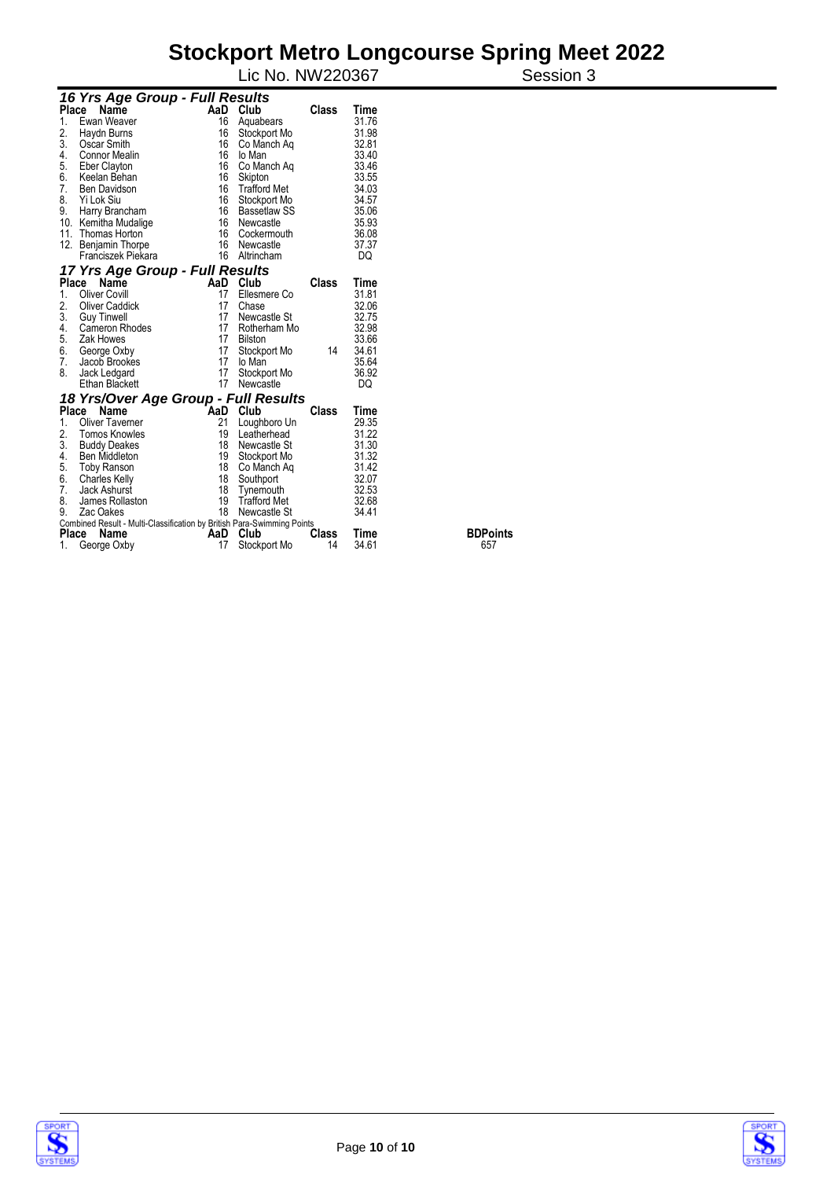#### **Stockport Metro Longcourse Spring Meet 2022**  Lic No. NW220367 Session 3

|              | 16 Yrs Age Group - Full Results                                        |     |                     |       |       |             |
|--------------|------------------------------------------------------------------------|-----|---------------------|-------|-------|-------------|
| <b>Place</b> | Name                                                                   | AaD | Club                | Class | Time  |             |
| 1.           | Ewan Weaver                                                            | 16  | Aquabears           |       | 31.76 |             |
| 2.           | Haydn Burns                                                            | 16  | Stockport Mo        |       | 31.98 |             |
| 3.           | Oscar Smith                                                            | 16  | Co Manch Ag         |       | 32.81 |             |
| 4.           | Connor Mealin                                                          | 16  | lo Man              |       | 33.40 |             |
| 5.           | Eber Clayton                                                           | 16  | Co Manch Aq         |       | 33.46 |             |
| 6.           | Keelan Behan                                                           | 16  | Skipton             |       | 33.55 |             |
| 7.           | <b>Ben Davidson</b>                                                    | 16  | <b>Trafford Met</b> |       | 34.03 |             |
| 8.           | Yi Lok Siu                                                             | 16  | Stockport Mo        |       | 34.57 |             |
| 9.           | Harry Brancham                                                         |     | 16 Bassetlaw SS     |       | 35.06 |             |
|              | 10. Kemitha Mudalige                                                   |     | 16 Newcastle        |       | 35.93 |             |
| 11.          | Thomas Horton                                                          | 16  | Cockermouth         |       | 36.08 |             |
| 12.          | Benjamin Thorpe                                                        | 16  | Newcastle           |       | 37.37 |             |
|              | Franciszek Piekara                                                     | 16  | Altrincham          |       | DQ    |             |
|              | 17 Yrs Age Group - Full Results                                        |     |                     |       |       |             |
|              | Place<br>Name                                                          | AaD | Club                | Class | Time  |             |
| 1.           | Oliver Covill                                                          | 17  | Ellesmere Co        |       | 31.81 |             |
| 2.           | <b>Oliver Caddick</b>                                                  | 17  | Chase               |       | 32.06 |             |
| 3.           | <b>Guy Tinwell</b>                                                     | 17  | Newcastle St        |       | 32.75 |             |
| 4.           | Cameron Rhodes                                                         |     | 17 Rotherham Mo     |       | 32.98 |             |
| 5.           | Zak Howes                                                              | 17  | <b>Bilston</b>      |       | 33.66 |             |
| 6.           | George Oxby                                                            | 17  | Stockport Mo        | 14    | 34.61 |             |
| 7.           | Jacob Brookes                                                          | 17  | lo Man              |       | 35.64 |             |
| 8.           | Jack Ledgard                                                           | 17  | Stockport Mo        |       | 36.92 |             |
|              | <b>Ethan Blackett</b>                                                  | 17  | Newcastle           |       | DQ    |             |
|              | 18 Yrs/Over Age Group - Full Results                                   |     |                     |       |       |             |
| Place        | Name                                                                   | AaD | Club                | Class | Time  |             |
| 1.           | <b>Oliver Taverner</b>                                                 | 21  | Loughboro Un        |       | 29.35 |             |
| 2.           | <b>Tomos Knowles</b>                                                   | 19  | Leatherhead         |       | 31.22 |             |
| 3.           | <b>Buddy Deakes</b>                                                    | 18  | Newcastle St        |       | 31.30 |             |
| 4.           | <b>Ben Middleton</b>                                                   |     | 19 Stockport Mo     |       | 31.32 |             |
| 5.           | <b>Toby Ranson</b>                                                     | 18  | Co Manch Ag         |       | 31.42 |             |
| 6.           | <b>Charles Kelly</b>                                                   | 18  | Southport           |       | 32.07 |             |
| 7.           | Jack Ashurst                                                           | 18  | Tynemouth           |       | 32.53 |             |
| 8.           | James Rollaston                                                        | 19  | <b>Trafford Met</b> |       | 32.68 |             |
| 9.           | Zac Oakes                                                              | 18  | Newcastle St        |       | 34.41 |             |
|              | Combined Result - Multi-Classification by British Para-Swimming Points |     |                     |       |       |             |
| Place        | Name                                                                   | AaD | Club                | Class | Time  | <b>BDPo</b> |
| 1.           | George Oxby                                                            | 17  | Stockport Mo        | 14    | 34.61 | 657         |

**BDPoints 657** 



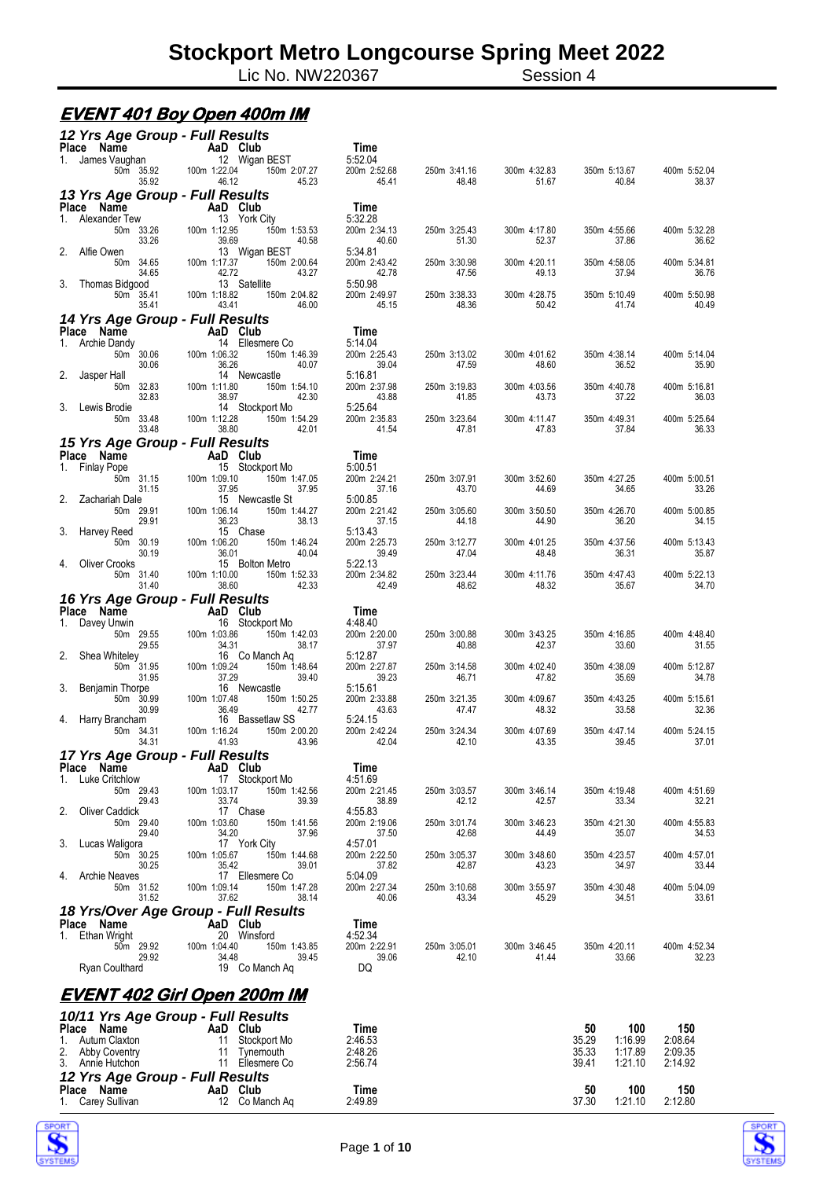Lic No. NW220367 Session 4

#### **EVENT 401 Boy Open 400m IM**

| 12 Yrs Age Group - Full Results                                           |                                                                          | Time                             |                       |                       |                                      |                       |
|---------------------------------------------------------------------------|--------------------------------------------------------------------------|----------------------------------|-----------------------|-----------------------|--------------------------------------|-----------------------|
| riace Name<br>1. James Vaughan<br>1. James Vaughan<br>1. 1. James Vaughan | 12 Wigan BEST<br>100m 1:22.04<br>150m 2:07.27                            | 5:52.04<br>200m 2:52.68          | 250m 3:41.16          | 300m 4:32.83          | 350m 5:13.67                         | 400m 5:52.04          |
| 50m 35.92<br>35.92                                                        | 46.12<br>45.23                                                           | 45.41                            | 48.48                 | 51.67                 | 40.84                                | 38.37                 |
| 13 Yrs Age Group - Full Results<br>Place Name                             | AaD Club                                                                 | Time                             |                       |                       |                                      |                       |
| 1. Alexander Tew<br>50m 33.26                                             | AaD Club<br>13 York City<br>100m 1:12.95<br>150m 1:53.53                 | 5:32.28<br>200m 2:34.13          | 250m 3:25.43          | 300m 4:17.80          | 350m 4:55.66                         | 400m 5:32.28          |
| 33.26<br>2.<br>Alfie Owen                                                 | 39.69<br>40.58<br>13 Wigan BEST                                          | 40.60<br>5:34.81                 | 51.30                 | 52.37                 | 37.86                                | 36.62                 |
| 50m 34.65<br>34.65                                                        | 100m 1:17.37<br>150m 2:00.64<br>42.72<br>43.27                           | 200m 2:43.42<br>42.78            | 250m 3:30.98<br>47.56 | 300m 4:20.11<br>49.13 | 350m 4:58.05<br>37.94                | 400m 5:34.81<br>36.76 |
| 3.<br>Thomas Bidgood<br>50 <sub>m</sub> 35.41<br>35.41                    | 13 Satellite<br>100m 1:18.82<br>150m 2:04.82<br>43.41<br>46.00           | 5:50.98<br>200m 2:49.97<br>45.15 | 250m 3:38.33<br>48.36 | 300m 4:28.75<br>50.42 | 350m 5:10.49<br>41.74                | 400m 5:50.98<br>40.49 |
| 14 Yrs Age Group - Full Results<br>Place Name                             |                                                                          | Time                             |                       |                       |                                      |                       |
| 1. Archie Dandy                                                           | $AaD$ $Club$<br>14 Ellesmere Co                                          | 5:14.04                          |                       |                       |                                      |                       |
| 50m 30.06<br>30.06                                                        | 100m 1:06.32<br>150m 1:46.39<br>36.26<br>40.07                           | 200m 2:25.43<br>39.04            | 250m 3:13.02<br>47.59 | 300m 4:01.62<br>48.60 | 350m 4:38.14<br>36.52                | 400m 5:14.04<br>35.90 |
| 2.<br>Jasper Hall<br>50m 32.83<br>32.83                                   | 14 Newcastle<br>100m 1:11.80<br>150m 1:54.10<br>38.97<br>42.30           | 5:16.81<br>200m 2:37.98<br>43.88 | 250m 3:19.83<br>41.85 | 300m 4:03.56<br>43.73 | 350m 4:40.78<br>37.22                | 400m 5:16.81<br>36.03 |
| 3. Lewis Brodie<br>50m 33.48                                              | 14 Stockport Mo<br>100m 1:12.28<br>$150m$ 1:54.29                        | 5:25.64<br>200m 2:35.83          | 250m 3:23.64          | 300m 4:11.47          | 350m 4:49.31                         | 400m 5:25.64          |
| 33.48<br>15 Yrs Age Group - Full Results                                  | 38.80<br>42.01                                                           | 41.54                            | 47.81                 | 47.83                 | 37.84                                | 36.33                 |
| Place Name                                                                | $A$ an Club<br>Aan Club<br>$15$ Stockport Mo                             | Time                             |                       |                       |                                      |                       |
| 1. Finlay Pope<br>50m 31.15                                               | 100m 1:09.10<br>150m 1:47.05                                             | 5:00.51<br>200m 2:24.21          | 250m 3:07.91          | 300m 3:52.60          | 350m 4:27.25                         | 400m 5:00.51          |
| 31.15<br>2. Zachariah Dale                                                | 37.95<br>37.95<br>15 Newcastle St                                        | 37.16<br>5:00.85                 | 43.70                 | 44.69                 | 34.65                                | 33.26                 |
| 50m 29.91<br>29.91<br>3. Harvey Reed                                      | 100m 1:06.14<br>150m 1:44.27<br>36.23<br>38.13<br>15 Chase               | 200m 2:21.42<br>37.15<br>5:13.43 | 250m 3:05.60<br>44.18 | 300m 3:50.50<br>44.90 | 350m 4:26.70<br>36.20                | 400m 5:00.85<br>34.15 |
| 50m 30.19<br>30.19<br>Oliver Crooks                                       | 100m 1:06.20<br>150m 1:46.24<br>36.01<br>40.04                           | 200m 2:25.73<br>39.49<br>5:22.13 | 250m 3:12.77<br>47.04 | 300m 4:01.25<br>48.48 | 350m 4:37.56<br>36.31                | 400m 5:13.43<br>35.87 |
| 4.<br>50m 31.40<br>31.40                                                  | 15 Bolton Metro<br>100m 1:10.00<br>150m 1:52.33<br>38.60<br>42.33        | 200m 2:34.82<br>42.49            | 250m 3:23.44<br>48.62 | 300m 4:11.76<br>48.32 | 350m 4:47.43<br>35.67                | 400m 5:22.13<br>34.70 |
| 16 Yrs Age Group - Full Results<br>Place Name                             |                                                                          | Time                             |                       |                       |                                      |                       |
| 1. Davey Unwin<br>50m 29.55<br>29.55                                      | AaD Club<br>16 Stocks<br>16 Stockport Mo<br>100m 1:03.86<br>150m 1:42.03 | 4:48.40<br>200m 2:20.00          | 250m 3:00.88          | 300m 3:43.25          | 350m 4:16.85                         | 400m 4:48.40          |
| 2.<br>Shea Whiteley                                                       | 34.31<br>38.17<br>16 Co Manch Aq                                         | 37.97<br>5:12.87                 | 40.88                 | 42.37                 | 33.60                                | 31.55                 |
| 50m 31.95<br>31.95<br>3.<br>Benjamin Thorpe                               | 100m 1:09.24<br>150m 1:48.64<br>37.29<br>39.40<br>16 Newcastle           | 200m 2:27.87<br>39.23<br>5:15.61 | 250m 3:14.58<br>46.71 | 300m 4:02.40<br>47.82 | 350m 4:38.09<br>35.69                | 400m 5:12.87<br>34.78 |
| 50m 30.99<br>30.99<br>4. Harry Brancham                                   | 100m 1:07.48<br>150m 1:50.25<br>36.49<br>42.77<br>16 Bassetlaw SS        | 200m 2:33.88<br>43.63<br>5:24.15 | 250m 3:21.35<br>47.47 | 300m 4:09.67<br>48.32 | 350m 4:43.25<br>33.58                | 400m 5:15.61<br>32.36 |
| 50m 34.31<br>34.31                                                        | 100m 1:16.24<br>150m 2:00.20<br>41.93<br>43.96                           | 200m 2:42.24<br>42.04            | 250m 3:24.34<br>42.10 | 300m 4:07.69<br>43.35 | 350m 4:47.14<br>39.45                | 400m 5:24.15<br>37.01 |
| 17 Yrs Age Group - Full Results<br>Place Name                             | AaD Club                                                                 | Time                             |                       |                       |                                      |                       |
| Luke Critchlow<br>1.                                                      | 17 Stockport Mo                                                          | 4:51.69                          |                       |                       |                                      |                       |
| 50m 29.43<br>29.43<br>2.<br><b>Oliver Caddick</b>                         | 100m 1:03.17<br>150m 1:42.56<br>33.74<br>39.39<br>17 Chase               | 200m 2:21.45<br>38.89<br>4:55.83 | 250m 3:03.57<br>42.12 | 300m 3:46.14<br>42.57 | 350m 4:19.48<br>33.34                | 400m 4:51.69<br>32.21 |
| 50m 29.40<br>29.40                                                        | 100m 1:03.60<br>150m 1:41.56<br>34.20<br>37.96                           | 200m 2:19.06<br>37.50            | 250m 3:01.74<br>42.68 | 300m 3:46.23<br>44.49 | 350m 4:21.30<br>35.07                | 400m 4:55.83<br>34.53 |
| 3.<br>Lucas Waligora<br>50m 30.25<br>30.25                                | 17 York City<br>100m 1:05.67<br>150m 1:44.68<br>35.42<br>39.01           | 4:57.01<br>200m 2:22.50<br>37.82 | 250m 3:05.37<br>42.87 | 300m 3:48.60<br>43.23 | 350m 4:23.57<br>34.97                | 400m 4:57.01<br>33.44 |
| 4. Archie Neaves<br>50m 31.52<br>31.52                                    | 17 Ellesmere Co<br>100m 1:09.14<br>150m 1:47.28<br>37.62<br>38.14        | 5:04.09<br>200m 2:27.34<br>40.06 | 250m 3:10.68<br>43.34 | 300m 3:55.97<br>45.29 | 350m 4:30.48<br>34.51                | 400m 5:04.09<br>33.61 |
| 18 Yrs/Over Age Group - Full Results                                      |                                                                          |                                  |                       |                       |                                      |                       |
| Place Name<br>1.<br>Ethan Wright                                          | AaD Club<br>20 Winsford                                                  | Time<br>4:52.34                  |                       |                       |                                      |                       |
| 50m 29.92<br>29.92                                                        | 100m 1:04.40<br>150m 1:43.85<br>34.48<br>39.45                           | 200m 2:22.91<br>39.06            | 250m 3:05.01<br>42.10 | 300m 3:46.45<br>41.44 | 350m 4:20.11<br>33.66                | 400m 4:52.34<br>32.23 |
| Ryan Coulthard                                                            | 19 Co Manch Ag                                                           | DQ                               |                       |                       |                                      |                       |
|                                                                           | <u>EVENT 402 Girl Open 200m IM</u>                                       |                                  |                       |                       |                                      |                       |
| 10/11 Yrs Age Group - Full Results<br>Place Name                          | AaD Club                                                                 | Time                             |                       |                       | 50<br>100                            | 150                   |
| Autum Claxton<br>1.<br>2.<br>Abby Coventry                                | 11<br>Stockport Mo<br>11<br>Tynemouth                                    | 2:46.53<br>2:48.26               |                       |                       | 35.29<br>1:16.99<br>35.33<br>1:17.89 | 2:08.64<br>2:09.35    |
| 3.<br>Annie Hutchon                                                       | 11 Ellesmere Co                                                          | 2:56.74                          |                       |                       | 39.41<br>1:21.10                     | 2:14.92               |
| 12 Yrs Age Group - Full Results<br>Place Name                             | AaD Club                                                                 | Time                             |                       |                       | 50<br>100                            | 150                   |
| 1. Carey Sullivan                                                         | 12 Co Manch Ag                                                           | 2:49.89                          |                       |                       | 37.30<br>1:21.10                     | 2:12.80               |



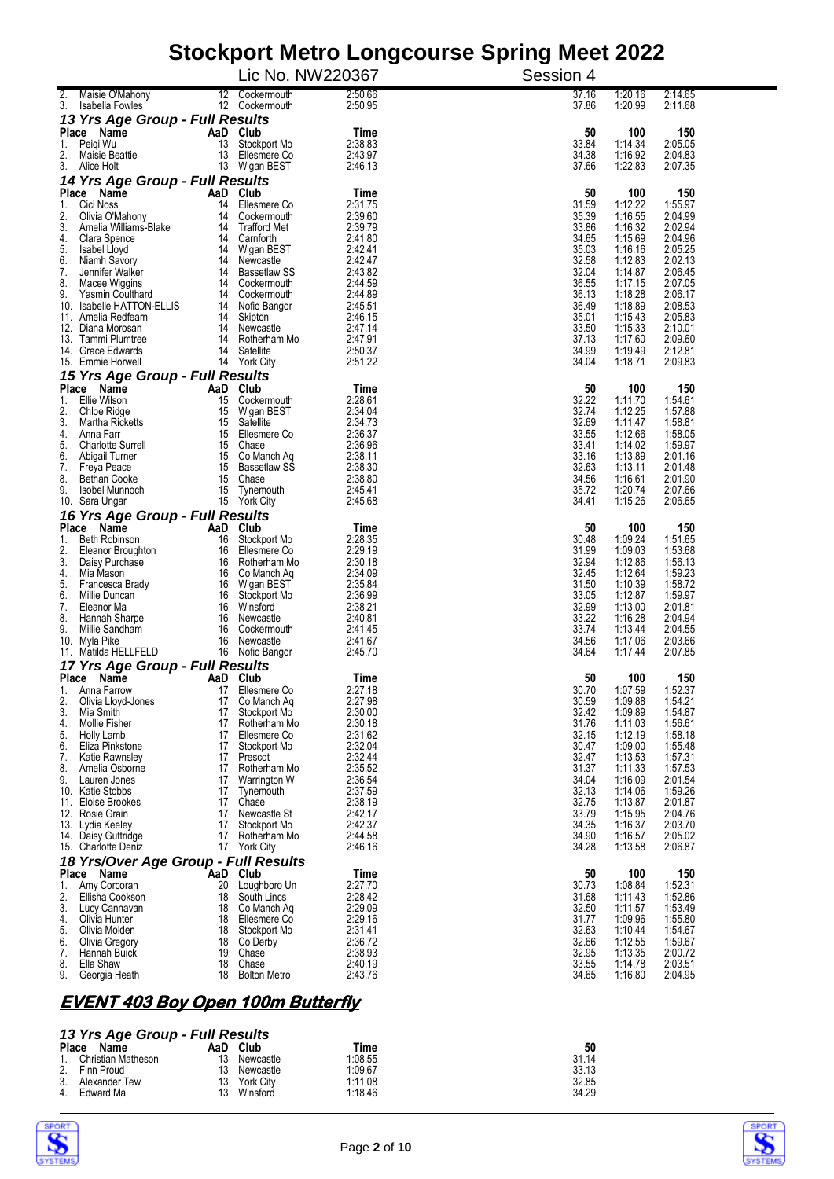|                                                          |                | Lic No. NW220367                   |                    | Session 4      |                    |                    |
|----------------------------------------------------------|----------------|------------------------------------|--------------------|----------------|--------------------|--------------------|
| $\overline{2}$ .<br>Maisie O'Mahony                      |                | 12 Cockermouth                     | 2:50.66            | 37.16          | 1:20.16            | 2:14.65            |
| 3.<br>Isabella Fowles<br>13 Yrs Age Group - Full Results |                | 12 Cockermouth                     | 2:50.95            | 37.86          | 1:20.99            | 2:11.68            |
| Place Name                                               | AaD Club       |                                    | Time               | 50             | 100                | 150                |
| Peigi Wu<br>1.<br>2.<br>Maisie Beattie                   | 13<br>13       | Stockport Mo<br>Ellesmere Co       | 2:38.83<br>2:43.97 | 33.84<br>34.38 | 1:14.34<br>1:16.92 | 2:05.05<br>2:04.83 |
| 3.<br>Alice Holt                                         |                | 13 Wigan BEST                      | 2:46.13            | 37.66          | 1:22.83            | 2:07.35            |
| 14 Yrs Age Group - Full Results                          |                |                                    |                    |                |                    |                    |
| Place Name<br>Cici Noss<br>1.                            | AaD Club<br>14 | Ellesmere Co                       | Time<br>2:31.75    | 50<br>31.59    | 100<br>1:12.22     | 150<br>1:55.97     |
| 2.<br>Olivia O'Mahony<br>3.                              |                | 14 Cockermouth                     | 2:39.60            | 35.39          | 1:16.55            | 2:04.99            |
| Amelia Williams-Blake<br>4.<br>Clara Spence              |                | 14 Trafford Met<br>14 Camforth     | 2:39.79<br>2:41.80 | 33.86<br>34.65 | 1:16.32<br>1:15.69 | 2:02.94<br>2:04.96 |
| 5.<br>Isabel Lloyd                                       |                | 14 Wigan BEST                      | 2:42.41            | 35.03          | 1:16.16            | 2:05.25            |
| 6.<br>Niamh Savory<br>7.<br>Jennifer Walker              |                | 14 Newcastle<br>14 Bassetlaw SS    | 2:42.47<br>2:43.82 | 32.58<br>32.04 | 1:12.83<br>1:14.87 | 2:02.13<br>2:06.45 |
| 8.<br>Macee Wiggins                                      |                | 14 Cockermouth                     | 2:44.59            | 36.55          | 1:17.15            | 2:07.05            |
| 9.<br>Yasmin Coulthard<br>10. Isabelle HATTON-ELLIS      |                | 14 Cockermouth<br>14 Nofio Bangor  | 2:44.89<br>2:45.51 | 36.13<br>36.49 | 1:18.28<br>1:18.89 | 2:06.17<br>2:08.53 |
| 11. Amelia Redfearn                                      |                | 14 Skipton                         | 2:46.15            | 35.01          | 1:15.43            | 2:05.83            |
| 12. Diana Morosan<br>13. Tammi Plumtree                  |                | 14 Newcastle<br>14 Rotherham Mo    | 2:47.14<br>2:47.91 | 33.50<br>37.13 | 1:15.33<br>1:17.60 | 2:10.01<br>2:09.60 |
| 14. Grace Edwards                                        |                | 14 Satellite                       | 2:50.37            | 34.99          | 1:19.49            | 2:12.81            |
| 15. Emmie Horwell                                        |                | 14 York City                       | 2:51.22            | 34.04          | 1:18.71            | 2:09.83            |
| 15 Yrs Age Group - Full Results<br>Place Name            | AaD Club       |                                    | Time               | 50             | 100                | 150                |
| Ellie Wilson<br>1.                                       | 15             | Cockermouth                        | 2:28.61            | 32.22          | 1:11.70            | 1:54.61            |
| 2.<br>Chloe Ridge<br>3.<br>Martha Ricketts               | 15<br>15       | Wigan BEST<br>Satellite            | 2:34.04<br>2:34.73 | 32.74<br>32.69 | 1:12.25<br>1:11.47 | 1:57.88<br>1:58.81 |
| 4.<br>Anna Farr                                          |                | 15 Ellesmere Co                    | 2:36.37            | 33.55          | 1:12.66            | 1:58.05            |
| 5.<br><b>Charlotte Surrell</b><br>6.<br>Abigail Turner   |                | 15 Chase<br>15 Co Manch Aq         | 2:36.96<br>2:38.11 | 33.41<br>33.16 | 1:14.02<br>1:13.89 | 1:59.97<br>2:01.16 |
| 7.<br>Freya Peace                                        |                | 15 Bassetlaw SS                    | 2:38.30            | 32.63          | 1:13.11            | 2:01.48            |
| 8.<br>Bethan Cooke                                       |                | 15 Chase                           | 2:38.80<br>2:45.41 | 34.56<br>35.72 | 1:16.61            | 2:01.90            |
| 9.<br>Isobel Munnoch<br>10. Sara Ungar                   | 15             | Tynemouth<br>15 York City          | 2:45.68            | 34.41          | 1:20.74<br>1:15.26 | 2:07.66<br>2:06.65 |
| 16 Yrs Age Group - Full Results                          |                |                                    |                    |                |                    |                    |
| Place Name<br>1.<br>Beth Robinson                        | AaD Club<br>16 | Stockport Mo                       | Time<br>2:28.35    | 50<br>30.48    | 100<br>1:09.24     | 150<br>1:51.65     |
| 2.<br>Eleanor Broughton                                  | 16             | Ellesmere Co                       | 2:29.19            | 31.99          | 1:09.03            | 1:53.68            |
| 3.<br>Daisy Purchase                                     |                | 16 Rotherham Mo                    | 2:30.18            | 32.94          | 1:12.86            | 1:56.13            |
| Mia Mason<br>4.<br>5.<br>Francesca Brady                 |                | 16 Co Manch Aq<br>16 Wigan BEST    | 2:34.09<br>2:35.84 | 32.45<br>31.50 | 1:12.64<br>1:10.39 | 1:59.23<br>1:58.72 |
| 6.<br>Millie Duncan                                      |                | 16 Stockport Mo                    | 2:36.99            | 33.05          | 1:12.87            | 1:59.97            |
| 7.<br>Eleanor Ma<br>8.<br>Hannah Sharpe                  |                | 16 Winsford<br>16 Newcastle        | 2:38.21<br>2:40.81 | 32.99<br>33.22 | 1:13.00<br>1:16.28 | 2:01.81<br>2:04.94 |
| 9.<br>Millie Sandham                                     |                | 16 Cockermouth                     | 2:41.45            | 33.74          | 1:13.44            | 2:04.55            |
| 10. Myla Pike<br>11. Matilda HELLFELD                    | 16             | Newcastle<br>16 Nofio Bangor       | 2:41.67<br>2:45.70 | 34.56<br>34.64 | 1:17.06<br>1:17.44 | 2:03.66<br>2:07.85 |
| 17 Yrs Age Group - Full Results                          |                |                                    |                    |                |                    |                    |
| Place Name                                               |                | AaD Club                           | Time               | 50             | 100                | 150                |
| 1. Anna Farrow<br>2.<br>Olivia Lloyd-Jones               | 17             | 17 Ellesmere Co<br>Co Manch Aq     | 2:27.18<br>2:27.98 | 30.70<br>30.59 | 1:07.59<br>1:09.88 | 1:52.37<br>1:54.21 |
| 3.<br>Mia Smith                                          | 17             | Stockport Mo                       | 2:30.00            | 32.42          | 1:09.89            | 1:54.87            |
| Mollie Fisher<br>4.<br>5.<br>Holly Lamb                  |                | 17 Rotherham Mo<br>17 Ellesmere Co | 2:30.18<br>2:31.62 | 31.76<br>32.15 | 1:11.03<br>1:12.19 | 1:56.61<br>1:58.18 |
| 6.<br>Eliza Pinkstone                                    |                | 17 Stockport Mo                    | 2:32.04            | 30.47          | 1:09.00            | 1:55.48            |
| 7.<br>Katie Rawnsley<br>8.                               | 17             | 17 Prescot                         | 2:32.44<br>2:35.52 | 32.47<br>31.37 | 1:13.53<br>1:11.33 | 1:57.31<br>1:57.53 |
| Amelia Osborne<br>9.<br>Lauren Jones                     |                | Rotherham Mo<br>17 Warrington W    | 2:36.54            | 34.04          | 1:16.09            | 2:01.54            |
| 10. Katie Stobbs                                         |                | 17 Tynemouth                       | 2:37.59            | 32.13          | 1:14.06            | 1:59.26            |
| 11. Eloise Brookes<br>12. Rosie Grain                    | 17             | Chase<br>17 Newcastle St           | 2:38.19<br>2:42.17 | 32.75<br>33.79 | 1:13.87<br>1:15.95 | 2:01.87<br>2:04.76 |
| 13. Lydia Keeley                                         |                | 17 Stockport Mo                    | 2:42.37            | 34.35          | 1:16.37            | 2:03.70            |
| 14. Daisy Guttridge<br>15. Charlotte Deniz               | 17             | Rotherham Mo<br>17 York City       | 2:44.58<br>2:46.16 | 34.90<br>34.28 | 1:16.57<br>1:13.58 | 2:05.02<br>2:06.87 |
| 18 Yrs/Over Age Group - Full Results                     |                |                                    |                    |                |                    |                    |
| Place Name                                               | AaD Club       |                                    | Time               | 50             | 100                | 150                |
| 1.<br>Amy Corcoran<br>2.<br>Ellisha Cookson              | 20             | Loughboro Un<br>18 South Lincs     | 2:27.70<br>2:28.42 | 30.73<br>31.68 | 1:08.84<br>1:11.43 | 1:52.31<br>1:52.86 |
| 3.<br>Lucy Cannavan                                      |                | 18 Co Manch Aq                     | 2:29.09            | 32.50          | 1:11.57            | 1:53.49            |
| 4.<br>Olivia Hunter                                      |                | 18 Ellesmere Co                    | 2:29.16<br>2:31.41 | 31.77<br>32.63 | 1:09.96            | 1:55.80<br>1:54.67 |
| 5.<br>Olivia Molden<br>6.<br>Olivia Gregory              |                | 18 Stockport Mo<br>18 Co Derby     | 2:36.72            | 32.66          | 1:10.44<br>1:12.55 | 1:59.67            |
| 7.<br>Hannah Buick                                       |                | 19 Chase                           | 2:38.93            | 32.95          | 1:13.35            | 2:00.72            |
| 8.<br>Ella Shaw<br>9.<br>Georgia Heath                   | 18<br>18       | Chase<br><b>Bolton Metro</b>       | 2:40.19<br>2:43.76 | 33.55<br>34.65 | 1:14.78<br>1:16.80 | 2:03.51<br>2:04.95 |
|                                                          |                |                                    |                    |                |                    |                    |

#### **EVENT 403 Boy Open 100m Butterfly**

#### *13 Yrs Age Group - Full Results*

| $10 - 110$ $\mu$ gu Uru $\mu$ $\mu$ and $\mu$ |                    |     |           |         |       |
|-----------------------------------------------|--------------------|-----|-----------|---------|-------|
| <b>Place</b>                                  | Name               | AaD | Club      | Time    | 50    |
|                                               | Christian Matheson | 13  | Newcastle | 1:08.55 | 31.14 |
| 2.                                            | Finn Proud         | 13  | Newcastle | 1:09.67 | 33.13 |
| 3.                                            | Alexander Tew      | 13  | York City | 1:11.08 | 32.85 |
| 4.                                            | Edward Ma          | 13  | Winsford  | 1:18.46 | 34.29 |



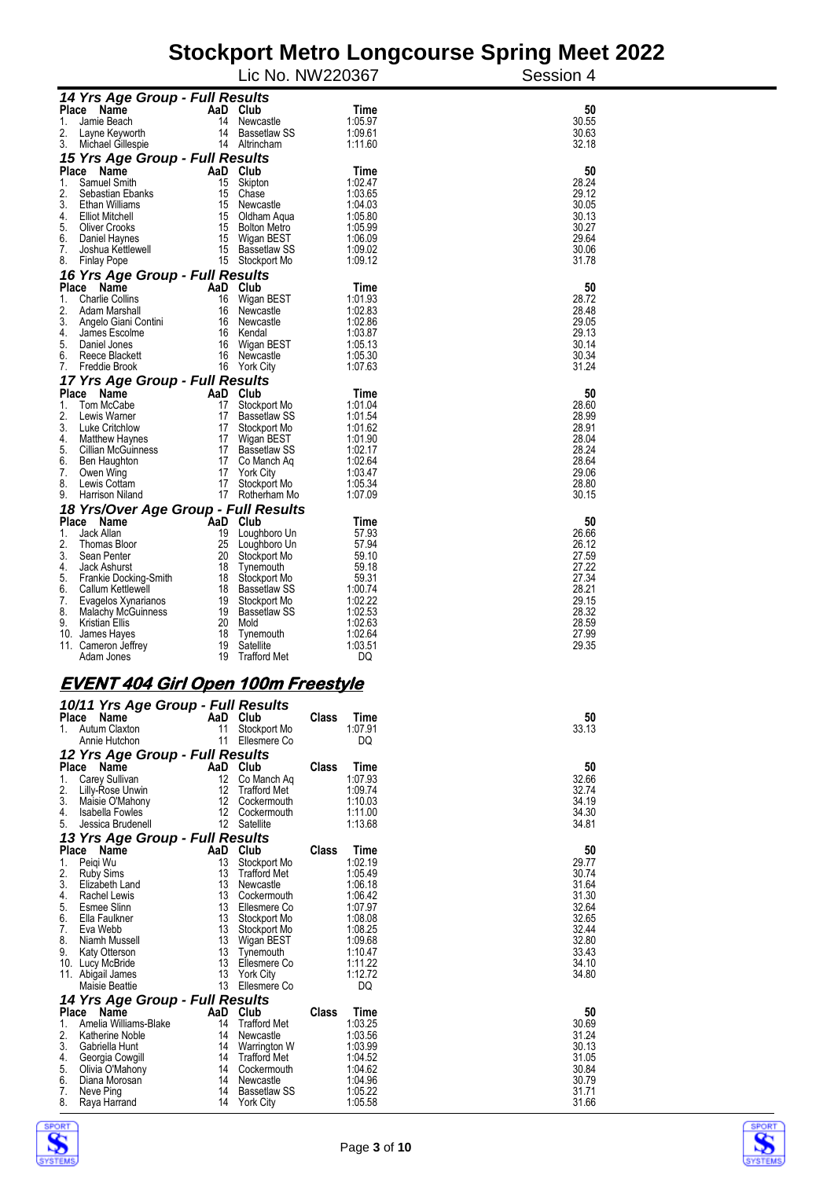|                                                     |                |                                  | Lic No. NW220367     | Session 4      |
|-----------------------------------------------------|----------------|----------------------------------|----------------------|----------------|
| 14 Yrs Age Group - Full Results                     |                |                                  |                      |                |
| Place Name                                          | AaD Club       |                                  | Time                 | 50             |
| 1.<br>Jamie Beach                                   | 14             | Newcastle                        | 1:05.97              | 30.55          |
| 2.<br>Layne Keyworth                                | 14             | Bassetlaw SS                     | 1:09.61              | 30.63          |
| 3.<br>Michael Gillespie                             |                | 14 Altrincham                    | 1:11.60              | 32.18          |
| 15 Yrs Age Group - Full Results                     |                |                                  |                      |                |
| Place Name<br>1.<br>Samuel Smith                    | AaD Club<br>15 | Skipton                          | Time<br>1:02.47      | 50<br>28.24    |
| 2.<br>Sebastian Ebanks                              | 15             | Chase                            | 1:03.65              | 29.12          |
| 3.<br>Ethan Williams                                | 15             | Newcastle                        | 1:04.03              | 30.05          |
| 4.<br>Elliot Mitchell                               | 15             | Oldham Aqua                      | 1:05.80              | 30.13          |
| 5.<br><b>Oliver Crooks</b>                          |                | 15 Bolton Metro                  | 1:05.99              | 30.27          |
| 6.<br>Daniel Haynes                                 | 15             | Wigan BEST                       | 1:06.09              | 29.64          |
| 7.<br>Joshua Kettlewell                             |                | 15 Bassetlaw SS                  | 1:09.02              | 30.06          |
| 8.<br><b>Finlay Pope</b>                            |                | 15 Stockport Mo                  | 1:09.12              | 31.78          |
| 16 Yrs Age Group - Full Results                     |                |                                  |                      |                |
| Place Name                                          | AaD Club       |                                  | Time                 | 50             |
| 1.<br><b>Charlie Collins</b><br>2.<br>Adam Marshall | 16<br>16       | Wigan BEST<br>Newcastle          | 1:01.93<br>1:02.83   | 28.72<br>28.48 |
| 3.<br>Angelo Giani Contini                          | 16             | Newcastle                        | 1:02.86              | 29.05          |
| 4.<br>James Escolme                                 | 16             | Kendal                           | 1:03.87              | 29.13          |
| 5.<br>Daniel Jones                                  | 16             | Wigan BEST                       | 1:05.13              | 30.14          |
| 6.<br>Reece Blackett                                |                | 16 Newcastle                     | 1:05.30              | 30.34          |
| 7.<br>Freddie Brook                                 |                | 16 York City                     | 1:07.63              | 31.24          |
| 17 Yrs Age Group - Full Results                     |                |                                  |                      |                |
| Place Name                                          | AaD Club       |                                  | Time                 | 50             |
| 1.<br>Tom McCabe                                    | 17             | Stockport Mo                     | 1:01.04              | 28.60          |
| 2.<br>Lewis Warner                                  |                | 17 Bassetlaw SS                  | 1:01.54              | 28.99          |
| 3.<br>Luke Critchlow<br>4.<br><b>Matthew Haynes</b> |                | 17 Stockport Mo<br>17 Wigan BEST | 1:01.62<br>1:01.90   | 28.91<br>28.04 |
| 5.<br><b>Cillian McGuinness</b>                     |                | 17 Bassetlaw SS                  | 1:02.17              | 28.24          |
| 6.<br>Ben Haughton                                  |                | 17 Co Manch Ag                   | 1:02.64              | 28.64          |
| 7.<br>Owen Wing                                     |                | 17 York City                     | 1:03.47              | 29.06          |
| 8.<br>Lewis Cottam                                  | 17             | Stockport Mo                     | 1:05.34              | 28.80          |
| 9.<br>Harrison Niland                               |                | 17 Rotherham Mo                  | 1:07.09              | 30.15          |
| 18 Yrs/Over Age Group - Full Results                |                |                                  |                      |                |
| Place Name                                          | AaD Club       |                                  | Time                 | 50             |
| 1.<br>Jack Allan                                    | 19             | Loughboro Un                     | 57.93                | 26.66          |
| 2.<br>Thomas Bloor<br>3.<br>Sean Penter             | 25<br>20       | Loughboro Un<br>Stockport Mo     | 57.94<br>59.10       | 26.12<br>27.59 |
| 4.<br>Jack Ashurst                                  | 18             | Tynemouth                        | 59.18                | 27.22          |
| 5.<br>Frankie Docking-Smith                         | 18             | Stockport Mo                     | 59.31                | 27.34          |
| 6.<br>Callum Kettlewell                             | 18             | Bassetlaw SS                     | 1:00.74              | 28.21          |
| 7.<br>Evagelos Xynarianos                           |                | 19 Stockport Mo                  | 1:02.22              | 29.15          |
| 8.<br>Malachy McGuinness                            |                | 19 Bassetlaw SS                  | 1:02.53              | 28.32          |
| 9.<br><b>Kristian Ellis</b>                         |                | 20 Mold                          | 1:02.63              | 28.59          |
| 10. James Hayes                                     |                | 18 Tynemouth                     | 1:02.64              | 27.99          |
| 11. Cameron Jeffrey<br>Adam Jones                   | 19<br>19       | Satellite<br><b>Trafford Met</b> | 1:03.51<br>DQ        | 29.35          |
|                                                     |                |                                  |                      |                |
| <u>EVENT 404 Girl Open 100m Freestyle</u>           |                |                                  |                      |                |
| 10/11 Yrs Age Group - Full Results                  |                |                                  |                      |                |
| Diaco Namo                                          | An Club        |                                  | Close<br><b>Timo</b> | БΛ.            |

| <b>Place</b> | Name                            | AaD | Club                | Class | Time    | 50    |  |  |  |
|--------------|---------------------------------|-----|---------------------|-------|---------|-------|--|--|--|
|              | Autum Claxton                   | 11  | Stockport Mo        |       | 1:07.91 | 33.13 |  |  |  |
|              | Annie Hutchon                   | 11  | Ellesmere Co        |       | DQ      |       |  |  |  |
|              | 12 Yrs Age Group - Full Results |     |                     |       |         |       |  |  |  |
| Place        | Name                            | AaD | Club                | Class | Time    | 50    |  |  |  |
| 1.           | Carey Sullivan                  | 12  | Co Manch Aq         |       | 1:07.93 | 32.66 |  |  |  |
| 2.           | Lilly-Rose Unwin                | 12  | <b>Trafford Met</b> |       | 1:09.74 | 32.74 |  |  |  |
| 3.           | Maisie O'Mahony                 | 12  | Cockermouth         |       | 1:10.03 | 34.19 |  |  |  |
| 4.           | Isabella Fowles                 | 12  | Cockermouth         |       | 1:11.00 | 34.30 |  |  |  |
| 5.           | Jessica Brudenell               | 12  | Satellite           |       | 1:13.68 | 34.81 |  |  |  |
|              | 13 Yrs Age Group - Full Results |     |                     |       |         |       |  |  |  |
| <b>Place</b> | Name                            | AaD | Club                | Class | Time    | 50    |  |  |  |
| 1.           | Peigi Wu                        | 13  | Stockport Mo        |       | 1:02.19 | 29.77 |  |  |  |
| 2.           | <b>Ruby Sims</b>                | 13  | <b>Trafford Met</b> |       | 1:05.49 | 30.74 |  |  |  |
| 3.           | Elizabeth Land                  | 13  | Newcastle           |       | 1:06.18 | 31.64 |  |  |  |
| 4.           | <b>Rachel Lewis</b>             | 13  | Cockermouth         |       | 1:06.42 | 31.30 |  |  |  |
| 5.           | <b>Esmee Slinn</b>              | 13  | Ellesmere Co        |       | 1:07.97 | 32.64 |  |  |  |
| 6.           | Ella Faulkner                   | 13  | Stockport Mo        |       | 1:08.08 | 32.65 |  |  |  |
| 7.           | Eva Webb                        | 13  | Stockport Mo        |       | 1:08.25 | 32.44 |  |  |  |
| 8.           | Niamh Mussell                   | 13  | Wigan BEST          |       | 1:09.68 | 32.80 |  |  |  |
| 9.           | Katy Otterson                   | 13  | Tynemouth           |       | 1:10.47 | 33.43 |  |  |  |
| 10.          | Lucy McBride                    | 13  | Ellesmere Co        |       | 1:11.22 | 34.10 |  |  |  |
| 11.          | Abigail James                   | 13  | <b>York City</b>    |       | 1:12.72 | 34.80 |  |  |  |
|              | Maisie Beattie                  | 13  | Ellesmere Co        |       | DQ      |       |  |  |  |
|              | 14 Yrs Age Group - Full Results |     |                     |       |         |       |  |  |  |
| Place        | Name                            | AaD | Club                | Class | Time    | 50    |  |  |  |
| 1.           | Amelia Williams-Blake           | 14  | <b>Trafford Met</b> |       | 1:03.25 | 30.69 |  |  |  |
| 2.           | Katherine Noble                 | 14  | Newcastle           |       | 1:03.56 | 31.24 |  |  |  |
| 3.           | Gabriella Hunt                  | 14  | Warrington W        |       | 1:03.99 | 30.13 |  |  |  |
| 4.           | Georgia Cowgill                 | 14  | <b>Trafford Met</b> |       | 1:04.52 | 31.05 |  |  |  |
| 5.           | Olivia O'Mahony                 | 14  | Cockermouth         |       | 1:04.62 | 30.84 |  |  |  |
| 6.           | Diana Morosan                   | 14  | Newcastle           |       | 1:04.96 | 30.79 |  |  |  |
| 7.           | Neve Ping                       | 14  | <b>Bassetlaw SS</b> |       | 1:05.22 | 31.71 |  |  |  |
| 8.           | Raya Harrand                    | 14  | <b>York City</b>    |       | 1:05.58 | 31.66 |  |  |  |



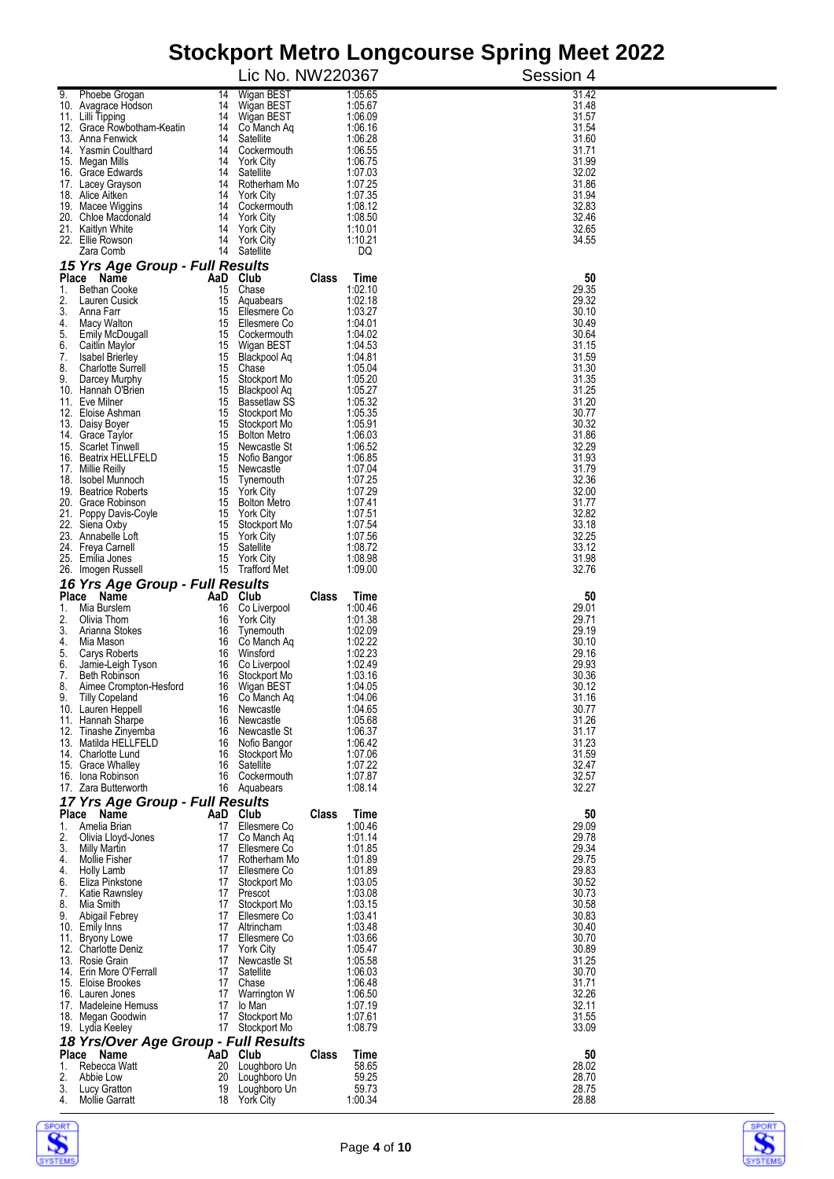|          | Olochport Metro Longcourse Opinig Meet Zuzz<br>Lic No. NW220367 |                                          |       |                    |                |  |  |  |
|----------|-----------------------------------------------------------------|------------------------------------------|-------|--------------------|----------------|--|--|--|
|          |                                                                 |                                          |       |                    | Session 4      |  |  |  |
| 9.       | Phoebe Grogan<br>14<br>10. Avagrace Hodson                      | Wigan BEST<br>14 Wigan BEST              |       | 1:05.65<br>1:05.67 | 31.42<br>31.48 |  |  |  |
|          | 11. Lilli Tipping                                               | 14 Wigan BEST                            |       | 1:06.09            | 31.57          |  |  |  |
|          | 12. Grace Rowbotham-Keatin<br>13. Anna Fenwick<br>14            | 14<br>Co Manch Ag<br>Satellite           |       | 1:06.16<br>1:06.28 | 31.54<br>31.60 |  |  |  |
|          | 14. Yasmin Coulthard<br>14                                      | Cockermouth                              |       | 1:06.55            | 31.71          |  |  |  |
|          | 15. Megan Mills<br>14                                           | 14<br><b>York City</b>                   |       | 1:06.75<br>1:07.03 | 31.99<br>32.02 |  |  |  |
|          | 16. Grace Edwards<br>17. Lacey Grayson<br>14                    | Satellite<br>Rotherham Mo                |       | 1:07.25            | 31.86          |  |  |  |
|          | 14<br>18. Alice Aitken                                          | <b>York City</b>                         |       | 1:07.35            | 31.94          |  |  |  |
|          | 19. Macee Wiggins<br>14<br>20. Chloe Macdonald<br>14            | Cockermouth<br><b>York City</b>          |       | 1:08.12<br>1:08.50 | 32.83<br>32.46 |  |  |  |
|          | 21. Kaitlyn White<br>14                                         | <b>York City</b>                         |       | 1:10.01            | 32.65          |  |  |  |
|          | 22. Ellie Rowson<br>14<br>Zara Comb                             | <b>York City</b><br>14<br>Satellite      |       | 1:10.21<br>DQ      | 34.55          |  |  |  |
|          | 15 Yrs Age Group - Full Results                                 |                                          |       |                    |                |  |  |  |
|          | Place Name                                                      | AaD Club                                 | Class | Time               | 50             |  |  |  |
| 1.<br>2. | <b>Bethan Cooke</b><br>15<br>Lauren Cusick                      | Chase                                    |       | 1:02.10<br>1:02.18 | 29.35<br>29.32 |  |  |  |
| 3.       | 15<br>Anna Farr<br>15                                           | Aquabears<br>Ellesmere Co                |       | 1:03.27            | 30.10          |  |  |  |
| 4.       | Macy Walton<br>15                                               | Ellesmere Co                             |       | 1:04.01            | 30.49          |  |  |  |
| 5.<br>6. | Emily McDougall<br>15<br>Caitlin Maylor                         | 15<br>Cockermouth<br>Wigan BEST          |       | 1:04.02<br>1:04.53 | 30.64<br>31.15 |  |  |  |
| 7.       | <b>Isabel Brierley</b><br>15                                    | Blackpool Aq                             |       | 1:04.81            | 31.59          |  |  |  |
| 8.<br>9. | <b>Charlotte Surrell</b><br>15<br>15                            | Chase                                    |       | 1:05.04<br>1:05.20 | 31.30<br>31.35 |  |  |  |
|          | Darcey Murphy<br>10. Hannah O'Brien<br>15                       | Stockport Mo<br>Blackpool Aq             |       | 1:05.27            | 31.25          |  |  |  |
|          | 11. Eve Milner<br>15                                            | <b>Bassetlaw SS</b>                      |       | 1:05.32            | 31.20          |  |  |  |
|          | 12. Eloise Ashman<br>15<br>13. Daisy Boyer                      | Stockport Mo<br>Stockport Mo<br>15       |       | 1:05.35<br>1:05.91 | 30.77<br>30.32 |  |  |  |
|          | 14. Grace Taylor<br>15                                          | <b>Bolton Metro</b>                      |       | 1:06.03            | 31.86          |  |  |  |
|          | 15. Scarlet Tinwell<br>15<br>16. Beatrix HELLFELD<br>15         | Newcastle St<br>Nofio Bangor             |       | 1:06.52<br>1:06.85 | 32.29<br>31.93 |  |  |  |
|          | 17. Millie Reilly<br>15                                         | Newcastle                                |       | 1:07.04            | 31.79          |  |  |  |
|          | 18. Isobel Munnoch                                              | 15 Tynemouth                             |       | 1:07.25            | 32.36          |  |  |  |
|          | 19. Beatrice Roberts<br>15<br>20. Grace Robinson<br>15          | <b>York City</b><br><b>Bolton Metro</b>  |       | 1:07.29<br>1:07.41 | 32.00<br>31.77 |  |  |  |
|          | 21. Poppy Davis-Coyle                                           | 15 York City                             |       | 1:07.51            | 32.82          |  |  |  |
|          | 22. Siena Oxby<br>15<br>23. Annabelle Loft<br>15                | Stockport Mo<br><b>York City</b>         |       | 1:07.54<br>1:07.56 | 33.18<br>32.25 |  |  |  |
|          | 24. Freya Carnell<br>15                                         | Satellite                                |       | 1:08.72            | 33.12          |  |  |  |
|          | 25. Emilia Jones<br>15                                          | <b>York City</b>                         |       | 1:08.98<br>1:09.00 | 31.98<br>32.76 |  |  |  |
|          | 26. Imogen Russell<br>16 Yrs Age Group - Full Results           | 15 Trafford Met                          |       |                    |                |  |  |  |
|          | Place Name                                                      | AaD Club                                 | Class | Time               | 50             |  |  |  |
| 1.       | Mia Burslem<br>16                                               | Co Liverpool                             |       | 1:00.46            | 29.01          |  |  |  |
| 2.<br>3. | Olivia Thom<br>16<br>Arianna Stokes<br>16                       | <b>York City</b><br>Tynemouth            |       | 1:01.38<br>1:02.09 | 29.71<br>29.19 |  |  |  |
| 4.       | Mia Mason<br>16                                                 | Co Manch Ag                              |       | 1:02.22            | 30.10          |  |  |  |
| 5.<br>6. | Carys Roberts<br>16<br>Jamie-Leigh Tyson<br>16                  | Winsford<br>Co Liverpool                 |       | 1:02.23<br>1:02.49 | 29.16<br>29.93 |  |  |  |
| 7.       | <b>Beth Robinson</b><br>16                                      | Stockport Mo                             |       | 1:03.16            | 30.36          |  |  |  |
| ၓ.<br>9. | Aimee Crompton-Hesford<br>16<br>16                              | Wigan BEST<br>Co Manch Aq                |       | 1:04.05<br>1:04.06 | 30.12<br>31.16 |  |  |  |
|          | <b>Tilly Copeland</b><br>10. Lauren Heppell<br>16               | Newcastle                                |       | 1:04.65            | 30.77          |  |  |  |
|          | 11. Hannah Sharpe<br>16                                         | Newcastle                                |       | 1:05.68            | 31.26          |  |  |  |
|          | 12. Tinashe Zinyemba<br>16<br>13. Matilda HELLFELD<br>16        | Newcastle St<br>Nofio Bangor             |       | 1:06.37<br>1:06.42 | 31.17<br>31.23 |  |  |  |
|          | 14. Charlotte Lund<br>16                                        | Stockport Mo                             |       | 1:07.06            | 31.59          |  |  |  |
|          | 15. Grace Whalley<br>16<br>16. Iona Robinson<br>16              | Satellite<br>Cockermouth                 |       | 1:07.22<br>1:07.87 | 32.47<br>32.57 |  |  |  |
|          | 17. Zara Butterworth                                            | 16 Aquabears                             |       | 1:08.14            | 32.27          |  |  |  |
|          | 17 Yrs Age Group - Full Results                                 |                                          |       |                    |                |  |  |  |
| 1.       | Place Name<br>Amelia Brian<br>17                                | AaD Club<br>Ellesmere Co                 | Class | Time<br>1:00.46    | 50<br>29.09    |  |  |  |
| 2.       | 17<br>Olivia Lloyd-Jones                                        | Co Manch Ag                              |       | 1:01.14            | 29.78          |  |  |  |
| 3.       | Milly Martin<br><b>Mollie Fisher</b>                            | 17<br>Ellesmere Co                       |       | 1:01.85            | 29.34          |  |  |  |
| 4.<br>4. | <b>Holly Lamb</b>                                               | Rotherham Mo<br>17<br>17<br>Ellesmere Co |       | 1:01.89<br>1:01.89 | 29.75<br>29.83 |  |  |  |
| 6.       | Eliza Pinkstone                                                 | 17<br>Stockport Mo                       |       | 1:03.05            | 30.52          |  |  |  |
| 7.<br>8. | Katie Rawnsley<br>Mia Smith                                     | 17 Prescot<br>17<br>Stockport Mo         |       | 1:03.08<br>1:03.15 | 30.73<br>30.58 |  |  |  |
| 9.       | Abigail Febrey                                                  | 17<br>Ellesmere Co                       |       | 1:03.41            | 30.83          |  |  |  |
|          | 10. Emily Inns                                                  | 17 Altrincham                            |       | 1:03.48            | 30.40          |  |  |  |
|          | 11. Bryony Lowe<br>17<br>12. Charlotte Deniz                    | Ellesmere Co<br>17 York City             |       | 1:03.66<br>1:05.47 | 30.70<br>30.89 |  |  |  |
|          | 13. Rosie Grain                                                 | Newcastle St<br>17                       |       | 1:05.58            | 31.25          |  |  |  |
|          | 14. Erin More O'Ferrall<br>17<br>15. Eloise Brookes             | Satellite<br>17<br>Chase                 |       | 1:06.03<br>1:06.48 | 30.70<br>31.71 |  |  |  |
|          | 16. Lauren Jones                                                | 17<br>Warrington W                       |       | 1:06.50            | 32.26          |  |  |  |
|          | 17. Madeleine Hemuss<br>17                                      | lo Man                                   |       | 1:07.19            | 32.11          |  |  |  |
|          | 18. Megan Goodwin<br>19. Lydia Keeley                           | 17<br>Stockport Mo<br>17 Stockport Mo    |       | 1:07.61<br>1:08.79 | 31.55<br>33.09 |  |  |  |
|          | 18 Yrs/Over Age Group - Full Results                            |                                          |       |                    |                |  |  |  |
|          | Place Name                                                      | AaD Club                                 | Class | Time               | 50             |  |  |  |
| 1.<br>2. | Rebecca Watt<br>20<br>Abbie Low<br>20                           | Loughboro Un<br>Loughboro Un             |       | 58.65<br>59.25     | 28.02<br>28.70 |  |  |  |
| 3.       | Lucy Gratton<br>19                                              | Loughboro Un                             |       | 59.73              | 28.75          |  |  |  |
| 4.       | <b>Mollie Garratt</b>                                           | 18 York City                             |       | 1:00.34            | 28.88          |  |  |  |



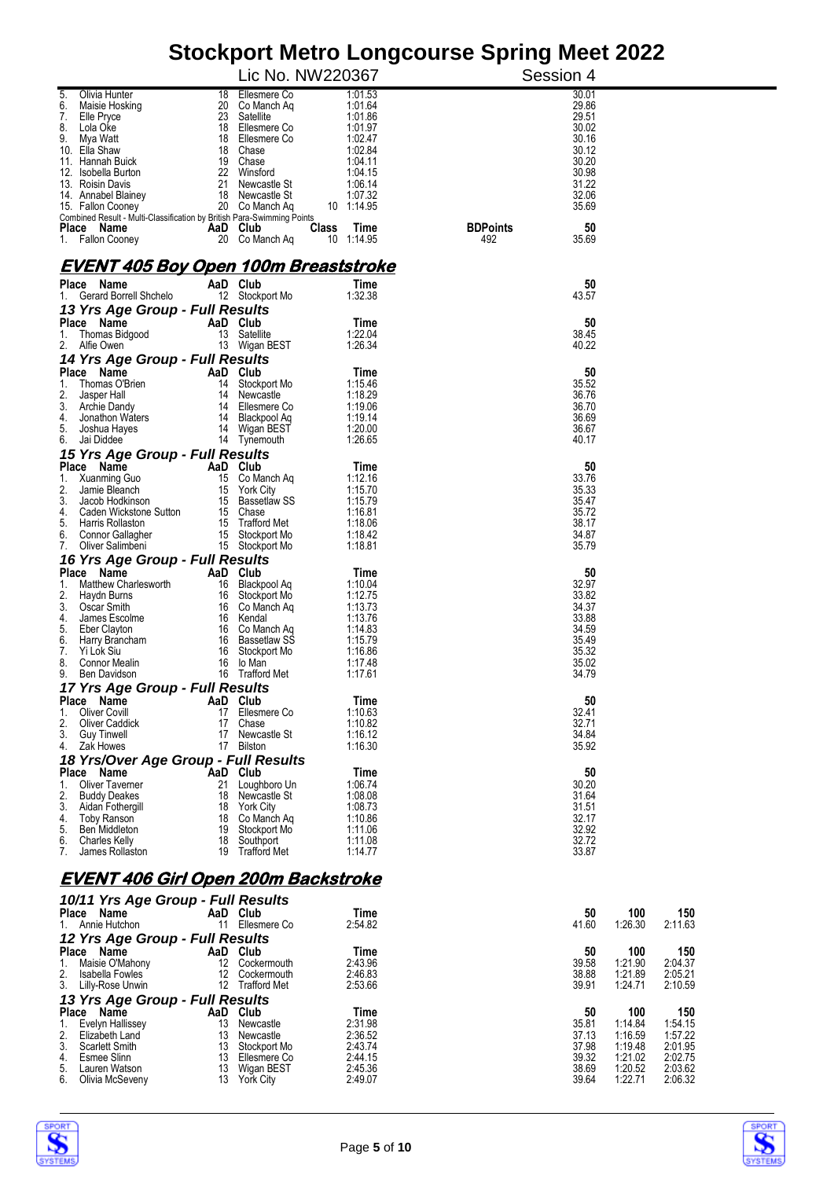|                                                                        | Stockport Metro Longcourse Spring Meet 2022 |                       |                        |                                                            |  |  |  |  |  |
|------------------------------------------------------------------------|---------------------------------------------|-----------------------|------------------------|------------------------------------------------------------|--|--|--|--|--|
|                                                                        | Lic No. NW220367                            |                       | Session 4              |                                                            |  |  |  |  |  |
| Olivia Hunter<br>5.<br>18                                              | Ellesmere Co                                | 1:01.53               |                        | 30.01                                                      |  |  |  |  |  |
| 6.<br>Maisie Hosking<br>20<br>7.<br>23<br>Elle Pryce                   | Co Manch Ag<br>Satellite                    | 1:01.64<br>1:01.86    |                        | 29.86<br>29.51                                             |  |  |  |  |  |
| 8.<br>Lola Oke<br>18                                                   | Ellesmere Co                                | 1:01.97               |                        | 30.02                                                      |  |  |  |  |  |
| 9.<br>Mya Watt                                                         | 18 Ellesmere Co                             | 1:02.47               |                        | 30.16                                                      |  |  |  |  |  |
| Ella Shaw<br>10.<br>11. Hannah Buick<br>19                             | 18 Chase<br>Chase                           | 1:02.84<br>1:04.11    |                        | 30.12<br>30.20                                             |  |  |  |  |  |
| 22<br>12. Isobella Burton                                              | Winsford                                    | 1:04.15               |                        | 30.98                                                      |  |  |  |  |  |
| 21<br>13. Roisin Davis                                                 | Newcastle St                                | 1:06.14               |                        | 31.22<br>32.06                                             |  |  |  |  |  |
| 14. Annabel Blainey<br>15. Fallon Cooney                               | 18 Newcastle St<br>20 Co Manch Aq           | 1:07.32<br>10 1:14.95 |                        | 35.69                                                      |  |  |  |  |  |
| Combined Result - Multi-Classification by British Para-Swimming Points |                                             |                       |                        |                                                            |  |  |  |  |  |
| Place Name<br>1. Fallon Cooney                                         | AaD Club<br><b>Class</b><br>20 Co Manch Ag  | Time<br>10 1:14.95    | <b>BDPoints</b><br>492 | 50<br>35.69                                                |  |  |  |  |  |
|                                                                        |                                             |                       |                        |                                                            |  |  |  |  |  |
| <u>EVENT 405 Boy Open 100m Breaststroke</u>                            |                                             |                       |                        |                                                            |  |  |  |  |  |
| Place Name                                                             | AaD Club                                    | Time                  |                        | 50                                                         |  |  |  |  |  |
| Gerard Borrell Shchelo<br>1.                                           | 12 Stockport Mo                             | 1:32.38               |                        | 43.57                                                      |  |  |  |  |  |
| 13 Yrs Age Group - Full Results                                        |                                             |                       |                        |                                                            |  |  |  |  |  |
| Place Name<br>1.<br>Thomas Bidgood                                     | AaD Club<br>13 Satellite                    | Time<br>1:22.04       |                        | 50<br>38.45                                                |  |  |  |  |  |
| 2.<br>Alfie Owen                                                       | 13 Wigan BEST                               | 1:26.34               |                        | 40.22                                                      |  |  |  |  |  |
| 14 Yrs Age Group - Full Results                                        |                                             |                       |                        |                                                            |  |  |  |  |  |
| Place Name                                                             | AaD Club                                    | Time                  |                        | 50                                                         |  |  |  |  |  |
| 1.<br>Thomas O'Brien<br>14<br>2.<br>Jasper Hall<br>14                  | Stockport Mo<br>Newcastle                   | 1:15.46<br>1:18.29    |                        | 35.52<br>36.76                                             |  |  |  |  |  |
| 3.<br>Archie Dandy<br>14                                               | Ellesmere Co                                | 1:19.06               |                        | 36.70                                                      |  |  |  |  |  |
| 4.<br>Jonathon Waters                                                  | 14 Blackpool Ag                             | 1:19.14               |                        | 36.69                                                      |  |  |  |  |  |
| 5.<br>Joshua Hayes<br>Jai Diddee<br>6.                                 | 14 Wigan BEST<br>14 Tynemouth               | 1:20.00<br>1:26.65    |                        | 36.67<br>40.17                                             |  |  |  |  |  |
| 15 Yrs Age Group - Full Results                                        |                                             |                       |                        |                                                            |  |  |  |  |  |
| Place Name                                                             | AaD Club                                    | Time                  |                        | 50                                                         |  |  |  |  |  |
| 1.<br>Xuanming Guo<br>15                                               | Co Manch Aq                                 | 1:12.16               |                        | 33.76                                                      |  |  |  |  |  |
| 2.<br>Jamie Bleanch                                                    | 15 York City                                | 1:15.70               |                        | 35.33                                                      |  |  |  |  |  |
| 3.<br>Jacob Hodkinson<br>15<br>4.<br>Caden Wickstone Sutton            | Bassetlaw SS<br>15 Chase                    | 1:15.79<br>1:16.81    |                        | 35.47<br>35.72                                             |  |  |  |  |  |
| 5.<br>Harris Rollaston                                                 | 15 Trafford Met                             | 1:18.06               |                        | 38.17                                                      |  |  |  |  |  |
| 6.<br>Connor Gallagher<br>15                                           | Stockport Mo                                | 1:18.42               |                        | 34.87                                                      |  |  |  |  |  |
| 7.<br>Oliver Salimbeni                                                 | 15 Stockport Mo                             | 1:18.81               |                        | 35.79                                                      |  |  |  |  |  |
| 16 Yrs Age Group - Full Results<br>Place Name                          | AaD Club                                    | Time                  |                        | 50                                                         |  |  |  |  |  |
| Matthew Charlesworth<br>1.<br>16                                       | Blackpool Aq                                | 1:10.04               |                        | 32.97                                                      |  |  |  |  |  |
| 2.<br>Haydn Burns<br>16                                                | Stockport Mo                                | 1:12.75               |                        | 33.82                                                      |  |  |  |  |  |
| 3.<br>Oscar Smith<br>4.<br>James Escolme<br>16                         | 16 Co Manch Ag<br>Kendal                    | 1:13.73<br>1:13.76    |                        | 34.37<br>33.88                                             |  |  |  |  |  |
| 5.<br>Eber Clayton<br>16                                               | Co Manch Aq                                 | 1:14.83               |                        | 34.59                                                      |  |  |  |  |  |
| 6.<br>Harry Brancham<br>16                                             | <b>Bassetlaw SS</b>                         | 1:15.79               |                        | 35.49                                                      |  |  |  |  |  |
| 7.<br>Yi Lok Siu<br>16<br>8.<br>Connor Mealin<br>16                    | Stockport Mo<br>lo Man                      | 1:16.86<br>1:17.48    |                        | 35.32<br>35.02                                             |  |  |  |  |  |
| 9.<br>Ben Davidson<br>16                                               | <b>Trafford Met</b>                         | 1:17.61               |                        | 34.79                                                      |  |  |  |  |  |
| 17 Yrs Age Group - Full Results                                        |                                             |                       |                        |                                                            |  |  |  |  |  |
| Place Name                                                             | AaD Club                                    | Time                  |                        | 50                                                         |  |  |  |  |  |
| <b>Oliver Covill</b><br>1.                                             | 17 Ellesmere Co                             | 1:10.63               |                        | 32.41                                                      |  |  |  |  |  |
| 2.<br>Oliver Caddick<br>17<br>3.<br><b>Guy Tinwell</b>                 | Chase<br>17 Newcastle St                    | 1:10.82<br>1:16.12    |                        | 32.71<br>34.84                                             |  |  |  |  |  |
| 4.<br>Zak Howes                                                        | 17 Bilston                                  | 1:16.30               |                        | 35.92                                                      |  |  |  |  |  |
| 18 Yrs/Over Age Group - Full Results                                   |                                             |                       |                        |                                                            |  |  |  |  |  |
| Place Name                                                             | AaD Club                                    | Time                  |                        | 50                                                         |  |  |  |  |  |
| Oliver Taverner<br>1.<br>2.<br><b>Buddy Deakes</b><br>18               | 21 Loughboro Un<br>Newcastle St             | 1:06.74<br>1:08.08    |                        | 30.20<br>31.64                                             |  |  |  |  |  |
| 3.<br>18<br>Aidan Fothergill                                           | <b>York City</b>                            | 1:08.73               |                        | 31.51                                                      |  |  |  |  |  |
| 4.<br><b>Toby Ranson</b>                                               | 18 Co Manch Aq                              | 1:10.86               |                        | 32.17                                                      |  |  |  |  |  |
| 5.<br>19<br>Ben Middleton<br>6.<br>18<br><b>Charles Kelly</b>          | Stockport Mo<br>Southport                   | 1:11.06<br>1:11.08    |                        | 32.92<br>32.72                                             |  |  |  |  |  |
| 7.<br>James Rollaston<br>19                                            | <b>Trafford Met</b>                         | 1:14.77               |                        | 33.87                                                      |  |  |  |  |  |
|                                                                        |                                             |                       |                        |                                                            |  |  |  |  |  |
| <u>EVENT 406 Girl Open 200m Backstroke</u>                             |                                             |                       |                        |                                                            |  |  |  |  |  |
| 10/11 Yrs Age Group - Full Results                                     |                                             |                       |                        |                                                            |  |  |  |  |  |
| Place Name<br>1.<br>Annie Hutchon                                      | AaD Club<br>11 Ellesmere Co                 | Time<br>2:54.82       |                        | 50<br>100<br>150<br>41.60<br>1:26.30<br>2:11.63            |  |  |  |  |  |
| 12 Yrs Age Group - Full Results                                        |                                             |                       |                        |                                                            |  |  |  |  |  |
| Place Name                                                             | AaD Club                                    | Time                  |                        | 50<br>100<br>150                                           |  |  |  |  |  |
| 1.<br>Maisie O'Mahony                                                  | 12 Cockermouth                              | 2:43.96               |                        | 39.58<br>1:21.90<br>2:04.37                                |  |  |  |  |  |
| 2.<br>Isabella Fowles<br>3.                                            | 12 Cockermouth<br>12 Trafford Met           | 2:46.83<br>2:53.66    |                        | 38.88<br>1:21.89<br>2:05.21<br>39.91<br>1:24.71<br>2:10.59 |  |  |  |  |  |
| Lilly-Rose Unwin<br>13 Yrs Age Group - Full Results                    |                                             |                       |                        |                                                            |  |  |  |  |  |
| Place Name                                                             | AaD Club                                    | Time                  |                        | 100<br>50<br>150                                           |  |  |  |  |  |
| 1.<br>Evelyn Hallissey<br>13                                           | Newcastle                                   | 2:31.98               |                        | 35.81<br>1:14.84<br>1:54.15                                |  |  |  |  |  |
| 2.<br>Elizabeth Land<br>13                                             | Newcastle                                   | 2:36.52               |                        | 37.13<br>1:16.59<br>1.57.22                                |  |  |  |  |  |
| 3.<br>13<br><b>Scarlett Smith</b><br>4.<br>Esmee Slinn                 | Stockport Mo<br>13 Ellesmere Co             | 2:43.74<br>2:44.15    |                        | 37.98<br>1:19.48<br>2:01.95<br>39.32<br>1:21.02<br>2:02.75 |  |  |  |  |  |
| 5.<br>Lauren Watson                                                    | 13 Wigan BEST                               | 2:45.36               |                        | 38.69<br>1:20.52<br>2:03.62                                |  |  |  |  |  |
| 6.<br>Olivia McSeveny                                                  | 13 York City                                | 2:49.07               |                        | 39.64<br>1:22.71<br>2:06.32                                |  |  |  |  |  |



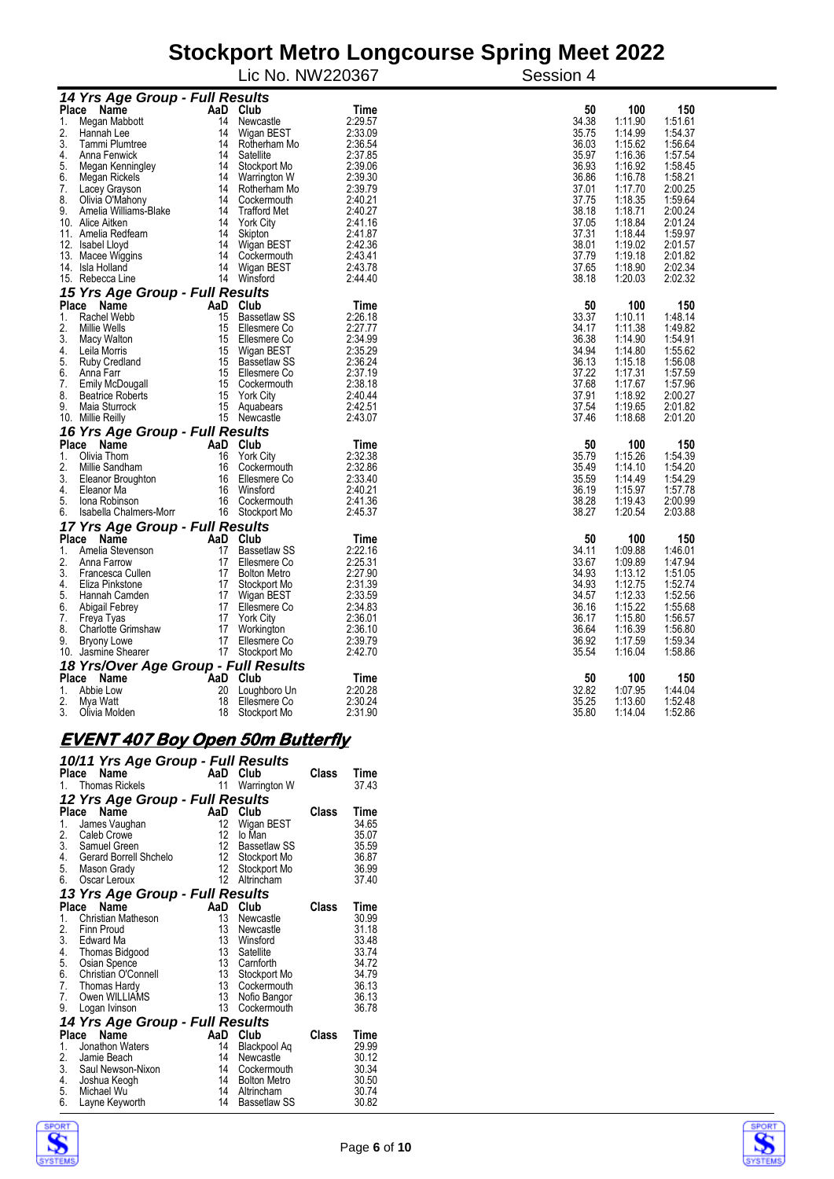|                    |                                         |     |                            | Lic No. NW220367 | Session 4 |         |                |  |  |  |
|--------------------|-----------------------------------------|-----|----------------------------|------------------|-----------|---------|----------------|--|--|--|
|                    | 14 Yrs Age Group - Full Results         |     |                            |                  |           |         |                |  |  |  |
|                    | Place Name                              |     | AaD Club                   | Time             | 50        | 100     | 150            |  |  |  |
| 1.                 | Megan Mabbott                           | 14  | Newcastle                  | 2:29.57          | 34.38     | 1:11.90 | 1:51.61        |  |  |  |
| 2.                 | Hannah Lee                              | 14  | Wigan BEST                 | 2:33.09          | 35.75     | 1:14.99 | 1:54.37        |  |  |  |
| 3.                 | Tammi Plumtree                          | 14  | Rotherham Mo               | 2:36.54          | 36.03     | 1:15.62 | 1:56.64        |  |  |  |
| 4.                 | Anna Fenwick                            | 14  | Satellite                  | 2:37.85          | 35.97     | 1:16.36 | 1:57.54        |  |  |  |
| 5.                 | Megan Kenningley                        | 14  | Stockport Mo               | 2:39.06          | 36.93     | 1:16.92 | 1:58.45        |  |  |  |
| 6.                 | Megan Rickels                           | 14  | Warrington W               | 2:39.30          | 36.86     | 1:16.78 | 1:58.21        |  |  |  |
| 7.                 | Lacey Grayson                           | 14  | Rotherham Mo               | 2:39.79          | 37.01     | 1:17.70 | 2:00.25        |  |  |  |
| 8.                 | Olivia O'Mahony                         | 14  | Cockermouth                | 2:40.21          | 37.75     | 1:18.35 | 1:59.64        |  |  |  |
| 9.                 | Amelia Williams-Blake                   | 14  | <b>Trafford Met</b>        | 2:40.27          | 38.18     | 1:18.71 | 2:00.24        |  |  |  |
| 10.                | Alice Aitken                            | 14  | <b>York City</b>           | 2:41.16          | 37.05     | 1:18.84 | 2:01.24        |  |  |  |
| 11.                | Amelia Redfearn                         | 14  | Skipton                    | 2:41.87          | 37.31     | 1:18.44 | 1:59.97        |  |  |  |
| 12.                | <b>Isabel Lloyd</b>                     | 14  | Wigan BEST                 | 2:42.36          | 38.01     | 1:19.02 | 2:01.57        |  |  |  |
| 13.                | Macee Wiggins                           | 14  | Cockermouth                | 2:43.41          | 37.79     | 1:19.18 | 2:01.82        |  |  |  |
| 14.                | Isla Holland                            | 14  | Wigan BEST                 | 2:43.78          | 37.65     | 1:18.90 | 2:02.34        |  |  |  |
|                    | 15. Rebecca Line                        | 14  | Winsford                   | 2:44.40          | 38.18     | 1:20.03 | 2:02.32        |  |  |  |
|                    | 15 Yrs Age Group - Full Results         |     |                            |                  |           |         |                |  |  |  |
|                    | Place Name                              |     | AaD Club                   | Time             | 50        | 100     | 150            |  |  |  |
| 1.                 | Rachel Webb                             | 15  | <b>Bassetlaw SS</b>        | 2:26.18          | 33.37     | 1:10.11 | 1:48.14        |  |  |  |
| 2.                 | Millie Wells                            | 15  | Ellesmere Co               | 2:27.77          | 34.17     | 1:11.38 | 1:49.82        |  |  |  |
| 3.                 | Macy Walton                             | 15  | Ellesmere Co               | 2:34.99          | 36.38     | 1:14.90 | 1:54.91        |  |  |  |
| 4.                 | Leila Morris                            | 15  | Wigan BEST                 | 2:35.29          | 34.94     | 1:14.80 | 1:55.62        |  |  |  |
| 5.                 | Ruby Credland                           | 15  | <b>Bassetlaw SS</b>        | 2:36.24          | 36.13     | 1:15.18 | 1:56.08        |  |  |  |
| 6.                 | Anna Farr                               | 15  | Ellesmere Co               | 2:37.19          | 37.22     | 1:17.31 | 1:57.59        |  |  |  |
| 7.                 | Emily McDougall                         | 15  | Cockermouth                | 2:38.18          | 37.68     | 1:17.67 | 1:57.96        |  |  |  |
| 8.                 | <b>Beatrice Roberts</b>                 | 15  | <b>York City</b>           | 2:40.44          | 37.91     | 1:18.92 | 2:00.27        |  |  |  |
| 9.                 | Maia Sturrock                           | 15  | Aquabears                  | 2:42.51          | 37.54     | 1:19.65 | 2:01.82        |  |  |  |
|                    | 10. Millie Reilly                       | 15  | Newcastle                  | 2:43.07          | 37.46     | 1:18.68 | 2:01.20        |  |  |  |
|                    | 16 Yrs Age Group - Full Results         |     |                            |                  |           |         |                |  |  |  |
| <b>Place</b>       | Name                                    | AaD | Club                       | Time             | 50        | 100     | 150            |  |  |  |
| 1.                 | Olivia Thom                             | 16  | <b>York City</b>           | 2:32.38          | 35.79     | 1:15.26 | 1:54.39        |  |  |  |
| 2.                 | Millie Sandham                          | 16  | Cockermouth                | 2:32.86          | 35.49     | 1:14.10 | 1:54.20        |  |  |  |
| 3.                 | Eleanor Broughton                       | 16  | Ellesmere Co               | 2:33.40          | 35.59     | 1:14.49 | 1:54.29        |  |  |  |
| 4.                 | Eleanor Ma                              | 16  | Winsford                   | 2:40.21          | 36.19     | 1:15.97 | 1:57.78        |  |  |  |
| 5.                 | Jona Robinson                           | 16  | Cockermouth                | 2:41.36          | 38.28     | 1:19.43 | 2:00.99        |  |  |  |
| 6.                 | Isabella Chalmers-Morr                  | 16  | Stockport Mo               | 2:45.37          | 38.27     | 1:20.54 | 2:03.88        |  |  |  |
|                    | 17 Yrs Age Group - Full Results<br>Name |     | AaD Club                   |                  | 50        | 100     |                |  |  |  |
| <b>Place</b><br>1. | Amelia Stevenson                        | 17  | <b>Bassetlaw SS</b>        | Time<br>2:22.16  | 34.11     | 1:09.88 | 150<br>1:46.01 |  |  |  |
| 2.                 | Anna Farrow                             | 17  | Ellesmere Co               | 2:25.31          | 33.67     | 1:09.89 | 1:47.94        |  |  |  |
| 3.                 | Francesca Cullen                        | 17  | <b>Bolton Metro</b>        | 2:27.90          | 34.93     | 1:13.12 | 1:51.05        |  |  |  |
| 4.                 | Eliza Pinkstone                         | 17  |                            | 2:31.39          | 34.93     | 1:12.75 | 1:52.74        |  |  |  |
| 5.                 | Hannah Camden                           | 17  | Stockport Mo               | 2:33.59          | 34.57     | 1:12.33 | 1:52.56        |  |  |  |
| 6.                 |                                         | 17  | Wigan BEST<br>Ellesmere Co | 2:34.83          | 36.16     | 1:15.22 | 1:55.68        |  |  |  |
| 7.                 | Abigail Febrey<br>Freya Tyas            | 17  | <b>York City</b>           | 2:36.01          | 36.17     | 1:15.80 | 1:56.57        |  |  |  |
| 8.                 | <b>Charlotte Grimshaw</b>               | 17  | Workington                 | 2:36.10          | 36.64     | 1:16.39 | 1:56.80        |  |  |  |
| 9.                 |                                         | 17  | Ellesmere Co               | 2:39.79          | 36.92     | 1:17.59 | 1:59.34        |  |  |  |
| 10.                | <b>Bryony Lowe</b><br>Jasmine Shearer   | 17  | Stockport Mo               | 2:42.70          | 35.54     | 1:16.04 | 1:58.86        |  |  |  |
|                    | 18 Yrs/Over Age Group - Full Results    |     |                            |                  |           |         |                |  |  |  |
| <b>Place</b>       | Name                                    | AaD | Club                       | Time             | 50        | 100     | 150            |  |  |  |
| 1.                 | Abbie Low                               | 20  | Loughboro Un               | 2:20.28          | 32.82     | 1:07.95 | 1:44.04        |  |  |  |
| 2.                 | Mya Watt                                | 18  | Ellesmere Co               | 2:30.24          | 35.25     | 1:13.60 | 1:52.48        |  |  |  |
| 3.                 | Olivia Molden                           | 18  | Stockport Mo               | 2:31.90          | 35.80     | 1:14.04 | 1:52.86        |  |  |  |

### **EVENT 407 Boy Open 50m Butterfly**

|               | 10/11 Yrs Age Group - Full Results<br>raille<br>1. Thomas Rickels<br>4. M | AaD      | Club                              | Class | Time           |
|---------------|---------------------------------------------------------------------------|----------|-----------------------------------|-------|----------------|
|               |                                                                           | 11       | Warrington W                      |       | 37.43          |
|               | 12 Yrs Age Group - Full Results                                           |          |                                   |       |                |
|               | Place Name                                                                | AaD      | Club                              | Class | Time           |
| 1.            | James Vaughan                                                             | 12<br>12 | Wigan BEST<br>lo Man              |       | 34.65          |
| 2.<br>3.      | Caleb Crowe<br>Samuel Green                                               | 12       | Bassetlaw SS                      |       | 35.07<br>35.59 |
| 4.            | Gerard Borrell Shchelo                                                    | 12       | Stockport Mo                      |       | 36.87          |
| 5.            | Mason Grady                                                               | 12       | Stockport Mo                      |       | 36.99          |
| 6.            | Oscar Leroux                                                              | 12       | Altrincham                        |       | 37.40          |
|               | 13 Yrs Age Group - Full Results                                           |          |                                   |       |                |
| Place         | Name                                                                      | AaD      | Club                              | Class | Time           |
| 1.            | <b>Christian Matheson</b>                                                 | 13       | Newcastle                         |       | 30.99          |
| 2.            | Finn Proud                                                                | 13       | Newcastle                         |       | 31.18          |
| 3.            | Edward Ma                                                                 | 13       | Winsford                          |       | 33.48          |
| $\frac{4}{5}$ | Thomas Bidgood                                                            | 13       | Satellite                         |       | 33.74          |
| 6.            | Osian Spence                                                              | 13<br>13 | Carnforth                         |       | 34.72          |
| 7.            | Christian O'Connell<br>Thomas Hardy                                       | 13       | Stockport Mo<br>Cockermouth       |       | 34.79<br>36.13 |
| 7.            | Owen WILLIAMS                                                             | 13       | Nofio Bangor                      |       | 36.13          |
| 9.            | Logan Ivinson                                                             | 13       | Cockermouth                       |       | 36.78          |
|               | 14 Yrs Age Group - Full Results                                           |          |                                   |       |                |
|               | Place Name                                                                | AaD Club |                                   | Class | Time           |
| 1.            | Jonathon Waters                                                           | 14       | Blackpool Aq                      |       | 29.99          |
| 2.            | Jamie Beach                                                               | 14       | Newcastle                         |       | 30.12          |
| 3.            | Saul Newson-Nixon                                                         | 14       | Cockermouth                       |       | 30.34          |
| 4.            | Joshua Keogh                                                              | 14       | <b>Bolton Metro</b>               |       | 30.50          |
| 5.<br>6.      | Michael Wu<br>Layne Keyworth                                              | 14<br>14 | Altrincham<br><b>Bassetlaw SS</b> |       | 30.74<br>30.82 |
|               |                                                                           |          |                                   |       |                |



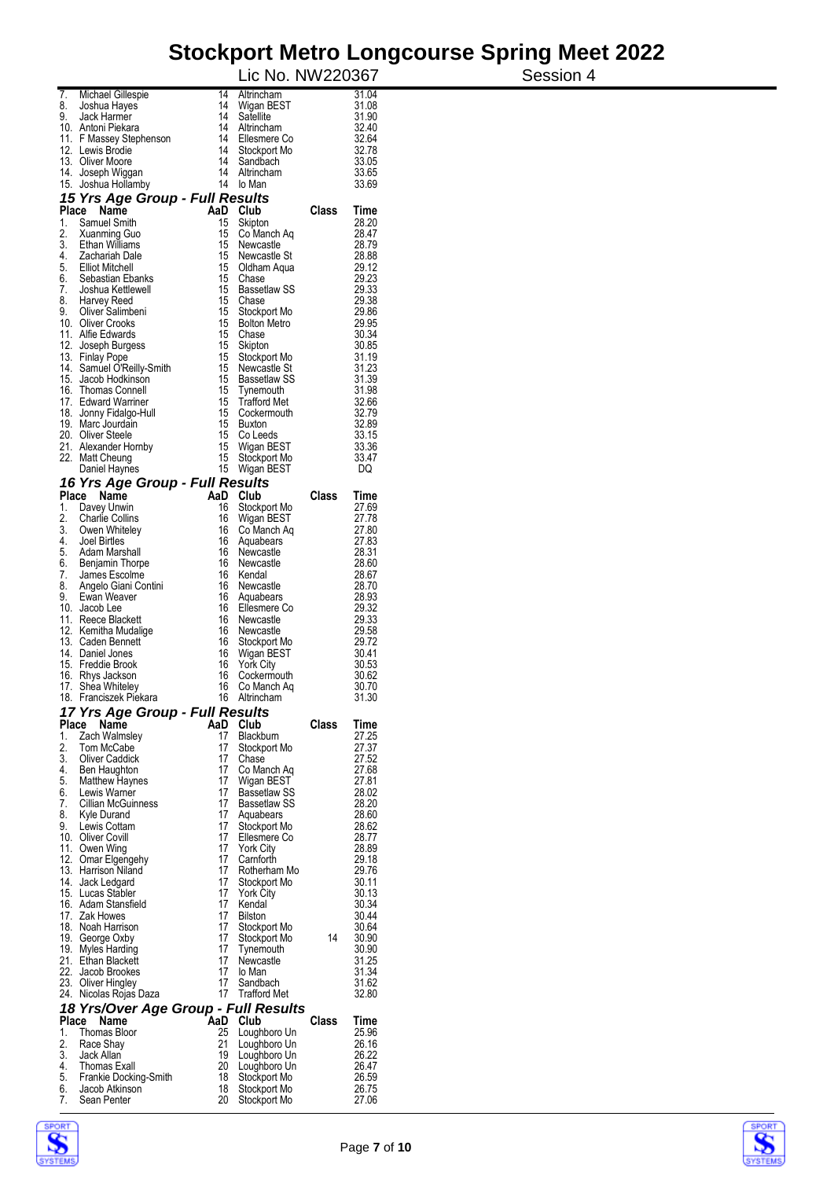|             |                                            |          | Lic No. NW220367                 |       |                | Session 4 |
|-------------|--------------------------------------------|----------|----------------------------------|-------|----------------|-----------|
| 7.          | Michael Gillespie                          | 14       | Altrincham                       |       | 31.04          |           |
| 8.<br>9.    | Joshua Hayes<br>Jack Harmer                | 14<br>14 | Wigan BEST<br>Satellite          |       | 31.08<br>31.90 |           |
|             | 10. Antoni Piekara                         | 14       | Altrincham                       |       | 32.40          |           |
|             | 11. F Massey Stephenson                    | 14       | Ellesmere Co                     |       | 32.64          |           |
|             | 12. Lewis Brodie<br>13. Oliver Moore       | 14<br>14 | Stockport Mo<br>Sandbach         |       | 32.78<br>33.05 |           |
|             | 14. Joseph Wiggan                          | 14       | Altrincham                       |       | 33.65          |           |
| 15.         | Joshua Hollamby                            | 14       | lo Man                           |       | 33.69          |           |
|             | 15 Yrs Age Group - Full Results            |          |                                  |       |                |           |
| 1.          | Place Name<br>AaD<br>Samuel Smith          | 15       | Club<br>Skipton                  | Class | Time<br>28.20  |           |
| 2.          | Xuanming Guo                               | 15       | Co Manch Aq                      |       | 28.47          |           |
| 3.          | Ethan Williams                             | 15       | Newcastle                        |       | 28.79          |           |
| 4.<br>5.    | Zachariah Dale<br><b>Elliot Mitchell</b>   | 15<br>15 | Newcastle St<br>Oldham Aqua      |       | 28.88<br>29.12 |           |
| 6.          | Sebastian Ebanks                           | 15       | Chase                            |       | 29.23          |           |
| 7.          | Joshua Kettlewell                          | 15       | Bassetlaw SS                     |       | 29.33          |           |
| 8.<br>9.    | Harvey Reed<br>Oliver Salimbeni            | 15<br>15 | Chase<br>Stockport Mo            |       | 29.38<br>29.86 |           |
|             | 10. Oliver Crooks                          | 15       | <b>Bolton Metro</b>              |       | 29.95          |           |
|             | 11. Alfie Edwards                          | 15       | Chase                            |       | 30.34          |           |
|             | 12. Joseph Burgess<br>13. Finlay Pope      | 15<br>15 | Skipton<br>Stockport Mo          |       | 30.85<br>31.19 |           |
|             | 14. Samuel O'Reilly-Smith                  | 15       | Newcastle St                     |       | 31.23          |           |
|             | 15. Jacob Hodkinson                        | 15       | <b>Bassetlaw SS</b>              |       | 31.39          |           |
|             | 16. Thomas Connell<br>17. Edward Warriner  | 15<br>15 | Tynemouth<br><b>Trafford Met</b> |       | 31.98<br>32.66 |           |
|             | 18. Jonny Fidalgo-Hull                     | 15       | Cockermouth                      |       | 32.79          |           |
|             | 19. Marc Jourdain                          | 15       | <b>Buxton</b>                    |       | 32.89          |           |
|             | 20. Oliver Steele<br>21. Alexander Hornby  | 15<br>15 | Co Leeds<br>Wigan BEST           |       | 33.15<br>33.36 |           |
|             | 22. Matt Cheung                            | 15       | Stockport Mo                     |       | 33.47          |           |
|             | Daniel Haynes                              | 15       | Wigan BEST                       |       | DQ             |           |
|             | 16 Yrs Age Group - Full Results            |          |                                  |       |                |           |
| Place<br>1. | AaD<br>Name<br>Davey Unwin                 | 16       | Club<br>Stockport Mo             | Class | Time<br>27.69  |           |
| 2.          | <b>Charlie Collins</b>                     | 16       | Wigan BEST                       |       | 27.78          |           |
| 3.<br>4.    | Owen Whiteley<br>Joel Birtles              | 16<br>16 | Co Manch Aq                      |       | 27.80<br>27.83 |           |
| 5.          | Adam Marshall                              | 16       | Aquabears<br>Newcastle           |       | 28.31          |           |
| 6.          | Benjamin Thorpe                            | 16       | Newcastle                        |       | 28.60          |           |
| 7.<br>8.    | James Escolme<br>Angelo Giani Contini      | 16<br>16 | Kendal<br>Newcastle              |       | 28.67<br>28.70 |           |
| 9.          | Ewan Weaver                                | 16       | Aquabears                        |       | 28.93          |           |
|             | 10. Jacob Lee                              | 16       | Ellesmere Co                     |       | 29.32          |           |
|             | 11. Reece Blackett<br>12. Kemitha Mudalige | 16<br>16 | Newcastle<br>Newcastle           |       | 29.33<br>29.58 |           |
|             | 13. Caden Bennett                          | 16       | Stockport Mo                     |       | 29.72          |           |
|             | 14. Daniel Jones                           | 16       | Wigan BEST                       |       | 30.41          |           |
|             | 15. Freddie Brook<br>16. Rhys Jackson      | 16<br>16 | <b>York City</b><br>Cockermouth  |       | 30.53<br>30.62 |           |
|             | 17. Shea Whitelev                          |          | 16 Co Manch Aq                   |       | 30.70          |           |
|             | 18. Franciszek Piekara                     |          | 16 Altrincham                    |       | 31.30          |           |
| Place       | 17 Yrs Age Group - Full Results<br>Name    |          | AaD Club                         | Class | Time           |           |
| 1.          | Zach Walmsley                              | 17       | Blackburn                        |       | 27.25          |           |
| 2.          | Tom McCabe                                 | 17       | Stockport Mo                     |       | 27.37          |           |
| 3.<br>4.    | <b>Oliver Caddick</b><br>Ben Haughton      | 17<br>17 | Chase<br>Co Manch Aq             |       | 27.52<br>27.68 |           |
| 5.          | <b>Matthew Haynes</b>                      | 17       | Wigan BEST                       |       | 27.81          |           |
| 6.<br>7.    | Lewis Warner                               | 17<br>17 | <b>Bassetlaw SS</b>              |       | 28.02<br>28.20 |           |
| 8.          | <b>Cillian McGuinness</b><br>Kyle Durand   |          | Bassetlaw SS<br>17 Aquabears     |       | 28.60          |           |
| 9.          | Lewis Cottam                               | 17       | Stockport Mo                     |       | 28.62          |           |
|             | 10. Oliver Covill<br>11. Owen Wing         | 17<br>17 | Ellesmere Co<br><b>York City</b> |       | 28.77<br>28.89 |           |
|             | 12. Omar Elgengehy                         | 17       | Camforth                         |       | 29.18          |           |
|             | 13. Harrison Niland                        | 17       | Rotherham Mo                     |       | 29.76          |           |
|             | 14. Jack Ledgard<br>15. Lucas Stabler      | 17<br>17 | Stockport Mo<br><b>York City</b> |       | 30.11<br>30.13 |           |
|             | 16. Adam Stansfield                        | 17       | Kendal                           |       | 30.34          |           |
|             | 17. Zak Howes                              | 17       | <b>Bilston</b>                   |       | 30.44          |           |
|             | 18. Noah Harrison                          | 17       | Stockport Mo                     | 14    | 30.64          |           |
|             | 19. George Oxby<br>19. Myles Harding       | 17<br>17 | Stockport Mo<br>Tynemouth        |       | 30.90<br>30.90 |           |
|             | 21. Ethan Blackett                         | 17       | Newcastle                        |       | 31.25          |           |
|             | 22. Jacob Brookes<br>23. Oliver Hingley    | 17<br>17 | lo Man<br>Sandbach               |       | 31.34<br>31.62 |           |
|             | 24. Nicolas Rojas Daza                     | 17       | Trafford Met                     |       | 32.80          |           |
|             | 18 Yrs/Over Age Group - Full Results       |          |                                  |       |                |           |
| Place       | Name                                       |          | AaD Club                         | Class | Time           |           |
| 1.<br>2.    | Thomas Bloor<br>Race Shay                  | 25<br>21 | Loughboro Un<br>Loughboro Un     |       | 25.96<br>26.16 |           |
| 3.          | Jack Allan                                 | 19       | Loughboro Un                     |       | 26.22          |           |
| 4.<br>5.    | Thomas Exall                               | 20<br>18 | Loughboro Un                     |       | 26.47<br>26.59 |           |
| 6.          | Frankie Docking-Smith<br>Jacob Atkinson    | 18       | Stockport Mo<br>Stockport Mo     |       | 26.75          |           |
| 7.          | Sean Penter                                |          | 20 Stockport Mo                  |       | 27.06          |           |



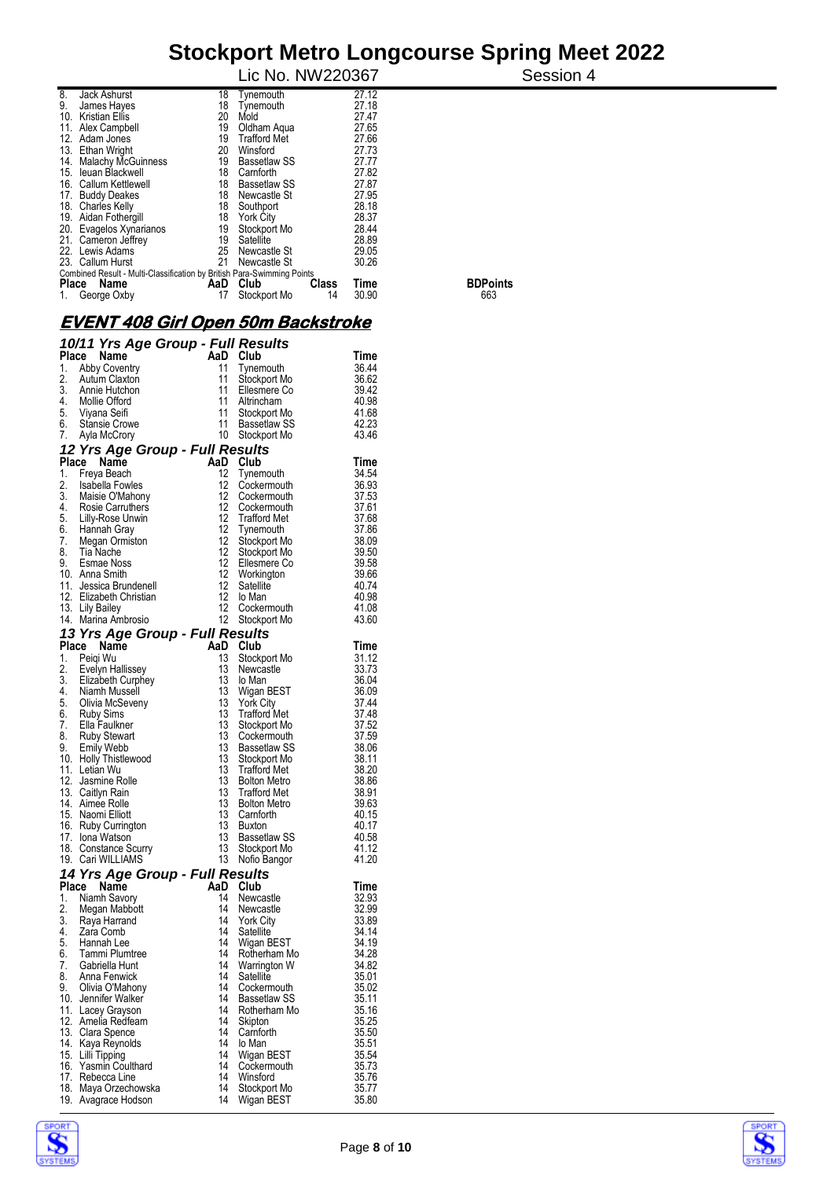|     |                                                                        |     | Lic No. NW220367    |              |       | Session 4       |
|-----|------------------------------------------------------------------------|-----|---------------------|--------------|-------|-----------------|
| 8.  | Jack Ashurst                                                           | 18  | Tynemouth           |              | 27.12 |                 |
| 9.  | James Hayes                                                            | 18  | Tynemouth           |              | 27.18 |                 |
| 10. | <b>Kristian Ellis</b>                                                  | 20  | Mold                |              | 27.47 |                 |
|     | 11. Alex Campbell                                                      | 19  | Oldham Agua         |              | 27.65 |                 |
|     | 12. Adam Jones                                                         | 19  | <b>Trafford Met</b> |              | 27.66 |                 |
|     | 13. Ethan Wright                                                       | 20  | Winsford            |              | 27.73 |                 |
|     | 14. Malachy McGuinness                                                 | 19  | Bassetlaw SS        |              | 27.77 |                 |
|     | 15. leuan Blackwell                                                    | 18  | Camforth            |              | 27.82 |                 |
|     | 16. Callum Kettlewell                                                  | 18  | <b>Bassetlaw SS</b> |              | 27.87 |                 |
|     | 17. Buddy Deakes                                                       | 18  | Newcastle St        |              | 27.95 |                 |
|     | 18. Charles Kelly                                                      | 18  | Southport           |              | 28.18 |                 |
|     | 19. Aidan Fothergill                                                   | 18  | York City           |              | 28.37 |                 |
|     | 20. Evagelos Xynarianos                                                | 19  | Stockport Mo        |              | 28.44 |                 |
|     | 21. Cameron Jeffrey                                                    | 19  | Satellite           |              | 28.89 |                 |
|     | 22. Lewis Adams                                                        | 25  | Newcastle St        |              | 29.05 |                 |
|     | 23. Callum Hurst                                                       | 21  | Newcastle St        |              | 30.26 |                 |
|     | Combined Result - Multi-Classification by British Para-Swimming Points |     |                     |              |       |                 |
|     | Place Name                                                             | AaD | Club                | <b>Class</b> | Time  | <b>BDPoints</b> |
| 1.  | George Oxby                                                            |     | Stockport Mo        | 14           | 30.90 | 663             |

#### **EVENT 408 Girl Open 50m Backstroke**

|     | 10/11 Yrs Age Group - Full Results                                                                                                                   |                   |                               |                |
|-----|------------------------------------------------------------------------------------------------------------------------------------------------------|-------------------|-------------------------------|----------------|
|     | Place<br>Name                                                                                                                                        |                   | AaD Club                      | Time           |
| 1.  | Abby Coventry                                                                                                                                        | 11                | Tynemouth                     | 36.44          |
| 2.  | <b>Autum Claxton</b>                                                                                                                                 | 11                | Stockport Mo                  | 36.62          |
|     | 3. Annie Hutchon                                                                                                                                     | 11                | Ellesmere Co                  | 39.42          |
|     |                                                                                                                                                      | 11                | Altrincham                    | 40.98          |
|     | 4. Mollie Offord<br>5. Viyana Seifi<br>6. Stansie Crowe                                                                                              | 11                | Stockport Mo                  | 41.68          |
|     |                                                                                                                                                      | 11                | Bassetlaw SS                  | 42.23          |
| 7.  | Ayla McCrory                                                                                                                                         |                   | 10 Stockport Mo               | 43.46          |
|     | 12 Yrs Age Group - Full Results                                                                                                                      |                   |                               |                |
|     | Place Name                                                                                                                                           |                   | AaD Club                      | Time           |
|     | 1. Freya Beach                                                                                                                                       | 12                | Tynemouth                     | 34.54          |
|     |                                                                                                                                                      | 12                | Cockermouth                   | 36.93          |
|     |                                                                                                                                                      | 12                | Cockermouth                   | 37.53          |
|     |                                                                                                                                                      | 12                | Cockermouth                   | 37.61          |
|     |                                                                                                                                                      | 12                | <b>Trafford Met</b>           | 37.68          |
|     |                                                                                                                                                      | $12 \overline{ }$ | Tynemouth                     | 37.86          |
|     | 1. Figure Discolarion<br>2. Isabella Fowles<br>3. Maisie O'Mahony<br>4. Rosie Carruthers<br>5. Lilly-Rose Unwin<br>7. Megan Ormiston<br>8. Tia Nache | 12                | Stockport Mo                  | 38.09          |
|     | 8. Tia Nache<br>9. Esmae Noss                                                                                                                        | 12                | Stockport Mo                  | 39.50          |
|     |                                                                                                                                                      | $12 \overline{ }$ | Ellesmere Co                  | 39.58          |
|     | 10. Anna Smith                                                                                                                                       | 12<br>12          | Workington                    | 39.66          |
|     | 11. Jessica Brundenell                                                                                                                               | $12 \overline{ }$ | Satellite                     | 40.74          |
|     | 12. Elizabeth Christian<br>13. Lily Bailey                                                                                                           | 12                | lo Man<br>Cockermouth         | 40.98<br>41.08 |
|     | 14. Marina Ambrosio                                                                                                                                  | 12                | Stockport Mo                  | 43.60          |
|     |                                                                                                                                                      |                   |                               |                |
|     | 13 Yrs Age Group - Full Results                                                                                                                      |                   |                               |                |
|     | Place Name                                                                                                                                           |                   | AaD Club                      | <b>Time</b>    |
|     | 1. Peiqi Wu                                                                                                                                          | 13<br>13          | Stockport Mo                  | 31.12<br>33.73 |
|     | 2. Evelyn Hallissey<br>3. Elizabeth Curphey                                                                                                          | 13                | Newcastle<br>lo Man           | 36.04          |
|     | 3.<br>14. Niamh Mussell<br>15. Olivia McSeveny<br>5. Clivia McSeveny<br>7. Ella Faulkner<br>8. Ruby Stewart<br>16. Link: Thiothuage                  | 13                | Wigan BEST                    | 36.09          |
|     |                                                                                                                                                      | 13                | <b>York City</b>              | 37.44          |
|     |                                                                                                                                                      | 13                | <b>Trafford Met</b>           | 37.48          |
|     |                                                                                                                                                      | 13                | Stockport Mo                  | 37.52          |
|     |                                                                                                                                                      | 13                | Cockermouth                   | 37.59          |
|     |                                                                                                                                                      | 13                | Bassetlaw SS                  | 38.06          |
|     | 10. Holly Thistlewood                                                                                                                                | 13                | Stockport Mo                  | 38.11          |
|     | 11. Letian Wu                                                                                                                                        | 13                | <b>Trafford Met</b>           | 38.20          |
|     | 12. Jasmine Rolle                                                                                                                                    | 13                | <b>Bolton Metro</b>           | 38.86          |
|     | 13. Caitlyn Rain                                                                                                                                     | 13                | <b>Trafford Met</b>           | 38.91          |
|     | 14. Aimee Rolle                                                                                                                                      | 13                | <b>Bolton Metro</b>           | 39.63          |
|     | 15. Naomi Elliott                                                                                                                                    | 13                | Camforth                      | 40.15          |
|     | 16. Ruby Currington                                                                                                                                  | 13                | <b>Buxton</b>                 | 40.17          |
|     | 17. Iona Watson                                                                                                                                      | 13                | Bassetlaw SS                  | 40.58          |
|     | 18. Constance Scurry<br>19. Cari WILLIAMS                                                                                                            | 13<br>13          | Stockport Mo                  | 41.12<br>41.20 |
|     |                                                                                                                                                      |                   | Nofio Bangor                  |                |
|     | 14 Yrs Age Group - Full Results                                                                                                                      |                   |                               |                |
|     | Place<br>Name                                                                                                                                        | 14                | AaD Club                      | Time           |
|     | 1. Niamh Savory                                                                                                                                      | 14                | Newcastle<br>Newcastle        | 32.93<br>32.99 |
|     | 2. Megan Mabbott<br>3. Raya Harrand<br>4. Zara Comb                                                                                                  | 14                |                               | 33.89          |
|     |                                                                                                                                                      | 14                | <b>York City</b><br>Satellite | 34.14          |
|     |                                                                                                                                                      | 14                | Wigan BEST                    | 34.19          |
|     | 5. Hannah Lee<br>6. Tammi Plumtree                                                                                                                   | 14                | Rotherham Mo                  | 34.28          |
| 7.  | Gabriella Hunt                                                                                                                                       | 14                | Warrington W                  | 34.82          |
| 8.  | Anna Fenwick                                                                                                                                         | 14                | Satellite                     | 35.01          |
| 9.  | Olivia O'Mahony                                                                                                                                      | 14                | Cockermouth                   | 35.02          |
|     | 10. Jennifer Walker                                                                                                                                  | 14                | <b>Bassetlaw SS</b>           | 35.11          |
|     | 11. Lacey Grayson                                                                                                                                    | 14                | Rotherham Mo                  | 35.16          |
|     | 12. Amelia Redfearn                                                                                                                                  | 14                | Skipton                       | 35.25          |
|     | 13. Clara Spence                                                                                                                                     | 14                | Camforth                      | 35.50          |
|     | 14. Kaya Reynolds                                                                                                                                    | 14                | lo Man                        | 35.51          |
| 15. | Lilli Tipping                                                                                                                                        | 14                | Wigan BEST                    | 35.54          |
| 16. | Yasmin Coulthard                                                                                                                                     | 14                | Cockermouth                   | 35.73          |
|     | 17. Rebecca Line                                                                                                                                     | 14                | Winsford                      | 35.76          |
|     | 18. Maya Orzechowska                                                                                                                                 | 14                | Stockport Mo                  | 35.77          |
|     | 19. Avagrace Hodson                                                                                                                                  | 14                | Wigan BEST                    | 35.80          |

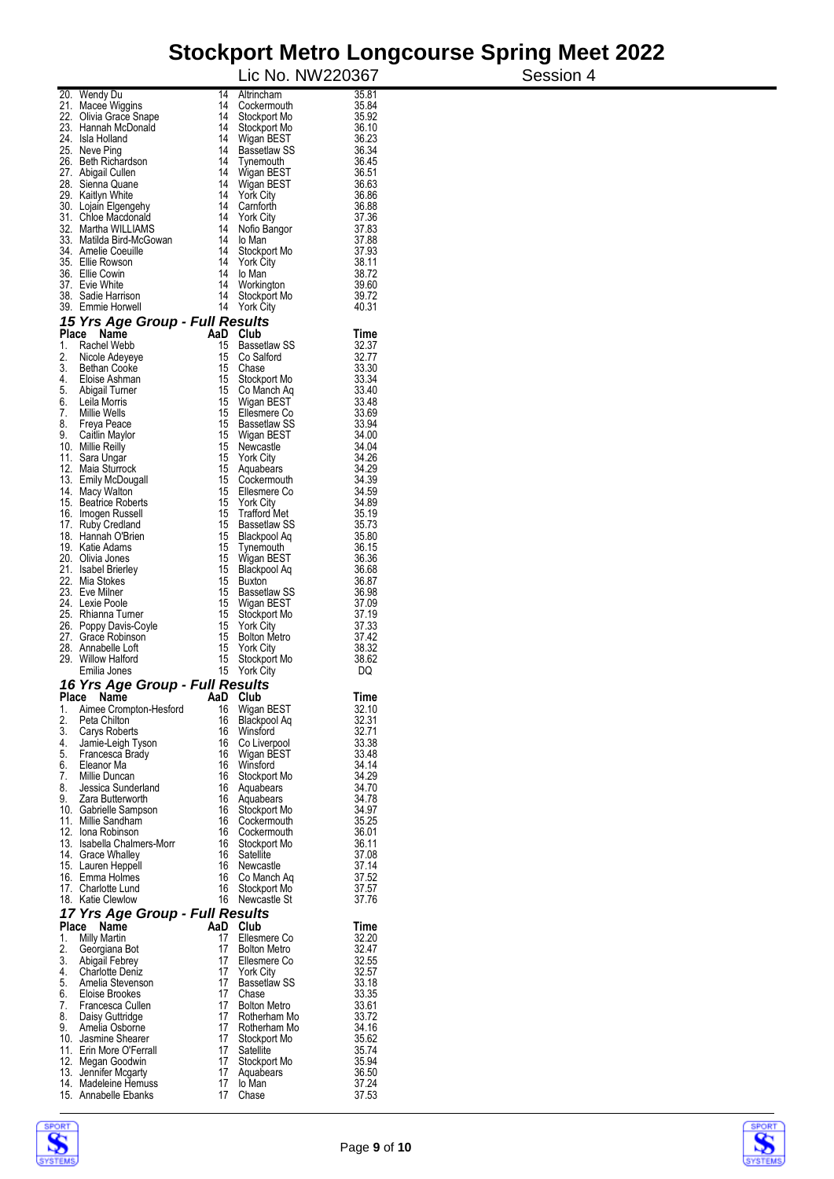# **Stockport Metro Longcourse Spring Meet 2022**<br>**Session 4** Lic No. NW220367

|          |                                                         |          |                                         | Lic No. NW220367 | Session 4 |
|----------|---------------------------------------------------------|----------|-----------------------------------------|------------------|-----------|
|          | 20. Wendy Du                                            | 14       | Altrincham                              | 35.81            |           |
|          | 21. Macee Wiggins                                       | 14       | Cockermouth                             | 35.84            |           |
|          | 22. Olivia Grace Snape<br>23. Hannah McDonald           | 14<br>14 | Stockport Mo                            | 35.92<br>36.10   |           |
|          | 24. Isla Holland                                        | 14       | Stockport Mo<br>Wigan BEST              | 36.23            |           |
|          | 25. Neve Ping                                           | 14       | <b>Bassetlaw SS</b>                     | 36.34            |           |
|          | 26. Beth Richardson                                     | 14       | Tynemouth                               | 36.45            |           |
|          | 27. Abigail Cullen<br>28. Sienna Quane                  | 14<br>14 | Wigan BEST<br>Wigan BEST                | 36.51<br>36.63   |           |
|          | 29. Kaitlyn White                                       | 14       | <b>York City</b>                        | 36.86            |           |
|          | 30. Lojain Elgengehy                                    | 14       | Camforth                                | 36.88            |           |
|          | 31. Chloe Macdonald<br>32. Martha WILLIAMS              | 14<br>14 | <b>York City</b><br>Nofio Bangor        | 37.36<br>37.83   |           |
|          | 33. Matilda Bird-McGowan                                | 14       | lo Man                                  | 37.88            |           |
|          | 34. Amelie Coeuille                                     | 14       | Stockport Mo                            | 37.93            |           |
|          | 35. Ellie Rowson                                        | 14<br>14 | <b>York City</b>                        | 38.11<br>38.72   |           |
|          | 36. Ellie Cowin<br>37. Evie White                       | 14       | lo Man<br>Workington                    | 39.60            |           |
|          | 38. Sadie Harrison                                      | 14       | Stockport Mo                            | 39.72            |           |
|          | 39. Emmie Horwell                                       | 14       | York City                               | 40.31            |           |
|          | 15 Yrs Age Group - Full Results<br>Name                 |          |                                         |                  |           |
| 1.       | Place<br>Rachel Webb                                    | 15       | AaD Club<br><b>Bassetlaw SS</b>         | Time<br>32.37    |           |
| 2.       | Nicole Adeyeye                                          | 15       | Co Salford                              | 32.77            |           |
| 3.       | <b>Bethan Cooke</b>                                     | 15       | Chase                                   | 33.30            |           |
| 4.<br>5. | Eloise Ashman<br>Abigail Turner                         | 15<br>15 | Stockport Mo<br>Co Manch Aq             | 33.34<br>33.40   |           |
| 6.       | Leila Morris                                            | 15       | Wigan BEST                              | 33.48            |           |
| 7.       | Millie Wells                                            | 15       | Ellesmere Co                            | 33.69            |           |
| 8.       | Freya Peace                                             | 15       | <b>Bassetlaw SS</b>                     | 33.94            |           |
| 9.       | Caitlin Maylor<br>10. Millie Reilly                     | 15<br>15 | Wigan BEST<br>Newcastle                 | 34.00<br>34.04   |           |
|          | 11. Sara Ungar                                          | 15       | <b>York City</b>                        | 34.26            |           |
|          | 12. Maia Sturrock                                       | 15       | Aquabears                               | 34.29            |           |
|          | 13. Emily McDougall<br>14. Macy Walton                  | 15       | 15 Cockermouth<br>Ellesmere Co          | 34.39<br>34.59   |           |
|          | 15. Beatrice Roberts                                    | 15       | <b>York City</b>                        | 34.89            |           |
|          | 16. Imogen Russell                                      | 15       | <b>Trafford Met</b>                     | 35.19            |           |
|          | 17. Ruby Credland<br>18. Hannah O'Brien                 | 15<br>15 | Bassetlaw SS<br>Blackpool Aq            | 35.73<br>35.80   |           |
|          | 19. Katie Adams                                         | 15       | Tynemouth                               | 36.15            |           |
|          | 20. Olivia Jones                                        | 15       | Wigan BEST                              | 36.36            |           |
|          | 21. Isabel Brierley                                     | 15       | Blackpool Aq                            | 36.68            |           |
|          | 22. Mia Stokes<br>23. Eve Milner                        | 15<br>15 | Buxton<br>Bassetlaw SS                  | 36.87<br>36.98   |           |
|          | 24. Lexie Poole                                         | 15       | Wigan BEST                              | 37.09            |           |
|          | 25. Rhianna Turner                                      | 15       | Stockport Mo                            | 37.19            |           |
|          | 26. Poppy Davis-Coyle<br>27. Grace Robinson             | 15<br>15 | <b>York City</b><br><b>Bolton Metro</b> | 37.33<br>37.42   |           |
|          | 28. Annabelle Loft                                      | 15       | <b>York City</b>                        | 38.32            |           |
|          | 29. Willow Halford                                      | 15       | Stockport Mo                            | 38.62            |           |
|          | Emilia Jones                                            | 15       | <b>York City</b>                        | DQ               |           |
|          | 16 Yrs Age Group - Full Results<br>AaD<br>Place<br>Name |          | Club                                    | Time             |           |
| 1.       | Aimee Crompton-Hesford                                  | 16       | Wigan BEST                              | 32.10            |           |
| 2.       | Peta Chilton                                            | 16       | Blackpool Aq                            | 32.31            |           |
| 3.<br>4. | Carys Roberts<br>Jamie-Leigh Tyson                      | 16<br>16 | Winsford<br>Co Liverpool                | 32.71<br>33.38   |           |
| 5.       | Francesca Brady                                         | 16       | Wigan BEST                              | 33.48            |           |
| 6.       | Eleanor Ma                                              | 16       | Winsford                                | 34.14            |           |
| 7.<br>8. | Millie Duncan<br>Jessica Sunderland                     | 16<br>16 | Stockport Mo                            | 34.29<br>34.70   |           |
| 9.       | Zara Butterworth                                        | 16       | Aquabears<br>Aquabears                  | 34.78            |           |
|          | 10. Gabrielle Sampson                                   | 16       | Stockport Mo                            | 34.97            |           |
|          | 11. Millie Sandham                                      | 16       | Cockermouth                             | 35.25            |           |
|          | 12. Iona Robinson<br>13. Isabella Chalmers-Morr         | 16<br>16 | Cockermouth<br>Stockport Mo             | 36.01<br>36.11   |           |
|          | 14. Grace Whalley                                       | 16       | Satellite                               | 37.08            |           |
|          | 15. Lauren Heppell                                      | 16       | Newcastle                               | 37.14            |           |
|          | 16. Emma Holmes<br>17. Charlotte Lund                   | 16<br>16 | Co Manch Aq<br>Stockport Mo             | 37.52<br>37.57   |           |
|          | 18. Katie Clewlow                                       | 16       | Newcastle St                            | 37.76            |           |
|          | 17 Yrs Age Group - Full Results                         |          |                                         |                  |           |
|          | Place Name                                              |          | AaD Club                                | Time             |           |
| 1.       | Milly Martin                                            | 17<br>17 | Ellesmere Co<br><b>Bolton Metro</b>     | 32.20            |           |
| 2.<br>3. | Georgiana Bot<br>Abigail Febrey                         | 17       | Ellesmere Co                            | 32.47<br>32.55   |           |
| 4.       | <b>Charlotte Deniz</b>                                  | 17       | <b>York City</b>                        | 32.57            |           |
| 5.       | Amelia Stevenson                                        | 17       | <b>Bassetlaw SS</b>                     | 33.18            |           |
| 6.<br>7. | Eloise Brookes<br>Francesca Cullen                      | 17<br>17 | Chase<br><b>Bolton Metro</b>            | 33.35<br>33.61   |           |
| 8.       | Daisy Guttridge                                         | 17       | Rotherham Mo                            | 33.72            |           |
| 9.       | Amelia Osborne                                          | 17       | Rotherham Mo                            | 34.16            |           |
|          | 10. Jasmine Shearer<br>11. Erin More O'Ferrall          | 17<br>17 | Stockport Mo<br>Satellite               | 35.62<br>35.74   |           |
|          | 12. Megan Goodwin                                       | 17       | Stockport Mo                            | 35.94            |           |
|          | 13. Jennifer Mcgarty                                    | 17       | Aquabears                               | 36.50            |           |
|          | 14. Madeleine Hemuss<br>15. Annabelle Ebanks            | 17<br>17 | lo Man<br>Chase                         | 37.24<br>37.53   |           |
|          |                                                         |          |                                         |                  |           |



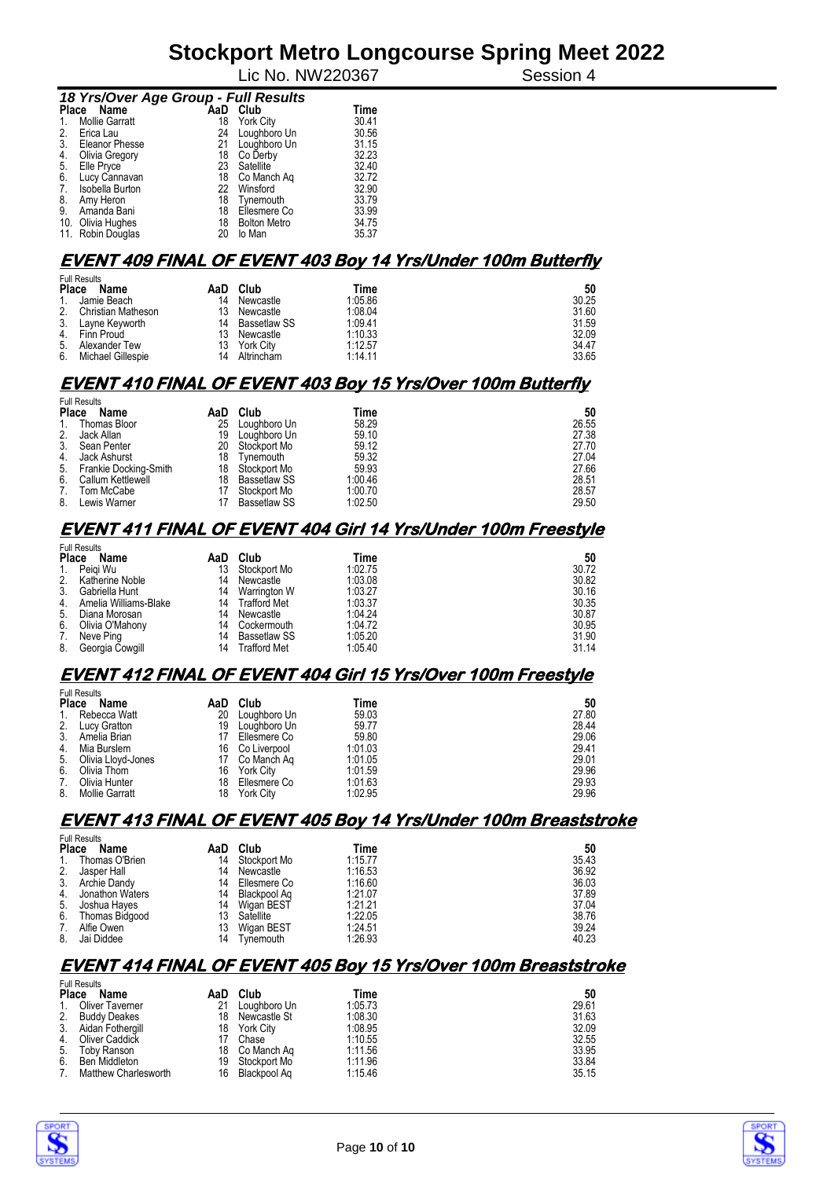Lic No. NW220367 Session 4

| 18 Yrs/Over Age Group - Full Results |                       |     |                     |             |  |  |  |  |  |
|--------------------------------------|-----------------------|-----|---------------------|-------------|--|--|--|--|--|
| <b>Place</b>                         | Name                  | AaD | Club                | <b>Time</b> |  |  |  |  |  |
|                                      | <b>Mollie Garratt</b> | 18  | <b>York City</b>    | 30.41       |  |  |  |  |  |
| 2.                                   | Erica Lau             | 24  | Loughboro Un        | 30.56       |  |  |  |  |  |
| 3.                                   | Eleanor Phesse        | 21  | Loughboro Un        | 31.15       |  |  |  |  |  |
| 4.                                   | Olivia Gregory        | 18  | Co Derby            | 32.23       |  |  |  |  |  |
| 5.                                   | Elle Pryce            | 23  | Satellite           | 32.40       |  |  |  |  |  |
| 6.                                   | Lucy Cannavan         | 18  | Co Manch Aq         | 32.72       |  |  |  |  |  |
| 7.                                   | Isobella Burton       | 22  | Winsford            | 32.90       |  |  |  |  |  |
| 8.                                   | Amy Heron             | 18  | Tynemouth           | 33.79       |  |  |  |  |  |
| 9.                                   | Amanda Bani           | 18  | Ellesmere Co        | 33.99       |  |  |  |  |  |
|                                      | 10. Olivia Hughes     | 18  | <b>Bolton Metro</b> | 34.75       |  |  |  |  |  |
|                                      | 11. Robin Douglas     | 20  | lo Man              | 35.37       |  |  |  |  |  |

#### **EVENT 409 FINAL OF EVENT 403 Boy 14 Yrs/Under 100m Butterfly**

| <b>Full Results</b> |                    |     |              |         |       |  |  |
|---------------------|--------------------|-----|--------------|---------|-------|--|--|
| <b>Place</b>        | Name               | AaD | Club         | Time    | 50    |  |  |
| $1_{-}$             | Jamie Beach        | 14  | Newcastle    | 1:05.86 | 30.25 |  |  |
| 2.                  | Christian Matheson | 13  | Newcastle    | 1:08.04 | 31.60 |  |  |
| 3.                  | Layne Keyworth     | 14  | Bassetlaw SS | 1:09.41 | 31.59 |  |  |
| 4.                  | Finn Proud         | 13  | Newcastle    | 1:10.33 | 32.09 |  |  |
| 5.                  | Alexander Tew      | 13. | York City    | 1:12.57 | 34.47 |  |  |
| 6.                  | Michael Gillespie  | 14  | Altrincham   | 1:14.11 | 33.65 |  |  |

#### **EVENT 410 FINAL OF EVENT 403 Boy 15 Yrs/Over 100m Butterfly**

|              | <b>Full Results</b>      |     |                     |         |       |  |  |
|--------------|--------------------------|-----|---------------------|---------|-------|--|--|
| <b>Place</b> | Name                     | AaD | Club                | Time    | 50    |  |  |
| 1.           | Thomas Bloor             | 25  | Loughboro Un        | 58.29   | 26.55 |  |  |
| 2.           | Jack Allan               | 19  | Loughboro Un        | 59.10   | 27.38 |  |  |
| 3.           | Sean Penter              | 20  | Stockport Mo        | 59.12   | 27.70 |  |  |
| 4.           | Jack Ashurst             | 18  | Tynemouth           | 59.32   | 27.04 |  |  |
|              | 5. Frankie Docking-Smith |     | 18 Stockport Mo     | 59.93   | 27.66 |  |  |
| 6.           | Callum Kettlewell        |     | 18 Bassetlaw SS     | 1:00.46 | 28.51 |  |  |
| 7.           | Tom McCabe               |     | Stockport Mo        | 1:00.70 | 28.57 |  |  |
| 8.           | Lewis Warner             |     | <b>Bassetlaw SS</b> | 1:02.50 | 29.50 |  |  |

#### **EVENT 411 FINAL OF EVENT 404 Girl 14 Yrs/Under 100m Freestyle**

|              | <b>Full Results</b>   |     |                     |         |       |  |  |  |
|--------------|-----------------------|-----|---------------------|---------|-------|--|--|--|
| <b>Place</b> | Name                  | AaD | Club                | Time    | 50    |  |  |  |
| 1.           | Peiai Wu              | 13  | Stockport Mo        | 1:02.75 | 30.72 |  |  |  |
|              | 2. Katherine Noble    | 14  | Newcastle           | 1:03.08 | 30.82 |  |  |  |
| 3.           | Gabriella Hunt        | 14  | Warrington W        | 1:03.27 | 30.16 |  |  |  |
| 4.           | Amelia Williams-Blake | 14  | Trafford Met        | 1:03.37 | 30.35 |  |  |  |
| 5.           | Diana Morosan         | 14  | Newcastle           | 1:04:24 | 30.87 |  |  |  |
| 6.           | Olivia O'Mahony       | 14  | Cockermouth         | 1:04.72 | 30.95 |  |  |  |
| 7.           | Neve Ping             | 14  | <b>Bassetlaw SS</b> | 1:05.20 | 31.90 |  |  |  |
| 8.           | Georgia Cowgill       | 14  | Trafford Met        | 1:05.40 | 31.14 |  |  |  |

#### **EVENT 412 FINAL OF EVENT 404 Girl 15 Yrs/Over 100m Freestyle**

| <b>Full Results</b> |                    |     |                  |         |       |  |
|---------------------|--------------------|-----|------------------|---------|-------|--|
| Place               | Name               | AaD | Club             | Time    | 50    |  |
| $1_{\cdot}$         | Rebecca Watt       | 20  | Loughboro Un     | 59.03   | 27.80 |  |
| 2.                  | Lucy Gratton       | 19  | Loughboro Un     | 59.77   | 28.44 |  |
| 3.                  | Amelia Brian       | 17  | Ellesmere Co     | 59.80   | 29.06 |  |
| 4.                  | Mia Burslem        |     | 16 Co Liverpool  | 1:01.03 | 29.41 |  |
| 5.                  | Olivia Lloyd-Jones | 17  | Co Manch Ag      | 1:01.05 | 29.01 |  |
| 6.                  | Olivia Thom        | 16  | York City        | 1:01.59 | 29.96 |  |
| 7.                  | Olivia Hunter      | 18  | Ellesmere Co     | 1:01.63 | 29.93 |  |
| 8.                  | Mollie Garratt     | 18  | <b>York City</b> | 1:02.95 | 29.96 |  |

#### **EVENT 413 FINAL OF EVENT 405 Boy 14 Yrs/Under 100m Breaststroke**  Full Results

| Name | AaD                                                                                                                                                                     | Club         | Time    | 50    |
|------|-------------------------------------------------------------------------------------------------------------------------------------------------------------------------|--------------|---------|-------|
|      | 14                                                                                                                                                                      | Stockport Mo | 1:15.77 | 35.43 |
|      | 14                                                                                                                                                                      | Newcastle    | 1:16.53 | 36.92 |
|      | 14                                                                                                                                                                      | Ellesmere Co | 1:16.60 | 36.03 |
|      | 14                                                                                                                                                                      | Blackpool Ag | 1:21.07 | 37.89 |
|      | 14                                                                                                                                                                      | Wigan BEST   | 1:21.21 | 37.04 |
|      | 13                                                                                                                                                                      | Satellite    | 1:22.05 | 38.76 |
|      | 13                                                                                                                                                                      | Wigan BEST   | 1:24.51 | 39.24 |
|      | 14                                                                                                                                                                      | Tynemouth    | 1:26.93 | 40.23 |
|      | <b>FUIL RESULS</b><br><b>Place</b><br>Thomas O'Brien<br>Jasper Hall<br>3. Archie Dandy<br>Jonathon Waters<br>Joshua Hayes<br>Thomas Bidgood<br>Alfie Owen<br>Jai Diddee |              |         |       |

#### **EVENT 414 FINAL OF EVENT 405 Boy 15 Yrs/Over 100m Breaststroke**

| <b>Full Results</b> |                      |    |                |         |       |  |
|---------------------|----------------------|----|----------------|---------|-------|--|
| <b>Place</b>        | Name                 |    | AaD Club       | Time    | 50    |  |
| $1_{-}$             | Oliver Taverner      | 21 | Loughboro Un   | 1:05.73 | 29.61 |  |
| 2.                  | <b>Buddy Deakes</b>  | 18 | Newcastle St   | 1:08.30 | 31.63 |  |
| 3.                  | Aidan Fothergill     | 18 | York City      | 1:08.95 | 32.09 |  |
| 4.                  | Oliver Caddick       |    | Chase          | 1:10.55 | 32.55 |  |
| 5.                  | Toby Ranson          |    | 18 Co Manch Ag | 1:11.56 | 33.95 |  |
| 6.                  | Ben Middleton        | 19 | Stockport Mo   | 1:11.96 | 33.84 |  |
| 7.                  | Matthew Charlesworth | 16 | Blackpool Aq   | 1:15.46 | 35.15 |  |



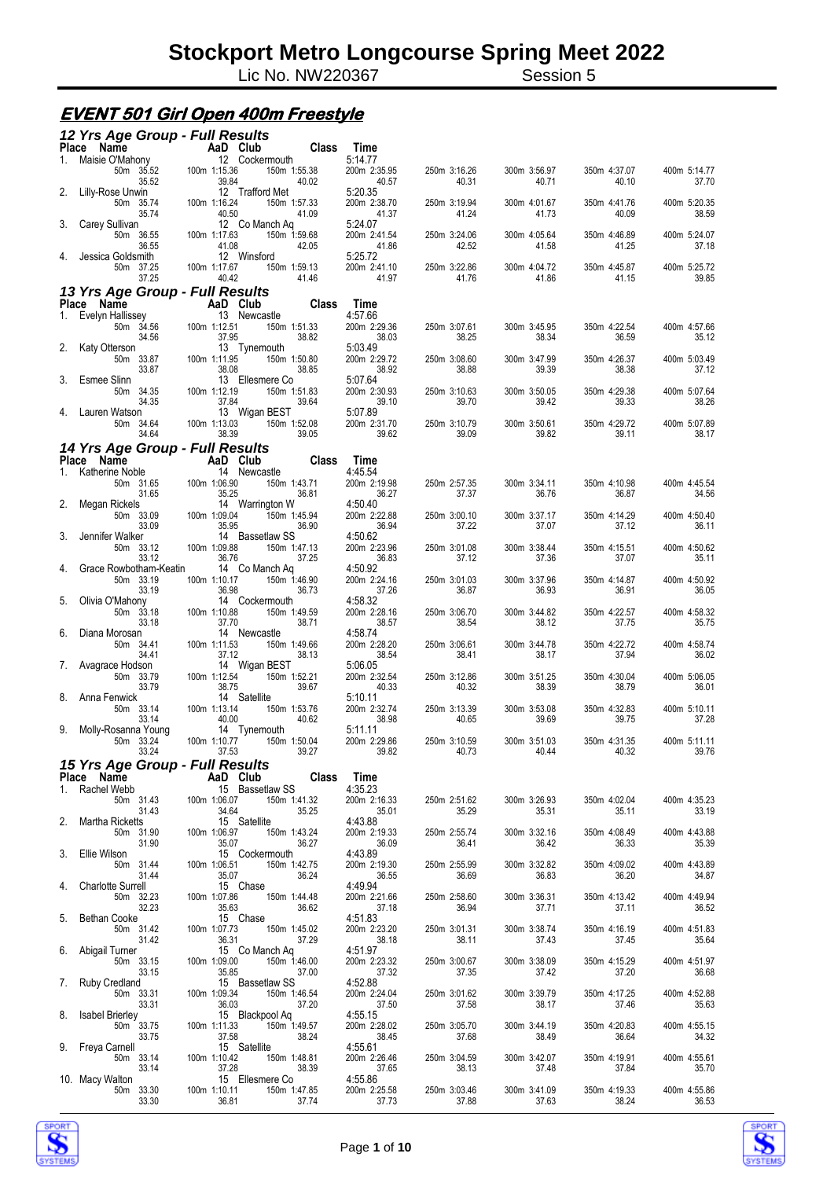Lic No. NW220367 Session 5

#### **EVENT 501 Girl Open 400m Freestyle**

|              | 12 Yrs Age Group - Full Results                                                                                       |                                                       |                                                                   |                                  |                                          |                       |                       |                       |
|--------------|-----------------------------------------------------------------------------------------------------------------------|-------------------------------------------------------|-------------------------------------------------------------------|----------------------------------|------------------------------------------|-----------------------|-----------------------|-----------------------|
|              | Place Name                                                                                                            |                                                       | <b>Class</b><br>AaD Club                                          | Time                             |                                          |                       |                       |                       |
| 1.           | Maisie O'Mahony<br>50m 35.52<br>35.52                                                                                 | 100m 1:15.36<br>39.84                                 | 12 Cockermouth<br>150m 1:55.38<br>40.02                           | 5:14.77<br>200m 2:35.95<br>40.57 | 250m 3:16.26<br>40.31                    | 300m 3:56.97<br>40.71 | 350m 4:37.07<br>40.10 | 400m 5:14.77<br>37.70 |
| 2.           | Lilly-Rose Unwin<br>50m 35.74<br>35.74                                                                                | 100m 1:16.24<br>40.50                                 | 12 Trafford Met<br>150m 1:57.33<br>41.09                          | 5:20.35<br>200m 2:38.70<br>41.37 | 250m 3:19.94<br>41.24                    | 300m 4:01.67<br>41.73 | 350m 4:41.76<br>40.09 | 400m 5:20.35<br>38.59 |
| 3.           | Carey Sullivan<br>50m 36.55<br>36.55                                                                                  | 100m 1:17.63<br>41.08                                 | 12 Co Manch Aq<br>150m 1:59.68<br>42.05                           | 5:24.07<br>200m 2:41.54<br>41.86 | 250m 3:24.06<br>42.52                    | 300m 4:05.64<br>41.58 | 350m 4:46.89<br>41.25 | 400m 5:24.07<br>37.18 |
| 4.           | Jessica Goldsmith<br>50m 37.25                                                                                        | 100m 1:17.67<br>40.42                                 | 12 Winsford<br>150m 1:59.13<br>41.46                              | 5:25.72<br>200m 2:41.10<br>41.97 | 250m 3:22.86                             | 300m 4:04.72<br>41.86 | 350m 4:45.87          | 400m 5:25.72<br>39.85 |
|              | 37.25<br>13 Yrs Age Group - Full Results                                                                              |                                                       |                                                                   |                                  | 41.76                                    |                       | 41.15                 |                       |
|              | Place Name                                                                                                            | AaD Club                                              | <b>Class</b>                                                      | Time                             |                                          |                       |                       |                       |
| 1.           | Evelyn Hallissey<br>50m 34.56                                                                                         | 100m 1:12.51                                          | 13 Newcastle<br>150m 1:51.33                                      | 4:57.66<br>200m 2:29.36          | 250m 3:07.61                             | 300m 3:45.95          | 350m 4:22.54          | 400m 4:57.66          |
|              | 34.56<br>2. Katy Otterson<br>50m 33.87                                                                                | 37.95<br>100m 1:11.95                                 | 38.82<br>13 Tynemouth<br>150m 1:50.80                             | 38.03<br>5:03.49<br>200m 2:29.72 | 38.25<br>250m 3:08.60                    | 38.34<br>300m 3:47.99 | 36.59<br>350m 4:26.37 | 35.12<br>400m 5:03.49 |
|              | 33.87                                                                                                                 | 38.08                                                 | 38.85                                                             | 38.92                            | 38.88                                    | 39.39                 | 38.38                 | 37.12                 |
|              | 3. Esmee Slinn<br>50m 34.35<br>34.35                                                                                  | 100m 1:12.19<br>37.84                                 | 13 Ellesmere Co<br>150m 1:51.83<br>39.64                          | 5:07.64<br>200m 2:30.93<br>39.10 | 250m 3:10.63<br>39.70                    | 300m 3:50.05<br>39.42 | 350m 4:29.38<br>39.33 | 400m 5:07.64<br>38.26 |
| 4.           | Lauren Watson<br>50m 34.64                                                                                            | 100m 1:13.03                                          | 13 Wigan BEST<br>150m 1:52.08                                     | 5:07.89<br>200m 2:31.70          | 250m 3:10.79                             | 300m 3:50.61          | 350m 4:29.72          | 400m 5:07.89          |
|              | 34.64                                                                                                                 | 38.39                                                 | 39.05                                                             | 39.62                            | 39.09                                    | 39.82                 | 39.11                 | 38.17                 |
|              | 14 Yrs Age Group - Full Results                                                                                       |                                                       | Class                                                             |                                  |                                          |                       |                       |                       |
| $1_{\ldots}$ | Place Name<br>Katherine Noble                                                                                         | AaD Club                                              | 14 Newcastle                                                      | Time<br>4:45.54                  |                                          |                       |                       |                       |
| 2.           | 50m 31.65<br>31.65<br>Megan Rickels                                                                                   | 100m 1:06.90<br>35.25                                 | 150m 1:43.71<br>36.81<br>14 Warrington W                          | 200m 2:19.98<br>36.27<br>4:50.40 | 250m 2:57.35<br>37.37                    | 300m 3:34.11<br>36.76 | 350m 4:10.98<br>36.87 | 400m 4:45.54<br>34.56 |
| 3.           | 50m 33.09<br>33.09<br>Jennifer Walker                                                                                 | 100m 1:09.04<br>35.95                                 | 150m 1:45.94<br>36.90<br>14 Bassetlaw SS                          | 200m 2:22.88<br>36.94<br>4:50.62 | 250m 3:00.10<br>37.22                    | 300m 3:37.17<br>37.07 | 350m 4:14.29<br>37.12 | 400m 4:50.40<br>36.11 |
|              | 50m 33.12<br>33.12<br>Grace Rowbotham-Keatin                                                                          | 100m 1:09.88<br>36.76                                 | 150m 1:47.13<br>37.25<br>14 Co Manch Aq                           | 200m 2:23.96<br>36.83<br>4:50.92 | 250m 3:01.08<br>37.12                    | 300m 3:38.44<br>37.36 | 350m 4:15.51<br>37.07 | 400m 4:50.62<br>35.11 |
| 4.           | 50m 33.19<br>33.19                                                                                                    | 100m 1:10.17<br>36.98                                 | 150m 1:46.90<br>36.73                                             | 200m 2:24.16<br>37.26            | 250m 3:01.03<br>36.87                    | 300m 3:37.96<br>36.93 | 350m 4:14.87<br>36.91 | 400m 4:50.92<br>36.05 |
| 5.           | Olivia O'Mahony<br>50m 33.18<br>33.18                                                                                 | 100m 1:10.88<br>37.70                                 | 14 Cockermouth<br>150m 1:49.59<br>38.71                           | 4:58.32<br>200m 2:28.16<br>38.57 | 250m 3:06.70<br>38.54                    | 300m 3:44.82<br>38.12 | 350m 4:22.57<br>37.75 | 400m 4:58.32<br>35.75 |
| 6.           | Diana Morosan<br>50m 34.41<br>34.41                                                                                   | 100m 1:11.53<br>37.12                                 | 14 Newcastle<br>150m 1:49.66<br>38.13                             | 4:58.74<br>200m 2:28.20<br>38.54 | 250m 3:06.61<br>38.41                    | 300m 3:44.78<br>38.17 | 350m 4:22.72<br>37.94 | 400m 4:58.74<br>36.02 |
|              | 7. Avagrace Hodson<br>50m 33.79<br>33.79                                                                              | 100m 1:12.54<br>38.75                                 | 14 Wigan BEST<br>150m 1:52.21<br>39.67                            | 5:06.05<br>200m 2:32.54<br>40.33 | 250m 3:12.86<br>40.32                    | 300m 3:51.25<br>38.39 | 350m 4:30.04<br>38.79 | 400m 5:06.05<br>36.01 |
| 8.           | Anna Fenwick<br>50m 33.14<br>33.14                                                                                    | 100m 1:13.14<br>40.00                                 | 14 Satellite<br>150m 1:53.76<br>40.62                             | 5:10.11<br>200m 2:32.74<br>38.98 | 250m 3:13.39<br>40.65                    | 300m 3:53.08<br>39.69 | 350m 4:32.83<br>39.75 | 400m 5:10.11<br>37.28 |
| 9.           | Molly-Rosanna Young<br>50m 33.24<br>33.24                                                                             | 100m 1:10.77<br>37.53                                 | 14 Tynemouth<br>150m 1:50.04<br>39.27                             | 5:11.11<br>200m 2:29.86<br>39.82 | 250m 3:10.59<br>40.73                    | 300m 3:51.03<br>40.44 | 350m 4:31.35<br>40.32 | 400m 5:11.11<br>39.76 |
|              | <b>15 Yrs Age Group - Full Results<br/> Place Name AaD Club Class Time</b><br>1. Rachel Webb 2010 1.0 15 Bassetlaw SS |                                                       |                                                                   |                                  |                                          |                       |                       |                       |
|              |                                                                                                                       |                                                       |                                                                   | 4:35.23                          |                                          |                       |                       |                       |
|              | 50m 31.43<br>31.43<br>2. Martha Ricketts                                                                              | 100m 1:06.07<br>34.64<br>4.64<br>15 S<br>100m 1:06.97 | 150m 1:41.32<br>35.25<br>15 Satellite                             | 200m 2:16.33<br>35.01<br>4:43.88 | 250m 2:51.62<br>35.29                    | 300m 3:26.93<br>35.31 | 350m 4:02.04<br>35.11 | 400m 4:35.23<br>33.19 |
|              | 50m 31.90<br>31.90<br>3. Ellie Wilson                                                                                 |                                                       | 150m 1:43.24<br>35.07<br>15 Cockermouth<br>36.27                  | 200m 2:19.33<br>36.09<br>4:43.89 | 250m 2:55.74<br>36.41                    | 300m 3:32.16<br>36.42 | 350m 4:08.49<br>36.33 | 400m 4:43.88<br>35.39 |
|              | 50m 31.44<br>31.44<br>4. Charlotte Surrell                                                                            | 100m 1:06.51                                          | 150m 1:42.75<br>35.07<br>15 Chase<br>36.24                        | 200m 2:19.30<br>36.55<br>4:49.94 | 250m 2:55.99<br>36.69                    | 300m 3:32.82<br>36.83 | 350m 4:09.02<br>36.20 | 400m 4:43.89<br>34.87 |
| 5.           | 50m 32.23<br>32.23<br>Bethan Cooke                                                                                    | 100m 1:07.86                                          | :07.86   150m   1:44.48<br>35.63   36.62<br>15 Chase              | 200m 2:21.66<br>37.18<br>4:51.83 | 250m 2:58.60<br>36.94                    | 300m 3:36.31<br>37.71 | 350m 4:13.42<br>37.11 | 400m 4:49.94<br>36.52 |
|              | 50m 31.42<br>31.42<br>6. Abigail Turner                                                                               | 15 C<br>100m 1:07.73<br>36.31                         | 150m 1:45.02<br>37.29<br>15 Co Manch Aq                           | 200m 2:23.20<br>38.18<br>4:51.97 | 250m 3:01.31<br>38.11                    | 300m 3:38.74<br>37.43 | 350m 4:16.19<br>37.45 | 400m 4:51.83<br>35.64 |
|              | 50m 33.15<br>33.15<br>7. Ruby Credland                                                                                | 100m 1:09.00<br>35.85                                 | 150m 1:46.00<br>37.00<br>15 Bassetlaw SS                          | 200m 2:23.32<br>37.32<br>4:52.88 | 250m 3:00.67<br>37.35                    | 300m 3:38.09<br>37.42 | 350m 4:15.29<br>37.20 | 400m 4:51.97<br>36.68 |
|              | 50m 33.31<br>33.31                                                                                                    | 100m 1:09.34<br>36.03                                 | 150m 1:46.54<br>37.20                                             | 200m 2:24.04<br>37.50            | 250m 3:01.62<br>37.58                    | 300m 3:39.79<br>38.17 | 350m 4:17.25<br>37.46 | 400m 4:52.88<br>35.63 |
|              | 8. Isabel Brierley<br>50m 33.75<br>33.75                                                                              | 100m 1:11.33<br>37.58                                 | 15 Blackpool Aq<br>150m 1:49.57<br>38.24                          | 4:55.15<br>200m 2:28.02<br>38.45 | 250m 3:05.70<br>37.68                    | 300m 3:44.19<br>38.49 | 350m 4:20.83<br>36.64 | 400m 4:55.15<br>34.32 |
|              | 9. Freya Carnell<br>50m 33.14<br>33.14                                                                                | 100m 1:10.42                                          | 15 Satellite<br>150m 1:48.81                                      | 4:55.61<br>200m 2:26.46<br>37.65 | 250m 3:04.59<br>38.13                    | 300m 3:42.07<br>37.48 | 350m 4:19.91<br>37.84 | 400m 4:55.61<br>35.70 |
|              | 10. Macy Walton<br>50m 33.30<br>33.30                                                                                 | 100m 1:10.11<br>36.81                                 | 37.28<br>15 Ellesmere Co<br>150m 1:47.85<br>150m 1:47.85<br>37.74 | 4:55.86<br>37.73                 | 200m 2:25.58 250m 3:03.46<br>37.73 37.88 | 300m 3:41.09<br>37.63 | 350m 4:19.33<br>38.24 | 400m 4:55.86<br>36.53 |



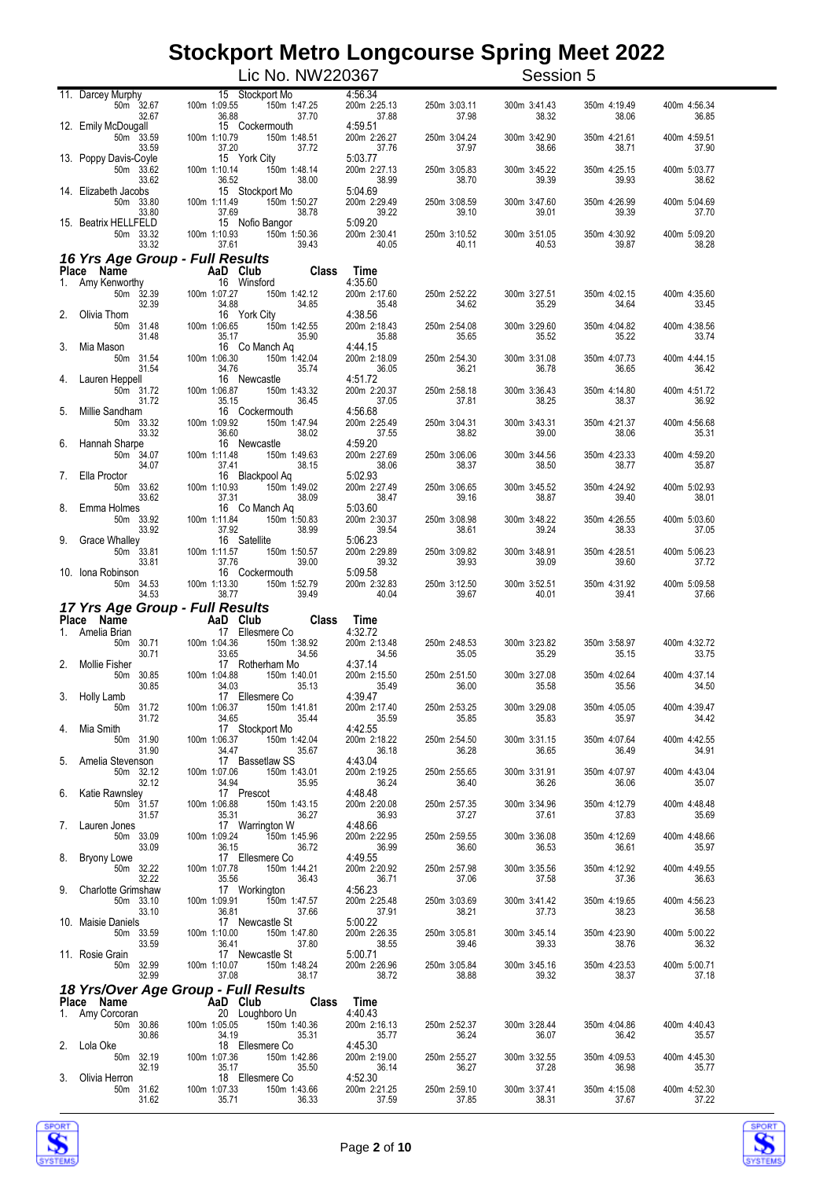|    |                                                       | Lic No. NW220367                                                                                                                                                                                                                                                                                                                   |                                  |                               | Session 5             |                       |                       |
|----|-------------------------------------------------------|------------------------------------------------------------------------------------------------------------------------------------------------------------------------------------------------------------------------------------------------------------------------------------------------------------------------------------|----------------------------------|-------------------------------|-----------------------|-----------------------|-----------------------|
|    | 11. Darcey Murphy<br>50m 32.67<br>32.67               | 15 Stockport Mo<br>150m 1:47.25<br>100m 1:09.55<br>37.70<br>36.88                                                                                                                                                                                                                                                                  | 4:56.34<br>200m 2:25.13<br>37.88 | 250m 3:03.11<br>37.98         | 300m 3:41.43<br>38.32 | 350m 4:19.49<br>38.06 | 400m 4:56.34<br>36.85 |
|    | 12. Emily McDougall<br>50m 33.59<br>33.59             | 15 Cockermouth<br>100m 1:10.79<br>150m 1:48.51<br>37.20<br>37.72                                                                                                                                                                                                                                                                   | 4:59.51<br>200m 2:26.27<br>37.76 | 250m 3:04.24<br>37.97         | 300m 3:42.90<br>38.66 | 350m 4:21.61<br>38.71 | 400m 4:59.51<br>37.90 |
|    | 13. Poppy Davis-Coyle<br>50m 33.62<br>33.62           | 15 York City<br>100m 1:10.14<br>150m 1:48.14<br>36.52<br>38.00                                                                                                                                                                                                                                                                     | 5:03.77<br>200m 2:27.13<br>38.99 | 250m 3:05.83<br>38.70         | 300m 3:45.22<br>39.39 | 350m 4:25.15<br>39.93 | 400m 5:03.77<br>38.62 |
|    | 14. Elizabeth Jacobs<br>50m 33.80<br>33.80            | 15 Stockport Mo<br>100m 1:11.49<br>150m 1:50.27<br>37.69<br>38.78                                                                                                                                                                                                                                                                  | 5:04.69<br>200m 2:29.49<br>39.22 | 250m 3:08.59<br>39.10         | 300m 3:47.60<br>39.01 | 350m 4:26.99<br>39.39 | 400m 5:04.69<br>37.70 |
|    | 15. Beatrix HELLFELD<br>50m 33.32<br>33.32            | 15 Nofio Bangor<br>150m 1:50.36<br>100m 1:10.93<br>37.61<br>39.43                                                                                                                                                                                                                                                                  | 5:09.20<br>200m 2:30.41<br>40.05 | 250m 3:10.52<br>40.11         | 300m 3:51.05<br>40.53 | 350m 4:30.92<br>39.87 | 400m 5:09.20<br>38.28 |
|    | 16 Yrs Age Group - Full Results                       |                                                                                                                                                                                                                                                                                                                                    |                                  |                               |                       |                       |                       |
| 1. | Place Name<br>Amy Kenworthy                           | $\frac{1}{2}$ $\frac{1}{2}$ $\frac{1}{2}$ $\frac{1}{2}$ $\frac{1}{2}$ $\frac{1}{2}$ $\frac{1}{2}$ $\frac{1}{2}$ $\frac{1}{2}$ $\frac{1}{2}$ $\frac{1}{2}$ $\frac{1}{2}$ $\frac{1}{2}$ $\frac{1}{2}$ $\frac{1}{2}$ $\frac{1}{2}$ $\frac{1}{2}$ $\frac{1}{2}$ $\frac{1}{2}$ $\frac{1}{2}$ $\frac{1}{2}$ $\frac{1}{2}$<br>16 Winsford | Time<br>4:35.60                  |                               |                       |                       |                       |
|    | 50m 32.39<br>32.39<br>Olivia Thom                     | 100m 1:07.27<br>150m 1:42.12<br>34.88<br>34.85<br>16 York City                                                                                                                                                                                                                                                                     | 200m 2:17.60<br>35.48<br>4:38.56 | 250m 2:52.22<br>34.62         | 300m 3:27.51<br>35.29 | 350m 4:02.15<br>34.64 | 400m 4:35.60<br>33.45 |
|    | 50m 31.48<br>31.48                                    | 100m 1:06.65<br>150m 1:42.55<br>35.17<br>35.90<br>16 Co Manch Aq                                                                                                                                                                                                                                                                   | 200m 2:18.43<br>35.88<br>4:44.15 | 250m 2:54.08<br>35.65         | 300m 3:29.60<br>35.52 | 350m 4:04.82<br>35.22 | 400m 4:38.56<br>33.74 |
| 3. | Mia Mason<br>50m 31.54<br>31.54                       | 100m 1:06.30<br>150m 1:42.04<br>34.76<br>35.74                                                                                                                                                                                                                                                                                     | 200m 2:18.09<br>36.05            | 250m 2:54.30<br>36.21         | 300m 3:31.08<br>36.78 | 350m 4:07.73<br>36.65 | 400m 4:44.15<br>36.42 |
| 4. | Lauren Heppell<br>50m 31.72<br>31.72                  | 16 Newcastle<br>100m 1:06.87<br>150m 1:43.32<br>35.15<br>36.45                                                                                                                                                                                                                                                                     | 4:51.72<br>200m 2:20.37<br>37.05 | 250m 2:58.18<br>37.81         | 300m 3:36.43<br>38.25 | 350m 4:14.80<br>38.37 | 400m 4:51.72<br>36.92 |
| 5. | Millie Sandham<br>50m 33.32<br>33.32                  | 16 Cockermouth<br>100m 1:09.92<br>150m 1:47.94<br>36.60<br>38.02                                                                                                                                                                                                                                                                   | 4:56.68<br>200m 2:25.49<br>37.55 | 250m 3:04.31<br>38.82         | 300m 3:43.31<br>39.00 | 350m 4:21.37<br>38.06 | 400m 4:56.68<br>35.31 |
| 6. | Hannah Sharpe<br>50m 34.07<br>34.07                   | 16 Newcastle<br>100m 1:11.48<br>150m 1:49.63<br>37.41<br>38.15                                                                                                                                                                                                                                                                     | 4:59.20<br>200m 2:27.69<br>38.06 | 250m 3:06.06<br>38.37         | 300m 3:44.56<br>38.50 | 350m 4:23.33<br>38.77 | 400m 4:59.20<br>35.87 |
| 7. | Ella Proctor<br>50m 33.62<br>33.62                    | 16 Blackpool Aq<br>100m 1:10.93<br>150m 1:49.02<br>37.31<br>38.09                                                                                                                                                                                                                                                                  | 5:02.93<br>200m 2:27.49<br>38.47 | 250m 3:06.65<br>39.16         | 300m 3:45.52<br>38.87 | 350m 4:24.92<br>39.40 | 400m 5:02.93<br>38.01 |
| 8. | Emma Holmes<br>50m 33.92                              | 16 Co Manch Aq<br>100m 1:11.84<br>150m 1:50.83                                                                                                                                                                                                                                                                                     | 5:03.60<br>200m 2:30.37          | 250m 3:08.98                  | 300m 3:48.22          | 350m 4:26.55          | 400m 5:03.60          |
| 9. | 33.92<br><b>Grace Whalley</b><br>$50m$ 33.81          | 37.92<br>38.99<br>16 Satellite<br>100m 1:11.57<br>150m 1:50.57                                                                                                                                                                                                                                                                     | 39.54<br>5:06.23<br>200m 2:29.89 | 38.61<br>250m 3:09.82         | 39.24<br>300m 3:48.91 | 38.33<br>350m 4:28.51 | 37.05<br>400m 5:06.23 |
|    | 33.81<br>10. Iona Robinson<br>50m 34.53               | 37.76<br>39.00<br>16 Cockermouth<br>100m 1:13.30<br>150m 1:52.79                                                                                                                                                                                                                                                                   | 39.32<br>5:09.58<br>200m 2:32.83 | 39.93<br>250m 3:12.50         | 39.09<br>300m 3:52.51 | 39.60<br>350m 4:31.92 | 37.72<br>400m 5:09.58 |
|    | 34.53<br>17 Yrs Age Group - Full Results              | 39.49<br>38.77                                                                                                                                                                                                                                                                                                                     | 40.04                            | 39.67                         | 40.01                 | 39.41                 | 37.66                 |
|    | Place Name                                            | AaD Club<br>17 Ellesmere Co                                                                                                                                                                                                                                                                                                        | Time                             |                               |                       |                       |                       |
|    | 1. Amelia Brian<br>50m 30.71<br>30.71                 | 17 Ellesmere Co<br>100m 1:04.36<br>150m 1:38.92<br>33.65<br>34.56                                                                                                                                                                                                                                                                  | 4:32.72<br>200m 2:13.48<br>34.56 | 250m 2:48.53<br>35.05         | 300m 3:23.82<br>35.29 | 350m 3:58.97<br>35.15 | 400m 4:32.72<br>33.75 |
| 2. | <b>Mollie Fisher</b><br>30.85<br>50m<br>30.85         | 17 Rotherham Mo<br>100m 1:04.88<br>150m 1:40.01<br>34.03<br>35.13                                                                                                                                                                                                                                                                  | 4:37.14<br>200m 2:15.50<br>35.49 | 250m 2:51.50<br>36.00         | 300m 3:27.08<br>35.58 | 350m 4:02.64<br>35.56 | 400m 4:37.14<br>34.50 |
|    | 3. Holly Lamb<br>50m 31.72<br>31.72                   | 17 Ellesmere Co<br>100m 1:06.37   150m 1:41.81<br>34.65<br>35.44                                                                                                                                                                                                                                                                   | 4:39.47<br>200m 2:17.40<br>35.59 | 250m 2:53.25<br>35.85         | 300m 3:29.08<br>35.83 | 350m 4:05.05<br>35.97 | 400m 4:39.47<br>34.42 |
|    | Mia Smith<br>50m 31.90<br>31.90                       | 17 Stockport Mo<br>100m 1:06.37 150m 1:42.04<br>34.47 35.67                                                                                                                                                                                                                                                                        | 4:42.55<br>200m 2:18.22          | 250m 2:54.50<br>36.28         | 300m 3:31.15<br>36.65 | 350m 4:07.64<br>36.49 | 400m 4:42.55<br>34.91 |
|    | 5. Amelia Stevenson<br>50m 32.12                      | 17 Bassetlaw SS<br>100m 1:07.06<br>07.06 150m 1:43.01<br>34.94 35.95                                                                                                                                                                                                                                                               | 36.18<br>4:43.04<br>200m 2:19.25 | 250m 2:55.65                  | 300m 3:31.91          | 350m 4:07.97          | 400m 4:43.04          |
|    | 32.12<br>Katie Rawnsley<br>50 <sub>m</sub> 31.57      | 17 Prescot<br>100m 1:06.88 150m 1:43.15<br>35.31 36.27                                                                                                                                                                                                                                                                             | 36.24<br>4:48.48<br>200m 2:20.08 | 36.40<br>250m 2:57.35         | 36.26<br>300m 3:34.96 | 36.06<br>350m 4:12.79 | 35.07<br>400m 4:48.48 |
|    | 31.57<br>Lauren Jones                                 | 17 Warrington W                                                                                                                                                                                                                                                                                                                    | 36.93<br>4:48.66                 | 37.27                         | 37.61                 | 37.83                 | 35.69                 |
|    | 50m 33.09<br>33.09<br>Bryony Lowe                     | 100m 1:09.24<br>150m 1:45.96<br>36.15<br>36.72<br>17 Ellesmere Co                                                                                                                                                                                                                                                                  | 200m 2:22.95<br>36.99<br>4:49.55 | 250m 2:59.55<br>36.60         | 300m 3:36.08<br>36.53 | 350m 4:12.69<br>36.61 | 400m 4:48.66<br>35.97 |
|    | 50m 32.22<br>32.22<br>9. Charlotte Grimshaw           | 100m 1:07.78<br>150m 1:44.21<br>35.56<br>36.43<br>17 Workington                                                                                                                                                                                                                                                                    | 200m 2:20.92<br>36.71<br>4:56.23 | 250m 2:57.98<br>37.06         | 300m 3:35.56<br>37.58 | 350m 4:12.92<br>37.36 | 400m 4:49.55<br>36.63 |
|    | 50m 33.10<br>33.10                                    | 100m 1:09.91<br>150m 1:47.57<br>36.81<br>17 N<br>37.66                                                                                                                                                                                                                                                                             | 200m 2:25.48<br>37.91            | 250m 3:03.69<br>38.21         | 300m 3:41.42<br>37.73 | 350m 4:19.65<br>38.23 | 400m 4:56.23<br>36.58 |
|    | 10. Maisie Daniels<br>50m 33.59 100m 1:10.00<br>33.59 | 17 Newcastle St<br>150m 1:47.80<br>36.41<br>37.80                                                                                                                                                                                                                                                                                  | 5:00.22<br>200m 2:26.35<br>38.55 | 250m 3:05.81<br>39.46         | 300m 3:45.14<br>39.33 | 350m 4:23.90<br>38.76 | 400m 5:00.22<br>36.32 |
|    | 11. Rosie Grain<br>50m 32.99<br>32.99                 | 17 Newcastle St<br>100m 1:10.07<br>150m 1:48.24<br>37.08<br>38.17                                                                                                                                                                                                                                                                  | 5:00.71<br>200m 2:26.96<br>38.72 | 250m 3:05.84<br>38.88         | 300m 3:45.16<br>39.32 | 350m 4:23.53<br>38.37 | 400m 5:00.71<br>37.18 |
|    |                                                       | 18 Yrs/Over Age Group - Full Results                                                                                                                                                                                                                                                                                               | Time                             |                               |                       |                       |                       |
|    | 50m 30.86                                             | Place Name<br>1. Amy Corcoran 20 I Quahhorn Un                                                                                                                                                                                                                                                                                     | 4:40.43<br>200m 2:16.13          | 250m 2:52.37                  | 300m 3:28.44          | 350m 4:04.86          | 400m 4:40.43          |
|    | 30.86<br>2. Lola Oke                                  | 18 Ellesmere Co                                                                                                                                                                                                                                                                                                                    | 35.77<br>4:45.30                 | 36.24                         | 36.07                 | 36.42                 | 35.57                 |
|    | $\frac{32.19}{2}$ 100m 1:07.36<br>32.19               | 150m 1:42.86<br>35.50<br>35.17<br>18 Ellesmere Co                                                                                                                                                                                                                                                                                  | 200m 2:19.00<br>36.14            | 250m<br>250m 2:55.27<br>36.27 | 300m 3:32.55<br>37.28 | 350m 4:09.53<br>36.98 | 400m 4:45.30<br>35.77 |
|    | 3. Olivia Herron<br>31.62                             | 150m 1:43.66<br>35.71<br>36.33                                                                                                                                                                                                                                                                                                     | 4:52.30<br>200m 2:21.25<br>37.59 | 250m 2:59.10<br>37.85         | 300m 3:37.41<br>38.31 | 350m 4:15.08<br>37.67 | 400m 4:52.30<br>37.22 |



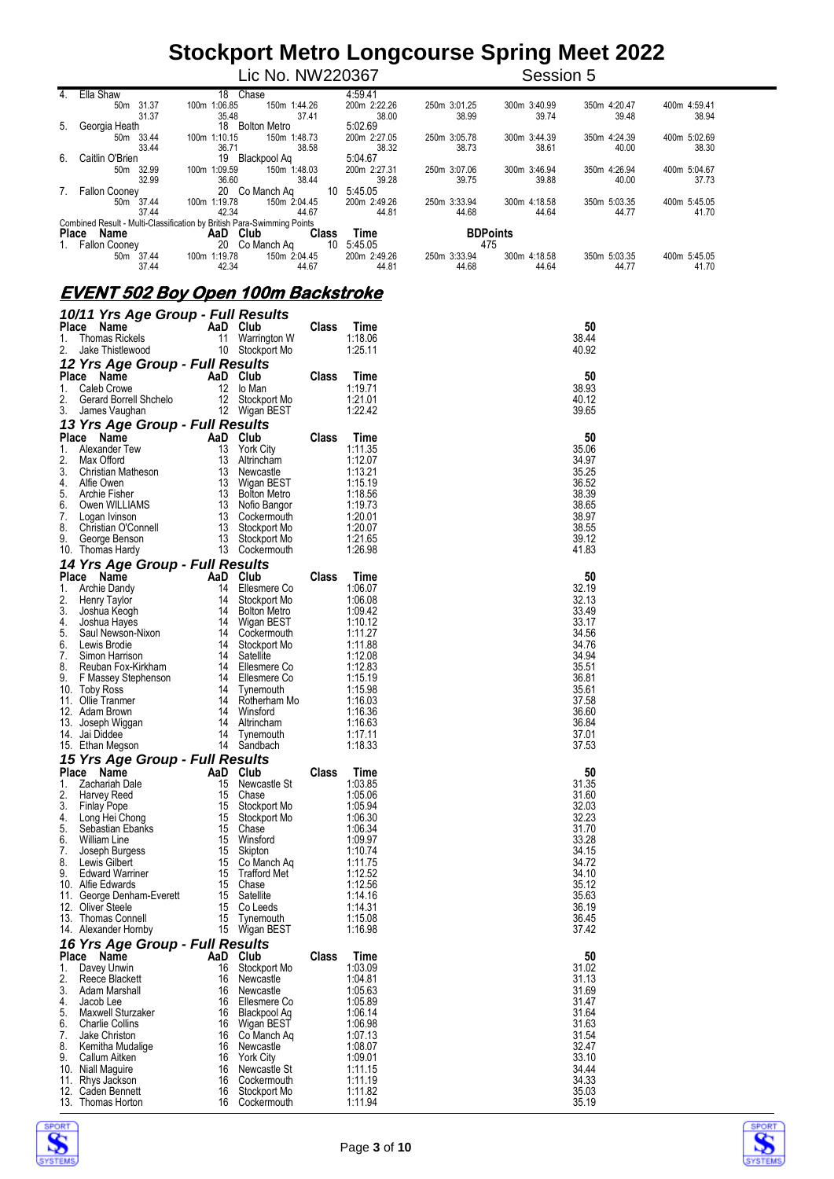|                  |                                                                        |                 | Lic No. NW220367            |              | Session 5       |              |              |              |
|------------------|------------------------------------------------------------------------|-----------------|-----------------------------|--------------|-----------------|--------------|--------------|--------------|
| $\overline{4}$ . | Ella Shaw                                                              | 18 Chase        |                             | 4:59.41      |                 |              |              |              |
|                  | 31.37<br>50m                                                           | 100m 1:06.85    | 150m 1:44.26                | 200m 2:22.26 | 250m 3:01.25    | 300m 3:40.99 | 350m 4:20.47 | 400m 4:59.41 |
|                  | 31.37                                                                  | 35.48           | 37.41                       | 38.00        | 38.99           | 39.74        | 39.48        | 38.94        |
| 5.               | Georgia Heath                                                          | 18              | <b>Bolton Metro</b>         | 5:02.69      |                 |              |              |              |
|                  | 50m<br>33.44                                                           | 1:10.15<br>100m | 150m 1:48.73                | 200m 2:27.05 | 250m 3:05.78    | 300m 3:44.39 | 350m 4:24.39 | 400m 5:02.69 |
|                  | 33.44                                                                  | 36.71           | 38.58                       | 38.32        | 38.73           | 38.61        | 40.00        | 38.30        |
| 6.               | Caitlin O'Brien                                                        | 19              | Blackpool Ag                | 5:04.67      |                 |              |              |              |
|                  | 50m 32.99                                                              | 100m 1:09.59    | 150 <sub>m</sub><br>1:48.03 | 200m 2:27.31 | 250m 3:07.06    | 300m 3:46.94 | 350m 4:26.94 | 400m 5:04.67 |
|                  | 32.99                                                                  | 36.60           | 38.44                       | 39.28        | 39.75           | 39.88        | 40.00        | 37.73        |
| 7.               | <b>Fallon Cooney</b>                                                   | 20 Co Manch Ag  | 10                          | 5:45.05      |                 |              |              |              |
|                  | 50m 37.44                                                              | 1:19.78<br>100m | 150m 2:04.45                | 200m 2:49.26 | 250m 3:33.94    | 300m 4:18.58 | 350m 5:03.35 | 400m 5:45.05 |
|                  | 37.44                                                                  | 42.34           | 44.67                       | 44.81        | 44.68           | 44.64        | 44.77        | 41.70        |
|                  | Combined Result - Multi-Classification by British Para-Swimming Points |                 |                             |              |                 |              |              |              |
|                  | Name<br>Place                                                          | AaD<br>Club     | <b>Class</b>                | Time         | <b>BDPoints</b> |              |              |              |
|                  | <b>Fallon Cooney</b>                                                   | 20 Co Manch Ag  | 10                          | 5:45.05      | 475             |              |              |              |
|                  | 37.44<br>50m                                                           | 100m 1:19.78    | 150m 2:04.45                | 200m 2:49.26 | 250m 3:33.94    | 300m 4:18.58 | 350m 5:03.35 | 400m 5:45.05 |
|                  | 37.44                                                                  | 42.34           | 44.67                       | 44.81        | 44.68           | 44.64        | 44.77        | 41.70        |

#### **EVENT 502 Boy Open 100m Backstroke**

|             | 10/11 Yrs Age Group - Full Results                                                                                                                                                                                                                                          |                |                              |              |                        |                |
|-------------|-----------------------------------------------------------------------------------------------------------------------------------------------------------------------------------------------------------------------------------------------------------------------------|----------------|------------------------------|--------------|------------------------|----------------|
| Place       | Name                                                                                                                                                                                                                                                                        | AaD Club       |                              | <b>Class</b> | Time                   | 50             |
| 1.          | <b>Thomas Rickels</b>                                                                                                                                                                                                                                                       |                | 11 Warrington W              |              | 1:18.06                | 38.44          |
| 2.          | Jake Thistlewood                                                                                                                                                                                                                                                            |                | 10 Stockport Mo              |              | 1:25.11                | 40.92          |
|             | 12 Yrs Age Group - Full Results                                                                                                                                                                                                                                             |                |                              |              |                        |                |
|             | Place<br>Name                                                                                                                                                                                                                                                               | AaD Club       |                              | <b>Class</b> | Time                   | 50             |
| 1.<br>2.    | Caleb Crowe<br>Gerard Borrell Shchelo                                                                                                                                                                                                                                       |                | 12 lo Man<br>12 Stockport Mo |              | 1:19.71<br>1:21.01     | 38.93<br>40.12 |
| 3.          | James Vaughan                                                                                                                                                                                                                                                               |                | 12 Wigan BEST                |              | 1:22.42                | 39.65          |
|             | 13 Yrs Age Group - Full Results                                                                                                                                                                                                                                             |                |                              |              |                        |                |
|             | Place Name                                                                                                                                                                                                                                                                  | AaD Club       |                              | <b>Class</b> | Time                   | 50             |
| 1.          | Alexander Tew                                                                                                                                                                                                                                                               |                | 13 York City                 |              | 1:11.35                | 35.06          |
| 2.          | Max Offord                                                                                                                                                                                                                                                                  | 13             | Altrincham                   |              | 1:12.07                | 34.97          |
| 3.          | Christian Matheson                                                                                                                                                                                                                                                          |                | 13 Newcastle                 |              | 1:13.21                | 35.25          |
| 4.          | Alfie Owen                                                                                                                                                                                                                                                                  |                | 13 Wigan BEST                |              | 1:15.19                | 36.52          |
| 5.          | Archie Fisher                                                                                                                                                                                                                                                               |                |                              |              | 1:18.56                | 38.39          |
| 6.          |                                                                                                                                                                                                                                                                             |                |                              |              | 1:19.73                | 38.65          |
| 8.          | Allie Owen<br>Archie Fisher 13 Wigan BEST<br>Archie Fisher 13 Bolton Metro<br>Cogan Ivinson 13 Cockermouth<br>Christian O'Connell 13 Stockport Mo<br>George Benson 13 Stockport Mo<br>Thomas Hardy 13 Cockermouth<br>7. Logan Ivinson                                       |                |                              |              | 1:20.01<br>1:20.07     | 38.97<br>38.55 |
| 9.          |                                                                                                                                                                                                                                                                             |                |                              |              | 1:21.65                | 39.12          |
|             | 10. Thomas Hardy                                                                                                                                                                                                                                                            |                | 13 Cockermouth               |              | 1:26.98                | 41.83          |
|             | 14 Yrs Age Group - Full Results                                                                                                                                                                                                                                             |                |                              |              |                        |                |
|             | Place Name                                                                                                                                                                                                                                                                  | AaD Club       |                              | <b>Class</b> | Time                   | 50             |
| 1.          | Archie Dandy                                                                                                                                                                                                                                                                |                | 14 Ellesmere Co              |              | 1:06.07                | 32.19          |
| 2.          | Henry Taylor                                                                                                                                                                                                                                                                |                | 14 Stockport Mo              |              | 1:06.08                | 32.13          |
|             |                                                                                                                                                                                                                                                                             |                |                              |              | 1:09.42                | 33.49          |
|             |                                                                                                                                                                                                                                                                             |                |                              |              | 1:10.12                | 33.17          |
|             |                                                                                                                                                                                                                                                                             |                |                              |              | 1:11.27                | 34.56<br>34.76 |
|             |                                                                                                                                                                                                                                                                             |                |                              |              | 1:11.88<br>1:12.08     | 34.94          |
|             |                                                                                                                                                                                                                                                                             |                |                              |              | 1:12.83                | 35.51          |
|             |                                                                                                                                                                                                                                                                             |                |                              |              | 1:15.19                | 36.81          |
|             |                                                                                                                                                                                                                                                                             |                |                              |              | 1:15.98                | 35.61          |
|             |                                                                                                                                                                                                                                                                             |                |                              |              | 1:16.03                | 37.58          |
|             |                                                                                                                                                                                                                                                                             |                |                              |              | 1:16.36                | 36.60          |
|             |                                                                                                                                                                                                                                                                             |                |                              |              | 1:16.63<br>1:17.11     | 36.84<br>37.01 |
|             |                                                                                                                                                                                                                                                                             |                |                              |              | 1:18.33                | 37.53          |
|             |                                                                                                                                                                                                                                                                             |                |                              |              |                        |                |
|             | Henry<br>Joshua Hayes<br>Saul Newson-Nixon<br>Lewis Brodie<br>Saul Newson-Nixon<br>Lewis Brodie<br>Saul Newson-Nixon<br>14 Stockport Mo<br>Simon Harrison<br>14 Staellite<br>Reuban Fox-Kirkham<br>14 Ellesmere Co<br>0. Toby Ross<br>14 Tynemouth<br>1. O<br>Place<br>Name | AaD Club       |                              | <b>Class</b> | Time                   | 50             |
| 1.          | Zachariah Dale                                                                                                                                                                                                                                                              |                | 15 Newcastle St              |              | 1:03.85                | 31.35          |
| 2.          | Harvey Reed                                                                                                                                                                                                                                                                 |                | 15 Chase                     |              | 1:05.06                | 31.60          |
| 3.          | <b>Finlay Pope</b>                                                                                                                                                                                                                                                          |                | 15 Stockport Mo              |              | 1:05.94                | 32.03          |
| 4.          | Long Hei Chong                                                                                                                                                                                                                                                              |                | 15 Stockport Mo              |              | 1:06.30                | 32.23          |
| 5.          | Sebastian Ebanks                                                                                                                                                                                                                                                            |                | 15 Chase                     |              | 1:06.34                | 31.70          |
| 6.<br>7.    | <b>William Line</b>                                                                                                                                                                                                                                                         |                | 15 Winsford<br>15 Skipton    |              | 1:09.97<br>1:10.74     | 33.28<br>34.15 |
| 8.          | Joseph Burgess<br>Lewis Gilbert                                                                                                                                                                                                                                             |                | 15 Co Manch Aq               |              | 1:11.75                | 34.72          |
| 9.          | <b>Edward Warriner</b>                                                                                                                                                                                                                                                      |                | 15 Trafford Met              |              | 1:12.52                | 34.10          |
|             | 10. Alfie Edwards                                                                                                                                                                                                                                                           |                | 15 Chase                     |              | 1:12.56                | 35.12          |
|             | 11. George Denham-Everett                                                                                                                                                                                                                                                   |                | 15 Satellite                 |              | 1:14.16                | 35.63          |
|             | 12. Oliver Steele                                                                                                                                                                                                                                                           |                | 15 Co Leeds                  |              | 1:14.31                | 36.19          |
|             | 13. Thomas Connell                                                                                                                                                                                                                                                          | 15             | Tynemouth                    |              | 1:15.08                | 36.45          |
|             | 14. Alexander Hornby                                                                                                                                                                                                                                                        |                | 15 Wigan BEST                |              | 1:16.98                | 37.42          |
|             | 16 Yrs Age Group - Full Results                                                                                                                                                                                                                                             |                |                              |              |                        |                |
| Place<br>1. | Name<br>Davey Unwin                                                                                                                                                                                                                                                         | AaD Club<br>16 | Stockport Mo                 | <b>Class</b> | <b>Time</b><br>1:03.09 | 50<br>31.02    |
| 2.          | Reece Blackett                                                                                                                                                                                                                                                              | 16             | Newcastle                    |              | 1:04.81                | 31.13          |
| 3.          | Adam Marshall                                                                                                                                                                                                                                                               | 16             | Newcastle                    |              | 1:05.63                | 31.69          |
| 4.          | Jacob Lee                                                                                                                                                                                                                                                                   | 16             | Ellesmere Co                 |              | 1:05.89                | 31.47          |
| 5.          | Maxwell Sturzaker                                                                                                                                                                                                                                                           | 16             | <b>Blackpool Aq</b>          |              | 1:06.14                | 31.64          |
| 6.          | <b>Charlie Collins</b>                                                                                                                                                                                                                                                      | 16             | Wigan BEST                   |              | 1:06.98                | 31.63          |
| 7.<br>8.    | Jake Christon                                                                                                                                                                                                                                                               | 16<br>16       | Co Manch Aq<br>Newcastle     |              | 1:07.13<br>1:08.07     | 31.54<br>32.47 |
| 9.          | Kemitha Mudalige<br>Callum Aitken                                                                                                                                                                                                                                           | 16             | <b>York City</b>             |              | 1:09.01                | 33.10          |
|             | 10. Niall Maguire                                                                                                                                                                                                                                                           | 16             | Newcastle St                 |              | 1:11.15                | 34.44          |
|             | 11. Rhys Jackson                                                                                                                                                                                                                                                            | 16             | Cockermouth                  |              | 1:11.19                | 34.33          |
|             | 12. Caden Bennett                                                                                                                                                                                                                                                           | 16             | Stockport Mo                 |              | 1:11.82                | 35.03          |
|             | 13. Thomas Horton                                                                                                                                                                                                                                                           | 16             | Cockermouth                  |              | 1:11.94                | 35.19          |



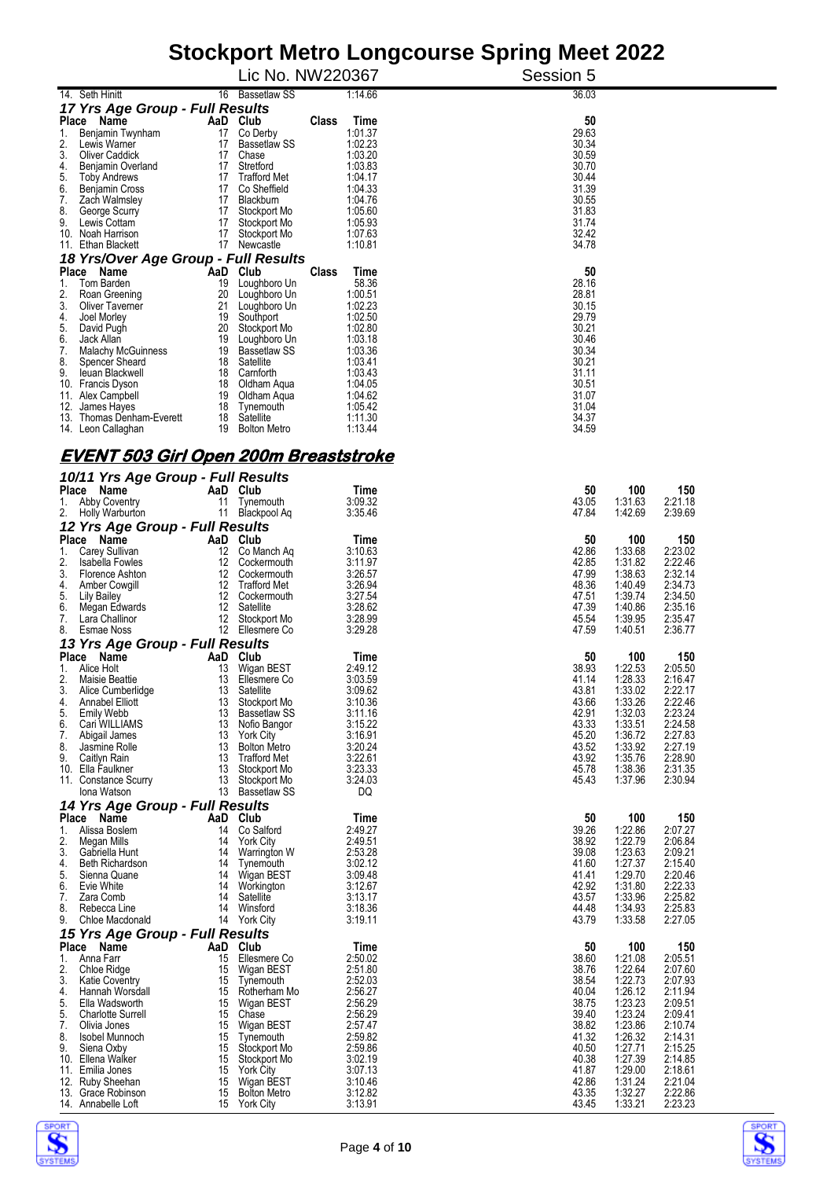| Stockport Metro Longcourse Spring Meet 2022                |                                                 |                          |                                                            |  |  |  |
|------------------------------------------------------------|-------------------------------------------------|--------------------------|------------------------------------------------------------|--|--|--|
|                                                            |                                                 | Lic No. NW220367         | Session 5                                                  |  |  |  |
| 14. Seth Hinitt                                            | 16<br><b>Bassetlaw SS</b>                       | 1:14.66                  | 36.03                                                      |  |  |  |
| 17 Yrs Age Group - Full Results                            |                                                 |                          |                                                            |  |  |  |
| Place Name<br>1.                                           | AaD Club                                        | Class<br>Time<br>1:01.37 | 50<br>29.63                                                |  |  |  |
| Benjamin Twynham<br>2.<br>Lewis Warner                     | 17<br>Co Derby<br>17<br>Bassetlaw SS            | 1:02.23                  | 30.34                                                      |  |  |  |
| 3.<br>Oliver Caddick                                       | 17<br>Chase                                     | 1:03.20                  | 30.59                                                      |  |  |  |
| 4.<br>Benjamin Overland<br>5.<br>Toby Andrews              | 17<br>Stretford<br>17 Trafford Met              | 1:03.83<br>1:04.17       | 30.70<br>30.44                                             |  |  |  |
| 6.<br>Benjamin Cross                                       | 17<br>Co Sheffield                              | 1:04.33                  | 31.39                                                      |  |  |  |
| 7.<br>Zach Walmsley<br>8.<br>George Scurry                 | 17<br>Blackburn<br>17<br>Stockport Mo           | 1:04.76<br>1:05.60       | 30.55<br>31.83                                             |  |  |  |
| 9.<br>Lewis Cottam                                         | 17<br>Stockport Mo                              | 1:05.93                  | 31.74                                                      |  |  |  |
| 10. Noah Harrison                                          | 17<br>Stockport Mo                              | 1:07.63                  | 32.42                                                      |  |  |  |
| 11. Ethan Blackett<br>18 Yrs/Over Age Group - Full Results | 17<br>Newcastle                                 | 1:10.81                  | 34.78                                                      |  |  |  |
| Place Name                                                 | Club<br>AaD                                     | Class<br>Time            | 50                                                         |  |  |  |
| 1.<br>Tom Barden                                           | 19<br>Loughboro Un                              | 58.36                    | 28.16                                                      |  |  |  |
| 2.<br>Roan Greening<br>3.<br><b>Oliver Taverner</b>        | 20<br>Loughboro Un<br>21<br>Loughboro Un        | 1:00.51<br>1:02.23       | 28.81<br>30.15                                             |  |  |  |
| 4.<br>Joel Morley                                          | 19<br>Southport                                 | 1:02.50                  | 29.79                                                      |  |  |  |
| 5.<br>David Pugh<br>6.<br>Jack Allan                       | 20<br>Stockport Mo<br>19                        | 1:02.80<br>1:03.18       | 30.21<br>30.46                                             |  |  |  |
| 7.<br><b>Malachy McGuinness</b>                            | Loughboro Un<br>19<br>Bassetlaw SS              | 1:03.36                  | 30.34                                                      |  |  |  |
| 8.<br>Spencer Sheard                                       | 18<br>Satellite                                 | 1:03.41                  | 30.21                                                      |  |  |  |
| 9.<br>leuan Blackwell<br>10. Francis Dyson                 | 18<br>Camforth<br>18<br>Oldham Aqua             | 1:03.43<br>1:04.05       | 31.11<br>30.51                                             |  |  |  |
| 11. Alex Campbell                                          | 19<br>Oldham Aqua                               | 1:04.62                  | 31.07                                                      |  |  |  |
| 12. James Hayes<br>13. Thomas Denham-Everett               | 18<br>Tynemouth<br>18<br>Satellite              | 1:05.42<br>1:11.30       | 31.04<br>34.37                                             |  |  |  |
| 14. Leon Callaghan                                         | 19<br><b>Bolton Metro</b>                       | 1:13.44                  | 34.59                                                      |  |  |  |
|                                                            |                                                 |                          |                                                            |  |  |  |
| <u>EVENT 503 Girl Open 200m Breaststroke</u>               |                                                 |                          |                                                            |  |  |  |
| 10/11 Yrs Age Group - Full Results                         |                                                 |                          |                                                            |  |  |  |
| Place Name                                                 | AaD Club                                        | Time<br>3:09.32          | 50<br>100<br>150<br>43.05<br>1:31.63<br>2:21.18            |  |  |  |
| Abby Coventry<br>1.<br><b>Holly Warburton</b><br>2.        | 11 Tynemouth<br>11<br>Blackpool Aq              | 3:35.46                  | 47.84<br>1:42.69<br>2:39.69                                |  |  |  |
| 12 Yrs Age Group - Full Results                            |                                                 |                          |                                                            |  |  |  |
| Place Name                                                 | AaD Club                                        | Time                     | 50<br>100<br>150                                           |  |  |  |
| 1.<br>Carey Sullivan<br>2.<br><b>Isabella Fowles</b>       | 12<br>Co Manch Aq<br>12<br>Cockermouth          | 3:10.63<br>3:11.97       | 42.86<br>1:33.68<br>2:23.02<br>42.85<br>1:31.82<br>2:22.46 |  |  |  |
| 3.<br>Florence Ashton                                      | 12<br>Cockermouth                               | 3:26.57                  | 47.99<br>1:38.63<br>2:32.14                                |  |  |  |
| 4.<br>Amber Cowgill<br>5.<br>Lily Bailey                   | 12 Trafford Met<br>12 Cockermouth               | 3:26.94<br>3:27.54       | 48.36<br>1:40.49<br>2:34.73<br>47.51<br>1:39.74<br>2:34.50 |  |  |  |
| 6.<br>Megan Edwards                                        | 12<br>Satellite                                 | 3:28.62                  | 47.39<br>1:40.86<br>2:35.16                                |  |  |  |
| 7.<br>Lara Challinor<br>8.<br>Esmae Noss                   | 12<br>Stockport Mo<br>12 Ellesmere Co           | 3:28.99<br>3:29.28       | 45.54<br>1:39.95<br>2:35.47<br>47.59<br>1:40.51<br>2:36.77 |  |  |  |
| 13 Yrs Age Group - Full Results                            |                                                 |                          |                                                            |  |  |  |
| Place Name                                                 | AaD Club                                        | Time                     | 50<br>100<br>150                                           |  |  |  |
| Alice Holt<br>1.<br>2.                                     | Wigan BEST<br>13                                | 2:49.12<br>3:03.59       | 38.93<br>1:22.53<br>2:05.50<br>41.14<br>1:28.33            |  |  |  |
| Maisie Beattie<br>3.<br>Alice Cumberlidge                  | Ellesmere Co<br>13<br>13<br>Satellite           | 3:09.62                  | 2:16.47<br>43.81<br>1:33.02<br>2:22.17                     |  |  |  |
| 4.<br>Annabel Elliott                                      | 13<br>Stockport Mo                              | 3:10.36                  | 1:33.26<br>2:22.46<br>43.66                                |  |  |  |
| 5.<br><b>Emily Webb</b><br>6.<br>Cari WILLIAMS             | <b>Bassetlaw SS</b><br>13<br>13<br>Nofio Bangor | 3:11.16<br>3:15.22       | 42.91<br>1:32.03<br>2:23.24<br>43.33<br>1:33.51<br>2:24.58 |  |  |  |
| 7.<br>Abigail James                                        | 13<br><b>York City</b>                          | 3:16.91                  | 1:36.72<br>45.20<br>2:27.83                                |  |  |  |
| 8.<br>Jasmine Rolle<br>9.<br>Caitlyn Rain                  | 13<br><b>Bolton Metro</b><br>13<br>Trafford Met | 3:20.24<br>3:22.61       | 43.52<br>1:33.92<br>2:27.19<br>43.92<br>2:28.90<br>1:35.76 |  |  |  |
| 10.<br>Ella Faulkner                                       | 13<br>Stockport Mo                              | 3:23.33                  | 1:38.36<br>2:31.35<br>45.78                                |  |  |  |
| 11. Constance Scurry<br>lona Watson                        | Stockport Mo<br>13<br>13<br><b>Bassetlaw SS</b> | 3:24.03<br>DQ            | 45.43<br>1:37.96<br>2:30.94                                |  |  |  |
| 14 Yrs Age Group - Full Results                            |                                                 |                          |                                                            |  |  |  |
| Place Name                                                 | AaD Club                                        | Time                     | 50<br>150<br>100                                           |  |  |  |
| Alissa Boslem<br>1.                                        | 14<br>Co Salford                                | 2:49.27                  | 39.26<br>2:07.27<br>1:22.86<br>38.92                       |  |  |  |
| 2.<br>Megan Mills<br>3.<br>Gabriella Hunt                  | 14<br><b>York City</b><br>Warrington W<br>14    | 2:49.51<br>2:53.28       | 1:22.79<br>2:06.84<br>39.08<br>1:23.63<br>2:09.21          |  |  |  |
| 4.<br><b>Beth Richardson</b>                               | 14<br>Tynemouth                                 | 3:02.12                  | 41.60<br>1:27.37<br>2:15.40                                |  |  |  |
| 5.<br>Sienna Quane<br>Evie White<br>6.                     | 14<br>Wigan BEST<br>Workington<br>14            | 3:09.48<br>3:12.67       | 41.41<br>1:29.70<br>2:20.46<br>42.92<br>1:31.80<br>2:22.33 |  |  |  |
| 7.<br>Zara Comb                                            | Satellite<br>14                                 | 3:13.17                  | 43.57<br>1:33.96<br>2:25.82                                |  |  |  |
| 8.<br>Rebecca Line<br>Chloe Macdonald<br>9.                | 14<br>Winsford<br>14 York City                  | 3:18.36<br>3:19.11       | 44.48<br>1:34.93<br>2:25.83<br>1:33.58<br>2:27.05<br>43.79 |  |  |  |
| 15 Yrs Age Group - Full Results                            |                                                 |                          |                                                            |  |  |  |
| Place Name                                                 | Club<br>AaD                                     | Time                     | 150<br>50<br>100                                           |  |  |  |
| Anna Farr<br>1.                                            | 15<br>Ellesmere Co                              | 2:50.02                  | 38.60<br>1:21.08<br>2:05.51                                |  |  |  |
| 2.<br>Chloe Ridge<br>3.<br><b>Katie Coventry</b>           | Wigan BEST<br>15<br>15<br>Tynemouth             | 2:51.80<br>2:52.03       | 38.76<br>1:22.64<br>2:07.60<br>38.54<br>1:22.73<br>2:07.93 |  |  |  |
| 4.<br>Hannah Worsdall                                      | 15<br>Rotherham Mo                              | 2:56.27                  | 40.04<br>1:26.12<br>2:11.94                                |  |  |  |
| 5.<br>Ella Wadsworth<br>5.<br><b>Charlotte Surrell</b>     | 15<br>Wigan BEST<br>15<br>Chase                 | 2:56.29<br>2:56.29       | 38.75<br>1:23.23<br>2:09.51<br>39.40<br>1:23.24<br>2:09.41 |  |  |  |
| 7.<br>Olivia Jones                                         | Wigan BEST<br>15                                | 2:57.47                  | 1:23.86<br>38.82<br>2:10.74                                |  |  |  |
| 8.<br>Isobel Munnoch<br>9.                                 | 15<br>Tynemouth                                 | 2:59.82<br>2:59.86       | 41.32<br>1:26.32<br>2:14.31<br>40.50                       |  |  |  |
| Siena Oxby<br>10. Ellena Walker                            | 15<br>Stockport Mo<br>15<br>Stockport Mo        | 3:02.19                  | 1:27.71<br>2:15.25<br>40.38<br>1:27.39<br>2:14.85          |  |  |  |
| 11. Emilia Jones                                           | 15 York City                                    | 3:07.13                  | 41.87<br>1:29.00<br>2:18.61                                |  |  |  |



Grace Robinson<br>Annabelle Loft

14. Annabelle Loft 15 York City 3:13.91 43.45 1:33.21 2:23.23

7. Olivia Jones 15 Wigan BEST 2:57.47 38.82 1:23.86 2:10.74 8. Isobel Munnoch 15 Tynemouth 2:59.82 41.32 1:26.32 2:14.31 9. Siena Oxby 15 Stockport Mo 2:59.86 40.50 1:27.71 2:15.25 10. Ellena Walker 15 Stockport Mo 3:02.19 40.38 1:27.39 2:14.85 11. Emilia Jones 15 York City 3:07.13 41.87 1:29.00 2:18.61 12. Ruby Sheehan 15 Wigan BEST 12. Ruby Sheehan 15 Wigan BEST 12. Ruby Sheehan 15 Wigan BEST 12. Ruby Sheehan 15 Wigan BEST 12. Ruby Sheehan 15 Wigan BEST 13. Grace Robinson 15 Bolton Metro 3:12.82<br>
13. Grace Robinson 15 B

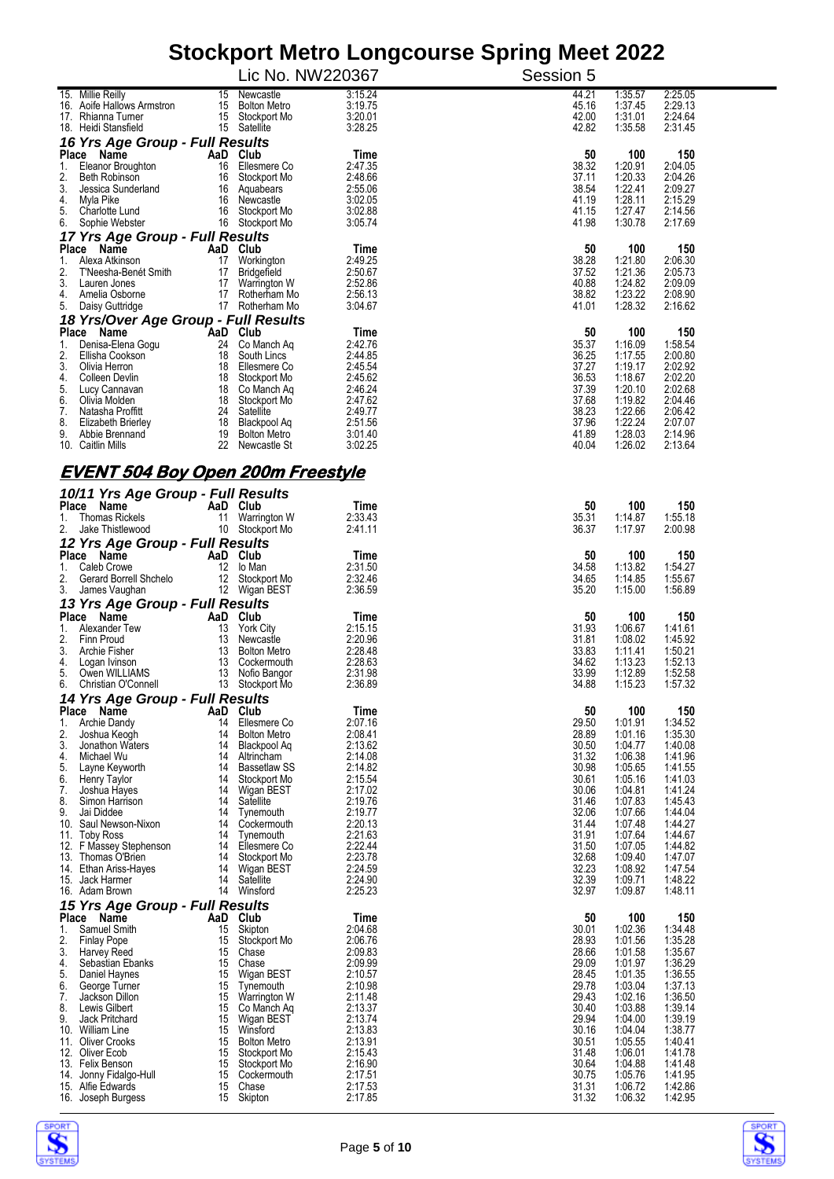|                                                           |          | Lic No. NW220367                    |                    | Session 5      |                    |                    |  |  |  |
|-----------------------------------------------------------|----------|-------------------------------------|--------------------|----------------|--------------------|--------------------|--|--|--|
| 15. Millie Reilly<br>16. Aoife Hallows Armstron           | 15<br>15 | Newcastle<br><b>Bolton Metro</b>    | 3:15.24<br>3:19.75 | 44.21<br>45.16 | 1:35.57<br>1:37.45 | 2:25.05<br>2:29.13 |  |  |  |
| 17. Rhianna Turner                                        |          | 15 Stockport Mo                     | 3:20.01            | 42.00          | 1:31.01            | 2:24.64            |  |  |  |
| 18. Heidi Stansfield<br>16 Yrs Age Group - Full Results   |          | 15 Satellite                        | 3:28.25            | 42.82          | 1:35.58            | 2:31.45            |  |  |  |
| Place Name                                                |          | AaD Club                            | Time               | 50             | 100                | 150                |  |  |  |
| Eleanor Broughton<br>1.<br>2.<br>Beth Robinson            | 16<br>16 | Ellesmere Co<br>Stockport Mo        | 2:47.35<br>2:48.66 | 38.32<br>37.11 | 1:20.91<br>1:20.33 | 2:04.05<br>2:04.26 |  |  |  |
| 3.<br>Jessica Sunderland                                  | 16       | Aquabears                           | 2:55.06<br>3:02.05 | 38.54<br>41.19 | 1:22.41<br>1:28.11 | 2:09.27<br>2:15.29 |  |  |  |
| 4.<br>Myla Pike<br>5.<br>Charlotte Lund                   | 16<br>16 | Newcastle<br>Stockport Mo           | 3:02.88            | 41.15          | 1:27.47            | 2:14.56            |  |  |  |
| 6.<br>Sophie Webster<br>17 Yrs Age Group - Full Results   |          | 16 Stockport Mo                     | 3:05.74            | 41.98          | 1:30.78            | 2:17.69            |  |  |  |
| Place Name                                                |          | AaD Club                            | Time               | 50             | 100                | 150                |  |  |  |
| 1.<br>Alexa Atkinson<br>2.<br>T'Neesha-Benét Smith        | 17<br>17 | Workington<br>Bridgefield           | 2:49.25<br>2:50.67 | 38.28<br>37.52 | 1:21.80<br>1:21.36 | 2:06.30<br>2:05.73 |  |  |  |
| 3.<br>Lauren Jones<br>4.<br>Amelia Osborne                | 17<br>17 | Warrington W<br>Rotherham Mo        | 2:52.86<br>2:56.13 | 40.88<br>38.82 | 1:24.82<br>1:23.22 | 2:09.09<br>2:08.90 |  |  |  |
| 5.<br>Daisy Guttridge                                     | 17       | Rotherham Mo                        | 3:04.67            | 41.01          | 1:28.32            | 2:16.62            |  |  |  |
| 18 Yrs/Over Age Group - Full Results<br>Place Name        | AaD Club |                                     | Time               | 50             | 100                | 150                |  |  |  |
| 1.<br>Denisa-Elena Gogu                                   | 24       | Co Manch Aq                         | 2:42.76            | 35.37          | 1:16.09            | 1:58.54            |  |  |  |
| 2.<br>Ellisha Cookson<br>3.<br>Olivia Herron              | 18<br>18 | South Lincs<br>Ellesmere Co         | 2:44.85<br>2:45.54 | 36.25<br>37.27 | 1:17.55<br>1:19.17 | 2:00.80<br>2:02.92 |  |  |  |
| 4.<br>Colleen Devlin<br>5.<br>Lucy Cannavan               | 18       | Stockport Mo<br>18 Co Manch Aq      | 2:45.62<br>2:46.24 | 36.53<br>37.39 | 1:18.67<br>1:20.10 | 2:02.20<br>2:02.68 |  |  |  |
| 6.<br>Olivia Molden                                       | 18       | Stockport Mo                        | 2:47.62            | 37.68          | 1:19.82            | 2:04.46            |  |  |  |
| 7.<br>Natasha Proffitt<br>8.<br><b>Elizabeth Brierley</b> | 18       | 24 Satellite<br>Blackpool Aq        | 2:49.77<br>2:51.56 | 38.23<br>37.96 | 1:22.66<br>1:22.24 | 2:06.42<br>2:07.07 |  |  |  |
| 9.<br>Abbie Brennand<br>10. Caitlin Mills                 | 19<br>22 | <b>Bolton Metro</b><br>Newcastle St | 3:01.40<br>3:02.25 | 41.89<br>40.04 | 1:28.03<br>1:26.02 | 2:14.96<br>2:13.64 |  |  |  |
|                                                           |          |                                     |                    |                |                    |                    |  |  |  |
| <u>EVENT 504 Boy Open 200m Freestyle</u>                  |          |                                     |                    |                |                    |                    |  |  |  |
| 10/11 Yrs Age Group - Full Results<br>Place Name          |          | AaD Club                            | Time               | 50             | 100                | 150                |  |  |  |
| 1.<br><b>Thomas Rickels</b><br>2.<br>Jake Thistlewood     | 11<br>10 | Warrington W<br>Stockport Mo        | 2:33.43<br>2:41.11 | 35.31<br>36.37 | 1:14.87<br>1:17.97 | 1:55.18<br>2:00.98 |  |  |  |
| 12 Yrs Age Group - Full Results                           |          |                                     |                    |                |                    |                    |  |  |  |
| Place Name                                                |          | AaD Club                            | Time               | 50             | 100                | 150                |  |  |  |
| 1.<br>Caleb Crowe<br>2.<br>Gerard Borrell Shchelo         | 12       | lo Man<br>12 Stockport Mo           | 2:31.50<br>2:32.46 | 34.58<br>34.65 | 1:13.82<br>1:14.85 | 1:54.27<br>1:55.67 |  |  |  |
| 3.<br>James Vaughan<br>13 Yrs Age Group - Full Results    |          | 12 Wigan BEST                       | 2:36.59            | 35.20          | 1:15.00            | 1.56.89            |  |  |  |
| Place<br>Name                                             |          | AaD Club                            | Time               | 50             | 100                | 150                |  |  |  |
| Alexander Tew<br>1.<br>2.<br>Finn Proud                   | 13<br>13 | <b>York City</b><br>Newcastle       | 2:15.15<br>2:20.96 | 31.93<br>31.81 | 1:06.67<br>1:08.02 | 1:41.61<br>1:45.92 |  |  |  |
| 3.<br>Archie Fisher                                       | 13       | <b>Bolton Metro</b>                 | 2:28.48<br>2:28.63 | 33.83          | 1:11.41            | 1:50.21            |  |  |  |
| 4.<br>Logan Ivinson<br>5.<br>Owen WILLIAMS                | 13<br>13 | Cockermouth<br>Nofio Bangor         | 2:31.98            | 34.62<br>33.99 | 1:13.23<br>1:12.89 | 1:52.13<br>1:52.58 |  |  |  |
| 6.<br>Christian O'Connell                                 | 13       | Stockport Mo                        | 2:36.89            | 34.88          | 1:15.23            | 1:57.32            |  |  |  |
| 14 Yrs Age Group - Full Results<br>Place<br>Name          |          | AaD Club                            | Time               | 50             | 100                | 150                |  |  |  |
| Archie Dandy<br>1.<br>2.<br>Joshua Keogh                  | 14<br>14 | Ellesmere Co<br><b>Bolton Metro</b> | 2:07.16<br>2:08.41 | 29.50<br>28.89 | 1:01.91<br>1:01.16 | 1:34.52<br>1:35.30 |  |  |  |
| 3.<br>Jonathon Waters                                     | 14       | Blackpool Aq                        | 2:13.62            | 30.50          | 1:04.77            | 1:40.08            |  |  |  |
| 4.<br>Michael Wu<br>5.<br>Layne Keyworth                  | 14<br>14 | Altrincham<br><b>Bassetlaw SS</b>   | 2:14.08<br>2:14.82 | 31.32<br>30.98 | 1:06.38<br>1:05.65 | 1:41.96<br>1:41.55 |  |  |  |
| 6.<br>Henry Taylor<br>7.<br>Joshua Hayes                  | 14<br>14 | Stockport Mo<br>Wigan BEST          | 2:15.54<br>2:17.02 | 30.61<br>30.06 | 1:05.16<br>1:04.81 | 1:41.03<br>1:41.24 |  |  |  |
| 8.<br>Simon Harrison                                      | 14       | Satellite                           | 2:19.76            | 31.46          | 1:07.83            | 1:45.43            |  |  |  |
| 9.<br>Jai Diddee<br>10. Saul Newson-Nixon                 | 14<br>14 | Tynemouth<br>Cockermouth            | 2:19.77<br>2:20.13 | 32.06<br>31.44 | 1:07.66<br>1:07.48 | 1:44.04<br>1:44.27 |  |  |  |
| 11. Toby Ross<br>12. F Massey Stephenson                  | 14<br>14 | Tynemouth<br>Ellesmere Co           | 2:21.63<br>2:22.44 | 31.91<br>31.50 | 1:07.64<br>1:07.05 | 1:44.67<br>1:44.82 |  |  |  |
| 13. Thomas O'Brien                                        | 14       | Stockport Mo                        | 2:23.78            | 32.68          | 1:09.40            | 1:47.07            |  |  |  |
| 14. Ethan Ariss-Hayes<br>15. Jack Harmer                  | 14<br>14 | Wigan BEST<br>Satellite             | 2:24.59<br>2:24.90 | 32.23<br>32.39 | 1:08.92<br>1:09.71 | 1:47.54<br>1:48.22 |  |  |  |
| 16. Adam Brown                                            | 14       | Winsford                            | 2:25.23            | 32.97          | 1:09.87            | 1:48.11            |  |  |  |
| 15 Yrs Age Group - Full Results<br>Place Name             | AaD      | Club                                | Time               | 50             | 100                | 150                |  |  |  |
| 1.<br>Samuel Smith<br>2.<br><b>Finlay Pope</b>            | 15<br>15 | Skipton<br>Stockport Mo             | 2:04.68<br>2:06.76 | 30.01<br>28.93 | 1:02.36<br>1:01.56 | 1:34.48<br>1:35.28 |  |  |  |
| 3.<br>Harvey Reed                                         | 15       | Chase                               | 2:09.83            | 28.66          | 1:01.58            | 1:35.67            |  |  |  |
| 4.<br>Sebastian Ebanks<br>5.<br>Daniel Haynes             | 15<br>15 | Chase<br>Wigan BEST                 | 2:09.99<br>2:10.57 | 29.09<br>28.45 | 1:01.97<br>1:01.35 | 1:36.29<br>1:36.55 |  |  |  |
| 6.<br>George Turner<br>7.<br>Jackson Dillon               | 15<br>15 | Tynemouth<br>Warrington W           | 2:10.98<br>2:11.48 | 29.78<br>29.43 | 1:03.04<br>1:02.16 | 1:37.13<br>1:36.50 |  |  |  |
| 8.<br>Lewis Gilbert                                       | 15       | Co Manch Aq                         | 2:13.37            | 30.40          | 1:03.88            | 1:39.14            |  |  |  |
| 9.<br>Jack Pritchard<br>10. William Line                  | 15<br>15 | Wigan BEST<br>Winsford              | 2:13.74<br>2:13.83 | 29.94<br>30.16 | 1:04.00<br>1:04.04 | 1:39.19<br>1:38.77 |  |  |  |
| 11. Oliver Crooks<br>12. Oliver Ecob                      | 15<br>15 | <b>Bolton Metro</b><br>Stockport Mo | 2:13.91<br>2:15.43 | 30.51<br>31.48 | 1:05.55<br>1:06.01 | 1:40.41<br>1:41.78 |  |  |  |
| 13. Felix Benson                                          | 15       | Stockport Mo                        | 2:16.90            | 30.64          | 1:04.88            | 1:41.48            |  |  |  |
| 14. Jonny Fidalgo-Hull<br>15. Alfie Edwards               | 15<br>15 | Cockermouth<br>Chase                | 2:17.51<br>2:17.53 | 30.75<br>31.31 | 1:05.76<br>1:06.72 | 1:41.95<br>1:42.86 |  |  |  |
| 16. Joseph Burgess                                        |          | 15 Skipton                          | 2:17.85            | 31.32          | 1:06.32            | 1:42.95            |  |  |  |



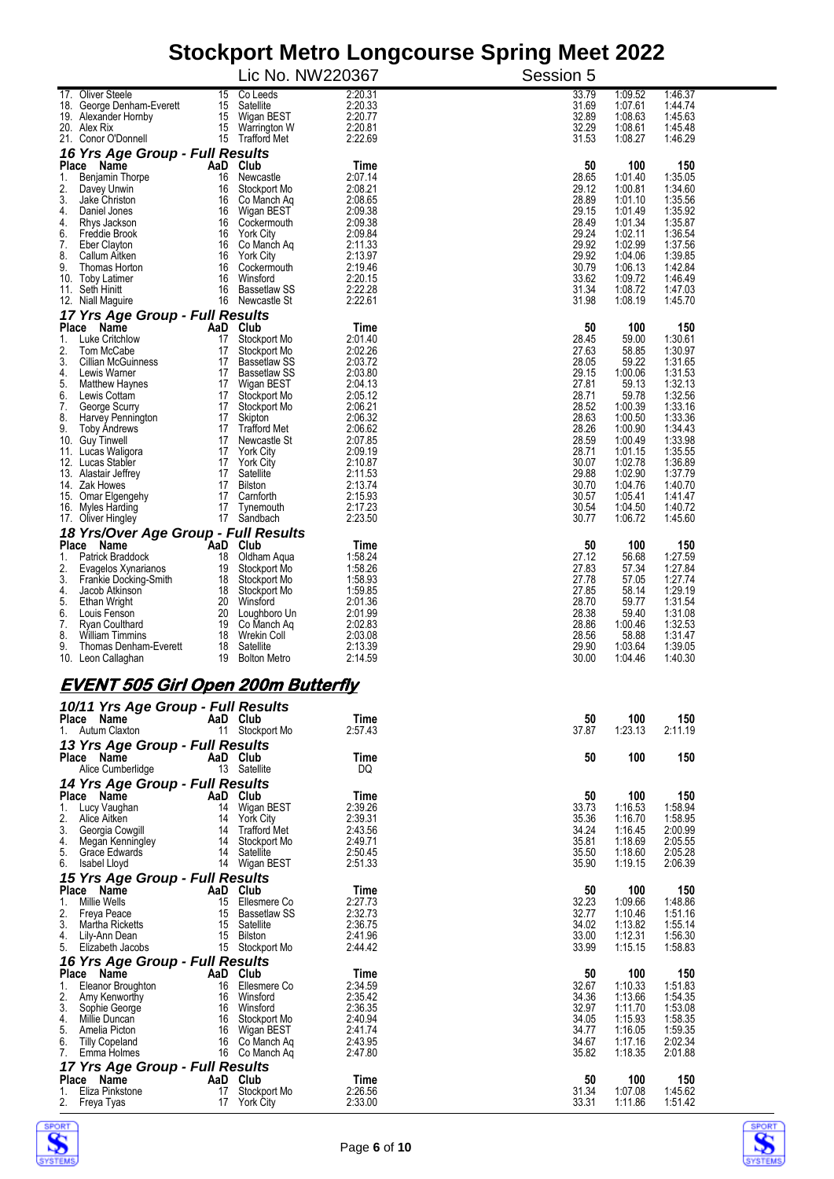|                                                  |           |                                     | otoonport metro Longoodroe opring<br>Lic No. NW220367 | <b>INICAL EAL</b><br>Session 5 |                    |                    |
|--------------------------------------------------|-----------|-------------------------------------|-------------------------------------------------------|--------------------------------|--------------------|--------------------|
| 17. Oliver Steele                                | 15        | Co Leeds                            | 2:20.31                                               | 33.79                          | 1:09.52            | 1:46.37            |
| 18. George Denham-Everett                        | 15        | Satellite                           | 2:20.33                                               | 31.69                          | 1:07.61            | 1:44.74            |
| 19. Alexander Hornby                             | 15        | Wigan BEST                          | 2:20.77                                               | 32.89                          | 1:08.63            | 1:45.63            |
| 20. Alex Rix                                     | 15        | Warrington W                        | 2:20.81                                               | 32.29                          | 1:08.61            | 1:45.48            |
| 21. Conor O'Donnell                              | 15        | Trafford Met                        | 2:22.69                                               | 31.53                          | 1:08.27            | 1:46.29            |
| 16 Yrs Age Group - Full Results                  |           |                                     |                                                       | 50                             |                    |                    |
| Place Name<br>Benjamin Thorpe<br>1.              | AaD<br>16 | Club<br>Newcastle                   | Time<br>2:07.14                                       | 28.65                          | 100<br>1:01.40     | 150<br>1:35.05     |
| 2.<br>Davey Unwin                                | 16        | Stockport Mo                        | 2:08.21                                               | 29.12                          | 1:00.81            | 1:34.60            |
| 3.<br>Jake Christon                              | 16        | Co Manch Aq                         | 2:08.65                                               | 28.89                          | 1:01.10            | 1:35.56            |
| 4.<br>Daniel Jones                               |           | 16 Wigan BEST                       | 2:09.38                                               | 29.15                          | 1:01.49            | 1:35.92            |
| 4.<br>Rhys Jackson<br>6.<br>Freddie Brook        | 16<br>16  | Cockermouth<br><b>York City</b>     | 2:09.38<br>2:09.84                                    | 28.49<br>29.24                 | 1:01.34<br>1:02.11 | 1:35.87<br>1:36.54 |
| 7.<br>Eber Clayton                               | 16        | Co Manch Ag                         | 2:11.33                                               | 29.92                          | 1:02.99            | 1:37.56            |
| 8.<br>Callum Aitken                              | 16        | York City                           | 2:13.97                                               | 29.92                          | 1:04.06            | 1:39.85            |
| 9.<br>Thomas Horton                              | 16        | Cockermouth                         | 2:19.46                                               | 30.79                          | 1:06.13            | 1:42.84            |
| 10. Toby Latimer                                 | 16<br>16  | Winsford<br><b>Bassetlaw SS</b>     | 2:20.15<br>2:22.28                                    | 33.62<br>31.34                 | 1:09.72<br>1:08.72 | 1:46.49            |
| 11. Seth Hinitt<br>12. Niall Maguire             |           | 16 Newcastle St                     | 2:22.61                                               | 31.98                          | 1:08.19            | 1:47.03<br>1:45.70 |
| 17 Yrs Age Group - Full Results                  |           |                                     |                                                       |                                |                    |                    |
| Place Name                                       |           | AaD Club                            | Time                                                  | 50                             | 100                | 150                |
| 1.<br>Luke Critchlow                             | 17        | Stockport Mo                        | 2:01.40                                               | 28.45                          | 59.00              | 1:30.61            |
| 2.<br>Tom McCabe                                 | 17        | Stockport Mo                        | 2:02.26                                               | 27.63                          | 58.85              | 1:30.97            |
| 3.<br>Cillian McGuinness<br>4.<br>Lewis Warner   | 17<br>17  | <b>Bassetlaw SS</b><br>Bassetlaw SS | 2:03.72<br>2:03.80                                    | 28.05<br>29.15                 | 59.22<br>1:00.06   | 1:31.65<br>1:31.53 |
| 5.<br>Matthew Haynes                             | 17        | Wigan BEST                          | 2:04.13                                               | 27.81                          | 59.13              | 1:32.13            |
| 6.<br>Lewis Cottam                               | 17        | Stockport Mo                        | 2:05.12                                               | 28.71                          | 59.78              | 1:32.56            |
| 7.<br>George Scurry                              | 17        | Stockport Mo                        | 2:06.21                                               | 28.52                          | 1:00.39            | 1:33.16            |
| 8.<br>Harvey Pennington<br>9.<br>Toby Ándrews    | 17<br>17  | Skipton<br><b>Trafford Met</b>      | 2:06.32<br>2:06.62                                    | 28.63<br>28.26                 | 1:00.50<br>1:00.90 | 1:33.36<br>1:34.43 |
| 10. Guy Tinwell                                  | 17        | Newcastle St                        | 2:07.85                                               | 28.59                          | 1:00.49            | 1:33.98            |
| 11. Lucas Waligora                               | 17        | <b>York City</b>                    | 2:09.19                                               | 28.71                          | 1:01.15            | 1:35.55            |
| 12. Lucas Stabler                                | 17        | <b>York City</b>                    | 2:10.87                                               | 30.07                          | 1:02.78            | 1:36.89            |
| 13. Alastair Jeffrey<br>14. Zak Howes            | 17<br>17  | Satellite<br><b>Bilston</b>         | 2:11.53<br>2:13.74                                    | 29.88<br>30.70                 | 1:02.90<br>1:04.76 | 1:37.79<br>1:40.70 |
| 15. Omar Elgengehy                               | 17        | Camforth                            | 2:15.93                                               | 30.57                          | 1:05.41            | 1:41.47            |
| 16. Myles Harding                                | 17        | Tynemouth                           | 2:17.23                                               | 30.54                          | 1:04.50            | 1:40.72            |
| 17. Oliver Hingley                               | 17        | Sandbach                            | 2:23.50                                               | 30.77                          | 1:06.72            | 1:45.60            |
| 18 Yrs/Over Age Group - Full Results             |           |                                     |                                                       |                                |                    |                    |
| Place Name<br>Patrick Braddock                   | AaD       | Club                                | Time                                                  | 50                             | 100                | 150                |
| 1.<br>2.<br>Evagelos Xynarianos                  | 18<br>19  | Oldham Aqua<br>Stockport Mo         | 1:58.24<br>1:58.26                                    | 27.12<br>27.83                 | 56.68<br>57.34     | 1:27.59<br>1:27.84 |
| 3.<br>Frankie Docking-Smith                      | 18        | Stockport Mo                        | 1:58.93                                               | 27.78                          | 57.05              | 1:27.74            |
| 4.<br>Jacob Atkinson                             | 18        | Stockport Mo                        | 1:59.85                                               | 27.85                          | 58.14              | 1:29.19            |
| 5.<br>Ethan Wright                               | 20        | Winsford                            | 2:01.36                                               | 28.70                          | 59.77              | 1:31.54            |
| 6.<br>Louis Fenson<br>7.<br>Ryan Coulthard       | 20<br>19  | Loughboro Un<br>Co Manch Aq         | 2:01.99<br>2:02.83                                    | 28.38<br>28.86                 | 59.40<br>1:00.46   | 1:31.08<br>1:32.53 |
| 8.<br><b>William Timmins</b>                     | 18        | Wrekin Coll                         | 2:03.08                                               | 28.56                          | 58.88              | 1:31.47            |
| 9.<br>Thomas Denham-Everett                      | 18        | Satellite                           | 2:13.39                                               | 29.90                          | 1:03.64            | 1:39.05            |
| 10. Leon Callaghan                               | 19        | <b>Bolton Metro</b>                 | 2:14.59                                               | 30.00                          | 1:04.46            | 1:40.30            |
|                                                  |           |                                     |                                                       |                                |                    |                    |
| <u>EVENT 505 Girl Open 200m Butterfly</u>        |           |                                     |                                                       |                                |                    |                    |
| 10/11 Yrs Age Group - Full Results<br>Place Name |           | AaD Club                            | Time                                                  | 50                             | 100                | 150                |
| 1.<br>Autum Claxton                              |           | 11 Stockport Mo                     | 2:57.43                                               | 37.87                          | 1:23.13            | 2:11.19            |
| 13 Yrs Age Group - Full Results                  |           |                                     |                                                       |                                |                    |                    |
| Place Name                                       |           | AaD Club                            | Time                                                  | 50                             | 100                | 150                |
| Alice Cumberlidge                                |           | 13 Satellite                        | DQ                                                    |                                |                    |                    |
| 14 Yrs Age Group - Full Results                  |           |                                     |                                                       |                                |                    |                    |
| Place Name                                       |           | AaD Club                            | Time                                                  | 50                             | 100                | 150                |
| Lucy Vaughan<br>1.<br>2.<br>Alice Aitken         | 14        | Wigan BEST                          | 2:39.26                                               | 33.73                          | 1:16.53            | 1:58.94            |
| 3.<br>Georgia Cowgill                            | 14<br>14  | York City<br><b>Trafford Met</b>    | 2:39.31<br>2:43.56                                    | 35.36<br>34.24                 | 1:16.70<br>1:16.45 | 1:58.95<br>2:00.99 |
| 4.<br>Megan Kenningley                           | 14        | Stockport Mo                        | 2:49.71                                               | 35.81                          | 1:18.69            | 2:05.55            |
| 5.<br>Grace Edwards                              | 14        | Satellite                           | 2:50.45                                               | 35.50                          | 1:18.60            | 2:05.28            |
| 6.<br>Isabel Lloyd                               |           | 14 Wigan BEST                       | 2:51.33                                               | 35.90                          | 1:19.15            | 2:06.39            |
| 15 Yrs Age Group - Full Results                  |           |                                     |                                                       |                                |                    |                    |
| Place Name<br><b>Millie Wells</b><br>1.          | AaD<br>15 | Club<br>Ellesmere Co                | Time<br>2:27.73                                       | 50<br>32.23                    | 100<br>1:09.66     | 150<br>1:48.86     |
| 2.<br>Freya Peace                                | 15        | <b>Bassetlaw SS</b>                 | 2:32.73                                               | 32.77                          | 1:10.46            | 1:51.16            |
| 3.<br>Martha Ricketts                            | 15        | Satellite                           | 2:36.75                                               | 34.02                          | 1:13.82            | 1:55.14            |
| 4.<br>Lily-Ann Dean                              | 15        | Bilston                             | 2:41.96                                               | 33.00                          | 1:12.31            | 1:56.30            |
| 5.<br>Elizabeth Jacobs                           |           | 15 Stockport Mo                     | 2:44.42                                               | 33.99                          | 1:15.15            | 1:58.83            |
| 16 Yrs Age Group - Full Results                  |           |                                     |                                                       |                                |                    |                    |
| Place Name<br>Eleanor Broughton<br>1.            | AaD<br>16 | Club<br>Ellesmere Co                | Time<br>2:34.59                                       | 50<br>32.67                    | 100<br>1:10.33     | 150<br>1:51.83     |
| 2.<br>Amy Kenworthy                              | 16        | Winsford                            | 2:35.42                                               | 34.36                          | 1:13.66            | 1:54.35            |
| 3.<br>Sophie George                              | 16        | Winsford                            | 2:36.35                                               | 32.97                          | 1:11.70            | 1:53.08            |
| 4.<br>Millie Duncan                              | 16        | Stockport Mo                        | 2:40.94                                               | 34.05                          | 1:15.93            | 1:58.35            |
| 5.<br>Amelia Picton<br>6.                        | 16        | Wigan BEST                          | 2:41.74                                               | 34.77                          | 1:16.05            | 1:59.35            |
| <b>Tilly Copeland</b><br>7.<br>Emma Holmes       | 16<br>16  | Co Manch Ag<br>Co Manch Aq          | 2:43.95<br>2:47.80                                    | 34.67<br>35.82                 | 1:17.16<br>1:18.35 | 2:02.34<br>2:01.88 |
| 17 Yrs Age Group - Full Results                  |           |                                     |                                                       |                                |                    |                    |
| Place Name                                       | AaD       | Club                                | Time                                                  | 50                             | 100                | 150                |
| Eliza Pinkstone<br>1.                            | 17        | Stockport Mo                        | 2:26.56                                               | 31.34                          | 1:07.08            | 1:45.62            |
| 2.<br>Freya Tyas                                 | 17        | <b>York City</b>                    | 2:33.00                                               | 33.31                          | 1:11.86            | 1:51.42            |



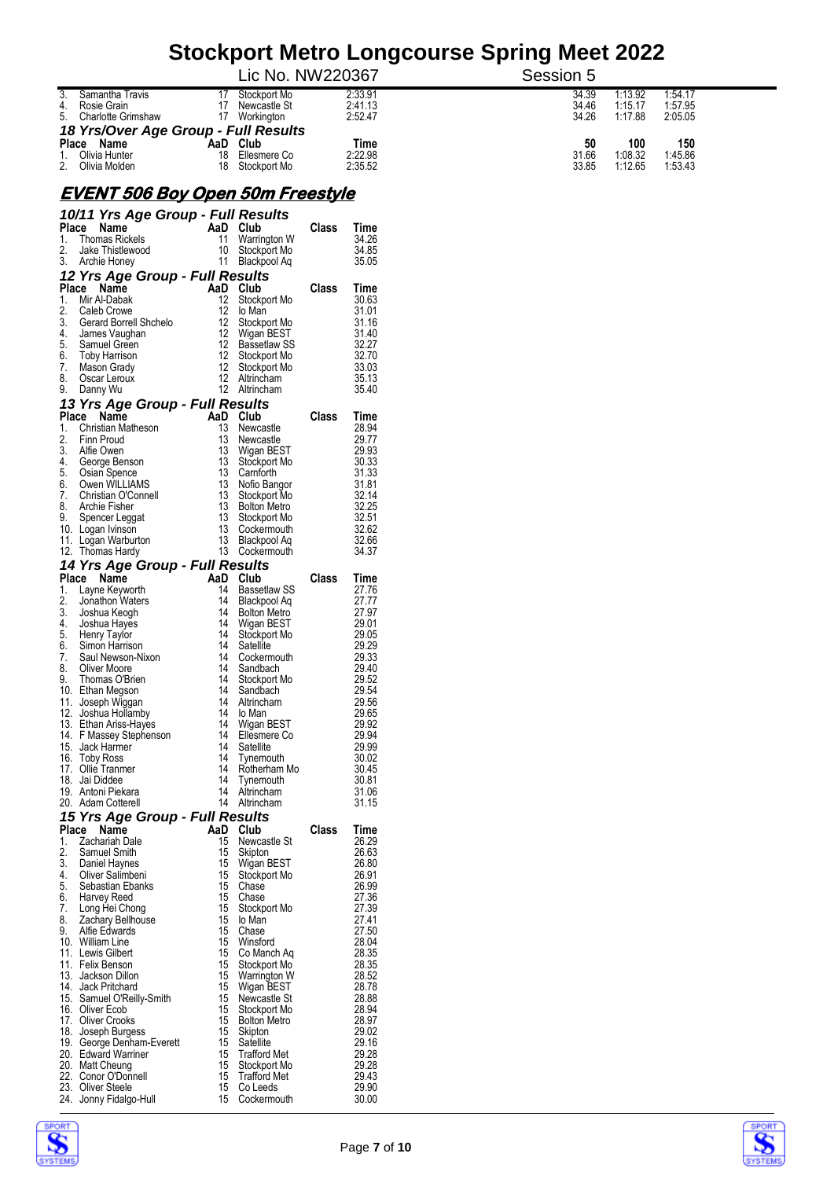|                                         |                   | Lic No. NW220367             |                        | Session 5      |                    |                    |
|-----------------------------------------|-------------------|------------------------------|------------------------|----------------|--------------------|--------------------|
| 3.<br>Samantha Travis<br>4. Rosie Grain |                   | Stockport Mo<br>Newcastle St | 2:33.91<br>2:41.13     | 34.39<br>34.46 | 1:13.92<br>1:15.17 | 1:54.17<br>1:57.95 |
| 5. Charlotte Grimshaw                   |                   | Workington                   | 2:52.47                | 34.26          | 1:17.88            | 2:05.05            |
| 18 Yrs/Over Age Group - Full Results    |                   |                              |                        |                |                    |                    |
| <b>Place</b><br>Name<br>Olivia Hunter   | Club<br>AaD<br>18 | Ellesmere Co                 | <b>Time</b><br>2:22.98 | 50<br>31.66    | 100<br>1:08.32     | 150<br>1:45.86     |
| 2.<br>Olivia Molden                     | 18                | Stockport Mo                 | 2:35.52                | 33.85          | 1:12.65            | 1:53.43            |

#### **EVENT 506 Boy Open 50m Freestyle**

|            | 10/11 Yrs Age Group - Full Results        |     |          |                                     |       |                |
|------------|-------------------------------------------|-----|----------|-------------------------------------|-------|----------------|
| Place      | Name<br>$rac{1}{\sqrt{2}}$                |     |          | AaD Club                            | Class | Time           |
| 1.<br>2.   | <b>Thomas Rickels</b><br>Jake Thistlewood |     | 11<br>10 | Warrington W                        |       | 34.26<br>34.85 |
| 3.         | Archie Honey                              |     | 11       | Stockport Mo<br>Blackpool Aq        |       | 35.05          |
|            | 12 Yrs Age Group - Full Results           |     |          |                                     |       |                |
| Place      | Name                                      |     |          | AaD Club                            | Class | Time           |
| 1.         | Mir Al-Dabak                              |     | 12       | Stockport Mo                        |       | 30.63          |
| 2.         | Caleb Crowe                               |     | 12       | lo Man                              |       | 31.01          |
| 3.         | Gerard Borrell Shchelo                    |     | 12       | Stockport Mo                        |       | 31.16          |
| 4.         | James Vaughan                             |     | 12       | Wigan BEST                          |       | 31.40          |
| 5.         | Samuel Green                              |     | 12<br>12 | Bassetlaw SS                        |       | 32.27          |
| 6.<br>7.   | <b>Toby Harrison</b><br>Mason Grady       |     | 12       | Stockport Mo<br>Stockport Mo        |       | 32.70<br>33.03 |
| 8.         | Oscar Leroux                              |     | 12       | Altrincham                          |       | 35.13          |
| 9.         | Danny Wu                                  |     | 12       | Altrincham                          |       | 35.40          |
|            | 13 Yrs Age Group - Full Results           |     |          |                                     |       |                |
|            | Place<br>Name                             |     |          | AaD Club                            | Class | Time           |
| 1.         | Christian Matheson                        |     | 13       | Newcastle                           |       | 28.94          |
| 2.         | Finn Proud                                |     | 13       | Newcastle                           |       | 29.77          |
| 3.         | Alfie Owen                                |     | 13       | Wigan BEST                          |       | 29.93          |
| 4.         | George Benson                             |     | 13       | Stockport Mo                        |       | 30.33          |
| 5.<br>6.   | Osian Spence<br>Owen WILLIAMS             |     | 13<br>13 | Carnforth                           |       | 31.33<br>31.81 |
| 7.         | Christian O'Connell                       |     | 13       | Nofio Bangor<br>Stockport Mo        |       | 32.14          |
| 8.         | Archie Fisher                             |     | 13       | <b>Bolton Metro</b>                 |       | 32.25          |
| 9.         | Spencer Leggat                            |     | 13       | Stockport Mo                        |       | 32.51          |
|            | 10. Logan Ivinson                         |     | 13       | Cockermouth                         |       | 32.62          |
|            | 11. Logan Warburton                       |     | 13       | Blackpool Aq                        |       | 32.66          |
|            | 12. Thomas Hardy                          |     | 13       | Cockermouth                         |       | 34.37          |
|            | 14 Yrs Age Group - Full Results           |     |          |                                     |       |                |
| Place      | Name                                      | AaD |          | Club                                | Class | Time           |
|            | 1. Layne Keyworth                         |     | 14<br>14 | <b>Bassetlaw SS</b>                 |       | 27.76          |
| 2.<br>3.   | Jonathon Waters<br>Joshua Keogh           |     | 14       | Blackpool Aq<br><b>Bolton Metro</b> |       | 27.77<br>27.97 |
| 4.         | Joshua Hayes                              |     | 14       | Wigan BEST                          |       | 29.01          |
| 5.         | <b>Henry Taylor</b>                       |     | 14       | Stockport Mo                        |       | 29.05          |
| 6.         | Simon Harrison                            |     | 14       | Satellite                           |       | 29.29          |
| 7.         | Saul Newson-Nixon                         |     | 14       | Cockermouth                         |       | 29.33          |
| 8.         | Oliver Moore                              |     | 14       | Sandbach                            |       | 29.40          |
| 9.         | Thomas O'Brien                            |     | 14       | Stockport Mo                        |       | 29.52          |
|            | 10. Ethan Megson<br>11. Joseph Wiggan     |     | 14<br>14 | Sandbach<br>Altrincham              |       | 29.54<br>29.56 |
|            | 12. Joshua Hollamby                       |     | 14       | lo Man                              |       | 29.65          |
| 13.        | Ethan Ariss-Hayes                         |     | 14       | Wigan BEST                          |       | 29.92          |
|            | 14. F Massey Stephenson                   |     | 14       | Ellesmere Co                        |       | 29.94          |
|            | 15. Jack Harmer                           |     | 14       | Satellite                           |       | 29.99          |
| 16.        | <b>Toby Ross</b>                          |     | 14       | Tynemouth                           |       | 30.02          |
| 17.        | Ollie Tranmer<br>18. Jai Diddee           |     | 14<br>14 | Rotherham Mo<br>Tynemouth           |       | 30.45<br>30.81 |
|            | 19. Antoni Piekara                        |     | 14       | Altrincham                          |       | 31.06          |
|            | 20. Adam Cotterell                        |     | 14       | Altrincham                          |       | 31.15          |
|            | 15 Yrs Age Group - Full Results           |     |          |                                     |       |                |
| Place      | Name                                      | AaD |          | Club                                | Class | <b>Time</b>    |
| 1.         | Zachariah Dale                            |     | 15       | Newcastle St                        |       | 26.29          |
| 2.         | Samuel Smith                              |     | 15       | Skipton                             |       | 26.63          |
| 3.         | Daniel Haynes                             |     | 15       | Wigan BEST                          |       | 26.80          |
| 4.         | Oliver Salimbeni                          |     | 15       | Stockport Mo                        |       | 26.91          |
| 5.<br>6.   | Sebastian Ebanks<br>Harvey Reed           |     | 15<br>15 | Chase<br>Chase                      |       | 26.99<br>27.36 |
| 7.         | Long Hei Chong                            |     | 15       | Stockport Mo                        |       | 27.39          |
| 8.         | Zachary Bellhouse                         |     | 15       | lo Man                              |       | 27.41          |
| 9.         | Alfie Edwards                             |     | 15       | Chase                               |       | 27.50          |
|            | 10. William Line                          |     | 15       | Winsford                            |       | 28.04          |
| 11.        | Lewis Gilbert                             |     | 15       | Co Manch Aq                         |       | 28.35          |
| 11.        | Felix Benson                              |     | 15       | Stockport Mo                        |       | 28.35          |
| 13.<br>14. | Jackson Dillon<br>Jack Pritchard          |     | 15<br>15 | Warrington W<br>Wigan BEST          |       | 28.52<br>28.78 |
| 15.        | Samuel O'Reilly-Smith                     |     | 15       | Newcastle St                        |       | 28.88          |
| 16.        | Oliver Ecob                               |     | 15       | Stockport Mo                        |       | 28.94          |
| 17.        | <b>Oliver Crooks</b>                      |     | 15       | Bolton Metro                        |       | 28.97          |
| 18.        | Joseph Burgess                            |     | 15       | Skipton                             |       | 29.02          |
| 19.        | George Denham-Everett                     |     | 15       | Satellite                           |       | 29.16          |
| 20.        | <b>Edward Warriner</b>                    |     | 15       | <b>Trafford Met</b>                 |       | 29.28          |
| 20.        | Matt Cheung<br>22. Conor O'Donnell        |     | 15<br>15 | Stockport Mo<br>Trafford Met        |       | 29.28<br>29.43 |
| 23.        | <b>Oliver Steele</b>                      |     | 15       | Co Leeds                            |       | 29.90          |
|            | 24. Jonny Fidalgo-Hull                    |     | 15       | Cockermouth                         |       | 30.00          |



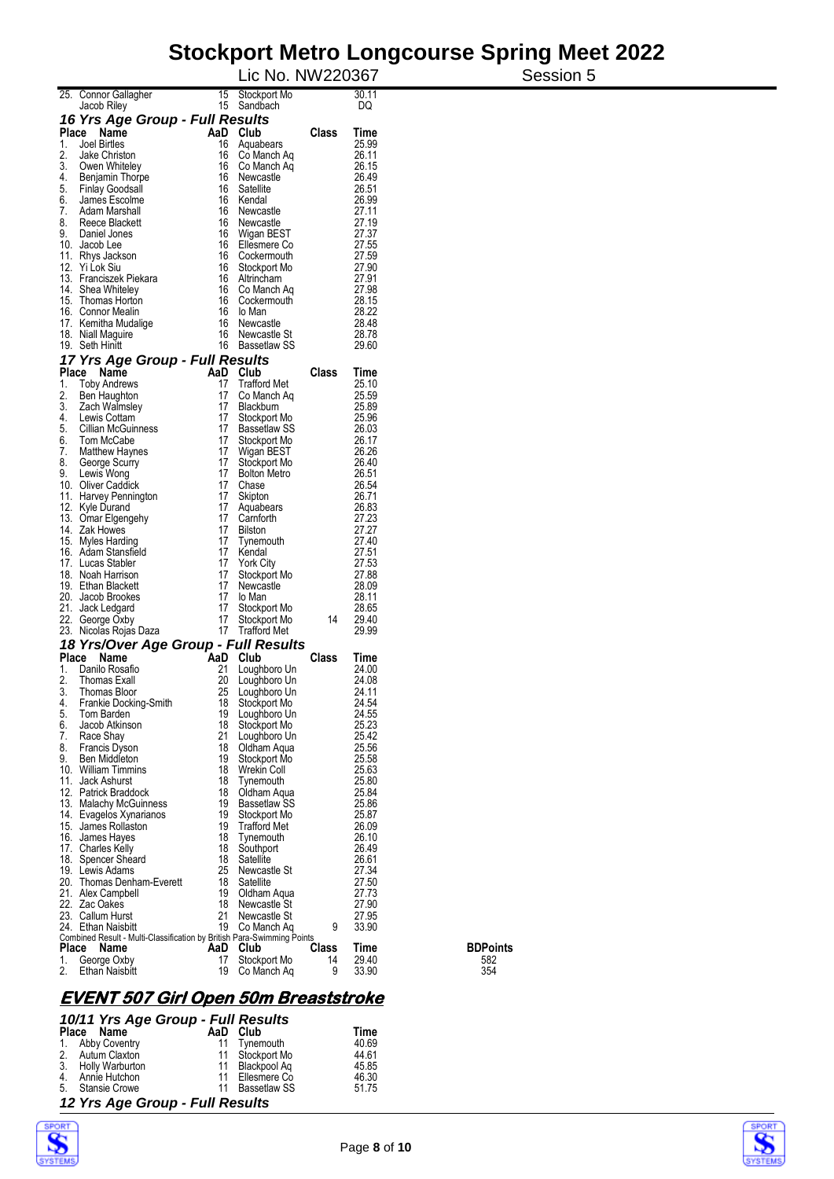#### **Stockport Metro Longcourse Spring Meet 2022**  Session 5

|              |                                                                                              |          | Lic No. NW220367                   |       |                |             |
|--------------|----------------------------------------------------------------------------------------------|----------|------------------------------------|-------|----------------|-------------|
|              | 25. Connor Gallagher                                                                         | 15       | Stockport Mo                       |       | 30.11          |             |
|              | Jacob Riley                                                                                  | 15       | Sandbach                           |       | DQ             |             |
| Place        | 16 Yrs Age Group - Full Results<br>Name                                                      | AaD      | Club                               | Class | Time           |             |
| 1.           | Joel Birtles                                                                                 | 16       | Aquabears                          |       | 25.99          |             |
| 2.           | Jake Christon                                                                                | 16       | Co Manch Aq                        |       | 26.11          |             |
| 3.<br>4.     | Owen Whiteley                                                                                | 16<br>16 | Co Manch Aq<br>Newcastle           |       | 26.15<br>26.49 |             |
| 5.           | Benjamin Thorpe<br>Finlay Goodsall                                                           | 16       | Satellite                          |       | 26.51          |             |
| 6.           | James Escolme                                                                                | 16       | Kendal                             |       | 26.99          |             |
| 7.           | Adam Marshall                                                                                | 16       | Newcastle                          |       | 27.11          |             |
| 8.<br>9.     | Reece Blackett<br>Daniel Jones                                                               | 16<br>16 | Newcastle<br>Wigan BEST            |       | 27.19<br>27.37 |             |
|              | 10. Jacob Lee                                                                                | 16       | Ellesmere Co                       |       | 27.55          |             |
|              | 11. Rhys Jackson                                                                             |          | 16 Cockermouth                     |       | 27.59          |             |
|              | 12. Yi Lok Siu<br>13. Franciszek Piekara                                                     | 16<br>16 | Stockport Mo<br>Altrincham         |       | 27.90<br>27.91 |             |
|              | 14. Shea Whiteley                                                                            | 16       | Co Manch Aq                        |       | 27.98          |             |
|              | 15. Thomas Horton                                                                            | 16       | Cockermouth                        |       | 28.15          |             |
|              | 16. Connor Mealin<br>17. Kemitha Mudalige                                                    | 16<br>16 | lo Man<br>Newcastle                |       | 28.22<br>28.48 |             |
|              | 18. Niall Maguire                                                                            | 16       | Newcastle St                       |       | 28.78          |             |
|              | 19. Seth Hinitt                                                                              | 16       | Bassetlaw SS                       |       | 29.60          |             |
|              | 17 Yrs Age Group - Full Results                                                              |          |                                    |       |                |             |
| Place        | Name                                                                                         | AaD      | Club                               | Class | Time           |             |
| 1.<br>2.     | <b>Toby Andrews</b><br>Ben Haughton                                                          | 17<br>17 | <b>Trafford Met</b><br>Co Manch Aq |       | 25.10<br>25.59 |             |
| 3.           | Zach Walmsley                                                                                | 17       | <b>Blackburn</b>                   |       | 25.89          |             |
| 4.           | Lewis Cottam                                                                                 | 17       | Stockport Mo                       |       | 25.96          |             |
| 5.<br>6.     | Cillian McGuinness<br>Tom McCabe                                                             | 17<br>17 | Bassetlaw SS<br>Stockport Mo       |       | 26.03<br>26.17 |             |
| 7.           | Matthew Haynes                                                                               | 17       | Wigan BEST                         |       | 26.26          |             |
| 8.           | George Scurry                                                                                | 17       | Stockport Mo                       |       | 26.40          |             |
| 9.           | Lewis Wong                                                                                   | 17<br>17 | <b>Bolton Metro</b>                |       | 26.51          |             |
|              | 10. Oliver Caddick<br>11. Harvey Pennington                                                  | 17       | Chase<br>Skipton                   |       | 26.54<br>26.71 |             |
|              | 12. Kyle Durand                                                                              | 17       | Aquabears                          |       | 26.83          |             |
|              | 13. Omar Elgengehy                                                                           | 17       | Camforth                           |       | 27.23          |             |
|              | 14. Zak Howes<br>15. Myles Harding                                                           | 17<br>17 | <b>Bilston</b><br>Tynemouth        |       | 27.27<br>27.40 |             |
|              | 16. Adam Stansfield                                                                          | 17       | Kendal                             |       | 27.51          |             |
|              | 17. Lucas Stabler                                                                            | 17       | <b>York City</b>                   |       | 27.53          |             |
|              | 18. Noah Harrison<br>19. Ethan Blackett                                                      | 17<br>17 | Stockport Mo<br>Newcastle          |       | 27.88<br>28.09 |             |
|              | 20. Jacob Brookes                                                                            | 17       | lo Man                             |       | 28.11          |             |
|              | 21. Jack Ledgard                                                                             | 17       | Stockport Mo                       |       | 28.65          |             |
|              | 22. George Oxby                                                                              | 17       | Stockport Mo<br>17 Trafford Met    | 14    | 29.40<br>29.99 |             |
|              | 23. Nicolas Rojas Daza<br>18 Yrs/Over Age Group - Full Results                               |          |                                    |       |                |             |
| <b>Place</b> | Name                                                                                         | AaD      | Club                               | Class | Time           |             |
| 1.           | Danilo Rosafio                                                                               | 21       | Loughboro Un                       |       | 24.00          |             |
| 2.           | Thomas Exall                                                                                 | 20       | Loughboro Un                       |       | 24.08          |             |
| 3.<br>4.     | Thomas Bloor<br>Frankie Docking-Smith                                                        | 25<br>18 | Loughboro Un<br>Stockport Mo       |       | 24.11<br>24.54 |             |
| 5.           | Tom Barden                                                                                   | 19       | Loughboro Un                       |       | 24.55          |             |
| 6.           | Jacob Atkinson                                                                               | 18       | Stockport Mo                       |       | 25.23          |             |
| 7.<br>8.     | Race Shay<br>Francis Dyson                                                                   | 21<br>18 | Loughboro Un<br>Oldham Aqua        |       | 25.42<br>25.56 |             |
| 9.           | Ben Middleton                                                                                | 19       | Stockport Mo                       |       | 25.58          |             |
|              | 10. William Timmins                                                                          | 18       | Wrekin Coll                        |       | 25.63          |             |
|              | 11. Jack Ashurst<br>12. Patrick Braddock                                                     | 18<br>18 | Tynemouth<br>Oldham Aqua           |       | 25.80<br>25.84 |             |
|              | 13. Malachy McGuinness                                                                       | 19       | Bassetlaw SS                       |       | 25.86          |             |
|              | 14. Evagelos Xynarianos                                                                      | 19       | Stockport Mo                       |       | 25.87          |             |
|              | 15. James Rollaston<br>16. James Hayes                                                       | 19<br>18 | <b>Trafford Met</b><br>Tynemouth   |       | 26.09<br>26.10 |             |
|              | 17. Charles Kelly                                                                            | 18       | Southport                          |       | 26.49          |             |
|              | 18. Spencer Sheard                                                                           | 18       | Satellite                          |       | 26.61          |             |
|              | 19. Lewis Adams                                                                              | 25       | Newcastle St                       |       | 27.34          |             |
|              | 20. Thomas Denham-Everett<br>21. Alex Campbell                                               | 18<br>19 | Satellite<br>Oldham Aqua           |       | 27.50<br>27.73 |             |
|              | 22. Zac Oakes                                                                                | 18       | Newcastle St                       |       | 27.90          |             |
|              | 23. Callum Hurst                                                                             | 21       | Newcastle St                       |       | 27.95          |             |
|              | 24. Ethan Naisbitt<br>Combined Result - Multi-Classification by British Para-Swimming Points | 19       | Co Manch Aq                        | 9     | 33.90          |             |
| Place        | Name                                                                                         | AaD      | Club                               | Class | Time           | <b>BDPo</b> |
| 1.           | George Oxby                                                                                  | 17       | Stockport Mo                       | 14    | 29.40          | 582         |
| 2.           | Ethan Naisbitt                                                                               | 19       | Co Manch Aq                        | 9     | 33.90          | 354         |

**BDPoints**<br>582<br>354

### **EVENT 507 Girl Open 50m Breaststroke**

| 10/11 Yrs Age Group - Full Results |  |                 |       |  |  |  |  |  |  |
|------------------------------------|--|-----------------|-------|--|--|--|--|--|--|
| Place Name                         |  | AaD Club        | Time  |  |  |  |  |  |  |
| 1. Abby Coventry                   |  | 11 Tynemouth    | 40.69 |  |  |  |  |  |  |
| 2. Autum Claxton                   |  | 11 Stockport Mo | 44.61 |  |  |  |  |  |  |
| 3. Holly Warburton                 |  | 11 Blackpool Ag | 45.85 |  |  |  |  |  |  |
| 4. Annie Hutchon                   |  | 11 Ellesmere Co | 46.30 |  |  |  |  |  |  |
| 5. Stansie Crowe                   |  | 11 Bassetlaw SS | 51.75 |  |  |  |  |  |  |
| 12 Yrs Age Group - Full Results    |  |                 |       |  |  |  |  |  |  |



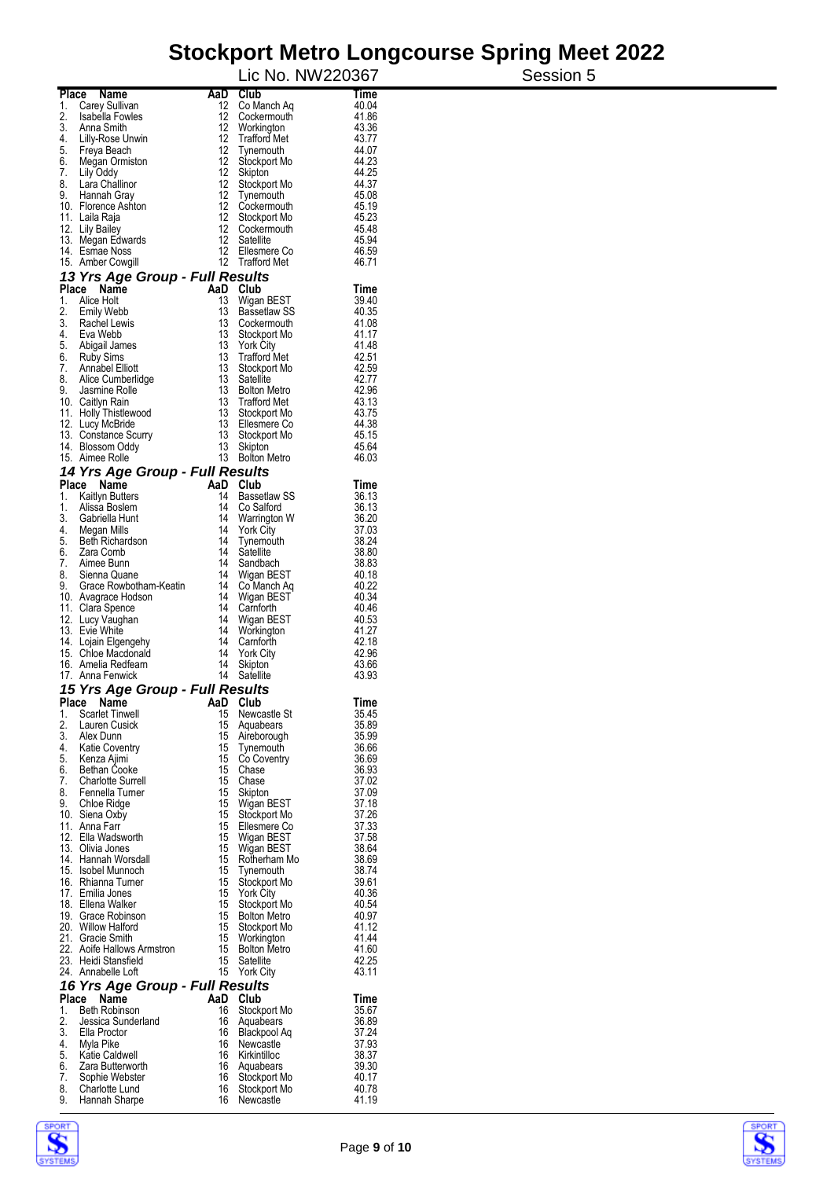|                      |                                                      |          |                                    | Lic No. NW220367 | Session 5 |
|----------------------|------------------------------------------------------|----------|------------------------------------|------------------|-----------|
| <b>Place</b>         | <b>Name</b>                                          | AaD      | Club                               | Time             |           |
| 1.                   | Carey Sullivan                                       | 12       | Co Manch Aq                        | 40.04            |           |
| 2.<br>3.             | Isabella Fowles<br>Anna Smith                        | 12<br>12 | Cockermouth<br>Workington          | 41.86<br>43.36   |           |
| 4.                   | Lilly-Rose Unwin                                     | 12       | <b>Trafford Met</b>                | 43.77            |           |
| 5.                   | Freya Beach                                          | 12       | Tynemouth                          | 44.07            |           |
| 6.                   | Megan Ormiston                                       |          | 12 Stockport Mo                    | 44.23            |           |
| 7.<br>8.             | Lily Oddy<br>Lara Challinor                          | 12<br>12 | Skipton<br>Stockport Mo            | 44.25<br>44.37   |           |
| 9.                   | Hannah Gray                                          |          | 12 Tynemouth                       | 45.08            |           |
|                      | 10. Florence Ashton                                  |          | 12 Cockermouth                     | 45.19            |           |
| 11. Laila Raja       |                                                      | 12       | Stockport Mo<br>12 Cockermouth     | 45.23<br>45.48   |           |
| 12. Lily Bailey      | 13. Megan Edwards                                    | 12       | Satellite                          | 45.94            |           |
|                      | 14. Esmae Noss                                       | 12       | Ellesmere Co                       | 46.59            |           |
|                      | 15. Amber Cowgill<br>13 Yrs Age Group - Full Results |          | 12 Trafford Met                    | 46.71            |           |
| Place                | Name                                                 | AaD      | Club                               | Time             |           |
| 1.                   | Alice Holt                                           | 13       | Wigan BEST                         | 39.40            |           |
| 2.<br>3.             | <b>Emily Webb</b><br>Rachel Lewis                    | 13<br>13 | <b>Bassetlaw SS</b><br>Cockermouth | 40.35<br>41.08   |           |
| 4.                   | Eva Webb                                             | 13       | Stockport Mo                       | 41.17            |           |
| 5.                   | Abigail James                                        | 13       | <b>York City</b>                   | 41.48            |           |
| 6.                   | <b>Ruby Sims</b>                                     | 13       | <b>Trafford Met</b>                | 42.51            |           |
| 7.<br>8.             | Annabel Elliott<br>Alice Cumberlidge                 | 13<br>13 | Stockport Mo<br>Satellite          | 42.59<br>42.77   |           |
| 9.                   | Jasmine Rolle                                        | 13       | <b>Bolton Metro</b>                | 42.96            |           |
| 10. Caitlyn Rain     |                                                      | 13       | <b>Trafford Met</b>                | 43.13            |           |
|                      | 11. Holly Thistlewood                                | 13       | Stockport Mo                       | 43.75            |           |
|                      | 12. Lucy McBride                                     |          | 13 Ellesmere Co                    | 44.38<br>45.15   |           |
|                      | 13. Constance Scurry<br>14. Blossom Oddy             | 13<br>13 | Stockport Mo<br>Skipton            | 45.64            |           |
| 15. Aimee Rolle      |                                                      |          | 13 Bolton Metro                    | 46.03            |           |
|                      | 14 Yrs Age Group - Full Results                      |          |                                    |                  |           |
| <b>Place</b><br>1.   | Name<br>Kaitlyn Butters                              | 14       | AaD Club<br>Bassetlaw SS           | Time<br>36.13    |           |
| 1.                   | Alissa Boslem                                        | 14       | Co Salford                         | 36.13            |           |
| 3.                   | Gabriella Hunt                                       | 14       | Warrington W                       | 36.20            |           |
| 4.                   | Megan Mills                                          | 14       | <b>York City</b>                   | 37.03            |           |
| 5.<br>6.             | <b>Beth Richardson</b><br>Zara Comb                  | 14<br>14 | Tynemouth<br>Satellite             | 38.24<br>38.80   |           |
| 7.                   | Aimee Bunn                                           | 14       | Sandbach                           | 38.83            |           |
| 8.                   | Sienna Quane                                         | 14       | Wigan BEST                         | 40.18            |           |
| 9.                   | Grace Rowbotham-Keatin                               | 14       | Co Manch Aq                        | 40.22            |           |
|                      | 10. Avagrace Hodson<br>11. Clara Spence              | 14       | 14 Wigan BEST<br>Camforth          | 40.34<br>40.46   |           |
|                      | 12. Lucy Vaughan                                     | 14       | Wigan BEST                         | 40.53            |           |
| 13. Evie White       |                                                      |          | 14 Workington                      | 41.27            |           |
|                      | 14. Lojain Elgengehy                                 | 14       | Camforth                           | 42.18            |           |
|                      | 15. Chloe Macdonald<br>16. Amelia Redfearn           | 14<br>14 | <b>York City</b><br>Skipton        | 42.96<br>43.66   |           |
|                      | 17. Anna Fenwick                                     | 14       | Satellite                          | 43.93            |           |
|                      | <b>15 Yrs Age Group</b>                              |          | - Full Results                     |                  |           |
| Place<br>1.          | Name<br><b>Scarlet Tinwell</b>                       | 15       | AaD Club<br>Newcastle St           | Time<br>35.45    |           |
| 2.                   | Lauren Cusick                                        | 15       | Aquabears                          | 35.89            |           |
| 3.                   | Alex Dunn                                            |          | 15 Aireborough                     | 35.99            |           |
| 4.<br>5.             | <b>Katie Coventry</b>                                | 15       | 15 Tynemouth                       | 36.66            |           |
| 6.                   | Kenza Ajimi<br><b>Bethan Cooke</b>                   | 15       | Co Coventry<br>Chase               | 36.69<br>36.93   |           |
| 7.                   | <b>Charlotte Surrell</b>                             | 15       | Chase                              | 37.02            |           |
| 8.                   | Fennella Turner                                      | 15       | Skipton                            | 37.09            |           |
| 9.<br>10. Siena Oxby | Chloe Ridge                                          |          | 15 Wigan BEST<br>15 Stockport Mo   | 37.18<br>37.26   |           |
| 11. Anna Farr        |                                                      | 15       | Ellesmere Co                       | 37.33            |           |
|                      | 12. Ella Wadsworth                                   |          | 15 Wigan BEST                      | 37.58            |           |
| 13. Olivia Jones     |                                                      |          | 15 Wigan BEST                      | 38.64            |           |
|                      | 14. Hannah Worsdall<br>15. Isobel Munnoch            | 15       | Rotherham Mo<br>15 Tynemouth       | 38.69<br>38.74   |           |
|                      | 16. Rhianna Turner                                   |          | 15 Stockport Mo                    | 39.61            |           |
|                      | 17. Emilia Jones                                     | 15       | <b>York City</b>                   | 40.36            |           |
|                      | 18. Ellena Walker                                    | 15       | Stockport Mo                       | 40.54            |           |
|                      | 19. Grace Robinson<br>20. Willow Halford             | 15       | 15 Bolton Metro<br>Stockport Mo    | 40.97<br>41.12   |           |
|                      | 21. Gracie Smith                                     |          | 15 Workington                      | 41.44            |           |
|                      | 22. Aoife Hallows Armstron                           |          | 15 Bolton Metro                    | 41.60            |           |
|                      | 23. Heidi Stansfield<br>24. Annabelle Loft           | 15       | Satellite<br>15 York City          | 42.25<br>43.11   |           |
|                      | 16 Yrs Age Group - Full Results                      |          |                                    |                  |           |
| Place Name           |                                                      | AaD      | Club                               | Time             |           |
| 1.<br>2.             | Beth Robinson<br>Jessica Sunderland                  | 16<br>16 | Stockport Mo<br>Aquabears          | 35.67<br>36.89   |           |
| 3.                   | Ella Proctor                                         |          | 16 Blackpool Aq                    | 37.24            |           |
| 4.                   | Myla Pike                                            | 16       | Newcastle                          | 37.93            |           |
| 5.                   | Katie Caldwell                                       |          | 16 Kirkintilloc                    | 38.37            |           |
| 6.<br>7.             | Zara Butterworth<br>Sophie Webster                   | 16       | 16 Aquabears<br>Stockport Mo       | 39.30<br>40.17   |           |
| 8.                   | Charlotte Lund                                       | 16       | Stockport Mo                       | 40.78            |           |
| 9.                   | Hannah Sharpe                                        |          | 16 Newcastle                       | 41.19            |           |